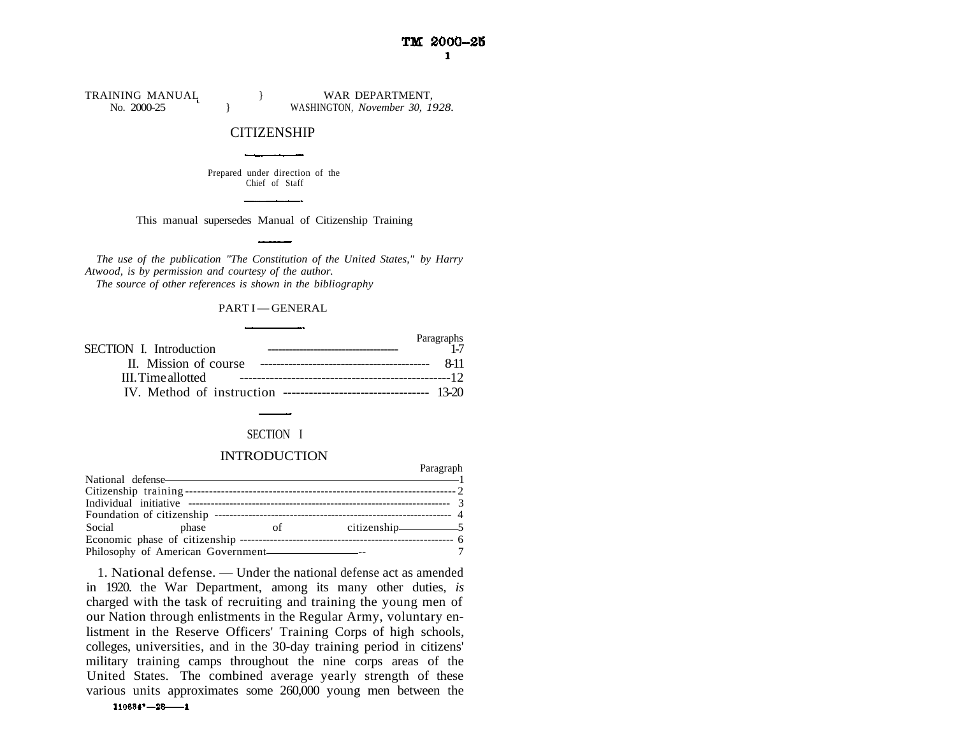TRAINING MANUAL  $\begin{array}{ccc} \text{NAR DEPARTMENT,} \\ \text{No. } 2000-25 \end{array}$  WAR DEPARTMENT, WASHINGTON, November 30, 1928.

# **CITIZENSHIP**

Prepared under direction of the Chief of Staff

This manual supersedes Manual of Citizenship Training

*The use of the publication "The Constitution of the United States," by Harry Atwood, is by permission and courtesy of the author.*

*The source of other references is shown in the bibliography*

## PART I-GENERAL

|                         | Paragraphs<br>1-7 |
|-------------------------|-------------------|
| SECTION I. Introduction |                   |
| II. Mission of course   | 8.11              |
|                         |                   |
|                         |                   |

## SECTION I

## INTRODUCTION

|                           |                                      |    |                 | Paragraph |
|---------------------------|--------------------------------------|----|-----------------|-----------|
|                           | National defense———————————————————— |    |                 |           |
|                           |                                      |    |                 |           |
| Individual initiative     |                                      |    |                 |           |
| Foundation of citizenship |                                      |    |                 |           |
| Social                    | phase                                | of | $citizenship$ 5 |           |
|                           |                                      |    |                 |           |
|                           |                                      |    |                 |           |

1. National defense. — Under the national defense act as amended in 1920. the War Department, among its many other duties, *is* charged with the task of recruiting and training the young men of our Nation through enlistments in the Regular Army, voluntary enlistment in the Reserve Officers' Training Corps of high schools, colleges, universities, and in the 30-day training period in citizens' military training camps throughout the nine corps areas of the United States. The combined average yearly strength of these various units approximates some 260,000 young men between the $110834 - 28 - 1$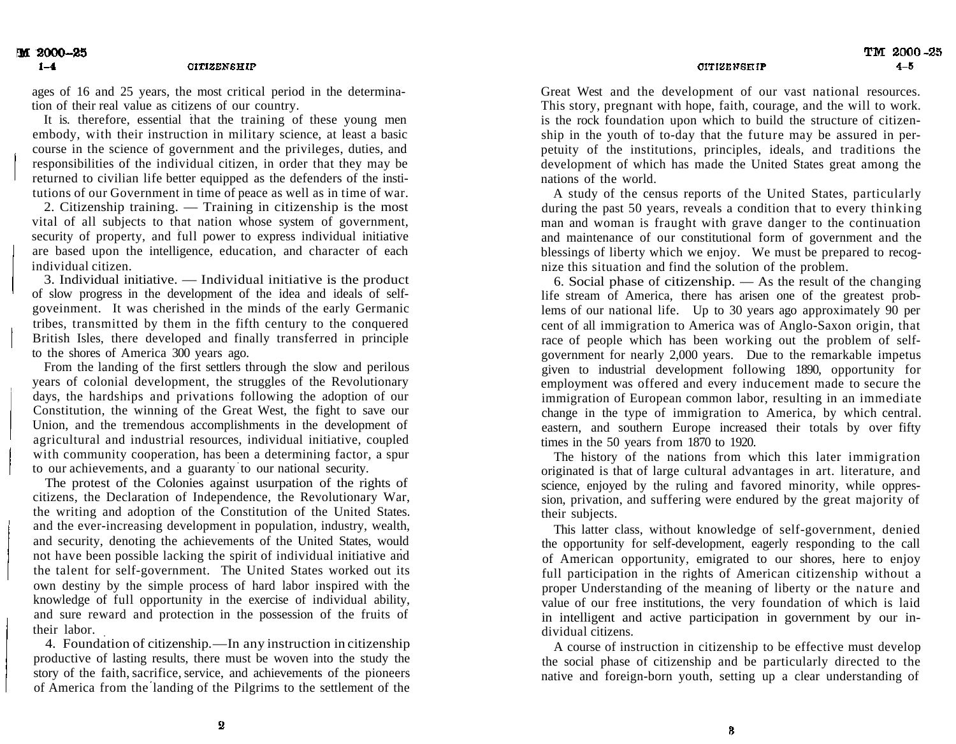## M 2000-25  $1-4$

## **CITIZENSHIP**

ages of 16 and 25 years, the most critical period in the determination of their real value as citizens of our country.

It is. therefore, essential that the training of these young men embody, with their instruction in military science, at least a basic course in the science of government and the privileges, duties, and responsibilities of the individual citizen, in order that they may be returned to civilian life better equipped as the defenders of the institutions of our Government in time of peace as well as in time of war.

2. Citizenship training. — Training in citizenship is the most vital of all subjects to that nation whose system of government, security of property, and full power to express individual initiative are based upon the intelligence, education, and character of each individual citizen.

3. Individual initiative. — Individual initiative is the product of slow progress in the development of the idea and ideals of selfgoveinment. It was cherished in the minds of the early Germanic tribes, transmitted by them in the fifth century to the conquered British Isles, there developed and finally transferred in principle to the shores of America 300 years ago.

From the landing of the first settlers through the slow and perilous years of colonial development, the struggles of the Revolutionary days, the hardships and privations following the adoption of our Constitution, the winning of the Great West, the fight to save our Union, and the tremendous accomplishments in the development of agricultural and industrial resources, individual initiative, coupled with community cooperation, has been a determining factor, a spur to our achievements, and a guaranty to our national security.

The protest of the Colonies against usurpation of the rights of citizens, the Declaration of Independence, the Revolutionary War, the writing and adoption of the Constitution of the United States. and the ever-increasing development in population, industry, wealth, and security, denoting the achievements of the United States, would not have been possible lacking the spirit of individual initiative and the talent for self-government. The United States worked out its own destiny by the simple process of hard labor inspired with the knowledge of full opportunity in the exercise of individual ability, and sure reward and protection in the possession of the fruits of their labor.

4. Foundation of citizenship. — In any instruction in citizenship productive of lasting results, there must be woven into the study the story of the faith, sacrifice, service, and achievements of the pioneers of America from the landing of the Pilgrims to the settlement of the

Great West and the development of our vast national resources. This story, pregnant with hope, faith, courage, and the will to work. is the rock foundation upon which to build the structure of citizenship in the youth of to-day that the future may be assured in perpetuity of the institutions, principles, ideals, and traditions the development of which has made the United States great among the nations of the world.

A study of the census reports of the United States, particularly during the past 50 years, reveals a condition that to every thinking man and woman is fraught with grave danger to the continuation and maintenance of our constitutional form of government and the blessings of liberty which we enjoy. We must be prepared to recognize this situation and find the solution of the problem.

6. Social phase of citizenship. — As the result of the changing life stream of America, there has arisen one of the greatest problems of our national life. Up to 30 years ago approximately 90 per cent of all immigration to America was of Anglo-Saxon origin, that race of people which has been working out the problem of selfgovernment for nearly 2,000 years. Due to the remarkable impetus given to industrial development following 1890, opportunity for employment was offered and every inducement made to secure the immigration of European common labor, resulting in an immediate change in the type of immigration to America, by which central. eastern, and southern Europe increased their totals by over fifty times in the 50 years from 1870 to 1920.

The history of the nations from which this later immigration originated is that of large cultural advantages in art. literature, and science, enjoyed by the ruling and favored minority, while oppression, privation, and suffering were endured by the great majority of their subjects.

This latter class, without knowledge of self-government, denied the opportunity for self-development, eagerly responding to the call of American opportunity, emigrated to our shores, here to enjoy full participation in the rights of American citizenship without a proper Understanding of the meaning of liberty or the nature and value of our free institutions, the very foundation of which is laid in intelligent and active participation in government by our individual citizens.

A course of instruction in citizenship to be effective must develop the social phase of citizenship and be particularly directed to the native and foreign-born youth, setting up a clear understanding of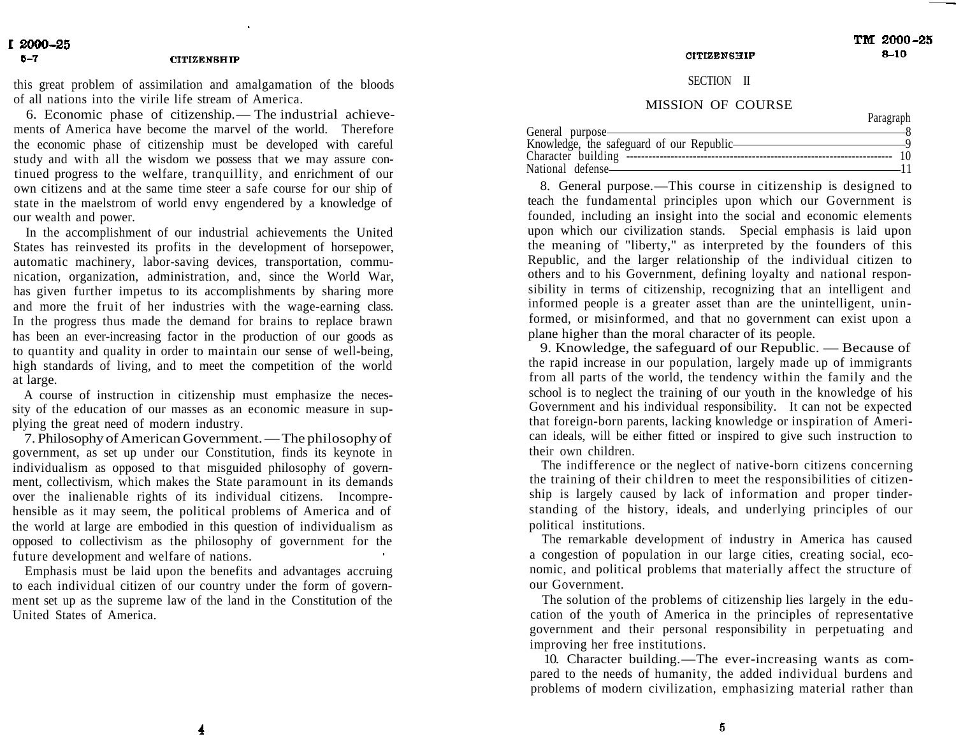TM 2000-25  $8 - 10$ 

Paragraph

#### **CITIZENSHIP**

this great problem of assimilation and amalgamation of the bloods of all nations into the virile life stream of America.

6. Economic phase of citizenship. — The industrial achievements of America have become the marvel of the world. Therefore the economic phase of citizenship must be developed with careful study and with all the wisdom we possess that we may assure continued progress to the welfare, tranquillity, and enrichment of our own citizens and at the same time steer a safe course for our ship of state in the maelstrom of world envy engendered by a knowledge of our wealth and power.

In the accomplishment of our industrial achievements the United States has reinvested its profits in the development of horsepower, automatic machinery, labor-saving devices, transportation, communication, organization, administration, and, since the World War, has given further impetus to its accomplishments by sharing more and more the fruit of her industries with the wage-earning class. In the progress thus made the demand for brains to replace brawn has been an ever-increasing factor in the production of our goods as to quantity and quality in order to maintain our sense of well-being, high standards of living, and to meet the competition of the world at large.

A course of instruction in citizenship must emphasize the necessity of the education of our masses as an economic measure in supplying the great need of modern industry.

7. Philosophy of American Government. — The philosophy of government, as set up under our Constitution, finds its keynote in individualism as opposed to that misguided philosophy of government, collectivism, which makes the State paramount in its demands over the inalienable rights of its individual citizens. Incomprehensible as it may seem, the political problems of America and of the world at large are embodied in this question of individualism as opposed to collectivism as the philosophy of government for the future development and welfare of nations.

Emphasis must be laid upon the benefits and advantages accruing to each individual citizen of our country under the form of government set up as the supreme law of the land in the Constitution of the United States of America.

**CITIZENSHIP** 

## SECTION II

# MISSION OF COURSE

| General purpose————                       |  |
|-------------------------------------------|--|
| Knowledge, the safeguard of our Republic— |  |
|                                           |  |
| National defense-                         |  |

8. General purpose. — This course in citizenship is designed to teach the fundamental principles upon which our Government is founded, including an insight into the social and economic elements upon which our civilization stands. Special emphasis is laid upon the meaning of "liberty," as interpreted by the founders of this Republic, and the larger relationship of the individual citizen to others and to his Government, defining loyalty and national responsibility in terms of citizenship, recognizing that an intelligent and informed people is a greater asset than are the unintelligent, uninformed, or misinformed, and that no government can exist upon a plane higher than the moral character of its people.

9. Knowledge, the safeguard of our Republic. — Because of the rapid increase in our population, largely made up of immigrants from all parts of the world, the tendency within the family and the school is to neglect the training of our youth in the knowledge of his Government and his individual responsibility. It can not be expected that foreign-born parents, lacking knowledge or inspiration of American ideals, will be either fitted or inspired to give such instruction to their own children.

The indifference or the neglect of native-born citizens concerning the training of their children to meet the responsibilities of citizenship is largely caused by lack of information and proper tinderstanding of the history, ideals, and underlying principles of our political institutions.

The remarkable development of industry in America has caused a congestion of population in our large cities, creating social, economic, and political problems that materially affect the structure of our Government.

The solution of the problems of citizenship lies largely in the education of the youth of America in the principles of representative government and their personal responsibility in perpetuating and improving her free institutions.

10. Character building. — The ever-increasing wants as compared to the needs of humanity, the added individual burdens and problems of modern civilization, emphasizing material rather than

 $I$  2000-25  $5 - 7$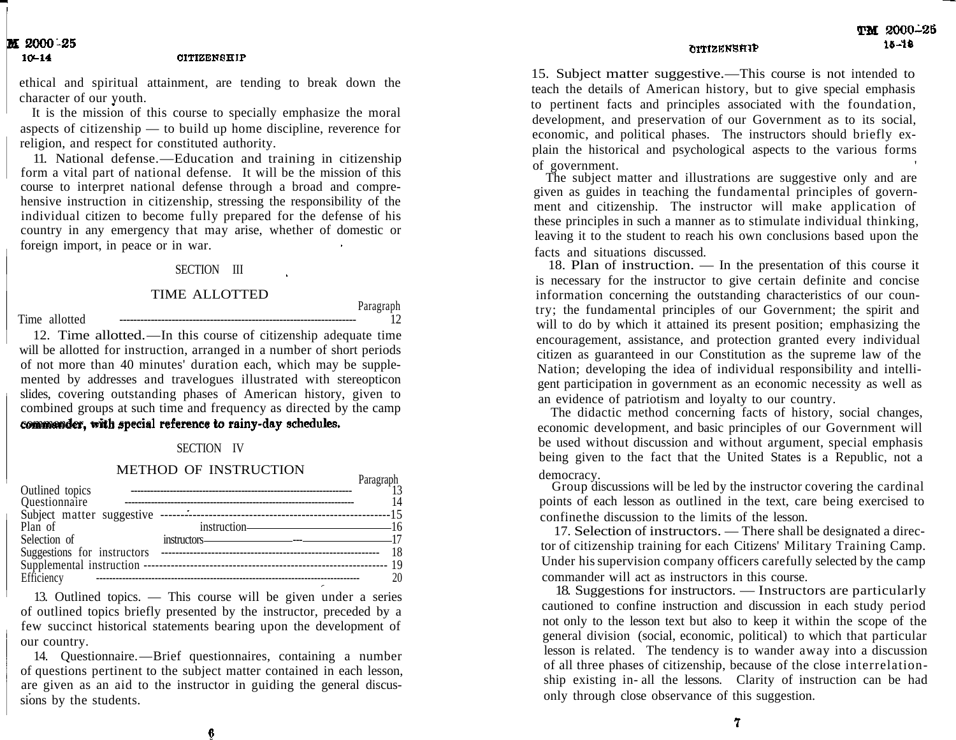ethical and spiritual attainment, are tending to break down the character of our youth.

It is the mission of this course to specially emphasize the moral aspects of citizenship — to build up home discipline, reverence for religion, and respect for constituted authority.

11. National defense. — Education and training in citizenship form a vital part of national defense. It will be the mission of this course to interpret national defense through a broad and comprehensive instruction in citizenship, stressing the responsibility of the individual citizen to become fully prepared for the defense of his country in any emergency that may arise, whether of domestic or foreign import, in peace or in war.

# SECTION III

# TIME ALLOTTED

Time allotted -------------------------------------------------------------------- 12

 $M2000 - 25$ 

 $10 - 14$ 

Paragraph

12. Time allotted. — In this course of citizenship adequate time will be allotted for instruction, arranged in a number of short periods of not more than 40 minutes' duration each, which may be supplemented by addresses and travelogues illustrated with stereopticon slides, covering outstanding phases of American history, given to combined groups at such time and frequency as directed by the camp commander, with special reference to rainy-day schedules.

# SECTION IV

## METHOD OF INSTRUCTION

|                                  |              | Paragraph |
|----------------------------------|--------------|-----------|
|                                  |              |           |
| Outlined topics<br>Questionnaire |              |           |
| Subject matter suggestive        |              |           |
| Plan of                          | instruction- |           |
| Selection of                     | instructor   |           |
| Suggestions for instructors      |              |           |
|                                  |              |           |
| Efficiency                       |              |           |

13. Outlined topics. — This course will be given under a series of outlined topics briefly presented by the instructor, preceded by a few succinct historical statements bearing upon the development of our country.

14. Questionnaire. — Brief questionnaires, containing a number of questions pertinent to the subject matter contained in each lesson, are given as an aid to the instructor in guiding the general discussions by the students.

15. Subject matter suggestive. — This course is not intended to teach the details of American history, but to give special emphasis to pertinent facts and principles associated with the foundation, development, and preservation of our Government as to its social, economic, and political phases. The instructors should briefly explain the historical and psychological aspects to the various forms of government. '

**OUTIZENSHIP** 

The subject matter and illustrations are suggestive only and are given as guides in teaching the fundamental principles of government and citizenship. The instructor will make application of these principles in such a manner as to stimulate individual thinking, leaving it to the student to reach his own conclusions based upon the facts and situations discussed.

18. Plan of instruction. — In the presentation of this course it is necessary for the instructor to give certain definite and concise information concerning the outstanding characteristics of our country; the fundamental principles of our Government; the spirit and will to do by which it attained its present position; emphasizing the encouragement, assistance, and protection granted every individual citizen as guaranteed in our Constitution as the supreme law of the Nation; developing the idea of individual responsibility and intelligent participation in government as an economic necessity as well as an evidence of patriotism and loyalty to our country.

The didactic method concerning facts of history, social changes, economic development, and basic principles of our Government will be used without discussion and without argument, special emphasis being given to the fact that the United States is a Republic, not a democracy.

Group discussions will be led by the instructor covering the cardinal points of each lesson as outlined in the text, care being exercised to confine the discussion to the limits of the lesson.

17. Selection of instructors. — There shall be designated a director of citizenship training for each Citizens' Military Training Camp. Under his supervision company officers carefully selected by the camp commander will act as instructors in this course.

18. Suggestions for instructors. — Instructors are particularly cautioned to confine instruction and discussion in each study period not only to the lesson text but also to keep it within the scope of the general division (social, economic, political) to which that particular lesson is related. The tendency is to wander away into a discussion of all three phases of citizenship, because of the close interrelationship existing in- all the lessons. Clarity of instruction can be had only through close observance of this suggestion.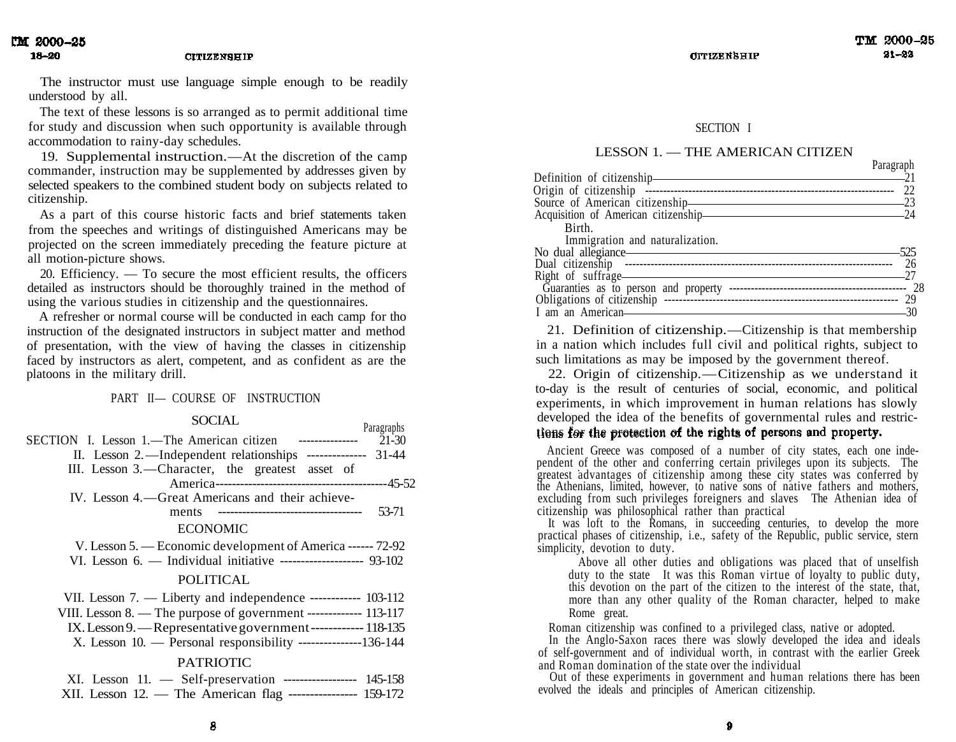$CM$  2000-25 18-20

The instructor must use language simple enough to be readily understood by all.

The text of these lessons is so arranged as to permit additional time for study and discussion when such opportunity is available through accommodation to rainy-day schedules.

19. Supplemental instruction. — At the discretion of the camp commander, instruction may be supplemented by addresses given by selected speakers to the combined student body on subjects related to citizenship.

As a part of this course historic facts and brief statements taken from the speeches and writings of distinguished Americans may be projected on the screen immediately preceding the feature picture at all motion-picture shows.

20. Efficiency. — To secure the most efficient results, the officers detailed as instructors should be thoroughly trained in the method of using the various studies in citizenship and the questionnaires.

A refresher or normal course will be conducted in each camp for tho instruction of the designated instructors in subject matter and method of presentation, with the view of having the classes in citizenship faced by instructors as alert, competent, and as confident as are the platoons in the military drill.

# PART II- COURSE OF INSTRUCTION

# **SOCIAL**

|                                                                   | Paragraphs |
|-------------------------------------------------------------------|------------|
| SECTION I. Lesson 1.—The American citizen ————————————————————    | $21 - 30$  |
| II. Lesson 2.—Independent relationships -------------- 31-44      |            |
| III. Lesson 3.—Character, the greatest asset of                   |            |
|                                                                   |            |
| IV. Lesson 4.—Great Americans and their achieve-                  |            |
| ------------------------------------<br>ments                     | 53-71      |
| <b>ECONOMIC</b>                                                   |            |
| V. Lesson 5. — Economic development of America ------ 72-92       |            |
| VI. Lesson 6. - Individual initiative -------------------- 93-102 |            |
| POLITICAL                                                         |            |
| VII. Lesson 7. — Liberty and independence ------------ 103-112    |            |
| VIII. Lesson 8. — The purpose of government ------------- 113-117 |            |
| IX. Lesson 9. - Representative government------------- 118-135    |            |
| X. Lesson 10. — Personal responsibility ---------------136-144    |            |
| <b>PATRIOTIC</b>                                                  |            |
| XI. Lesson 11. - Self-preservation ----------------- 145-158      |            |
| XII. Lesson 12. — The American flag ---------------- 159-172      |            |
|                                                                   |            |

**Daragraph** 

# SECTION I

# LESSON 1. — THE AMERICAN CITIZEN

| 1 aragraph                          |                |
|-------------------------------------|----------------|
| Definition of citizenship-          |                |
|                                     |                |
| Source of American citizenship 23   |                |
| Acquisition of American citizenship | $\frac{24}{2}$ |
| Birth.                              |                |
| Immigration and naturalization.     |                |
|                                     | —525           |
|                                     |                |
| Right of suffrage                   |                |
|                                     |                |
|                                     | 29             |
| I am an American                    |                |
|                                     |                |

21. Definition of citizenship. — Citizenship is that membership in a nation which includes full civil and political rights, subject to such limitations as may be imposed by the government thereof.

22. Origin of citizenship. — Citizenship as we understand it to-day is the result of centuries of social, economic, and political experiments, in which improvement in human relations has slowly developed the idea of the benefits of governmental rules and restrictions for the protection of the rights of persons and property.

Ancient Greece was composed of a number of city states, each one independent of the other and conferring certain privileges upon its subjects. The greatest advantages of citizenship among these city states was conferred by the Athenians, limited, however, to native sons of native fathers and mothers, excluding from such privileges foreigners and slaves The Athenian idea of citizenship was philosophical rather than practical

It was loft to the Romans, in succeeding centuries, to develop the more practical phases of citizenship, i.e., safety of the Republic, public service, stern simplicity, devotion to duty.

Above all other duties and obligations was placed that of unselfish duty to the state It was this Roman virtue of loyalty to public duty, this devotion on the part of the citizen to the interest of the state, that, more than any other quality of the Roman character, helped to make Rome great.

Roman citizenship was confined to a privileged class, native or adopted.

In the Anglo-Saxon races there was slowly developed the idea and ideals of self-government and of individual worth, in contrast with the earlier Greek and Roman domination of the state over the individual

Out of these experiments in government and human relations there has been evolved the ideals and principles of American citizenship.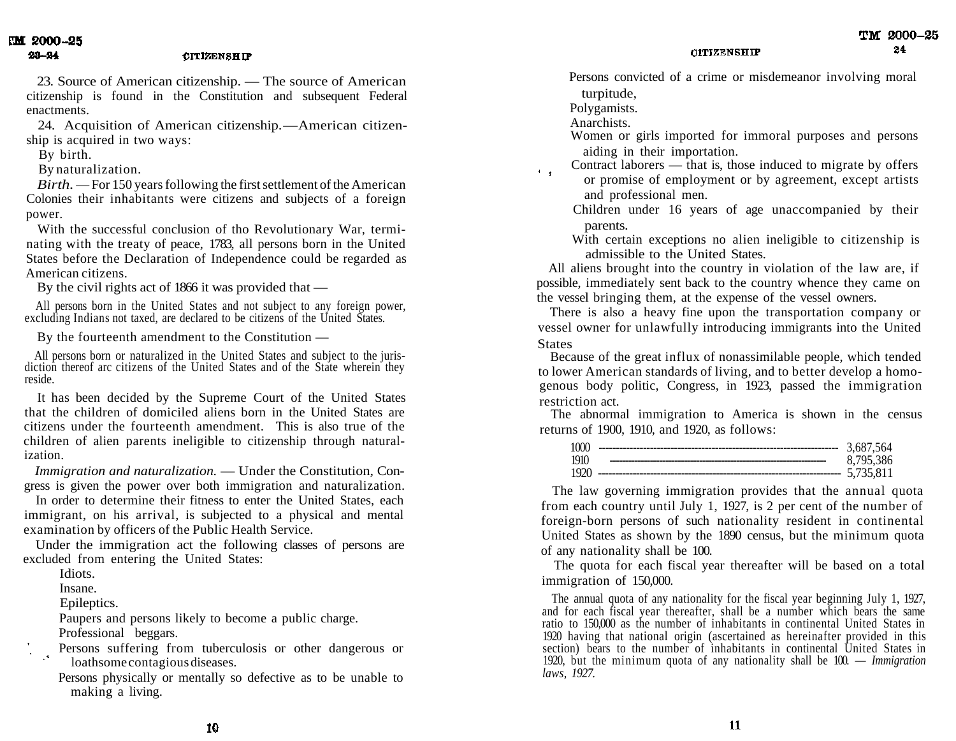TM 2000–25 24

## **CITIZENSHIP**

23. Source of American citizenship. — The source of American citizenship is found in the Constitution and subsequent Federal enactments.

24. Acquisition of American citizenship. — American citizenship is acquired in two ways:

By birth.

By naturalization.

*Birth.* — For 150 years following the first settlement of the American Colonies their inhabitants were citizens and subjects of a foreign power.

With the successful conclusion of tho Revolutionary War, terminating with the treaty of peace, 1783, all persons born in the United States before the Declaration of Independence could be regarded as American citizens.

By the civil rights act of 1866 it was provided that —

All persons born in the United States and not subject to any foreign power, excluding Indians not taxed, are declared to be citizens of the United States.

By the fourteenth amendment to the Constitution —

All persons born or naturalized in the United States and subject to the jurisdiction thereof arc citizens of the United States and of the State wherein they reside.

It has been decided by the Supreme Court of the United States that the children of domiciled aliens born in the United States are citizens under the fourteenth amendment. This is also true of the children of alien parents ineligible to citizenship through naturalization.

*Immigration and naturalization.* — Under the Constitution, Congress is given the power over both immigration and naturalization.

In order to determine their fitness to enter the United States, each immigrant, on his arrival, is subjected to a physical and mental examination by officers of the Public Health Service.

Under the immigration act the following classes of persons are excluded from entering the United States:

Idiots.

Insane.

Epileptics.

Paupers and persons likely to become a public charge.

Professional beggars.

Persons suffering from tuberculosis or other dangerous or loathsome contagious diseases.

Persons physically or mentally so defective as to be unable to making a living.

Persons convicted of a crime or misdemeanor involving moral

turpitude,

Polygamists.

Anarchists.

 $\mathbf{r}=\mathbf{r}$ 

Women or girls imported for immoral purposes and persons aiding in their importation.

Contract laborers — that is, those induced to migrate by offers or promise of employment or by agreement, except artists and professional men.

Children under 16 years of age unaccompanied by their parents.

With certain exceptions no alien ineligible to citizenship is admissible to the United States.

All aliens brought into the country in violation of the law are, if possible, immediately sent back to the country whence they came on the vessel bringing them, at the expense of the vessel owners.

There is also a heavy fine upon the transportation company or vessel owner for unlawfully introducing immigrants into the United States

Because of the great influx of nonassimilable people, which tended to lower American standards of living, and to better develop a homogenous body politic, Congress, in 1923, passed the immigration restriction act.

The abnormal immigration to America is shown in the census returns of 1900, 1910, and 1920, as follows:

| 1000     | ---       | 564<br>68<br>≺<br>ັ<br>$\mathbf{v}$ |
|----------|-----------|-------------------------------------|
| 1910     |           | 795.386                             |
| 71<br>ιų | ---<br>-- | 5 735 811<br>ັ                      |

The law governing immigration provides that the annual quota from each country until July 1, 1927, is 2 per cent of the number of foreign-born persons of such nationality resident in continental United States as shown by the 1890 census, but the minimum quota of any nationality shall be 100.

The quota for each fiscal year thereafter will be based on a total immigration of 150,000.

The annual quota of any nationality for the fiscal year beginning July 1, 1927, and for each fiscal year thereafter, shall be a number which bears the same ratio to 150,000 as the number of inhabitants in continental United States in 1920 having that national origin (ascertained as hereinafter provided in this section) bears to the number of inhabitants in continental United States in 1920, but the minimum quota of any nationality shall be 100. — *Immigration laws, 1927.*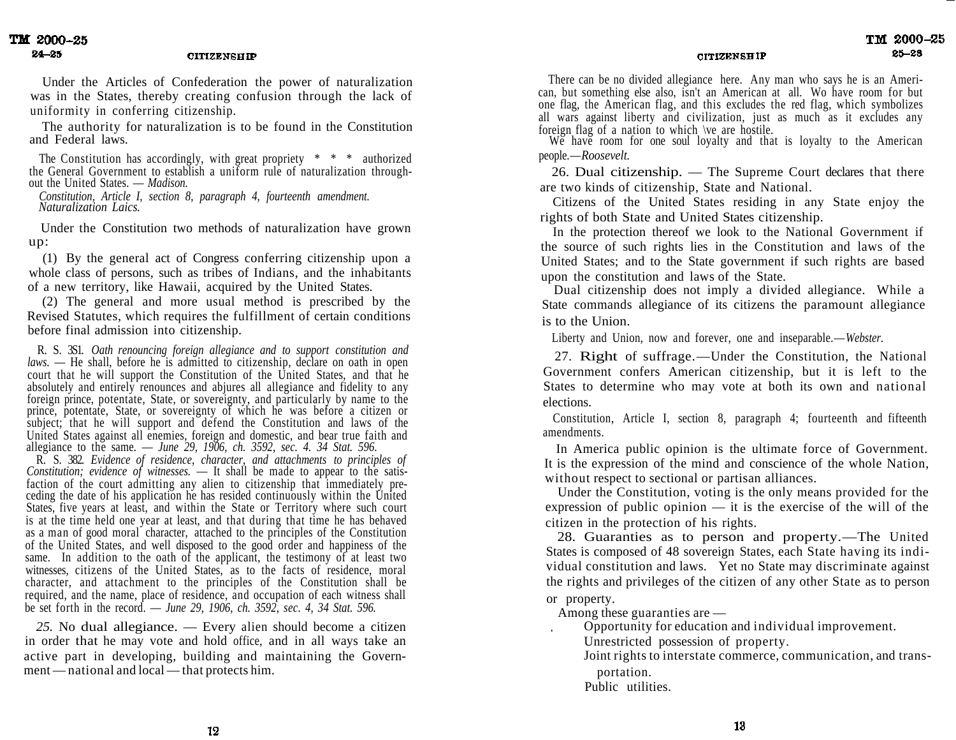## **TM** 2000-25  $24 - 25$

## **CITIZENSHIP**

Under the Articles of Confederation the power of naturalization was in the States, thereby creating confusion through the lack of uniformity in conferring citizenship.

The authority for naturalization is to be found in the Constitution and Federal laws.

The Constitution has accordingly, with great propriety \* \* \* authorized the General Government to establish a uniform rule of naturalization throughout the United States. — *Madison.*

*Constitution, Article I, section 8, paragraph 4, fourteenth amendment. Naturalization Laics.*

Under the Constitution two methods of naturalization have grown up:

(1) By the general act of Congress conferring citizenship upon a whole class of persons, such as tribes of Indians, and the inhabitants of a new territory, like Hawaii, acquired by the United States.

(2) The general and more usual method is prescribed by the Revised Statutes, which requires the fulfillment of certain conditions before final admission into citizenship.

R. S. 3S1. *Oath renouncing foreign allegiance and to support constitution and laws*. — He shall, before he is admitted to citizenship, declare on oath in open court that he will support the Constitution of the United States, and that he absolutely and entirely renounces and abjures all allegiance and fidelity to any foreign prince, potentate, State, or sovereignty, and particularly by name to the prince, potentate, State, or sovereignty of which he was before a citizen or subject; that he will support and defend the Constitution and laws of the United States against all enemies, foreign and domestic, and bear true faith and allegiance to the same. — *June 29, 1906, ch. 3592*, *sec. 4. 34 Stat. 596.*

R. S. 382. *Evidence of residence, character, and attachments to principles of Constitution; evidence of witnesses.* — It shall be made to appear to the satisfaction of the court admitting any alien to citizenship that immediately preceding the date of his application he has resided continuously within the United States, five years at least, and within the State or Territory where such court is at the time held one year at least, and that during that time he has behaved as a man of good moral character, attached to the principles of the Constitution of the United States, and well disposed to the good order and happiness of the same. In addition to the oath of the applicant, the testimony of at least two witnesses, citizens of the United States, as to the facts of residence, moral character, and attachment to the principles of the Constitution shall be required, and the name, place of residence, and occupation of each witness shall be set forth in the record. — *June 29*, *1906, ch. 3592*, *sec. 4, 34 Stat. 596.*

*25.* No dual allegiance. — Every alien should become a citizen in order that he may vote and hold office, and in all ways take an active part in developing, building and maintaining the Government — national and local — that protects him.

There can be no divided allegiance here. Any man who says he is an American, but something else also, isn't an American at all. Wo have room for but one flag, the American flag, and this excludes the red flag, which symbolizes all wars against liberty and civilization, just as much as it excludes any foreign flag of a nation to which \ve are hostile.

We have room for one soul loyalty and that is loyalty to the American people.-*Roosevelt*.

26. Dual citizenship. — The Supreme Court declares that there are two kinds of citizenship, State and National.

Citizens of the United States residing in any State enjoy the rights of both State and United States citizenship.

In the protection thereof we look to the National Government if the source of such rights lies in the Constitution and laws of the United States; and to the State government if such rights are based upon the constitution and laws of the State.

Dual citizenship does not imply a divided allegiance. While a State commands allegiance of its citizens the paramount allegiance is to the Union.

Liberty and Union, now and forever, one and inseparable.—*Webster*.

27. Right of suffrage. — Under the Constitution, the National Government confers American citizenship, but it is left to the States to determine who may vote at both its own and national elections.

Constitution, Article I, section 8, paragraph 4; fourteenth and fifteenth amendments.

In America public opinion is the ultimate force of Government. It is the expression of the mind and conscience of the whole Nation, without respect to sectional or partisan alliances.

Under the Constitution, voting is the only means provided for the expression of public opinion — it is the exercise of the will of the citizen in the protection of his rights.

28. Guaranties as to person and property. — The United States is composed of 48 sovereign States, each State having its individual constitution and laws. Yet no State may discriminate against the rights and privileges of the citizen of any other State as to person

or property.

Among these guaranties are —

Opportunity for education and individual improvement.

Unrestricted possession of property.

Joint rights to interstate commerce, communication, and transportation.

Public utilities.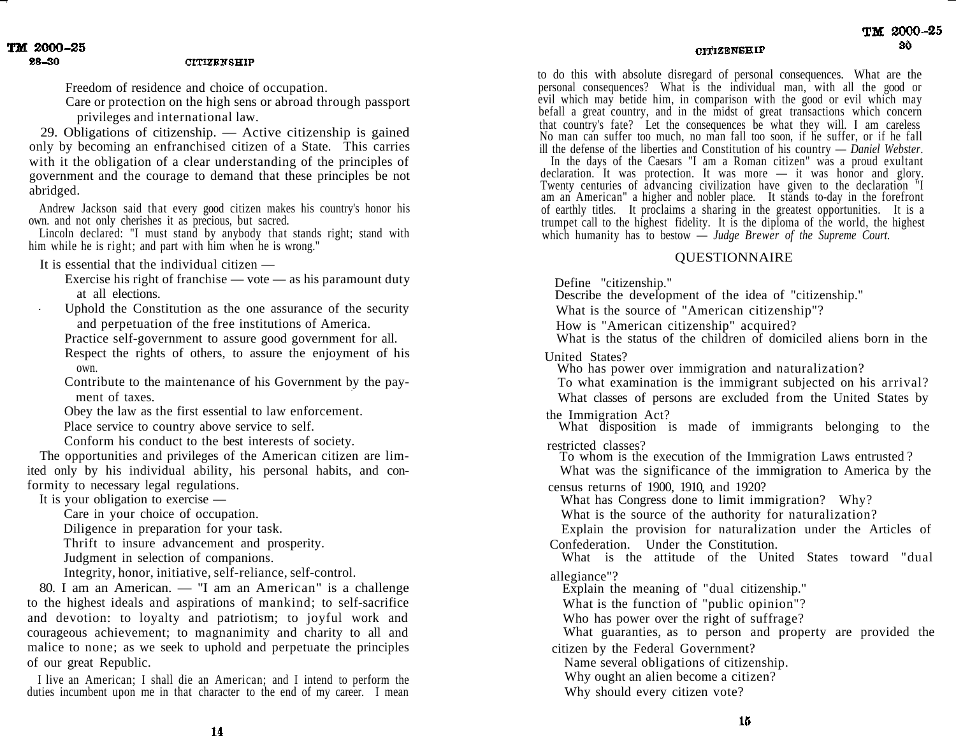## **CITIZENSHIP**

Freedom of residence and choice of occupation.

Care or protection on the high sens or abroad through passport privileges and international law.

29. Obligations of citizenship. — Active citizenship is gained only by becoming an enfranchised citizen of a State. This carries with it the obligation of a clear understanding of the principles of government and the courage to demand that these principles be not abridged.

Andrew Jackson said that every good citizen makes his country's honor his own. and not only cherishes it as precious, but sacred.

Lincoln declared: "I must stand by anybody that stands right; stand with him while he is right; and part with him when he is wrong."

It is essential that the individual citizen —

- Exercise his right of franchise vote as his paramount duty at all elections.
- Uphold the Constitution as the one assurance of the security and perpetuation of the free institutions of America.

Practice self-government to assure good government for all.

Respect the rights of others, to assure the enjoyment of his own.

Contribute to the maintenance of his Government by the payment of taxes.

Obey the law as the first essential to law enforcement.

Place service to country above service to self.

Conform his conduct to the best interests of society.

The opportunities and privileges of the American citizen are limited only by his individual ability, his personal habits, and conformity to necessary legal regulations.

It is your obligation to exercise —

Care in your choice of occupation.

Diligence in preparation for your task.

Thrift to insure advancement and prosperity.

Judgment in selection of companions.

Integrity, honor, initiative, self-reliance, self-control.

80. I am an American. — "I am an American" is a challenge to the highest ideals and aspirations of mankind; to self-sacrifice and devotion: to loyalty and patriotism; to joyful work and courageous achievement; to magnanimity and charity to all and malice to none; as we seek to uphold and perpetuate the principles of our great Republic.

I live an American; I shall die an American; and I intend to perform the duties incumbent upon me in that character to the end of my career. I mean

to do this with absolute disregard of personal consequences. What are the personal consequences? What is the individual man, with all the good or evil which may betide him, in comparison with the good or evil which may befall a great country, and in the midst of great transactions which concern that country's fate? Let the consequences be what they will. I am careless No man can suffer too much, no man fall too soon, if he suffer, or if he fall ill the defense of the liberties and Constitution of his country — *Daniel Webster*.

In the days of the Caesars "I am a Roman citizen" was a proud exultant declaration. It was protection. It was more — it was honor and glory. Twenty centuries of advancing civilization have given to the declaration "I am an American" a higher and nobler place. It stands to-day in the forefront of earthly titles. It proclaims a sharing in the greatest opportunities. It is a trumpet call to the highest fidelity. It is the diploma of the world, the highest which humanity has to bestow — *Judge Brewer of the Supreme Court.*

# **OUESTIONNAIRE**

Define "citizenship."

Describe the development of the idea of "citizenship."

What is the source of "American citizenship"?

How is "American citizenship" acquired?

What is the status of the children of domiciled aliens born in the United States?

Who has power over immigration and naturalization?

To what examination is the immigrant subjected on his arrival? What classes of persons are excluded from the United States by

the Immigration Act?

What disposition is made of immigrants belonging to the restricted classes?

To whom is the execution of the Immigration Laws entrusted ?

What was the significance of the immigration to America by the census returns of 1900, 1910, and 1920?

What has Congress done to limit immigration? Why?

What is the source of the authority for naturalization?

Explain the provision for naturalization under the Articles of Confederation. Under the Constitution.

What is the attitude of the United States toward "dual allegiance"?

Explain the meaning of "dual citizenship."

What is the function of "public opinion"?

Who has power over the right of suffrage?

What guaranties, as to person and property are provided the

citizen by the Federal Government?

Name several obligations of citizenship.

Why ought an alien become a citizen?

Why should every citizen vote?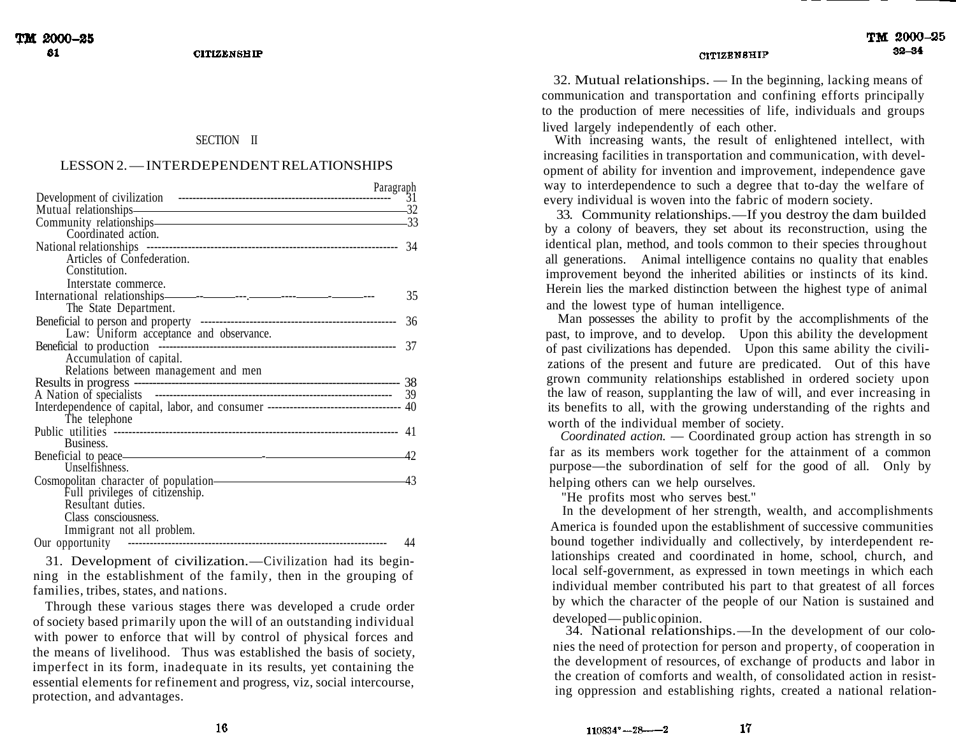# SECTION II

# LESSON 2. — INTERDEPENDENT RELATIONSHIPS

|                                                                                        | Paragraph |
|----------------------------------------------------------------------------------------|-----------|
|                                                                                        |           |
| Mutual relationships-                                                                  | 32        |
|                                                                                        | -33       |
|                                                                                        |           |
|                                                                                        | 34        |
| Articles of Confederation.                                                             |           |
| Constitution.                                                                          |           |
| Interstate commerce.                                                                   |           |
|                                                                                        | 35        |
| The State Department.                                                                  |           |
|                                                                                        | 36        |
| Law: Uniform acceptance and observance.                                                |           |
|                                                                                        | 37        |
| Accumulation of capital.                                                               |           |
|                                                                                        |           |
|                                                                                        |           |
|                                                                                        |           |
| Interdependence of capital, labor, and consumer ----------------------------------- 40 |           |
| The telephone                                                                          |           |
|                                                                                        |           |
| Business.                                                                              |           |
|                                                                                        | 42        |
| Unselfishness.                                                                         |           |
|                                                                                        | 43        |
|                                                                                        |           |
| Resultant duties.                                                                      |           |
| Class consciousness.                                                                   |           |
| Immigrant not all problem.                                                             |           |
|                                                                                        |           |

31. Development of civilization. — Civilization had its beginning in the establishment of the family, then in the grouping of families, tribes, states, and nations.

Through these various stages there was developed a crude order of society based primarily upon the will of an outstanding individual with power to enforce that will by control of physical forces and the means of livelihood. Thus was established the basis of society, imperfect in its form, inadequate in its results, yet containing the essential elements for refinement and progress, viz, social intercourse, protection, and advantages.

32. Mutual relationships. — In the beginning, lacking means of communication and transportation and confining efforts principally to the production of mere necessities of life, individuals and groups lived largely independently of each other.

With increasing wants, the result of enlightened intellect, with increasing facilities in transportation and communication, with development of ability for invention and improvement, independence gave way to interdependence to such a degree that to-day the welfare of every individual is woven into the fabric of modern society.

33. Community relationships. — If you destroy the dam builded by a colony of beavers, they set about its reconstruction, using the identical plan, method, and tools common to their species throughout all generations. Animal intelligence contains no quality that enables improvement beyond the inherited abilities or instincts of its kind. Herein lies the marked distinction between the highest type of animal and the lowest type of human intelligence.

Man possesses the ability to profit by the accomplishments of the past, to improve, and to develop. Upon this ability the development of past civilizations has depended. Upon this same ability the civilizations of the present and future are predicated. Out of this have grown community relationships established in ordered society upon the law of reason, supplanting the law of will, and ever increasing in its benefits to all, with the growing understanding of the rights and worth of the individual member of society.

*Coordinated action.* — Coordinated group action has strength in so far as its members work together for the attainment of a common purpose — the subordination of self for the good of all. Only by helping others can we help ourselves.

"He profits most who serves best."

In the development of her strength, wealth, and accomplishments America is founded upon the establishment of successive communities bound together individually and collectively, by interdependent relationships created and coordinated in home, school, church, and local self-government, as expressed in town meetings in which each individual member contributed his part to that greatest of all forces by which the character of the people of our Nation is sustained and developed — public opinion.

34. National relationships. — In the development of our colonies the need of protection for person and property, of cooperation in the development of resources, of exchange of products and labor in the creation of comforts and wealth, of consolidated action in resisting oppression and establishing rights, created a national relation-

17

16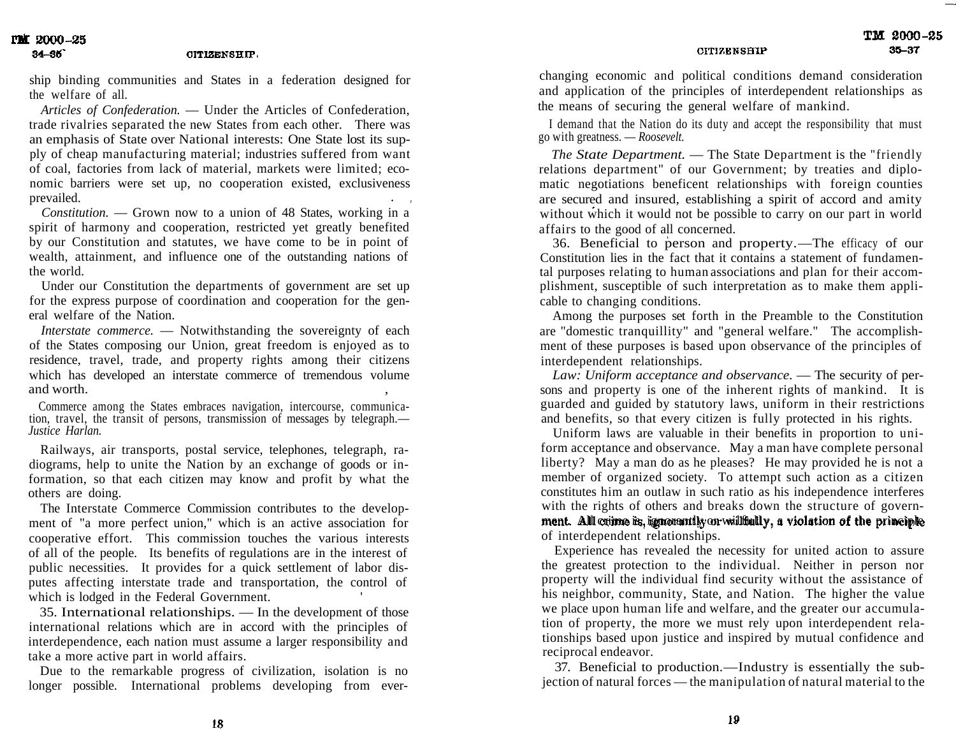ship binding communities and States in a federation designed for the welfare of all.

*Articles of Confederation.* — Under the Articles of Confederation, trade rivalries separated the new States from each other. There was an emphasis of State over National interests: One State lost its supply of cheap manufacturing material; industries suffered from want of coal, factories from lack of material, markets were limited; economic barriers were set up, no cooperation existed, exclusiveness prevailed.

*Constitution.* — Grown now to a union of 48 States, working in a spirit of harmony and cooperation, restricted yet greatly benefited by our Constitution and statutes, we have come to be in point of wealth, attainment, and influence one of the outstanding nations of the world.

Under our Constitution the departments of government are set up for the express purpose of coordination and cooperation for the general welfare of the Nation.

*Interstate commerce.* — Notwithstanding the sovereignty of each of the States composing our Union, great freedom is enjoyed as to residence, travel, trade, and property rights among their citizens which has developed an interstate commerce of tremendous volume and worth.

Commerce among the States embraces navigation, intercourse, communication, travel, the transit of persons, transmission of messages by telegraph. — *Justice Harlan.*

Railways, air transports, postal service, telephones, telegraph, radiograms, help to unite the Nation by an exchange of goods or information, so that each citizen may know and profit by what the others are doing.

The Interstate Commerce Commission contributes to the development of "a more perfect union," which is an active association for cooperative effort. This commission touches the various interests of all of the people. Its benefits of regulations are in the interest of public necessities. It provides for a quick settlement of labor disputes affecting interstate trade and transportation, the control of which is lodged in the Federal Government.

35. International relationships. — In the development of those international relations which are in accord with the principles of interdependence, each nation must assume a larger responsibility and take a more active part in world affairs.

Due to the remarkable progress of civilization, isolation is no longer possible. International problems developing from everchanging economic and political conditions demand consideration and application of the principles of interdependent relationships as the means of securing the general welfare of mankind.

I demand that the Nation do its duty and accept the responsibility that must go with greatness. — *Roosevelt.*

*The State Department.* — The State Department is the "friendly relations department" of our Government; by treaties and diplomatic negotiations beneficent relationships with foreign counties are secured and insured, establishing a spirit of accord and amity without which it would not be possible to carry on our part in world affairs to the good of all concerned.

36. Beneficial to person and property. — The efficacy of our Constitution lies in the fact that it contains a statement of fundamental purposes relating to human associations and plan for their accomplishment, susceptible of such interpretation as to make them applicable to changing conditions.

Among the purposes set forth in the Preamble to the Constitution are "domestic tranquillity" and "general welfare." The accomplishment of these purposes is based upon observance of the principles of interdependent relationships.

*Law: Uniform acceptance and observance.* — The security of persons and property is one of the inherent rights of mankind. It is guarded and guided by statutory laws, uniform in their restrictions and benefits, so that every citizen is fully protected in his rights.

Uniform laws are valuable in their benefits in proportion to uniform acceptance and observance. May a man have complete personal liberty? May a man do as he pleases? He may provided he is not a member of organized society. To attempt such action as a citizen constitutes him an outlaw in such ratio as his independence interferes with the rights of others and breaks down the structure of government. All crime is, ignorantly or wilfully, a violation of the principle of interdependent relationships.

Experience has revealed the necessity for united action to assure the greatest protection to the individual. Neither in person nor property will the individual find security without the assistance of his neighbor, community, State, and Nation. The higher the value we place upon human life and welfare, and the greater our accumulation of property, the more we must rely upon interdependent relationships based upon justice and inspired by mutual confidence and reciprocal endeavor.

37. Beneficial to production. — Industry is essentially the subjection of natural forces — the manipulation of natural material to the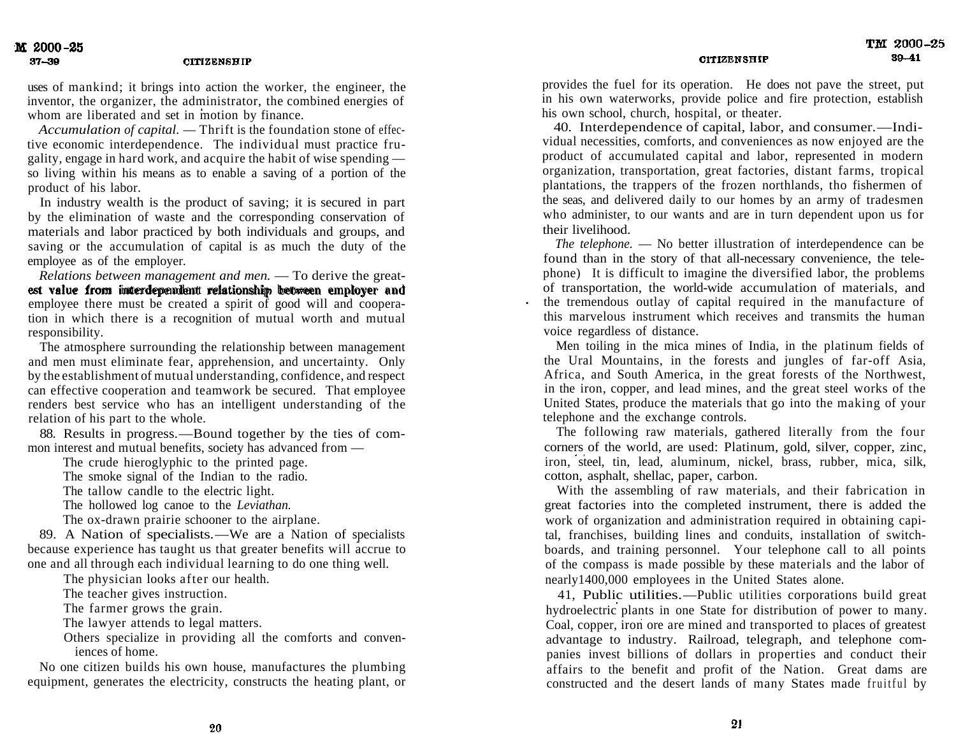## **CITIZENSHIP**

uses of mankind; it brings into action the worker, the engineer, the inventor, the organizer, the administrator, the combined energies of whom are liberated and set in motion by finance.

*Accumulation of capital.* — Thrift is the foundation stone of effective economic interdependence. The individual must practice frugality, engage in hard work, and acquire the habit of wise spending so living within his means as to enable a saving of a portion of the product of his labor.

In industry wealth is the product of saving; it is secured in part by the elimination of waste and the corresponding conservation of materials and labor practiced by both individuals and groups, and saving or the accumulation of capital is as much the duty of the employee as of the employer.

*Relations between management and men.* — To derive the greatest value from interdependent relationship between employer and employee there must be created a spirit of good will and cooperation in which there is a recognition of mutual worth and mutual responsibility.

The atmosphere surrounding the relationship between management and men must eliminate fear, apprehension, and uncertainty. Only by the establishment of mutual understanding, confidence, and respect can effective cooperation and teamwork be secured. That employee renders best service who has an intelligent understanding of the relation of his part to the whole.

88. Results in progress. — Bound together by the ties of common interest and mutual benefits, society has advanced from —

The crude hieroglyphic to the printed page.

The smoke signal of the Indian to the radio.

The tallow candle to the electric light.

The hollowed log canoe to the *Leviathan.*

The ox-drawn prairie schooner to the airplane.

89. A Nation of specialists. — We are a Nation of specialists because experience has taught us that greater benefits will accrue to one and all through each individual learning to do one thing well.

The physician looks after our health.

The teacher gives instruction.

The farmer grows the grain.

The lawyer attends to legal matters.

Others specialize in providing all the comforts and conveniences of home.

No one citizen builds his own house, manufactures the plumbing equipment, generates the electricity, constructs the heating plant, or

provides the fuel for its operation. He does not pave the street, put in his own waterworks, provide police and fire protection, establish his own school, church, hospital, or theater.

40. Interdependence of capital, labor, and consumer. — Individual necessities, comforts, and conveniences as now enjoyed are the product of accumulated capital and labor, represented in modern organization, transportation, great factories, distant farms, tropical plantations, the trappers of the frozen northlands, tho fishermen of the seas, and delivered daily to our homes by an army of tradesmen who administer, to our wants and are in turn dependent upon us for their livelihood.

*The telephone.* — No better illustration of interdependence can be found than in the story of that all-necessary convenience, the telephone) It is difficult to imagine the diversified labor, the problems of transportation, the world-wide accumulation of materials, and the tremendous outlay of capital required in the manufacture of this marvelous instrument which receives and transmits the human voice regardless of distance.

Men toiling in the mica mines of India, in the platinum fields of the Ural Mountains, in the forests and jungles of far-off Asia, Africa, and South America, in the great forests of the Northwest, in the iron, copper, and lead mines, and the great steel works of the United States, produce the materials that go into the making of your telephone and the exchange controls.

The following raw materials, gathered literally from the four corners of the world, are used: Platinum, gold, silver, copper, zinc, iron, steel, tin, lead, aluminum, nickel, brass, rubber, mica, silk, cotton, asphalt, shellac, paper, carbon.

With the assembling of raw materials, and their fabrication in great factories into the completed instrument, there is added the work of organization and administration required in obtaining capital, franchises, building lines and conduits, installation of switchboards, and training personnel. Your telephone call to all points of the compass is made possible by these materials and the labor of nearly1400,000 employees in the United States alone.

41, Public utilities. — Public utilities corporations build great hydroelectric plants in one State for distribution of power to many. Coal, copper, iron ore are mined and transported to places of greatest advantage to industry. Railroad, telegraph, and telephone companies invest billions of dollars in properties and conduct their affairs to the benefit and profit of the Nation. Great dams are constructed and the desert lands of many States made fruitful by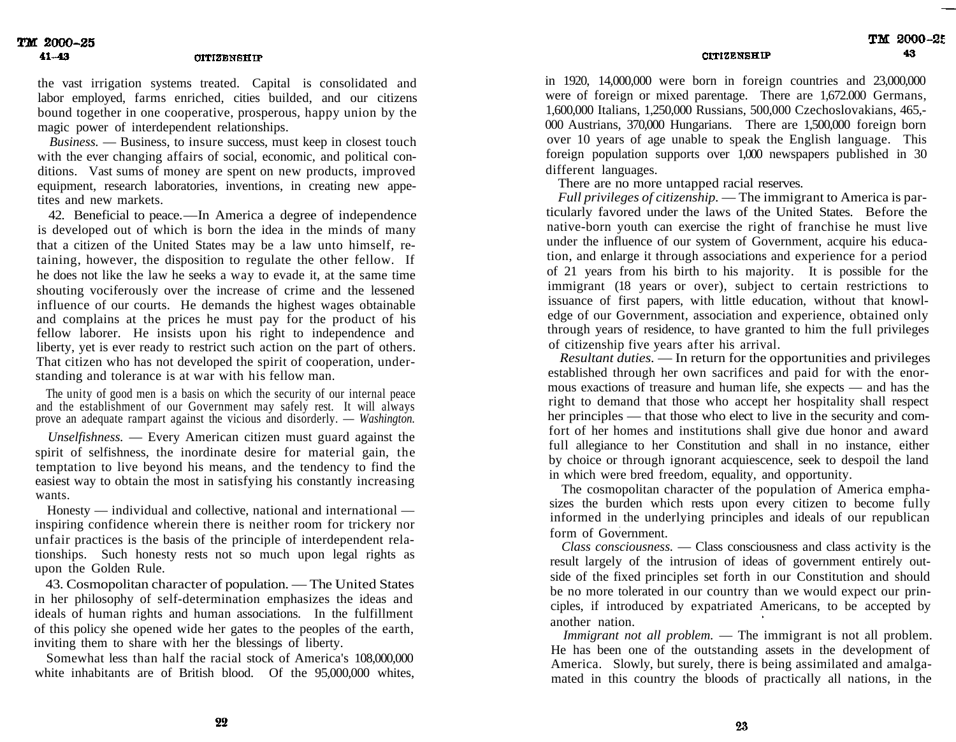the vast irrigation systems treated. Capital is consolidated and labor employed, farms enriched, cities builded, and our citizens bound together in one cooperative, prosperous, happy union by the magic power of interdependent relationships.

*Business.* — Business, to insure success, must keep in closest touch with the ever changing affairs of social, economic, and political conditions. Vast sums of money are spent on new products, improved equipment, research laboratories, inventions, in creating new appetites and new markets.

42. Beneficial to peace. — In America a degree of independence is developed out of which is born the idea in the minds of many that a citizen of the United States may be a law unto himself, retaining, however, the disposition to regulate the other fellow. If he does not like the law he seeks a way to evade it, at the same time shouting vociferously over the increase of crime and the lessened influence of our courts. He demands the highest wages obtainable and complains at the prices he must pay for the product of his fellow laborer. He insists upon his right to independence and liberty, yet is ever ready to restrict such action on the part of others. That citizen who has not developed the spirit of cooperation, understanding and tolerance is at war with his fellow man.

The unity of good men is a basis on which the security of our internal peace and the establishment of our Government may safely rest. It will always prove an adequate rampart against the vicious and disorderly. — *Washington.*

*Unselfishness.* — Every American citizen must guard against the spirit of selfishness, the inordinate desire for material gain, the temptation to live beyond his means, and the tendency to find the easiest way to obtain the most in satisfying his constantly increasing wants.

Honesty — individual and collective, national and international inspiring confidence wherein there is neither room for trickery nor unfair practices is the basis of the principle of interdependent relationships. Such honesty rests not so much upon legal rights as upon the Golden Rule.

43. Cosmopolitan character of population. — The United States in her philosophy of self-determination emphasizes the ideas and ideals of human rights and human associations. In the fulfillment of this policy she opened wide her gates to the peoples of the earth, inviting them to share with her the blessings of liberty.

Somewhat less than half the racial stock of America's 108,000,000 white inhabitants are of British blood. Of the 95,000,000 whites,

in 1920, 14,000,000 were born in foreign countries and 23,000,000 were of foreign or mixed parentage. There are 1,672.000 Germans, 1,600,000 Italians, 1,250,000 Russians, 500,000 Czechoslovakians, 465,- 000 Austrians, 370,000 Hungarians. There are 1,500,000 foreign born over 10 years of age unable to speak the English language. This foreign population supports over 1,000 newspapers published in 30 different languages.

There are no more untapped racial reserves.

*Full privileges of citizenship.* — The immigrant to America is particularly favored under the laws of the United States. Before the native-born youth can exercise the right of franchise he must live under the influence of our system of Government, acquire his education, and enlarge it through associations and experience for a period of 21 years from his birth to his majority. It is possible for the immigrant (18 years or over), subject to certain restrictions to issuance of first papers, with little education, without that knowledge of our Government, association and experience, obtained only through years of residence, to have granted to him the full privileges of citizenship five years after his arrival.

*Resultant duties.* — In return for the opportunities and privileges established through her own sacrifices and paid for with the enormous exactions of treasure and human life, she expects — and has the right to demand that those who accept her hospitality shall respect her principles — that those who elect to live in the security and comfort of her homes and institutions shall give due honor and award full allegiance to her Constitution and shall in no instance, either by choice or through ignorant acquiescence, seek to despoil the land in which were bred freedom, equality, and opportunity.

The cosmopolitan character of the population of America emphasizes the burden which rests upon every citizen to become fully informed in the underlying principles and ideals of our republican form of Government.

*Class consciousness.* — Class consciousness and class activity is the result largely of the intrusion of ideas of government entirely outside of the fixed principles set forth in our Constitution and should be no more tolerated in our country than we would expect our principles, if introduced by expatriated Americans, to be accepted by another nation.

*Immigrant not all problem.* — The immigrant is not all problem. He has been one of the outstanding assets in the development of America. Slowly, but surely, there is being assimilated and amalgamated in this country the bloods of practically all nations, in the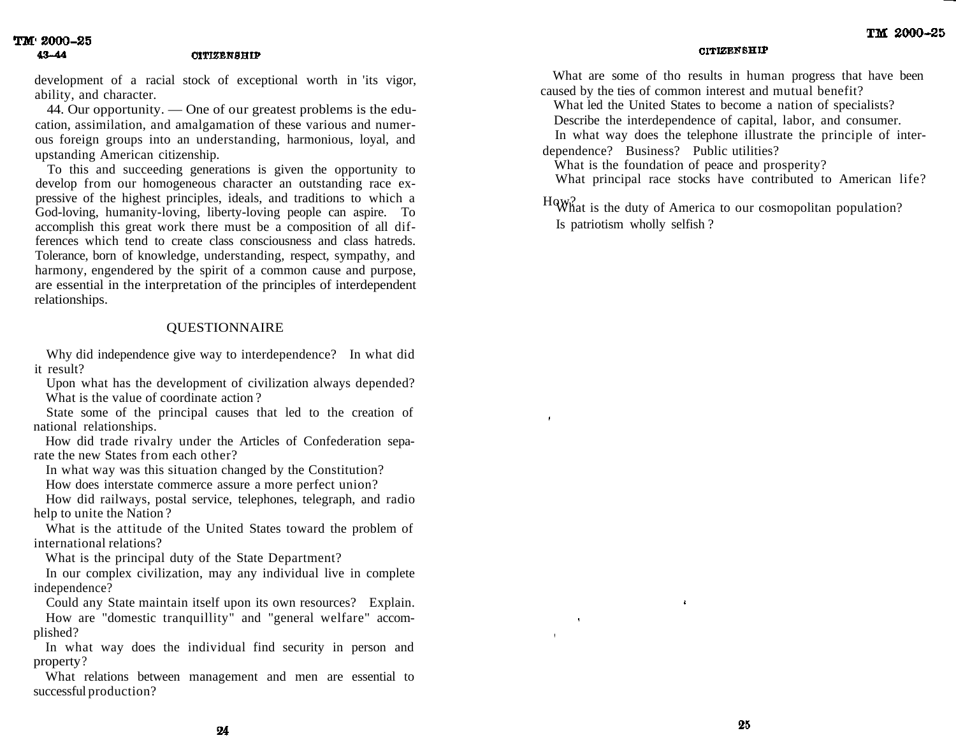## **CITIZENSHIP**

development of a racial stock of exceptional worth in 'its vigor, ability, and character.

44. Our opportunity. — One of our greatest problems is the education, assimilation, and amalgamation of these various and numerous foreign groups into an understanding, harmonious, loyal, and upstanding American citizenship.

To this and succeeding generations is given the opportunity to develop from our homogeneous character an outstanding race expressive of the highest principles, ideals, and traditions to which a God-loving, humanity-loving, liberty-loving people can aspire. To accomplish this great work there must be a composition of all differences which tend to create class consciousness and class hatreds. Tolerance, born of knowledge, understanding, respect, sympathy, and harmony, engendered by the spirit of a common cause and purpose, are essential in the interpretation of the principles of interdependent relationships.

# QUESTIONNAIRE

Why did independence give way to interdependence? In what did it result?

Upon what has the development of civilization always depended? What is the value of coordinate action ?

State some of the principal causes that led to the creation of national relationships.

How did trade rivalry under the Articles of Confederation separate the new States from each other?

In what way was this situation changed by the Constitution?

How does interstate commerce assure a more perfect union?

How did railways, postal service, telephones, telegraph, and radio help to unite the Nation ?

What is the attitude of the United States toward the problem of international relations?

What is the principal duty of the State Department?

In our complex civilization, may any individual live in complete independence?

Could any State maintain itself upon its own resources? Explain. How are "domestic tranquillity" and "general welfare" accomplished?

In what way does the individual find security in person and property ?

What relations between management and men are essential to successful production?

What are some of tho results in human progress that have been caused by the ties of common interest and mutual benefit?

What led the United States to become a nation of specialists?

Describe the interdependence of capital, labor, and consumer.

In what way does the telephone illustrate the principle of interdependence? Business? Public utilities?

What is the foundation of peace and prosperity?

What principal race stocks have contributed to American life?

 $\text{Haw}_1^2$  is the duty of America to our cosmopolitan population? Is patriotism wholly selfish ?

 $\mathbf{r}$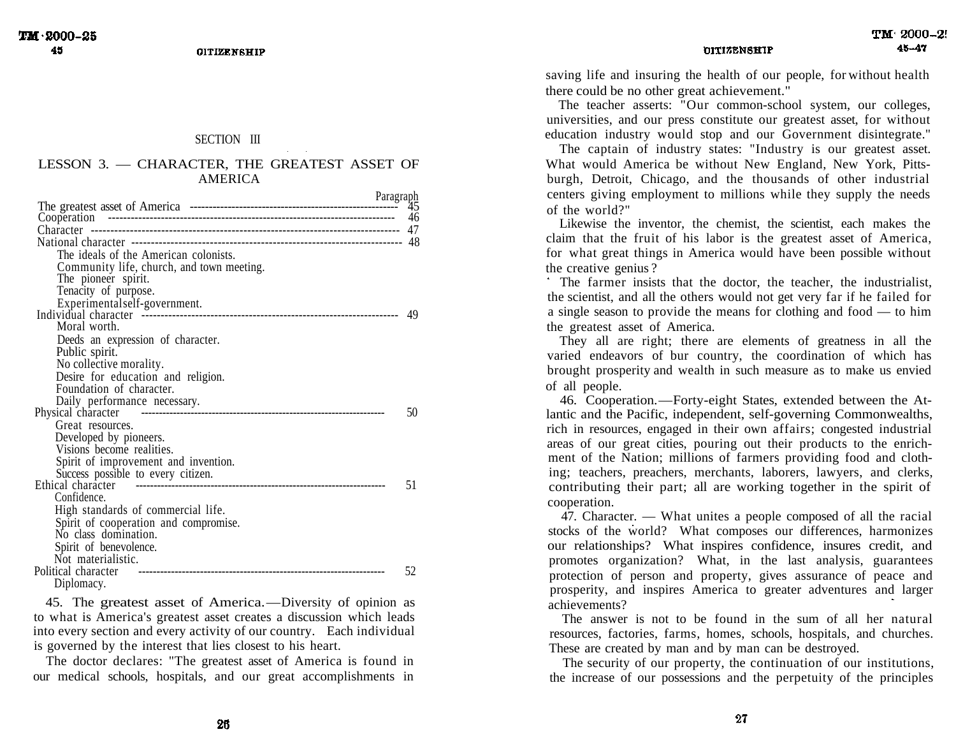## SECTION III

# LESSON 3. — CHARACTER, THE GREATEST ASSET OF AMERICA

|                                           | Paragraph<br>------- 45 |
|-------------------------------------------|-------------------------|
|                                           | 46                      |
| Character                                 | 47                      |
|                                           | 48                      |
| The ideals of the American colonists.     |                         |
|                                           |                         |
| Community life, church, and town meeting. |                         |
| The pioneer spirit.                       |                         |
| Tenacity of purpose.                      |                         |
|                                           |                         |
|                                           | 49                      |
| Moral worth.                              |                         |
| Deeds an expression of character.         |                         |
| Public spirit.                            |                         |
| No collective morality.                   |                         |
| Desire for education and religion.        |                         |
| Foundation of character.                  |                         |
| Daily performance necessary.              |                         |
| Physical character                        | 50                      |
| Great resources.                          |                         |
| Developed by pioneers.                    |                         |
| Visions become realities.                 |                         |
| Spirit of improvement and invention.      |                         |
| Success possible to every citizen.        |                         |
| Ethical character                         | 51                      |
| Confidence.                               |                         |
| High standards of commercial life.        |                         |
| Spirit of cooperation and compromise.     |                         |
| No class domination.                      |                         |
| Spirit of benevolence.                    |                         |
| Not materialistic.                        |                         |
| Political character                       | 52                      |
| Diplomacy.                                |                         |
|                                           |                         |

45. The greatest asset of America. — Diversity of opinion as to what is America's greatest asset creates a discussion which leads into every section and every activity of our country. Each individual is governed by the interest that lies closest to his heart.

The doctor declares: "The greatest asset of America is found in our medical schools, hospitals, and our great accomplishments in saving life and insuring the health of our people, for without health there could be no other great achievement."

**DITIZENSHIP** 

The teacher asserts: "Our common-school system, our colleges, universities, and our press constitute our greatest asset, for without education industry would stop and our Government disintegrate."

The captain of industry states: "Industry is our greatest asset. What would America be without New England, New York, Pittsburgh, Detroit, Chicago, and the thousands of other industrial centers giving employment to millions while they supply the needs of the world?"

Likewise the inventor, the chemist, the scientist, each makes the claim that the fruit of his labor is the greatest asset of America, for what great things in America would have been possible without the creative genius ?

The farmer insists that the doctor, the teacher, the industrialist, the scientist, and all the others would not get very far if he failed for a single season to provide the means for clothing and food — to him the greatest asset of America.

They all are right; there are elements of greatness in all the varied endeavors of bur country, the coordination of which has brought prosperity and wealth in such measure as to make us envied of all people.

46. Cooperation. — Forty-eight States, extended between the Atlantic and the Pacific, independent, self-governing Commonwealths, rich in resources, engaged in their own affairs; congested industrial areas of our great cities, pouring out their products to the enrichment of the Nation; millions of farmers providing food and clothing; teachers, preachers, merchants, laborers, lawyers, and clerks, contributing their part; all are working together in the spirit of cooperation.

47. Character. — What unites a people composed of all the racial stocks of the world? What composes our differences, harmonizes our relationships? What inspires confidence, insures credit, and promotes organization? What, in the last analysis, guarantees protection of person and property, gives assurance of peace and prosperity, and inspires America to greater adventures and larger achievements?

The answer is not to be found in the sum of all her natural resources, factories, farms, homes, schools, hospitals, and churches. These are created by man and by man can be destroyed.

The security of our property, the continuation of our institutions, the increase of our possessions and the perpetuity of the principles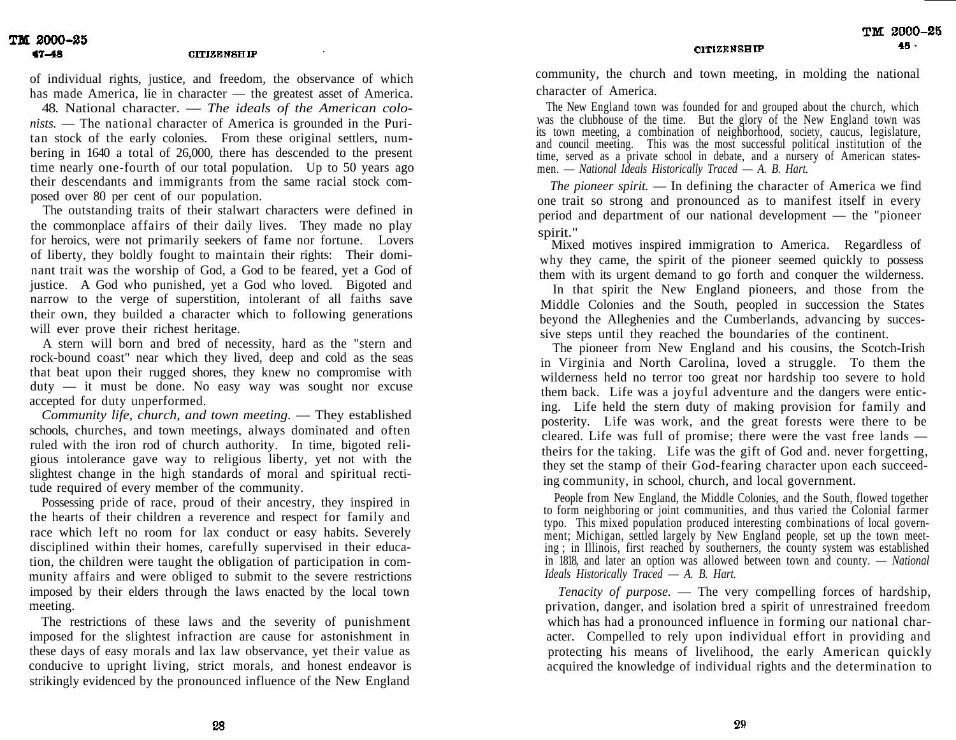of individual rights, justice, and freedom, the observance of which has made America, lie in character — the greatest asset of America.

48. National character. — *The ideals of the American colonists.* — The national character of America is grounded in the Puritan stock of the early colonies. From these original settlers, numbering in 1640 a total of 26,000, there has descended to the present time nearly one-fourth of our total population. Up to 50 years ago their descendants and immigrants from the same racial stock composed over 80 per cent of our population.

The outstanding traits of their stalwart characters were defined in the commonplace affairs of their daily lives. They made no play for heroics, were not primarily seekers of fame nor fortune. Lovers of liberty, they boldly fought to maintain their rights: Their dominant trait was the worship of God, a God to be feared, yet a God of justice. A God who punished, yet a God who loved. Bigoted and narrow to the verge of superstition, intolerant of all faiths save their own, they builded a character which to following generations will ever prove their richest heritage.

A stern will born and bred of necessity, hard as the "stern and rock-bound coast" near which they lived, deep and cold as the seas that beat upon their rugged shores, they knew no compromise with duty — it must be done. No easy way was sought nor excuse accepted for duty unperformed.

*Community life, church, and town meeting.* — They established schools, churches, and town meetings, always dominated and often ruled with the iron rod of church authority. In time, bigoted religious intolerance gave way to religious liberty, yet not with the slightest change in the high standards of moral and spiritual rectitude required of every member of the community.

Possessing pride of race, proud of their ancestry, they inspired in the hearts of their children a reverence and respect for family and race which left no room for lax conduct or easy habits. Severely disciplined within their homes, carefully supervised in their education, the children were taught the obligation of participation in community affairs and were obliged to submit to the severe restrictions imposed by their elders through the laws enacted by the local town meeting.

The restrictions of these laws and the severity of punishment imposed for the slightest infraction are cause for astonishment in these days of easy morals and lax law observance, yet their value as conducive to upright living, strict morals, and honest endeavor is strikingly evidenced by the pronounced influence of the New England

community, the church and town meeting, in molding the national character of America.

The New England town was founded for and grouped about the church, which was the clubhouse of the time. But the glory of the New England town was its town meeting, a combination of neighborhood, society, caucus, legislature, and council meeting. This was the most successful political institution of the time, served as a private school in debate, and a nursery of American statesmen. — *National Ideals Historically Traced* — *A. B. Hart.*

*The pioneer spirit.* — In defining the character of America we find one trait so strong and pronounced as to manifest itself in every period and department of our national development — the "pioneer spirit."

Mixed motives inspired immigration to America. Regardless of why they came, the spirit of the pioneer seemed quickly to possess them with its urgent demand to go forth and conquer the wilderness.

In that spirit the New England pioneers, and those from the Middle Colonies and the South, peopled in succession the States beyond the Alleghenies and the Cumberlands, advancing by successive steps until they reached the boundaries of the continent.

The pioneer from New England and his cousins, the Scotch-Irish in Virginia and North Carolina, loved a struggle. To them the wilderness held no terror too great nor hardship too severe to hold them back. Life was a joyful adventure and the dangers were enticing. Life held the stern duty of making provision for family and posterity. Life was work, and the great forests were there to be cleared. Life was full of promise; there were the vast free lands theirs for the taking. Life was the gift of God and. never forgetting, they set the stamp of their God-fearing character upon each succeeding community, in school, church, and local government.

People from New England, the Middle Colonies, and the South, flowed together to form neighboring or joint communities, and thus varied the Colonial farmer typo. This mixed population produced interesting combinations of local government; Michigan, settled largely by New England people, set up the town meeting ; in Illinois, first reached by southerners, the county system was established in 1818, and later an option was allowed between town and county. — *National Ideals Historically Traced* — *A. B. Hart.*

*Tenacity of purpose.* — The very compelling forces of hardship, privation, danger, and isolation bred a spirit of unrestrained freedom which has had a pronounced influence in forming our national character. Compelled to rely upon individual effort in providing and protecting his means of livelihood, the early American quickly acquired the knowledge of individual rights and the determination to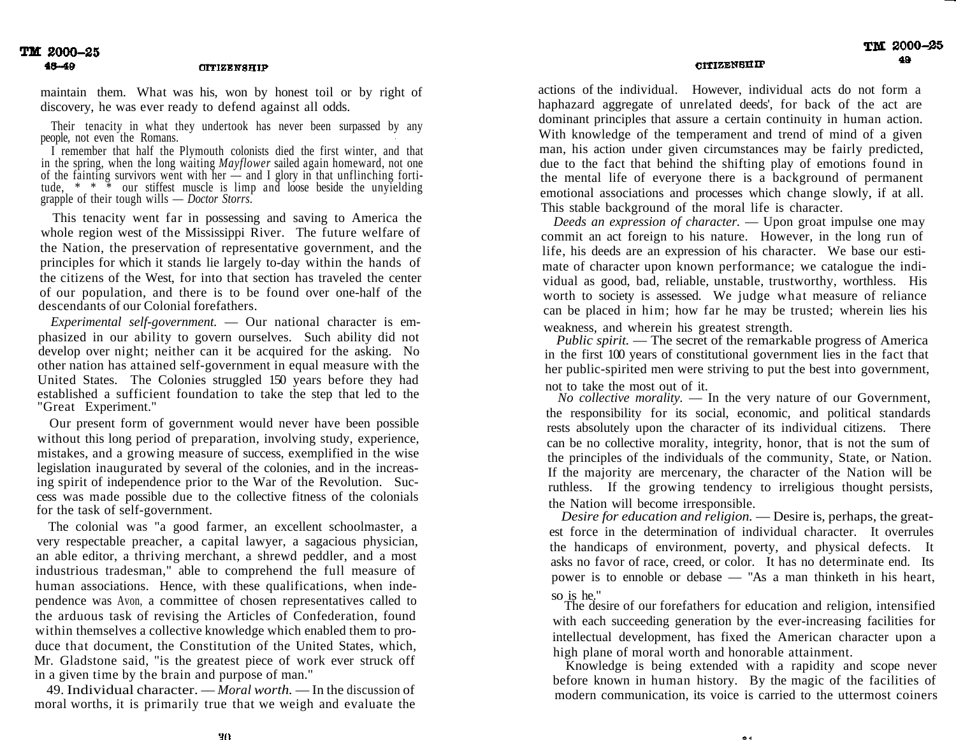maintain them. What was his, won by honest toil or by right of discovery, he was ever ready to defend against all odds.

Their tenacity in what they undertook has never been surpassed by any people, not even the Romans.

I remember that half the Plymouth colonists died the first winter, and that in the spring, when the long waiting *Mayflower* sailed again homeward, not one of the fainting survivors went with her — and I glory in that unflinching fortitude, \* \* \* our stiffest muscle is limp and loose beside the unyielding grapple of their tough wills — *Doctor Storrs.*

This tenacity went far in possessing and saving to America the whole region west of the Mississippi River. The future welfare of the Nation, the preservation of representative government, and the principles for which it stands lie largely to-day within the hands of the citizens of the West, for into that section has traveled the center of our population, and there is to be found over one-half of the descendants of our Colonial forefathers.

*Experimental self-government.* — Our national character is emphasized in our ability to govern ourselves. Such ability did not develop over night; neither can it be acquired for the asking. No other nation has attained self-government in equal measure with the United States. The Colonies struggled 150 years before they had established a sufficient foundation to take the step that led to the "Great Experiment."

Our present form of government would never have been possible without this long period of preparation, involving study, experience, mistakes, and a growing measure of success, exemplified in the wise legislation inaugurated by several of the colonies, and in the increasing spirit of independence prior to the War of the Revolution. Success was made possible due to the collective fitness of the colonials for the task of self-government.

The colonial was "a good farmer, an excellent schoolmaster, a very respectable preacher, a capital lawyer, a sagacious physician, an able editor, a thriving merchant, a shrewd peddler, and a most industrious tradesman," able to comprehend the full measure of human associations. Hence, with these qualifications, when independence was Avon, a committee of chosen representatives called to the arduous task of revising the Articles of Confederation, found within themselves a collective knowledge which enabled them to produce that document, the Constitution of the United States, which, Mr. Gladstone said, "is the greatest piece of work ever struck off in a given time by the brain and purpose of man."

49. Individual character. — *Moral worth.* — In the discussion of moral worths, it is primarily true that we weigh and evaluate the

actions of the individual. However, individual acts do not form a haphazard aggregate of unrelated deeds', for back of the act are dominant principles that assure a certain continuity in human action. With knowledge of the temperament and trend of mind of a given man, his action under given circumstances may be fairly predicted, due to the fact that behind the shifting play of emotions found in the mental life of everyone there is a background of permanent emotional associations and processes which change slowly, if at all. This stable background of the moral life is character.

*Deeds an expression of character.* — Upon groat impulse one may commit an act foreign to his nature. However, in the long run of life, his deeds are an expression of his character. We base our estimate of character upon known performance; we catalogue the individual as good, bad, reliable, unstable, trustworthy, worthless. His worth to society is assessed. We judge what measure of reliance can be placed in him; how far he may be trusted; wherein lies his weakness, and wherein his greatest strength.

*Public spirit.* — The secret of the remarkable progress of America in the first 100 years of constitutional government lies in the fact that her public-spirited men were striving to put the best into government, not to take the most out of it.

*No collective morality.* — In the very nature of our Government, the responsibility for its social, economic, and political standards rests absolutely upon the character of its individual citizens. There can be no collective morality, integrity, honor, that is not the sum of the principles of the individuals of the community, State, or Nation. If the majority are mercenary, the character of the Nation will be ruthless. If the growing tendency to irreligious thought persists, the Nation will become irresponsible.

*Desire for education and religion.* — Desire is, perhaps, the greatest force in the determination of individual character. It overrules the handicaps of environment, poverty, and physical defects. It asks no favor of race, creed, or color. It has no determinate end. Its power is to ennoble or debase — "As a man thinketh in his heart, so is he."

The desire of our forefathers for education and religion, intensified with each succeeding generation by the ever-increasing facilities for intellectual development, has fixed the American character upon a high plane of moral worth and honorable attainment.

Knowledge is being extended with a rapidity and scope never before known in human history. By the magic of the facilities of modern communication, its voice is carried to the uttermost coiners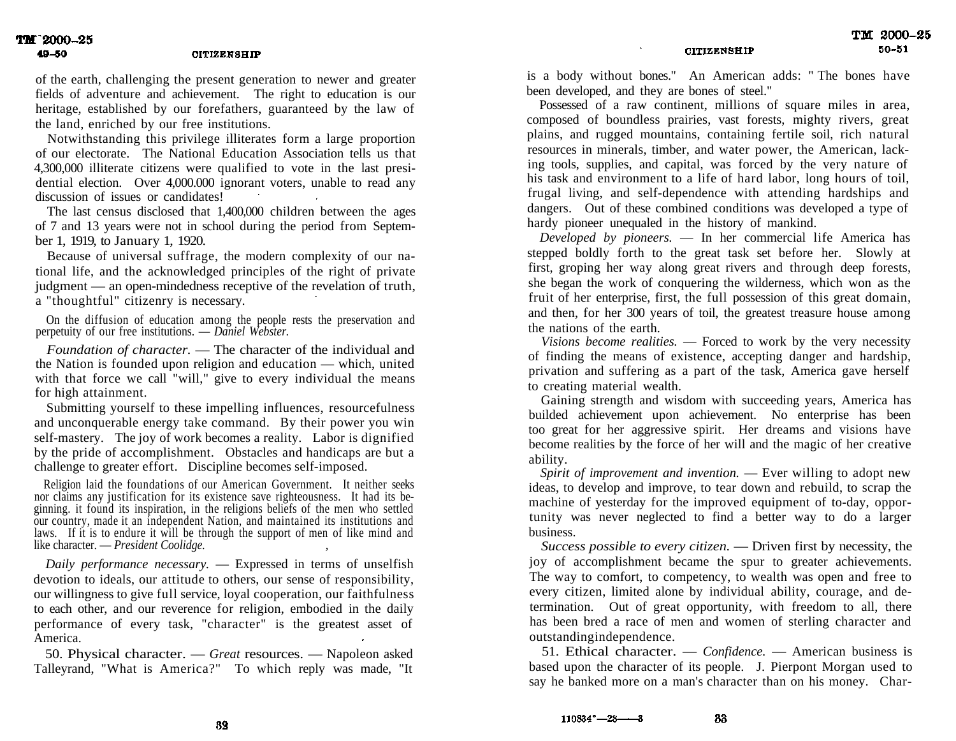#### **CITIZENSHIP**

of the earth, challenging the present generation to newer and greater fields of adventure and achievement. The right to education is our heritage, established by our forefathers, guaranteed by the law of the land, enriched by our free institutions.

Notwithstanding this privilege illiterates form a large proportion of our electorate. The National Education Association tells us that 4,300,000 illiterate citizens were qualified to vote in the last presidential election. Over 4,000.000 ignorant voters, unable to read any discussion of issues or candidates!

The last census disclosed that 1,400,000 children between the ages of 7 and 13 years were not in school during the period from September 1, 1919, to January 1, 1920.

Because of universal suffrage, the modern complexity of our national life, and the acknowledged principles of the right of private judgment — an open-mindedness receptive of the revelation of truth, a "thoughtful" citizenry is necessary.

On the diffusion of education among the people rests the preservation and perpetuity of our free institutions. — *Daniel Webster.*

*Foundation of character.* — The character of the individual and the Nation is founded upon religion and education — which, united with that force we call "will," give to every individual the means for high attainment.

Submitting yourself to these impelling influences, resourcefulness and unconquerable energy take command. By their power you win self-mastery. The joy of work becomes a reality. Labor is dignified by the pride of accomplishment. Obstacles and handicaps are but a challenge to greater effort. Discipline becomes self-imposed.

Religion laid the foundations of our American Government. It neither seeks nor claims any justification for its existence save righteousness. It had its beginning. it found its inspiration, in the religions beliefs of the men who settled our country, made it an independent Nation, and maintained its institutions and laws. If it is to endure it will be through the support of men of like mind and like character. — *President Coolidge. ,*

*Daily performance necessary.* — Expressed in terms of unselfish devotion to ideals, our attitude to others, our sense of responsibility, our willingness to give full service, loyal cooperation, our faithfulness to each other, and our reverence for religion, embodied in the daily performance of every task, "character" is the greatest asset of America.

50. Physical character. — *Great* resources. — Napoleon asked Talleyrand, "What is America?" To which reply was made, "It

is a body without bones." An American adds: " The bones have been developed, and they are bones of steel."

Possessed of a raw continent, millions of square miles in area, composed of boundless prairies, vast forests, mighty rivers, great plains, and rugged mountains, containing fertile soil, rich natural resources in minerals, timber, and water power, the American, lacking tools, supplies, and capital, was forced by the very nature of his task and environment to a life of hard labor, long hours of toil, frugal living, and self-dependence with attending hardships and dangers. Out of these combined conditions was developed a type of hardy pioneer unequaled in the history of mankind.

*Developed by pioneers.* — In her commercial life America has stepped boldly forth to the great task set before her. Slowly at first, groping her way along great rivers and through deep forests, she began the work of conquering the wilderness, which won as the fruit of her enterprise, first, the full possession of this great domain, and then, for her 300 years of toil, the greatest treasure house among the nations of the earth.

*Visions become realities.* — Forced to work by the very necessity of finding the means of existence, accepting danger and hardship, privation and suffering as a part of the task, America gave herself to creating material wealth.

Gaining strength and wisdom with succeeding years, America has builded achievement upon achievement. No enterprise has been too great for her aggressive spirit. Her dreams and visions have become realities by the force of her will and the magic of her creative ability.

*Spirit of improvement and invention.* — Ever willing to adopt new ideas, to develop and improve, to tear down and rebuild, to scrap the machine of yesterday for the improved equipment of to-day, opportunity was never neglected to find a better way to do a larger business.

*Success possible to every citizen.* — Driven first by necessity, the joy of accomplishment became the spur to greater achievements. The way to comfort, to competency, to wealth was open and free to every citizen, limited alone by individual ability, courage, and determination. Out of great opportunity, with freedom to all, there has been bred a race of men and women of sterling character and outstanding independence.

51. Ethical character. — *Confidence.* — American business is based upon the character of its people. J. Pierpont Morgan used to say he banked more on a man's character than on his money. Char-

33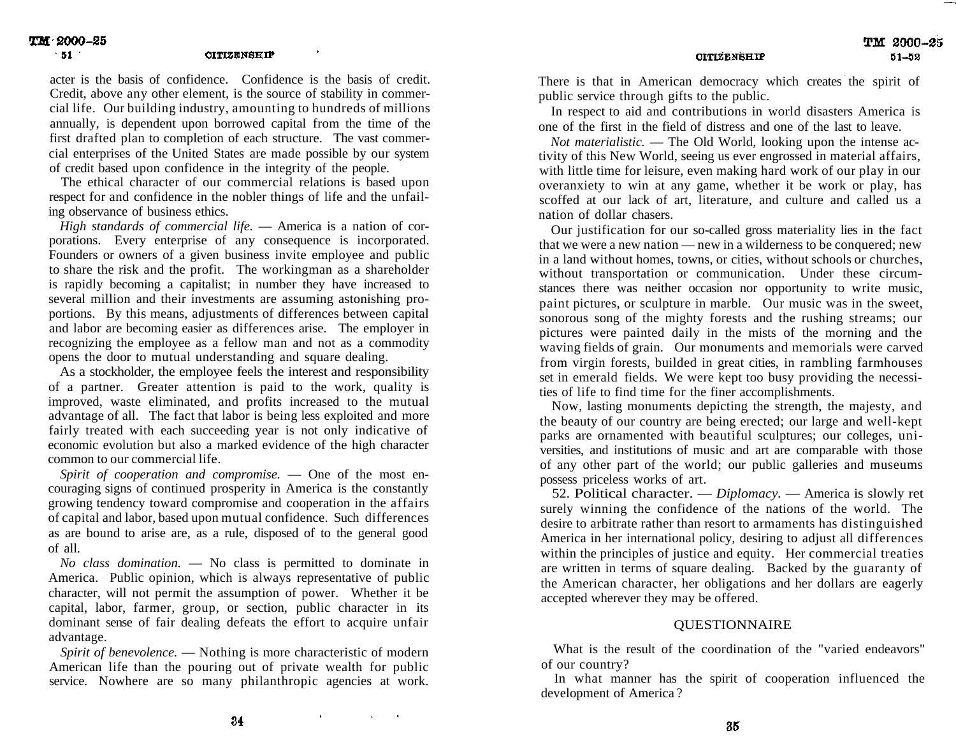### **CITIZENSHIP**

acter is the basis of confidence. Confidence is the basis of credit. Credit, above any other element, is the source of stability in commercial life. Our building industry, amounting to hundreds of millions annually, is dependent upon borrowed capital from the time of the first drafted plan to completion of each structure. The vast commercial enterprises of the United States are made possible by our system of credit based upon confidence in the integrity of the people.

The ethical character of our commercial relations is based upon respect for and confidence in the nobler things of life and the unfailing observance of business ethics.

*High standards of commercial life.* — America is a nation of corporations. Every enterprise of any consequence is incorporated. Founders or owners of a given business invite employee and public to share the risk and the profit. The workingman as a shareholder is rapidly becoming a capitalist; in number they have increased to several million and their investments are assuming astonishing proportions. By this means, adjustments of differences between capital and labor are becoming easier as differences arise. The employer in recognizing the employee as a fellow man and not as a commodity opens the door to mutual understanding and square dealing.

As a stockholder, the employee feels the interest and responsibility of a partner. Greater attention is paid to the work, quality is improved, waste eliminated, and profits increased to the mutual advantage of all. The fact that labor is being less exploited and more fairly treated with each succeeding year is not only indicative of economic evolution but also a marked evidence of the high character common to our commercial life.

*Spirit of cooperation and compromise.* — One of the most encouraging signs of continued prosperity in America is the constantly growing tendency toward compromise and cooperation in the affairs of capital and labor, based upon mutual confidence. Such differences as are bound to arise are, as a rule, disposed of to the general good of all.

*No class domination.* — No class is permitted to dominate in America. Public opinion, which is always representative of public character, will not permit the assumption of power. Whether it be capital, labor, farmer, group, or section, public character in its dominant sense of fair dealing defeats the effort to acquire unfair advantage.

*Spirit of benevolence.* — Nothing is more characteristic of modern American life than the pouring out of private wealth for public service. Nowhere are so many philanthropic agencies at work.

There is that in American democracy which creates the spirit of public service through gifts to the public.

In respect to aid and contributions in world disasters America is one of the first in the field of distress and one of the last to leave.

*Not materialistic.* — The Old World, looking upon the intense activity of this New World, seeing us ever engrossed in material affairs, with little time for leisure, even making hard work of our play in our overanxiety to win at any game, whether it be work or play, has scoffed at our lack of art, literature, and culture and called us a nation of dollar chasers.

Our justification for our so-called gross materiality lies in the fact that we were a new nation — new in a wilderness to be conquered; new in a land without homes, towns, or cities, without schools or churches, without transportation or communication. Under these circumstances there was neither occasion nor opportunity to write music, paint pictures, or sculpture in marble. Our music was in the sweet, sonorous song of the mighty forests and the rushing streams; our pictures were painted daily in the mists of the morning and the waving fields of grain. Our monuments and memorials were carved from virgin forests, builded in great cities, in rambling farmhouses set in emerald fields. We were kept too busy providing the necessities of life to find time for the finer accomplishments.

Now, lasting monuments depicting the strength, the majesty, and the beauty of our country are being erected; our large and well-kept parks are ornamented with beautiful sculptures; our colleges, universities, and institutions of music and art are comparable with those of any other part of the world; our public galleries and museums possess priceless works of art.

52. Political character. — *Diplomacy.* — America is slowly ret surely winning the confidence of the nations of the world. The desire to arbitrate rather than resort to armaments has distinguished America in her international policy, desiring to adjust all differences within the principles of justice and equity. Her commercial treaties are written in terms of square dealing. Backed by the guaranty of the American character, her obligations and her dollars are eagerly accepted wherever they may be offered.

# **OUESTIONNAIRE**

What is the result of the coordination of the "varied endeavors" of our country?

In what manner has the spirit of cooperation influenced the development of America ?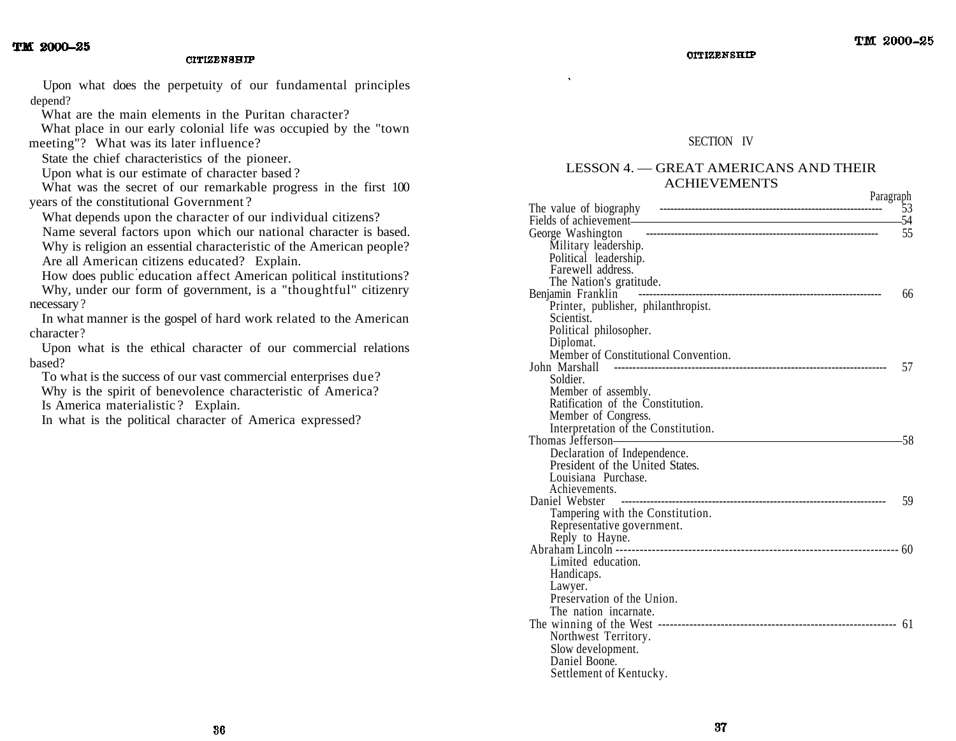| <b>TM</b> 2000–25 |  |
|-------------------|--|
|-------------------|--|

Upon what does the perpetuity of our fundamental principles depend?

What are the main elements in the Puritan character?

What place in our early colonial life was occupied by the "town meeting"? What was its later influence?

State the chief characteristics of the pioneer.

Upon what is our estimate of character based ?

What was the secret of our remarkable progress in the first 100 years of the constitutional Government ?

What depends upon the character of our individual citizens?

Name several factors upon which our national character is based. Why is religion an essential characteristic of the American people? Are all American citizens educated? Explain.

How does public education affect American political institutions? Why, under our form of government, is a "thoughtful" citizenry necessary ?

In what manner is the gospel of hard work related to the American character ?

Upon what is the ethical character of our commercial relations based?

To what is the success of our vast commercial enterprises due? Why is the spirit of benevolence characteristic of America?

Is America materialistic ? Explain.

In what is the political character of America expressed?

# SECTION IV

## LESSON 4. — GREAT AMERICANS AND THEIR ACHIEVEMENTS Paragraph

| raragrapn                                                |    |
|----------------------------------------------------------|----|
|                                                          | 53 |
| Fields of achievement-                                   | 54 |
| George Washington                                        | 55 |
| Military leadership.                                     |    |
| Political leadership.                                    |    |
| Farewell address.                                        |    |
| The Nation's gratitude.                                  |    |
| Benjamin Franklin<br>Printer, publisher, philanthropist. | 66 |
| Scientist.                                               |    |
| Political philosopher.                                   |    |
|                                                          |    |
| Diplomat.<br>Member of Constitutional Convention.        |    |
| John Marshall                                            | 57 |
| Soldier.                                                 |    |
| Member of assembly.                                      |    |
| Ratification of the Constitution.                        |    |
| Member of Congress.                                      |    |
| Interpretation of the Constitution.                      |    |
| Thomas Jefferson——                                       | 58 |
| Declaration of Independence.                             |    |
| President of the United States.                          |    |
| Louisiana Purchase.                                      |    |
| Achievements.                                            |    |
| Daniel Webster<br>-----------------                      | 59 |
| Tampering with the Constitution.                         |    |
| Representative government.                               |    |
|                                                          |    |
|                                                          |    |
| Limited education.                                       |    |
| Handicaps.                                               |    |
| Lawyer.                                                  |    |
| Preservation of the Union.                               |    |
| The nation incarnate.                                    |    |
|                                                          | 61 |
| Northwest Territory.                                     |    |
| Slow development.                                        |    |
| Daniel Boone.                                            |    |
| Settlement of Kentucky.                                  |    |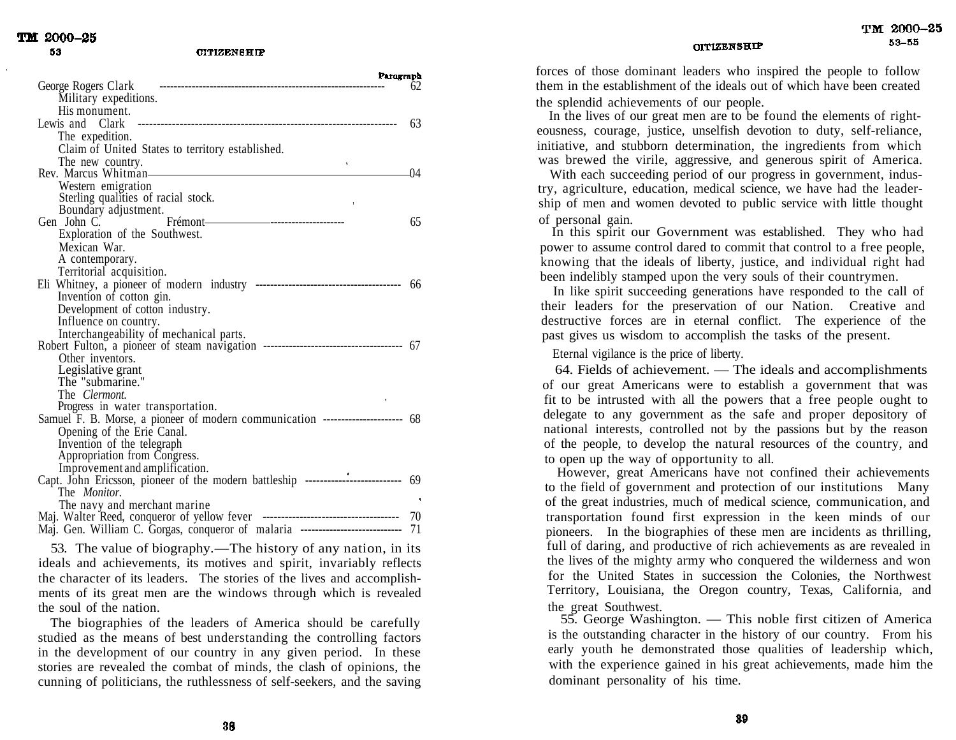TM 2000-25

53

**CITIZE?** 

|                                                                                      | Paragraph |
|--------------------------------------------------------------------------------------|-----------|
| George Rogers Clark                                                                  | 62        |
| Military expeditions.                                                                |           |
| His monument.                                                                        |           |
| Lewis and Clark                                                                      | 63        |
| The expedition.                                                                      |           |
| Claim of United States to territory established.                                     |           |
| The new country.<br>٠                                                                |           |
| Rev. Marcus Whitman-                                                                 | 04        |
| Western emigration                                                                   |           |
| Sterling qualities of racial stock.                                                  |           |
| Boundary adjustment.                                                                 |           |
| Gen John C. Frémont                                                                  | 65        |
| Exploration of the Southwest.                                                        |           |
| Mexican War.                                                                         |           |
| A contemporary.                                                                      |           |
| Territorial acquisition.                                                             |           |
|                                                                                      |           |
| Invention of cotton gin.                                                             |           |
| Development of cotton industry.                                                      |           |
| Influence on country.                                                                |           |
| Interchangeability of mechanical parts.                                              |           |
|                                                                                      |           |
| Other inventors.                                                                     |           |
| Legislative grant                                                                    |           |
| The "submarine."                                                                     |           |
| The <i>Clermont</i> .                                                                |           |
| Progress in water transportation.                                                    |           |
| Samuel F. B. Morse, a pioneer of modern communication ---------------------- 68      |           |
| Opening of the Erie Canal.                                                           |           |
| Invention of the telegraph                                                           |           |
| Appropriation from Congress.                                                         |           |
| Improvement and amplification.                                                       |           |
| Capt. John Ericsson, pioneer of the modern battleship --------------------------- 69 |           |
| The <i>Monitor</i> .                                                                 |           |
| The navy and merchant marine                                                         |           |
|                                                                                      | 70        |
| Maj. Gen. William C. Gorgas, conqueror of malaria ----------------------------- 71   |           |
|                                                                                      |           |
| 53. The value of biography.—The history of any nation, in its                        |           |

by aphy. — I ne history of any nation, in its ideals and achievements, its motives and spirit, invariably reflects the character of its leaders. The stories of the lives and accomplishments of its great men are the windows through which is revealed the soul of the nation.

The biographies of the leaders of America should be carefully studied as the means of best understanding the controlling factors in the development of our country in any given period. In these stories are revealed the combat of minds, the clash of opinions, the cunning of politicians, the ruthlessness of self-seekers, and the saving

**OITIZENSHIP** 

forces of those dominant leaders who inspired the people to follow them in the establishment of the ideals out of which have been created the splendid achievements of our people.

In the lives of our great men are to be found the elements of righteousness, courage, justice, unselfish devotion to duty, self-reliance, initiative, and stubborn determination, the ingredients from which was brewed the virile, aggressive, and generous spirit of America.

With each succeeding period of our progress in government, industry, agriculture, education, medical science, we have had the leadership of men and women devoted to public service with little thought of personal gain.

In this spirit our Government was established. They who had power to assume control dared to commit that control to a free people, knowing that the ideals of liberty, justice, and individual right had been indelibly stamped upon the very souls of their countrymen.

In like spirit succeeding generations have responded to the call of their leaders for the preservation of our Nation. Creative and destructive forces are in eternal conflict. The experience of the past gives us wisdom to accomplish the tasks of the present.

Eternal vigilance is the price of liberty.

64. Fields of achievement. — The ideals and accomplishments of our great Americans were to establish a government that was fit to be intrusted with all the powers that a free people ought to delegate to any government as the safe and proper depository of national interests, controlled not by the passions but by the reason of the people, to develop the natural resources of the country, and to open up the way of opportunity to all.

However, great Americans have not confined their achievements to the field of government and protection of our institutions Many of the great industries, much of medical science, communication, and transportation found first expression in the keen minds of our pioneers. In the biographies of these men are incidents as thrilling, full of daring, and productive of rich achievements as are revealed in the lives of the mighty army who conquered the wilderness and won for the United States in succession the Colonies, the Northwest Territory, Louisiana, the Oregon country, Texas, California, and the great Southwest.

55. George Washington. — This noble first citizen of America is the outstanding character in the history of our country. From his early youth he demonstrated those qualities of leadership which, with the experience gained in his great achievements, made him the dominant personality of his time.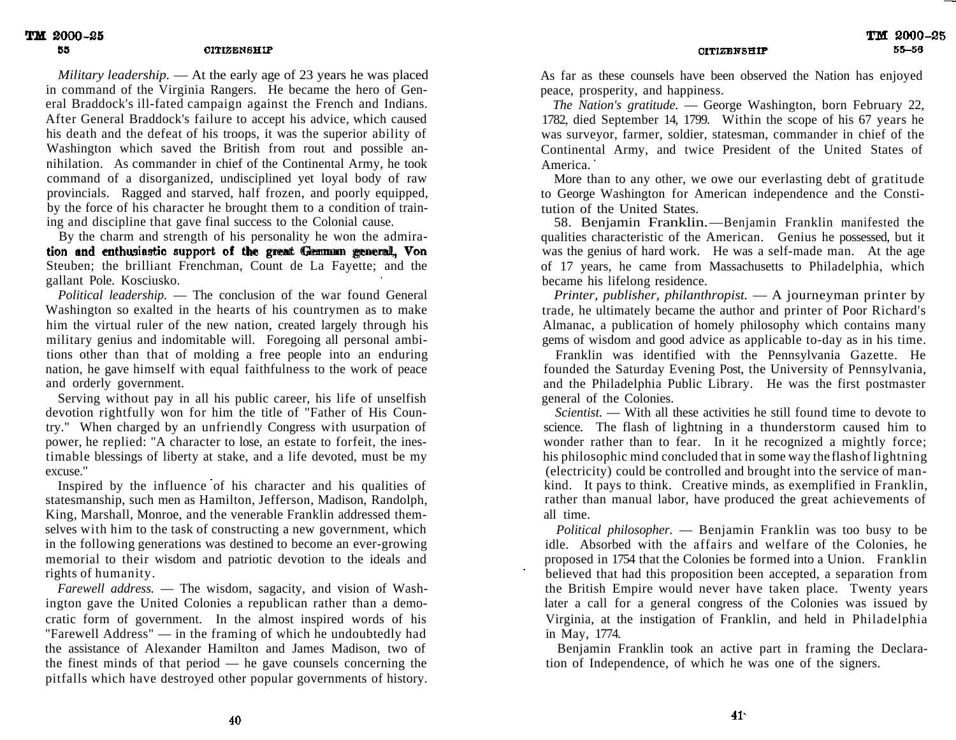*Military leadership.* — At the early age of 23 years he was placed in command of the Virginia Rangers. He became the hero of General Braddock's ill-fated campaign against the French and Indians. After General Braddock's failure to accept his advice, which caused his death and the defeat of his troops, it was the superior ability of Washington which saved the British from rout and possible annihilation. As commander in chief of the Continental Army, he took command of a disorganized, undisciplined yet loyal body of raw provincials. Ragged and starved, half frozen, and poorly equipped, by the force of his character he brought them to a condition of training and discipline that gave final success to the Colonial cause.

By the charm and strength of his personality he won the admiration and enthusiastic support of the great German general, Von Steuben; the brilliant Frenchman, Count de La Fayette; and the gallant Pole. Kosciusko.

*Political leadership.* — The conclusion of the war found General Washington so exalted in the hearts of his countrymen as to make him the virtual ruler of the new nation, created largely through his military genius and indomitable will. Foregoing all personal ambitions other than that of molding a free people into an enduring nation, he gave himself with equal faithfulness to the work of peace and orderly government.

Serving without pay in all his public career, his life of unselfish devotion rightfully won for him the title of "Father of His Country." When charged by an unfriendly Congress with usurpation of power, he replied: "A character to lose, an estate to forfeit, the inestimable blessings of liberty at stake, and a life devoted, must be my excuse."

Inspired by the influence of his character and his qualities of statesmanship, such men as Hamilton, Jefferson, Madison, Randolph, King, Marshall, Monroe, and the venerable Franklin addressed themselves with him to the task of constructing a new government, which in the following generations was destined to become an ever-growing memorial to their wisdom and patriotic devotion to the ideals and rights of humanity.

*Farewell address.* — The wisdom, sagacity, and vision of Washington gave the United Colonies a republican rather than a democratic form of government. In the almost inspired words of his "Farewell Address" — in the framing of which he undoubtedly had the assistance of Alexander Hamilton and James Madison, two of the finest minds of that period — he gave counsels concerning the pitfalls which have destroyed other popular governments of history. As far as these counsels have been observed the Nation has enjoyed peace, prosperity, and happiness.

**CITIZENSHIP** 

*The Nation's gratitude.* — George Washington, born February 22, 1782, died September 14, 1799. Within the scope of his 67 years he was surveyor, farmer, soldier, statesman, commander in chief of the Continental Army, and twice President of the United States of America.

More than to any other, we owe our everlasting debt of gratitude to George Washington for American independence and the Constitution of the United States.

58. Benjamin Franklin. — Benjamin Franklin manifested the qualities characteristic of the American. Genius he possessed, but it was the genius of hard work. He was a self-made man. At the age of 17 years, he came from Massachusetts to Philadelphia, which became his lifelong residence.

*Printer, publisher, philanthropist.* — A journeyman printer by trade, he ultimately became the author and printer of Poor Richard's Almanac, a publication of homely philosophy which contains many gems of wisdom and good advice as applicable to-day as in his time.

Franklin was identified with the Pennsylvania Gazette. He founded the Saturday Evening Post, the University of Pennsylvania, and the Philadelphia Public Library. He was the first postmaster general of the Colonies.

*Scientist.* — With all these activities he still found time to devote to science. The flash of lightning in a thunderstorm caused him to wonder rather than to fear. In it he recognized a mightly force; his philosophic mind concluded that in some way the flash of lightning (electricity) could be controlled and brought into the service of mankind. It pays to think. Creative minds, as exemplified in Franklin, rather than manual labor, have produced the great achievements of all time.

*Political philosopher.* — Benjamin Franklin was too busy to be idle. Absorbed with the affairs and welfare of the Colonies, he proposed in 1754 that the Colonies be formed into a Union. Franklin believed that had this proposition been accepted, a separation from the British Empire would never have taken place. Twenty years later a call for a general congress of the Colonies was issued by Virginia, at the instigation of Franklin, and held in Philadelphia in May, 1774.

Benjamin Franklin took an active part in framing the Declaration of Independence, of which he was one of the signers.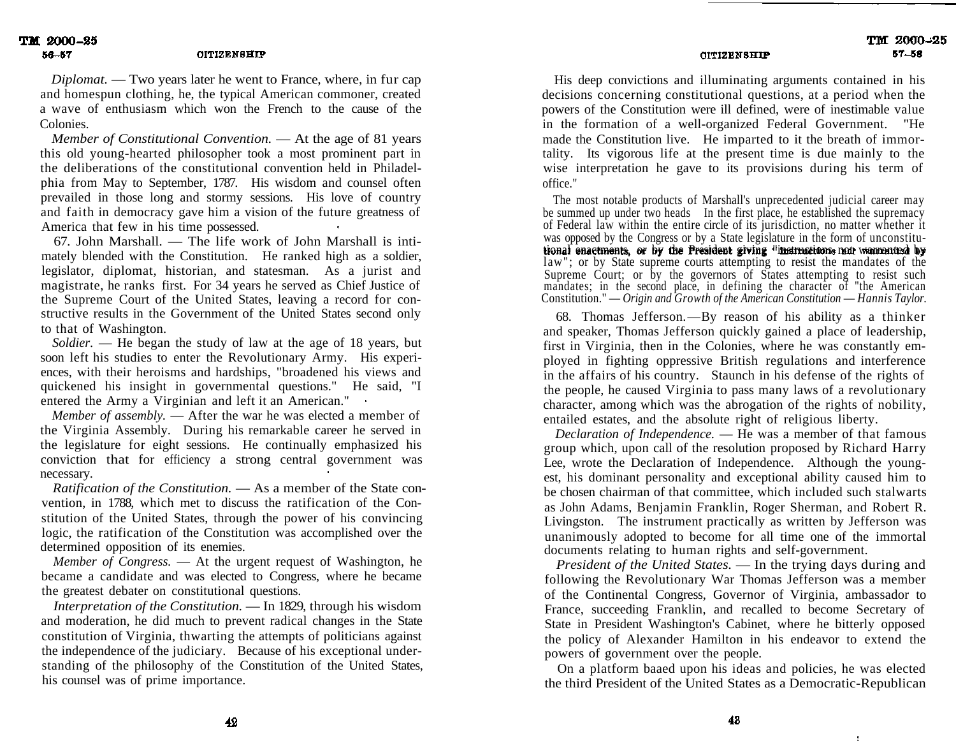TM 2000-25 57-58

## **OITIZENSHIP**

*Diplomat.* — Two years later he went to France, where, in fur cap and homespun clothing, he, the typical American commoner, created a wave of enthusiasm which won the French to the cause of the Colonies.

*Member of Constitutional Convention.* — At the age of 81 years this old young-hearted philosopher took a most prominent part in the deliberations of the constitutional convention held in Philadelphia from May to September, 1787. His wisdom and counsel often prevailed in those long and stormy sessions. His love of country and faith in democracy gave him a vision of the future greatness of America that few in his time possessed.

67. John Marshall. — The life work of John Marshall is intimately blended with the Constitution. He ranked high as a soldier, legislator, diplomat, historian, and statesman. As a jurist and magistrate, he ranks first. For 34 years he served as Chief Justice of the Supreme Court of the United States, leaving a record for constructive results in the Government of the United States second only to that of Washington.

*Soldier.* — He began the study of law at the age of 18 years, but soon left his studies to enter the Revolutionary Army. His experiences, with their heroisms and hardships, "broadened his views and quickened his insight in governmental questions." He said, "I entered the Army a Virginian and left it an American."

*Member of assembly.* — After the war he was elected a member of the Virginia Assembly. During his remarkable career he served in the legislature for eight sessions. He continually emphasized his conviction that for efficiency a strong central government was necessary.

*Ratification of the Constitution.* — As a member of the State convention, in 1788, which met to discuss the ratification of the Constitution of the United States, through the power of his convincing logic, the ratification of the Constitution was accomplished over the determined opposition of its enemies.

*Member of Congress.* — At the urgent request of Washington, he became a candidate and was elected to Congress, where he became the greatest debater on constitutional questions.

*Interpretation of the Constitution.* — In 1829, through his wisdom and moderation, he did much to prevent radical changes in the State constitution of Virginia, thwarting the attempts of politicians against the independence of the judiciary. Because of his exceptional understanding of the philosophy of the Constitution of the United States, his counsel was of prime importance.

His deep convictions and illuminating arguments contained in his decisions concerning constitutional questions, at a period when the powers of the Constitution were ill defined, were of inestimable value in the formation of a well-organized Federal Government. "He made the Constitution live. He imparted to it the breath of immortality. Its vigorous life at the present time is due mainly to the wise interpretation he gave to its provisions during his term of office."

The most notable products of Marshall's unprecedented judicial career may be summed up under two heads In the first place, he established the supremacy of Federal law within the entire circle of its jurisdiction, no matter whether it was opposed by the Congress or by a State legislature in the form of unconstitutional enactments, or by the President giving "instructions not warranted by law"; or by State supreme courts attempting to resist the mandates of the Supreme Court; or by the governors of States attempting to resist such mandates; in the second place, in defining the character of "the American Constitution." — *Origin and Growth of the American Constitution* — *Hannis Taylor.*

68. Thomas Jefferson. — By reason of his ability as a thinker and speaker, Thomas Jefferson quickly gained a place of leadership, first in Virginia, then in the Colonies, where he was constantly employed in fighting oppressive British regulations and interference in the affairs of his country. Staunch in his defense of the rights of the people, he caused Virginia to pass many laws of a revolutionary character, among which was the abrogation of the rights of nobility, entailed estates, and the absolute right of religious liberty.

*Declaration of Independence.* — He was a member of that famous group which, upon call of the resolution proposed by Richard Harry Lee, wrote the Declaration of Independence. Although the youngest, his dominant personality and exceptional ability caused him to be chosen chairman of that committee, which included such stalwarts as John Adams, Benjamin Franklin, Roger Sherman, and Robert R. Livingston. The instrument practically as written by Jefferson was unanimously adopted to become for all time one of the immortal documents relating to human rights and self-government.

*President of the United States.* — In the trying days during and following the Revolutionary War Thomas Jefferson was a member of the Continental Congress, Governor of Virginia, ambassador to France, succeeding Franklin, and recalled to become Secretary of State in President Washington's Cabinet, where he bitterly opposed the policy of Alexander Hamilton in his endeavor to extend the powers of government over the people.

On a platform baaed upon his ideas and policies, he was elected the third President of the United States as a Democratic-Republican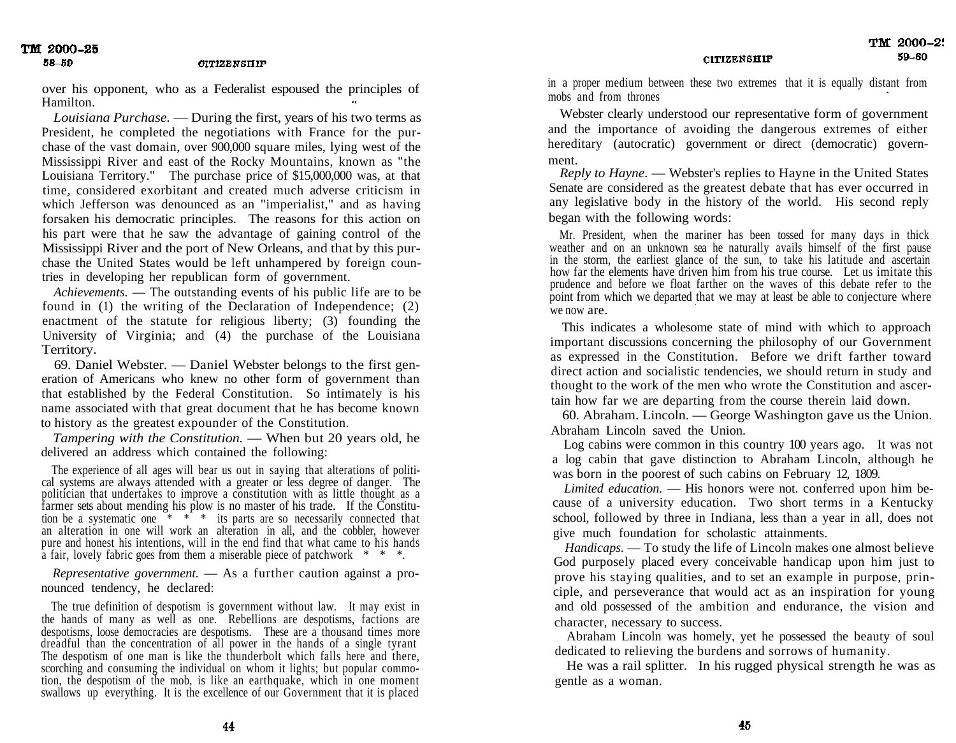over his opponent, who as a Federalist espoused the principles of Hamilton.

*Louisiana Purchase.* — During the first, years of his two terms as President, he completed the negotiations with France for the purchase of the vast domain, over 900,000 square miles, lying west of the Mississippi River and east of the Rocky Mountains, known as "the Louisiana Territory." The purchase price of \$15,000,000 was, at that time, considered exorbitant and created much adverse criticism in which Jefferson was denounced as an "imperialist," and as having forsaken his democratic principles. The reasons for this action on his part were that he saw the advantage of gaining control of the Mississippi River and the port of New Orleans, and that by this purchase the United States would be left unhampered by foreign countries in developing her republican form of government.

*Achievements.* — The outstanding events of his public life are to be found in (1) the writing of the Declaration of Independence; (2) enactment of the statute for religious liberty; (3) founding the University of Virginia; and (4) the purchase of the Louisiana Territory.

69. Daniel Webster. — Daniel Webster belongs to the first generation of Americans who knew no other form of government than that established by the Federal Constitution. So intimately is his name associated with that great document that he has become known to history as the greatest expounder of the Constitution.

*Tampering with the Constitution.* — When but 20 years old, he delivered an address which contained the following:

The experience of all ages will bear us out in saying that alterations of political systems are always attended with a greater or less degree of danger. The politician that undertakes to improve a constitution with as little thought as a farmer sets about mending his plow is no master of his trade. If the Constitution be a systematic one  $\check{ }^*$   $\check{ }^*$  its parts are so necessarily connected that an alteration in one will work an alteration in all, and the cobbler, however pure and honest his intentions, will in the end find that what came to his hands a fair, lovely fabric goes from them a miserable piece of patchwork  $* * *$ .

*Representative government.* — As a further caution against a pronounced tendency, he declared:

The true definition of despotism is government without law. It may exist in the hands of many as well as one. Rebellions are despotisms, factions are despotisms, loose democracies are despotisms. These are a thousand times more dreadful than the concentration of all power in the hands of a single tyrant The despotism of one man is like the thunderbolt which falls here and there, scorching and consuming the individual on whom it lights; but popular commotion, the despotism of the mob, is like an earthquake, which in one moment swallows up everything. It is the excellence of our Government that it is placed in a proper medium between these two extremes that it is equally distant from mobs and from thrones

Webster clearly understood our representative form of government and the importance of avoiding the dangerous extremes of either hereditary (autocratic) government or direct (democratic) government.

*Reply to Hayne.* — Webster's replies to Hayne in the United States Senate are considered as the greatest debate that has ever occurred in any legislative body in the history of the world. His second reply began with the following words:

Mr. President, when the mariner has been tossed for many days in thick weather and on an unknown sea he naturally avails himself of the first pause in the storm, the earliest glance of the sun, to take his latitude and ascertain how far the elements have driven him from his true course. Let us imitate this prudence and before we float farther on the waves of this debate refer to the point from which we departed that we may at least be able to conjecture where we now are.

This indicates a wholesome state of mind with which to approach important discussions concerning the philosophy of our Government as expressed in the Constitution. Before we drift farther toward direct action and socialistic tendencies, we should return in study and thought to the work of the men who wrote the Constitution and ascertain how far we are departing from the course therein laid down.

60. Abraham. Lincoln. — George Washington gave us the Union. Abraham Lincoln saved the Union.

Log cabins were common in this country 100 years ago. It was not a log cabin that gave distinction to Abraham Lincoln, although he was born in the poorest of such cabins on February 12, 1809.

*Limited education.* — His honors were not. conferred upon him because of a university education. Two short terms in a Kentucky school, followed by three in Indiana, less than a year in all, does not give much foundation for scholastic attainments.

*Handicaps.* — To study the life of Lincoln makes one almost believe God purposely placed every conceivable handicap upon him just to prove his staying qualities, and to set an example in purpose, principle, and perseverance that would act as an inspiration for young and old possessed of the ambition and endurance, the vision and character, necessary to success.

Abraham Lincoln was homely, yet he possessed the beauty of soul dedicated to relieving the burdens and sorrows of humanity.

He was a rail splitter. In his rugged physical strength he was as gentle as a woman.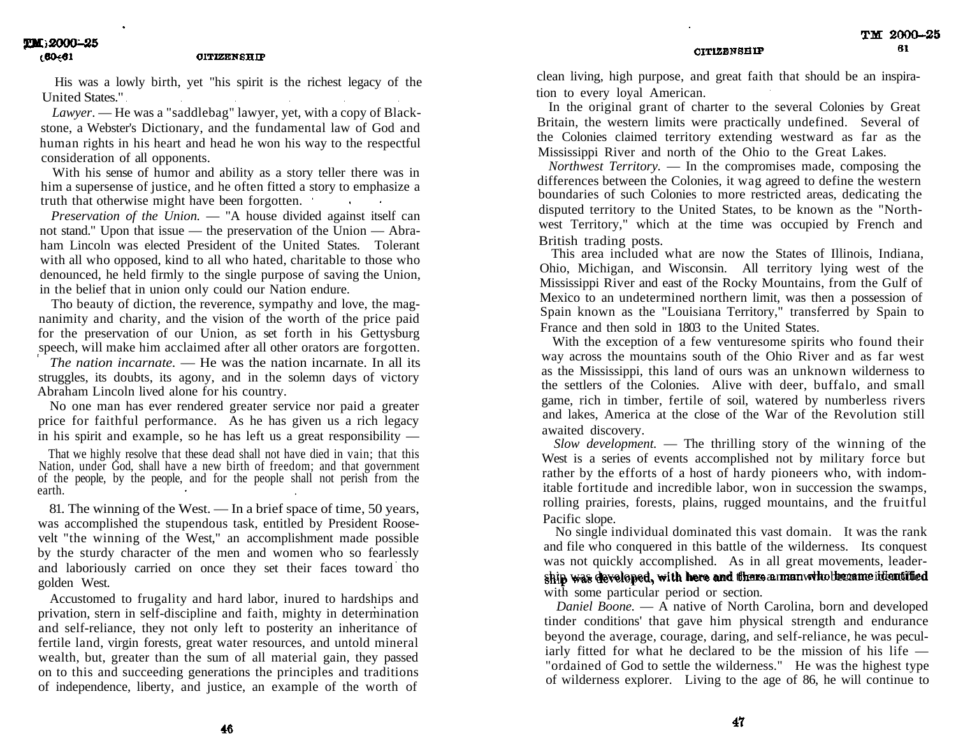TM: 2000-25  $(60 - 61)$ 

## **CITIZENSHIP**

His was a lowly birth, yet "his spirit is the richest legacy of the United States."  $\sim 10^{-1}$ 

*Lawyer*. — He was a "saddlebag" lawyer, yet, with a copy of Blackstone, a Webster's Dictionary, and the fundamental law of God and human rights in his heart and head he won his way to the respectful consideration of all opponents.

With his sense of humor and ability as a story teller there was in him a supersense of justice, and he often fitted a story to emphasize a truth that otherwise might have been forgotten.

*Preservation of the Union.* — "A house divided against itself can not stand." Upon that issue — the preservation of the Union — Abraham Lincoln was elected President of the United States. Tolerant with all who opposed, kind to all who hated, charitable to those who denounced, he held firmly to the single purpose of saving the Union, in the belief that in union only could our Nation endure.

Tho beauty of diction, the reverence, sympathy and love, the magnanimity and charity, and the vision of the worth of the price paid for the preservation of our Union, as set forth in his Gettysburg speech, will make him acclaimed after all other orators are forgotten.

*The nation incarnate.* — He was the nation incarnate. In all its struggles, its doubts, its agony, and in the solemn days of victory Abraham Lincoln lived alone for his country.

No one man has ever rendered greater service nor paid a greater price for faithful performance. As he has given us a rich legacy in his spirit and example, so he has left us a great responsibility —

That we highly resolve that these dead shall not have died in vain; that this Nation, under God, shall have a new birth of freedom; and that government of the people, by the people, and for the people shall not perish from the earth.

81. The winning of the West. — In a brief space of time, 50 years, was accomplished the stupendous task, entitled by President Roosevelt "the winning of the West," an accomplishment made possible by the sturdy character of the men and women who so fearlessly and laboriously carried on once they set their faces toward tho golden West.

Accustomed to frugality and hard labor, inured to hardships and privation, stern in self-discipline and faith, mighty in determination and self-reliance, they not only left to posterity an inheritance of fertile land, virgin forests, great water resources, and untold mineral wealth, but, greater than the sum of all material gain, they passed on to this and succeeding generations the principles and traditions of independence, liberty, and justice, an example of the worth of

clean living, high purpose, and great faith that should be an inspiration to every loyal American.

In the original grant of charter to the several Colonies by Great Britain, the western limits were practically undefined. Several of the Colonies claimed territory extending westward as far as the Mississippi River and north of the Ohio to the Great Lakes.

*Northwest Territory.* — In the compromises made, composing the differences between the Colonies, it wag agreed to define the western boundaries of such Colonies to more restricted areas, dedicating the disputed territory to the United States, to be known as the "Northwest Territory," which at the time was occupied by French and British trading posts.

This area included what are now the States of Illinois, Indiana, Ohio, Michigan, and Wisconsin. All territory lying west of the Mississippi River and east of the Rocky Mountains, from the Gulf of Mexico to an undetermined northern limit, was then a possession of Spain known as the "Louisiana Territory," transferred by Spain to France and then sold in 1803 to the United States.

With the exception of a few venturesome spirits who found their way across the mountains south of the Ohio River and as far west as the Mississippi, this land of ours was an unknown wilderness to the settlers of the Colonies. Alive with deer, buffalo, and small game, rich in timber, fertile of soil, watered by numberless rivers and lakes, America at the close of the War of the Revolution still awaited discovery.

*Slow development.* — The thrilling story of the winning of the West is a series of events accomplished not by military force but rather by the efforts of a host of hardy pioneers who, with indomitable fortitude and incredible labor, won in succession the swamps, rolling prairies, forests, plains, rugged mountains, and the fruitful Pacific slope.

No single individual dominated this vast domain. It was the rank and file who conquered in this battle of the wilderness. Its conquest was not quickly accomplished. As in all great movements, leadership was developed, with here and there a man who became identified with some particular period or section.

*Daniel Boone.* — A native of North Carolina, born and developed tinder conditions' that gave him physical strength and endurance beyond the average, courage, daring, and self-reliance, he was peculiarly fitted for what he declared to be the mission of his life — "ordained of God to settle the wilderness." He was the highest type of wilderness explorer. Living to the age of 86, he will continue to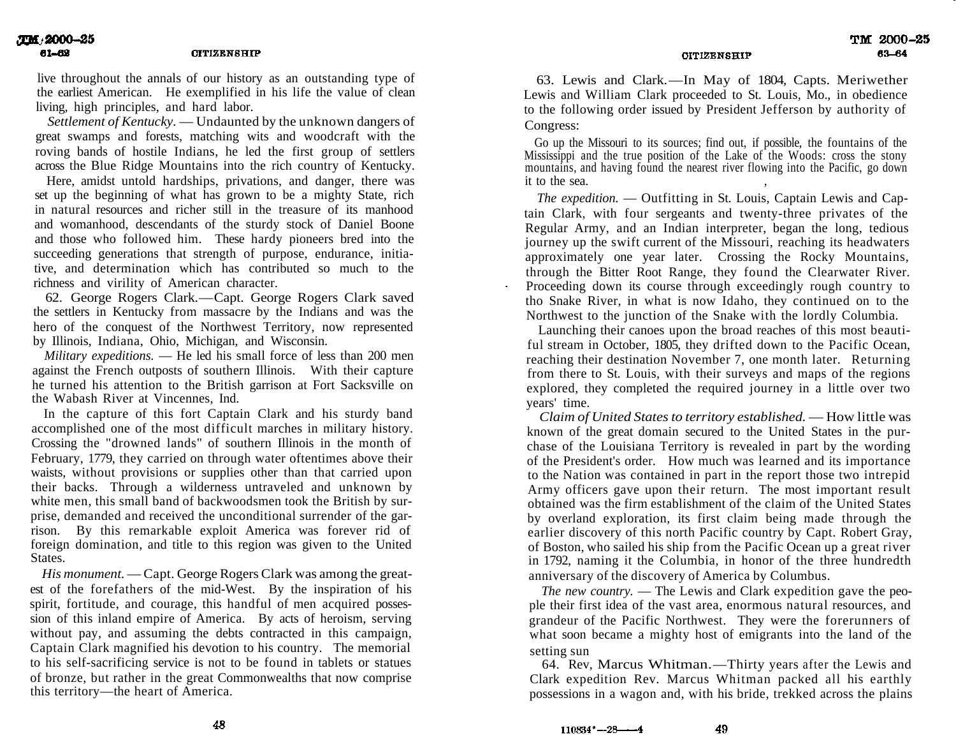live throughout the annals of our history as an outstanding type of the earliest American. He exemplified in his life the value of clean living, high principles, and hard labor.

*Settlement of Kentucky.* — Undaunted by the unknown dangers of great swamps and forests, matching wits and woodcraft with the roving bands of hostile Indians, he led the first group of settlers across the Blue Ridge Mountains into the rich country of Kentucky.

Here, amidst untold hardships, privations, and danger, there was set up the beginning of what has grown to be a mighty State, rich in natural resources and richer still in the treasure of its manhood and womanhood, descendants of the sturdy stock of Daniel Boone and those who followed him. These hardy pioneers bred into the succeeding generations that strength of purpose, endurance, initiative, and determination which has contributed so much to the richness and virility of American character.

62. George Rogers Clark. — Capt. George Rogers Clark saved the settlers in Kentucky from massacre by the Indians and was the hero of the conquest of the Northwest Territory, now represented by Illinois, Indiana, Ohio, Michigan, and Wisconsin.

*Military expeditions.* — He led his small force of less than 200 men against the French outposts of southern Illinois. With their capture he turned his attention to the British garrison at Fort Sacksville on the Wabash River at Vincennes, Ind.

In the capture of this fort Captain Clark and his sturdy band accomplished one of the most difficult marches in military history. Crossing the "drowned lands" of southern Illinois in the month of February, 1779, they carried on through water oftentimes above their waists, without provisions or supplies other than that carried upon their backs. Through a wilderness untraveled and unknown by white men, this small band of backwoodsmen took the British by surprise, demanded and received the unconditional surrender of the garrison. By this remarkable exploit America was forever rid of foreign domination, and title to this region was given to the United States.

*His monument.* — Capt. George Rogers Clark was among the greatest of the forefathers of the mid-West. By the inspiration of his spirit, fortitude, and courage, this handful of men acquired possession of this inland empire of America. By acts of heroism, serving without pay, and assuming the debts contracted in this campaign, Captain Clark magnified his devotion to his country. The memorial to his self-sacrificing service is not to be found in tablets or statues of bronze, but rather in the great Commonwealths that now comprise this territory — the heart of America.

63. Lewis and Clark. — In May of 1804, Capts. Meriwether Lewis and William Clark proceeded to St. Louis, Mo., in obedience to the following order issued by President Jefferson by authority of Congress:

Go up the Missouri to its sources; find out, if possible, the fountains of the Mississippi and the true position of the Lake of the Woods: cross the stony mountains, and having found the nearest river flowing into the Pacific, go down it to the sea.

*The expedition.* — Outfitting in St. Louis, Captain Lewis and Captain Clark, with four sergeants and twenty-three privates of the Regular Army, and an Indian interpreter, began the long, tedious journey up the swift current of the Missouri, reaching its headwaters approximately one year later. Crossing the Rocky Mountains, through the Bitter Root Range, they found the Clearwater River. Proceeding down its course through exceedingly rough country to tho Snake River, in what is now Idaho, they continued on to the Northwest to the junction of the Snake with the lordly Columbia.

Launching their canoes upon the broad reaches of this most beautiful stream in October, 1805, they drifted down to the Pacific Ocean, reaching their destination November 7, one month later. Returning from there to St. Louis, with their surveys and maps of the regions explored, they completed the required journey in a little over two years' time.

*Claim of United States to territory established.* — How little was known of the great domain secured to the United States in the purchase of the Louisiana Territory is revealed in part by the wording of the President's order. How much was learned and its importance to the Nation was contained in part in the report those two intrepid Army officers gave upon their return. The most important result obtained was the firm establishment of the claim of the United States by overland exploration, its first claim being made through the earlier discovery of this north Pacific country by Capt. Robert Gray, of Boston, who sailed his ship from the Pacific Ocean up a great river in 1792, naming it the Columbia, in honor of the three hundredth anniversary of the discovery of America by Columbus.

*The new country.* — The Lewis and Clark expedition gave the people their first idea of the vast area, enormous natural resources, and grandeur of the Pacific Northwest. They were the forerunners of what soon became a mighty host of emigrants into the land of the setting sun

64. Rev, Marcus Whitman. — Thirty years after the Lewis and Clark expedition Rev. Marcus Whitman packed all his earthly possessions in a wagon and, with his bride, trekked across the plains

49

 $110834^{\circ} - 28 - 4$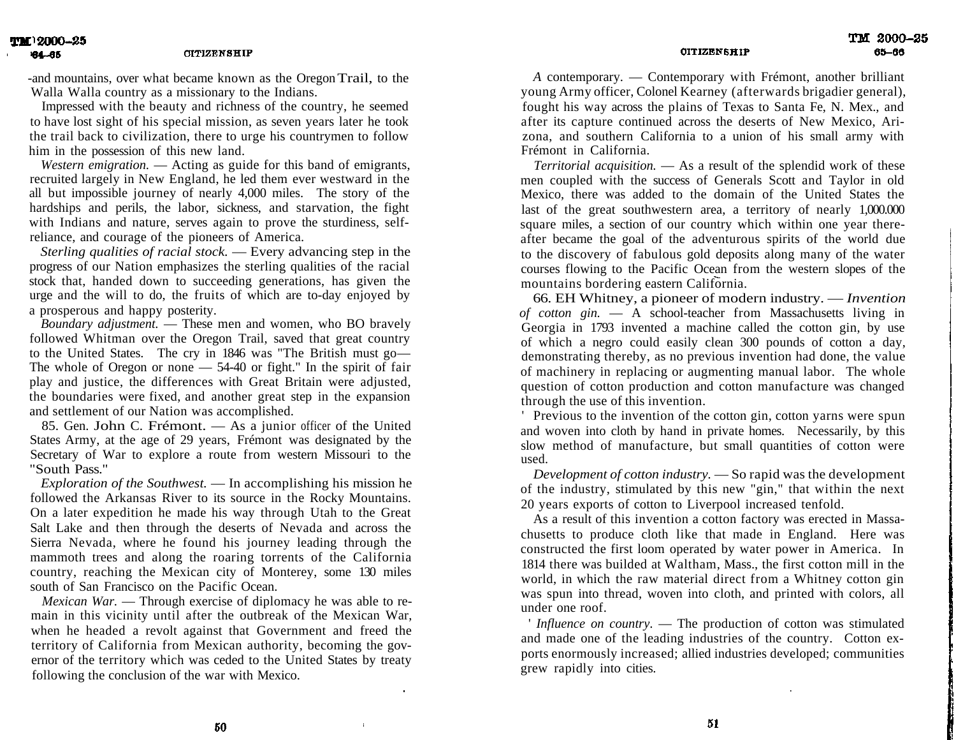-and mountains, over what became known as the Oregon Trail, to the Walla Walla country as a missionary to the Indians.

Impressed with the beauty and richness of the country, he seemed to have lost sight of his special mission, as seven years later he took the trail back to civilization, there to urge his countrymen to follow him in the possession of this new land.

*Western emigration.* — Acting as guide for this band of emigrants, recruited largely in New England, he led them ever westward in the all but impossible journey of nearly 4,000 miles. The story of the hardships and perils, the labor, sickness, and starvation, the fight with Indians and nature, serves again to prove the sturdiness, selfreliance, and courage of the pioneers of America.

*Sterling qualities of racial stock.* — Every advancing step in the progress of our Nation emphasizes the sterling qualities of the racial stock that, handed down to succeeding generations, has given the urge and the will to do, the fruits of which are to-day enjoyed by a prosperous and happy posterity.

*Boundary adjustment.* — These men and women, who BO bravely followed Whitman over the Oregon Trail, saved that great country to the United States. The cry in 1846 was "The British must go-The whole of Oregon or none  $-$  54-40 or fight." In the spirit of fair play and justice, the differences with Great Britain were adjusted, the boundaries were fixed, and another great step in the expansion and settlement of our Nation was accomplished.

85. Gen. John C. Frémont. — As a junior officer of the United States Army, at the age of 29 years, Frémont was designated by the Secretary of War to explore a route from western Missouri to the "South Pass."

*Exploration of the Southwest.* — In accomplishing his mission he followed the Arkansas River to its source in the Rocky Mountains. On a later expedition he made his way through Utah to the Great Salt Lake and then through the deserts of Nevada and across the Sierra Nevada, where he found his journey leading through the mammoth trees and along the roaring torrents of the California country, reaching the Mexican city of Monterey, some 130 miles south of San Francisco on the Pacific Ocean.

*Mexican War.* — Through exercise of diplomacy he was able to remain in this vicinity until after the outbreak of the Mexican War, when he headed a revolt against that Government and freed the territory of California from Mexican authority, becoming the governor of the territory which was ceded to the United States by treaty following the conclusion of the war with Mexico.

*A* contemporary. — Contemporary with Frémont, another brilliant young Army officer, Colonel Kearney (afterwards brigadier general), fought his way across the plains of Texas to Santa Fe, N. Mex., and after its capture continued across the deserts of New Mexico, Arizona, and southern California to a union of his small army with Frémont in California.

*Territorial acquisition.* — As a result of the splendid work of these men coupled with the success of Generals Scott and Taylor in old Mexico, there was added to the domain of the United States the last of the great southwestern area, a territory of nearly 1,000.000 square miles, a section of our country which within one year thereafter became the goal of the adventurous spirits of the world due to the discovery of fabulous gold deposits along many of the water courses flowing to the Pacific Ocean from the western slopes of the mountains bordering eastern California.

66. EH Whitney, a pioneer of modern industry. — *Invention of cotton gin.* — A school-teacher from Massachusetts living in Georgia in 1793 invented a machine called the cotton gin, by use of which a negro could easily clean 300 pounds of cotton a day, demonstrating thereby, as no previous invention had done, the value of machinery in replacing or augmenting manual labor. The whole question of cotton production and cotton manufacture was changed through the use of this invention.

' Previous to the invention of the cotton gin, cotton yarns were spun and woven into cloth by hand in private homes. Necessarily, by this slow method of manufacture, but small quantities of cotton were used.

*Development of cotton industry.* — So rapid was the development of the industry, stimulated by this new "gin," that within the next 20 years exports of cotton to Liverpool increased tenfold.

As a result of this invention a cotton factory was erected in Massachusetts to produce cloth like that made in England. Here was constructed the first loom operated by water power in America. In 1814 there was builded at Waltham, Mass., the first cotton mill in the world, in which the raw material direct from a Whitney cotton gin was spun into thread, woven into cloth, and printed with colors, all under one roof.

' *Influence on country*. — The production of cotton was stimulated and made one of the leading industries of the country. Cotton exports enormously increased; allied industries developed; communities grew rapidly into cities.

50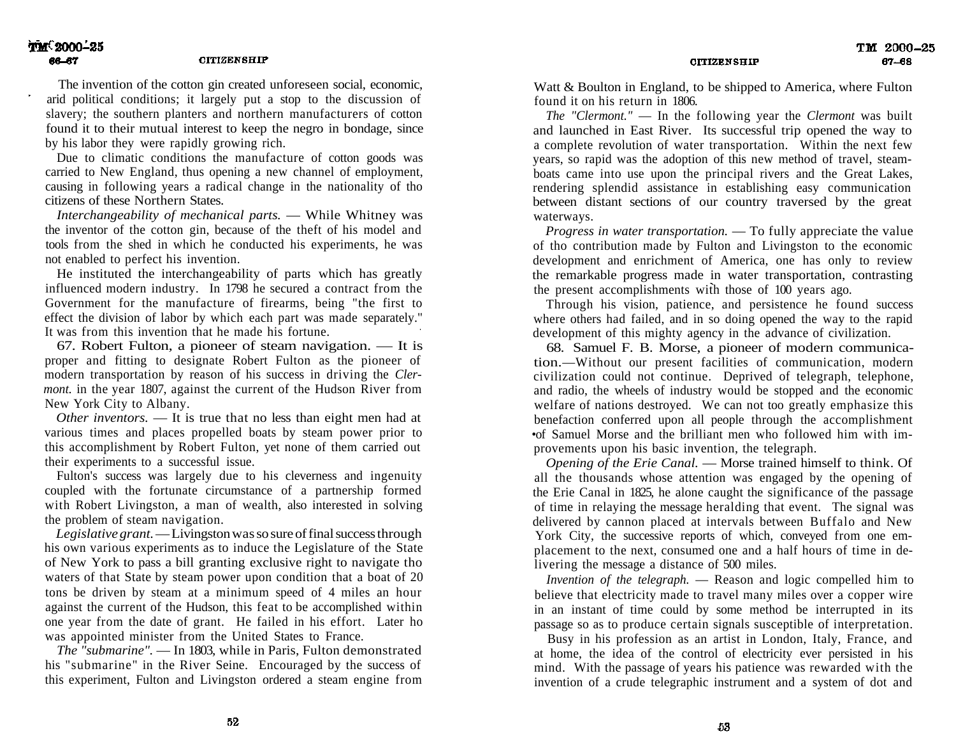The invention of the cotton gin created unforeseen social, economic, arid political conditions; it largely put a stop to the discussion of slavery; the southern planters and northern manufacturers of cotton found it to their mutual interest to keep the negro in bondage, since by his labor they were rapidly growing rich.

Due to climatic conditions the manufacture of cotton goods was carried to New England, thus opening a new channel of employment, causing in following years a radical change in the nationality of tho citizens of these Northern States.

*Interchangeability of mechanical parts.* — While Whitney was the inventor of the cotton gin, because of the theft of his model and tools from the shed in which he conducted his experiments, he was not enabled to perfect his invention.

He instituted the interchangeability of parts which has greatly influenced modern industry. In 1798 he secured a contract from the Government for the manufacture of firearms, being "the first to effect the division of labor by which each part was made separately." It was from this invention that he made his fortune.

67. Robert Fulton, a pioneer of steam navigation. — It is proper and fitting to designate Robert Fulton as the pioneer of modern transportation by reason of his success in driving the *Clermont.* in the year 1807, against the current of the Hudson River from New York City to Albany.

*Other inventors.* — It is true that no less than eight men had at various times and places propelled boats by steam power prior to this accomplishment by Robert Fulton, yet none of them carried out their experiments to a successful issue.

Fulton's success was largely due to his cleverness and ingenuity coupled with the fortunate circumstance of a partnership formed with Robert Livingston, a man of wealth, also interested in solving the problem of steam navigation.

*Legislative grant.* — Livingston was so sure of final success through his own various experiments as to induce the Legislature of the State of New York to pass a bill granting exclusive right to navigate tho waters of that State by steam power upon condition that a boat of 20 tons be driven by steam at a minimum speed of 4 miles an hour against the current of the Hudson, this feat to be accomplished within one year from the date of grant. He failed in his effort. Later ho was appointed minister from the United States to France.

*The "submarine".* — In 1803, while in Paris, Fulton demonstrated his "submarine" in the River Seine. Encouraged by the success of this experiment, Fulton and Livingston ordered a steam engine from Watt & Boulton in England, to be shipped to America, where Fulton found it on his return in 1806.

*The "Clermont."* — In the following year the *Clermont* was built and launched in East River. Its successful trip opened the way to a complete revolution of water transportation. Within the next few years, so rapid was the adoption of this new method of travel, steamboats came into use upon the principal rivers and the Great Lakes, rendering splendid assistance in establishing easy communication between distant sections of our country traversed by the great waterways.

*Progress in water transportation.* — To fully appreciate the value of tho contribution made by Fulton and Livingston to the economic development and enrichment of America, one has only to review the remarkable progress made in water transportation, contrasting the present accomplishments with those of 100 years ago.

Through his vision, patience, and persistence he found success where others had failed, and in so doing opened the way to the rapid development of this mighty agency in the advance of civilization.

68. Samuel F. B. Morse, a pioneer of modern communication. — Without our present facilities of communication, modern civilization could not continue. Deprived of telegraph, telephone, and radio, the wheels of industry would be stopped and the economic welfare of nations destroyed. We can not too greatly emphasize this benefaction conferred upon all people through the accomplishment •of Samuel Morse and the brilliant men who followed him with improvements upon his basic invention, the telegraph.

*Opening of the Erie Canal.* — Morse trained himself to think. Of all the thousands whose attention was engaged by the opening of the Erie Canal in 1825, he alone caught the significance of the passage of time in relaying the message heralding that event. The signal was delivered by cannon placed at intervals between Buffalo and New York City, the successive reports of which, conveyed from one emplacement to the next, consumed one and a half hours of time in delivering the message a distance of 500 miles.

*Invention of the telegraph.* — Reason and logic compelled him to believe that electricity made to travel many miles over a copper wire in an instant of time could by some method be interrupted in its passage so as to produce certain signals susceptible of interpretation.

Busy in his profession as an artist in London, Italy, France, and at home, the idea of the control of electricity ever persisted in his mind. With the passage of years his patience was rewarded with the invention of a crude telegraphic instrument and a system of dot and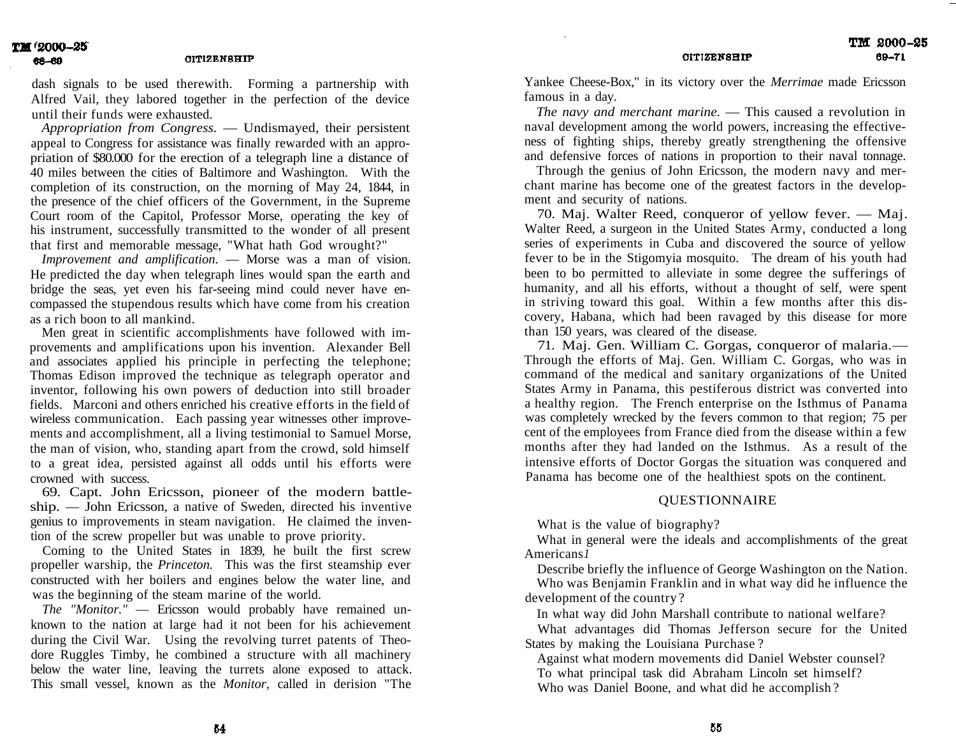TM 2000-25

69-71

**TM (2000–25)** 

68-69

dash signals to be used therewith. Forming a partnership with Alfred Vail, they labored together in the perfection of the device until their funds were exhausted.

*Appropriation from Congress.* — Undismayed, their persistent appeal to Congress for assistance was finally rewarded with an appropriation of \$80.000 for the erection of a telegraph line a distance of 40 miles between the cities of Baltimore and Washington. With the completion of its construction, on the morning of May 24, 1844, in the presence of the chief officers of the Government, in the Supreme Court room of the Capitol, Professor Morse, operating the key of his instrument, successfully transmitted to the wonder of all present that first and memorable message, "What hath God wrought?"

*Improvement and amplification.* — Morse was a man of vision. He predicted the day when telegraph lines would span the earth and bridge the seas, yet even his far-seeing mind could never have encompassed the stupendous results which have come from his creation as a rich boon to all mankind.

Men great in scientific accomplishments have followed with improvements and amplifications upon his invention. Alexander Bell and associates applied his principle in perfecting the telephone; Thomas Edison improved the technique as telegraph operator and inventor, following his own powers of deduction into still broader fields. Marconi and others enriched his creative efforts in the field of wireless communication. Each passing year witnesses other improvements and accomplishment, all a living testimonial to Samuel Morse, the man of vision, who, standing apart from the crowd, sold himself to a great idea, persisted against all odds until his efforts were crowned with success.

69. Capt. John Ericsson, pioneer of the modern battleship. — John Ericsson, a native of Sweden, directed his inventive genius to improvements in steam navigation. He claimed the invention of the screw propeller but was unable to prove priority.

Coming to the United States in 1839, he built the first screw propeller warship, the *Princeton.* This was the first steamship ever constructed with her boilers and engines below the water line, and was the beginning of the steam marine of the world.

*The "Monitor."* — Ericsson would probably have remained unknown to the nation at large had it not been for his achievement during the Civil War. Using the revolving turret patents of Theodore Ruggles Timby, he combined a structure with all machinery below the water line, leaving the turrets alone exposed to attack. This small vessel, known as the *Monitor,* called in derision "The Yankee Cheese-Box," in its victory over the *Merrimae* made Ericsson famous in a day.

*The navy and merchant marine.* — This caused a revolution in naval development among the world powers, increasing the effectiveness of fighting ships, thereby greatly strengthening the offensive and defensive forces of nations in proportion to their naval tonnage.

Through the genius of John Ericsson, the modern navy and merchant marine has become one of the greatest factors in the development and security of nations.

70. Maj. Walter Reed, conqueror of yellow fever. — Maj. Walter Reed, a surgeon in the United States Army, conducted a long series of experiments in Cuba and discovered the source of yellow fever to be in the Stigomyia mosquito. The dream of his youth had been to bo permitted to alleviate in some degree the sufferings of humanity, and all his efforts, without a thought of self, were spent in striving toward this goal. Within a few months after this discovery, Habana, which had been ravaged by this disease for more than 150 years, was cleared of the disease.

71. Maj. Gen. William C. Gorgas, conqueror of malaria. — Through the efforts of Maj. Gen. William C. Gorgas, who was in command of the medical and sanitary organizations of the United States Army in Panama, this pestiferous district was converted into a healthy region. The French enterprise on the Isthmus of Panama was completely wrecked by the fevers common to that region; 75 per cent of the employees from France died from the disease within a few months after they had landed on the Isthmus. As a result of the intensive efforts of Doctor Gorgas the situation was conquered and Panama has become one of the healthiest spots on the continent.

# QUESTIONNAIRE

What is the value of biography?

What in general were the ideals and accomplishments of the great Americans *1*

Describe briefly the influence of George Washington on the Nation. Who was Benjamin Franklin and in what way did he influence the development of the country ?

In what way did John Marshall contribute to national welfare?

What advantages did Thomas Jefferson secure for the United States by making the Louisiana Purchase ?

Against what modern movements did Daniel Webster counsel? To what principal task did Abraham Lincoln set himself? Who was Daniel Boone, and what did he accomplish ?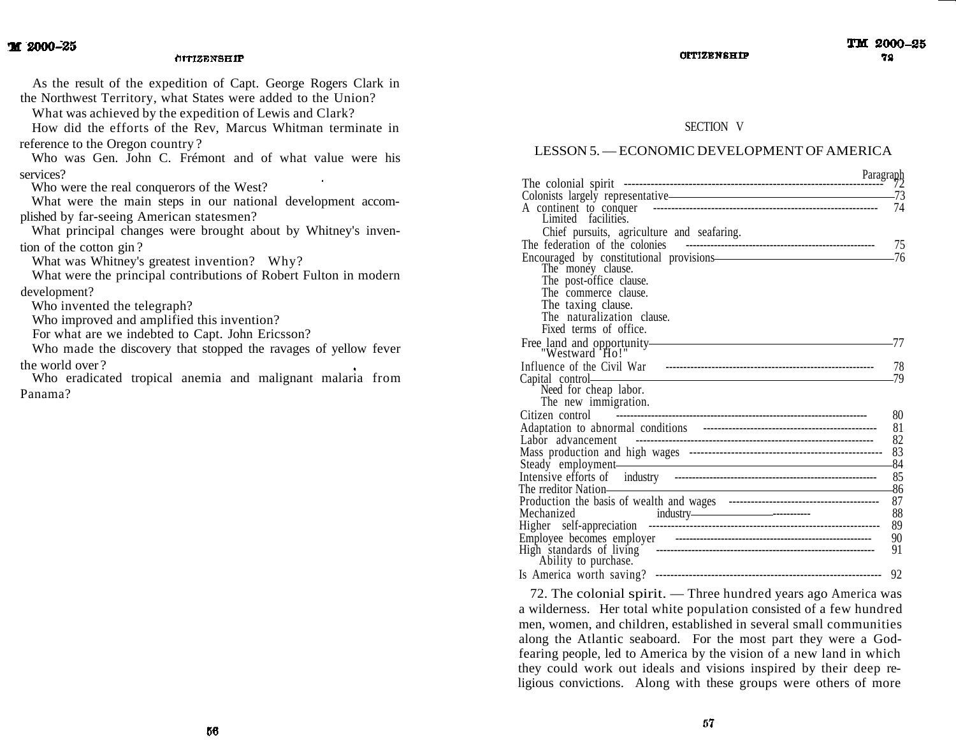### **ULLISHER**

As the result of the expedition of Capt. George Rogers Clark in the Northwest Territory, what States were added to the Union?

What was achieved by the expedition of Lewis and Clark?

How did the efforts of the Rev, Marcus Whitman terminate in reference to the Oregon country ?

Who was Gen. John C. Frémont and of what value were his services?

Who were the real conquerors of the West?

What were the main steps in our national development accomplished by far-seeing American statesmen?

What principal changes were brought about by Whitney's invention of the cotton gin ?

What was Whitney's greatest invention? Why?

What were the principal contributions of Robert Fulton in modern development?

Who invented the telegraph?

Who improved and amplified this invention?

For what are we indebted to Capt. John Ericsson?

Who made the discovery that stopped the ravages of yellow fever the world over ?

Who eradicated tropical anemia and malignant malaria from Panama?

# SECTION V

# LESSON 5. — ECONOMIC DEVELOPMENT OF AMERICA

| Paragraph                                        |    |
|--------------------------------------------------|----|
|                                                  | 73 |
|                                                  | 74 |
| Limited facilities.                              |    |
| Chief pursuits, agriculture and seafaring.       |    |
| The federation of the colonies                   | 75 |
| Encouraged by constitutional provisions-         | 76 |
| The money clause.                                |    |
| The post-office clause.                          |    |
| The commerce clause.                             |    |
| The taxing clause.<br>The naturalization clause. |    |
| Fixed terms of office.                           |    |
|                                                  | 77 |
|                                                  |    |
|                                                  | 78 |
| Capital control-                                 | 79 |
| Need for cheap labor.                            |    |
| The new immigration.                             |    |
| Citizen control                                  | 80 |
|                                                  | 81 |
|                                                  | 82 |
|                                                  |    |
|                                                  |    |
|                                                  |    |
|                                                  | 87 |
| Mechanized                                       | 88 |
|                                                  | 89 |
|                                                  | 90 |
| Ability to purchase.                             | 91 |
|                                                  | 92 |

72. The colonial spirit. — Three hundred years ago America was a wilderness. Her total white population consisted of a few hundred men, women, and children, established in several small communities along the Atlantic seaboard. For the most part they were a Godfearing people, led to America by the vision of a new land in which they could work out ideals and visions inspired by their deep religious convictions. Along with these groups were others of more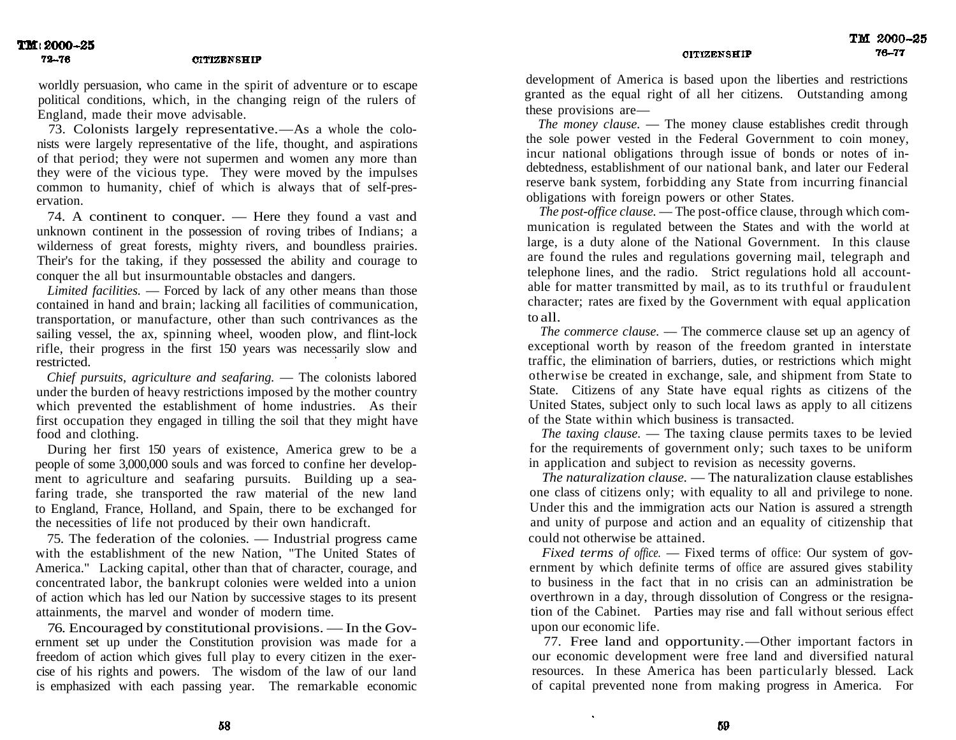## **CUTTZRNSHIP**

worldly persuasion, who came in the spirit of adventure or to escape political conditions, which, in the changing reign of the rulers of England, made their move advisable.

73. Colonists largely representative. — As a whole the colonists were largely representative of the life, thought, and aspirations of that period; they were not supermen and women any more than they were of the vicious type. They were moved by the impulses common to humanity, chief of which is always that of self-preservation.

74. A continent to conquer. — Here they found a vast and unknown continent in the possession of roving tribes of Indians; a wilderness of great forests, mighty rivers, and boundless prairies. Their's for the taking, if they possessed the ability and courage to conquer the all but insurmountable obstacles and dangers.

*Limited facilities.* — Forced by lack of any other means than those contained in hand and brain; lacking all facilities of communication, transportation, or manufacture, other than such contrivances as the sailing vessel, the ax, spinning wheel, wooden plow, and flint-lock rifle, their progress in the first 150 years was necessarily slow and restricted.

*Chief pursuits, agriculture and seafaring.* — The colonists labored under the burden of heavy restrictions imposed by the mother country which prevented the establishment of home industries. As their first occupation they engaged in tilling the soil that they might have food and clothing.

During her first 150 years of existence, America grew to be a people of some 3,000,000 souls and was forced to confine her development to agriculture and seafaring pursuits. Building up a seafaring trade, she transported the raw material of the new land to England, France, Holland, and Spain, there to be exchanged for the necessities of life not produced by their own handicraft.

75. The federation of the colonies. — Industrial progress came with the establishment of the new Nation, "The United States of America." Lacking capital, other than that of character, courage, and concentrated labor, the bankrupt colonies were welded into a union of action which has led our Nation by successive stages to its present attainments, the marvel and wonder of modern time.

76. Encouraged by constitutional provisions. — In the Government set up under the Constitution provision was made for a freedom of action which gives full play to every citizen in the exercise of his rights and powers. The wisdom of the law of our land is emphasized with each passing year. The remarkable economic

development of America is based upon the liberties and restrictions granted as the equal right of all her citizens. Outstanding among these provisions are —

*The money clause.* — The money clause establishes credit through the sole power vested in the Federal Government to coin money, incur national obligations through issue of bonds or notes of indebtedness, establishment of our national bank, and later our Federal reserve bank system, forbidding any State from incurring financial obligations with foreign powers or other States.

*The post-office clause.* — The post-office clause, through which communication is regulated between the States and with the world at large, is a duty alone of the National Government. In this clause are found the rules and regulations governing mail, telegraph and telephone lines, and the radio. Strict regulations hold all accountable for matter transmitted by mail, as to its truthful or fraudulent character; rates are fixed by the Government with equal application to all.

*The commerce clause.* — The commerce clause set up an agency of exceptional worth by reason of the freedom granted in interstate traffic, the elimination of barriers, duties, or restrictions which might otherwise be created in exchange, sale, and shipment from State to State. Citizens of any State have equal rights as citizens of the United States, subject only to such local laws as apply to all citizens of the State within which business is transacted.

*The taxing clause.* — The taxing clause permits taxes to be levied for the requirements of government only; such taxes to be uniform in application and subject to revision as necessity governs.

*The naturalization clause.* — The naturalization clause establishes one class of citizens only; with equality to all and privilege to none. Under this and the immigration acts our Nation is assured a strength and unity of purpose and action and an equality of citizenship that could not otherwise be attained.

*Fixed terms of office.* — Fixed terms of office: Our system of government by which definite terms of office are assured gives stability to business in the fact that in no crisis can an administration be overthrown in a day, through dissolution of Congress or the resignation of the Cabinet. Parties may rise and fall without serious effect upon our economic life.

77. Free land and opportunity. — Other important factors in our economic development were free land and diversified natural resources. In these America has been particularly blessed. Lack of capital prevented none from making progress in America. For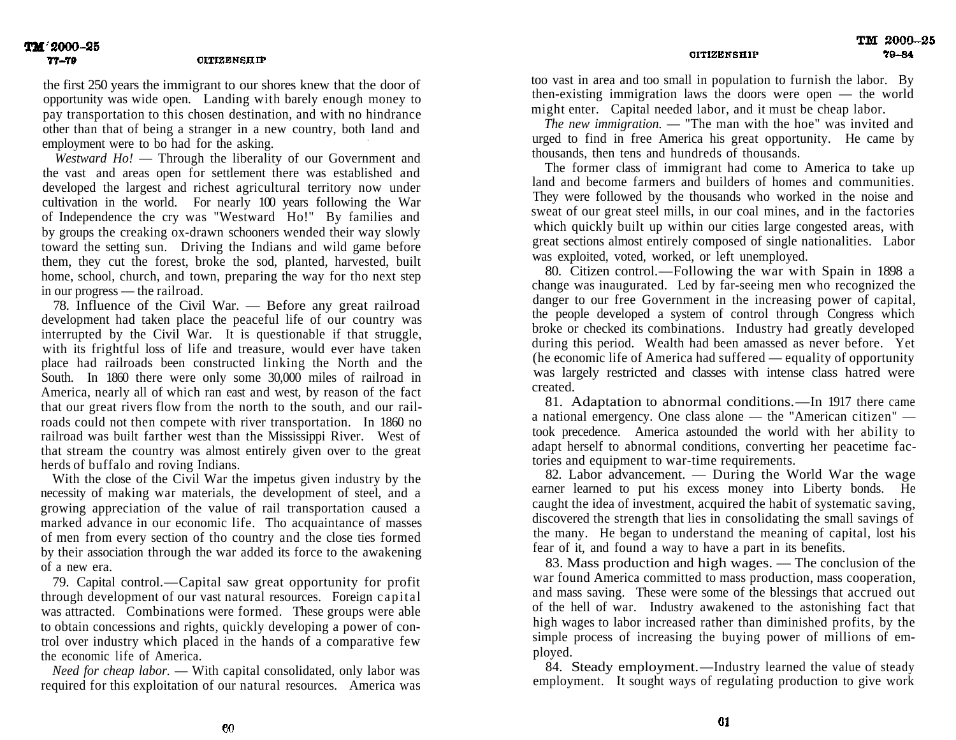## **CITIZENSHIP**

the first 250 years the immigrant to our shores knew that the door of opportunity was wide open. Landing with barely enough money to pay transportation to this chosen destination, and with no hindrance other than that of being a stranger in a new country, both land and employment were to bo had for the asking.

*Westward Ho!* — Through the liberality of our Government and the vast and areas open for settlement there was established and developed the largest and richest agricultural territory now under cultivation in the world. For nearly 100 years following the War of Independence the cry was "Westward Ho!" By families and by groups the creaking ox-drawn schooners wended their way slowly toward the setting sun. Driving the Indians and wild game before them, they cut the forest, broke the sod, planted, harvested, built home, school, church, and town, preparing the way for tho next step in our progress — the railroad.

78. Influence of the Civil War. — Before any great railroad development had taken place the peaceful life of our country was interrupted by the Civil War. It is questionable if that struggle, with its frightful loss of life and treasure, would ever have taken place had railroads been constructed linking the North and the South. In 1860 there were only some 30,000 miles of railroad in America, nearly all of which ran east and west, by reason of the fact that our great rivers flow from the north to the south, and our railroads could not then compete with river transportation. In 1860 no railroad was built farther west than the Mississippi River. West of that stream the country was almost entirely given over to the great herds of buffalo and roving Indians.

With the close of the Civil War the impetus given industry by the necessity of making war materials, the development of steel, and a growing appreciation of the value of rail transportation caused a marked advance in our economic life. Tho acquaintance of masses of men from every section of tho country and the close ties formed by their association through the war added its force to the awakening of a new era.

79. Capital control. — Capital saw great opportunity for profit through development of our vast natural resources. Foreign capital was attracted. Combinations were formed. These groups were able to obtain concessions and rights, quickly developing a power of control over industry which placed in the hands of a comparative few the economic life of America.

*Need for cheap labor.* — With capital consolidated, only labor was required for this exploitation of our natural resources. America was too vast in area and too small in population to furnish the labor. By then-existing immigration laws the doors were open — the world might enter. Capital needed labor, and it must be cheap labor.

*The new immigration.* — "The man with the hoe" was invited and urged to find in free America his great opportunity. He came by thousands, then tens and hundreds of thousands.

The former class of immigrant had come to America to take up land and become farmers and builders of homes and communities. They were followed by the thousands who worked in the noise and sweat of our great steel mills, in our coal mines, and in the factories which quickly built up within our cities large congested areas, with great sections almost entirely composed of single nationalities. Labor was exploited, voted, worked, or left unemployed.

80. Citizen control. — Following the war with Spain in 1898 a change was inaugurated. Led by far-seeing men who recognized the danger to our free Government in the increasing power of capital, the people developed a system of control through Congress which broke or checked its combinations. Industry had greatly developed during this period. Wealth had been amassed as never before. Yet (he economic life of America had suffered — equality of opportunity was largely restricted and classes with intense class hatred were created.

81. Adaptation to abnormal conditions. — In 1917 there came a national emergency. One class alone — the "American citizen" took precedence. America astounded the world with her ability to adapt herself to abnormal conditions, converting her peacetime factories and equipment to war-time requirements.

82. Labor advancement. — During the World War the wage earner learned to put his excess money into Liberty bonds. He caught the idea of investment, acquired the habit of systematic saving, discovered the strength that lies in consolidating the small savings of the many. He began to understand the meaning of capital, lost his fear of it, and found a way to have a part in its benefits.

83. Mass production and high wages. — The conclusion of the war found America committed to mass production, mass cooperation, and mass saving. These were some of the blessings that accrued out of the hell of war. Industry awakened to the astonishing fact that high wages to labor increased rather than diminished profits, by the simple process of increasing the buying power of millions of employed.

84. Steady employment.—Industry learned the value of steady employment. It sought ways of regulating production to give work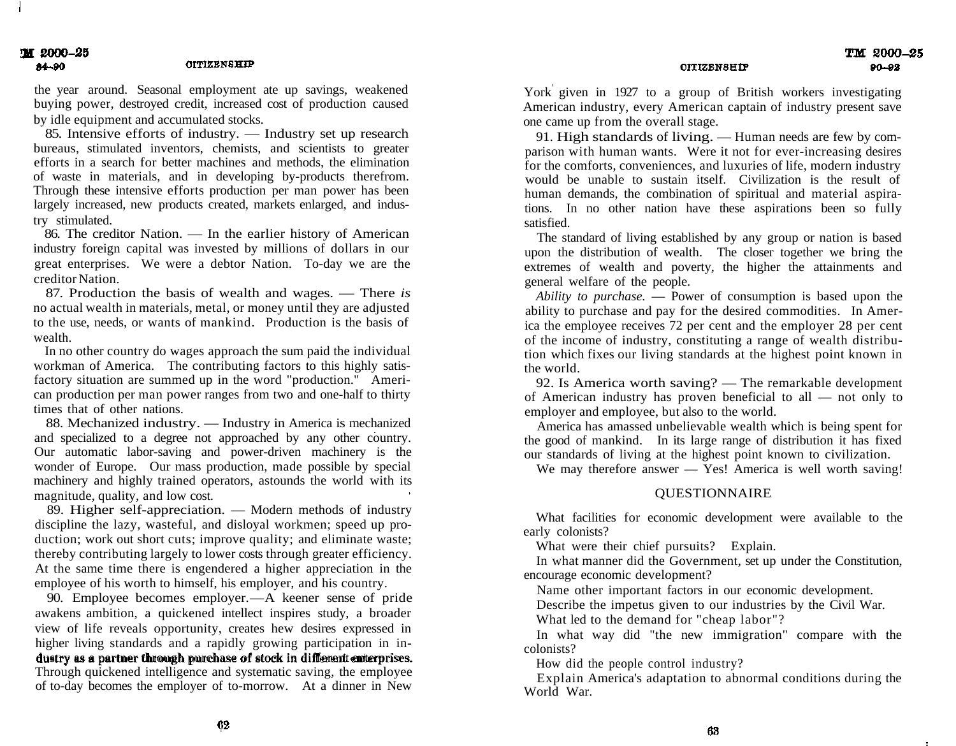the year around. Seasonal employment ate up savings, weakened buying power, destroyed credit, increased cost of production caused by idle equipment and accumulated stocks.

85. Intensive efforts of industry. — Industry set up research bureaus, stimulated inventors, chemists, and scientists to greater efforts in a search for better machines and methods, the elimination of waste in materials, and in developing by-products therefrom. Through these intensive efforts production per man power has been largely increased, new products created, markets enlarged, and industry stimulated.

86. The creditor Nation. — In the earlier history of American industry foreign capital was invested by millions of dollars in our great enterprises. We were a debtor Nation. To-day we are the creditor Nation.

87. Production the basis of wealth and wages. — There *is* no actual wealth in materials, metal, or money until they are adjusted to the use, needs, or wants of mankind. Production is the basis of wealth.

In no other country do wages approach the sum paid the individual workman of America. The contributing factors to this highly satisfactory situation are summed up in the word "production." American production per man power ranges from two and one-half to thirty times that of other nations.

88. Mechanized industry. — Industry in America is mechanized and specialized to a degree not approached by any other country. Our automatic labor-saving and power-driven machinery is the wonder of Europe. Our mass production, made possible by special machinery and highly trained operators, astounds the world with its magnitude, quality, and low cost.

89. Higher self-appreciation. — Modern methods of industry discipline the lazy, wasteful, and disloyal workmen; speed up production; work out short cuts; improve quality; and eliminate waste; thereby contributing largely to lower costs through greater efficiency. At the same time there is engendered a higher appreciation in the employee of his worth to himself, his employer, and his country.

90. Employee becomes employer. — A keener sense of pride awakens ambition, a quickened intellect inspires study, a broader view of life reveals opportunity, creates hew desires expressed in higher living standards and a rapidly growing participation in industry as a partner through purchase of stock in different enterprises. Through quickened intelligence and systematic saving, the employee of to-day becomes the employer of to-morrow. At a dinner in New York given in 1927 to a group of British workers investigating American industry, every American captain of industry present save one came up from the overall stage.

**OITIZENSHIP** 

91. High standards of living. — Human needs are few by comparison with human wants. Were it not for ever-increasing desires for the comforts, conveniences, and luxuries of life, modern industry would be unable to sustain itself. Civilization is the result of human demands, the combination of spiritual and material aspirations. In no other nation have these aspirations been so fully satisfied.

The standard of living established by any group or nation is based upon the distribution of wealth. The closer together we bring the extremes of wealth and poverty, the higher the attainments and general welfare of the people.

*Ability to purchase.* — Power of consumption is based upon the ability to purchase and pay for the desired commodities. In America the employee receives 72 per cent and the employer 28 per cent of the income of industry, constituting a range of wealth distribution which fixes our living standards at the highest point known in the world.

92. Is America worth saving? — The remarkable development of American industry has proven beneficial to all — not only to employer and employee, but also to the world.

America has amassed unbelievable wealth which is being spent for the good of mankind. In its large range of distribution it has fixed our standards of living at the highest point known to civilization.

We may therefore answer — Yes! America is well worth saving!

# QUESTIONNAIRE

What facilities for economic development were available to the early colonists?

What were their chief pursuits? Explain.

In what manner did the Government, set up under the Constitution, encourage economic development?

Name other important factors in our economic development.

Describe the impetus given to our industries by the Civil War.

What led to the demand for "cheap labor"?

In what way did "the new immigration" compare with the colonists?

How did the people control industry?

Explain America's adaptation to abnormal conditions during the World War.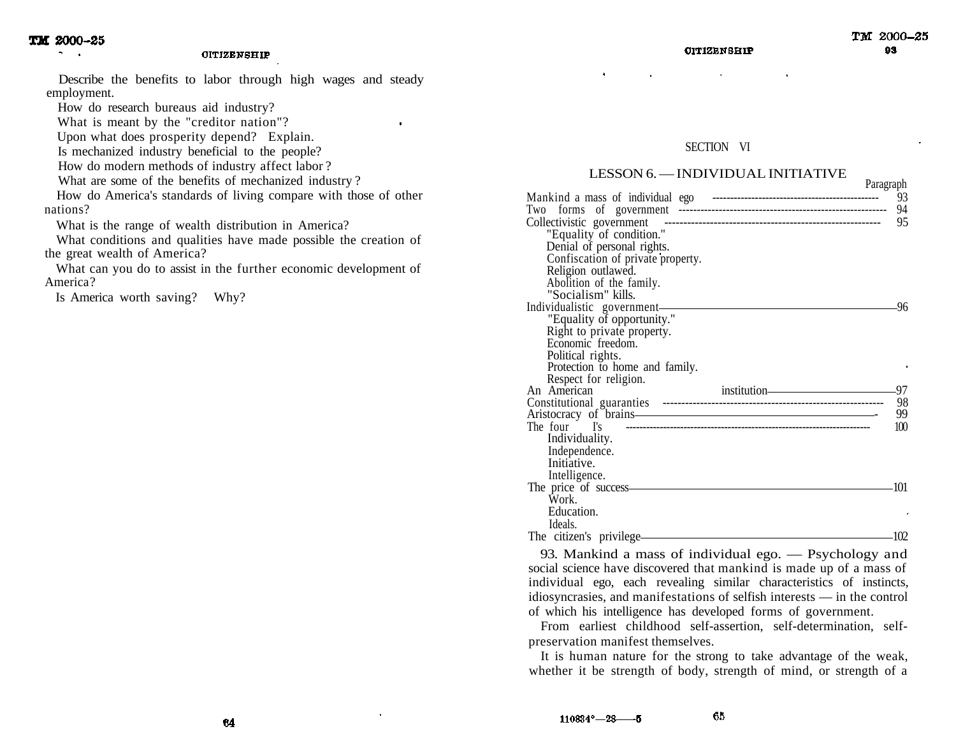Paragraph

93

Describe the benefits to labor through high wages and steady employment.

How do research bureaus aid industry?

What is meant by the "creditor nation"?

Upon what does prosperity depend? Explain.

Is mechanized industry beneficial to the people?

How do modern methods of industry affect labor ?

What are some of the benefits of mechanized industry ?

How do America's standards of living compare with those of other nations?

What is the range of wealth distribution in America?

What conditions and qualities have made possible the creation of the great wealth of America?

What can you do to assist in the further economic development of America ?

Is America worth saving? Why?

# SECTION VI

# LESSON 6. — INDIVIDUAL INITIATIVE

|                                           | 1 magupu           |
|-------------------------------------------|--------------------|
|                                           | 93                 |
|                                           | 94                 |
| Collectivistic government                 | 95                 |
| "Equality of condition."                  |                    |
| Denial of personal rights.                |                    |
| Confiscation of private property.         |                    |
| Religion outlawed.                        |                    |
| Abolition of the family.                  |                    |
| "Socialism" kills.                        |                    |
| Individualistic government-               | 96                 |
| "Equality of opportunity."                |                    |
| Right to private property.                |                    |
| Economic freedom.                         |                    |
|                                           |                    |
| Political rights.                         |                    |
| Protection to home and family.            |                    |
| Respect for religion.                     |                    |
| An American                               | institution-<br>97 |
|                                           | 98                 |
| Aristocracy of brains———————————————————— | 99                 |
| $\Gamma$ s<br>The four                    | 100                |
| Individuality.                            |                    |
| Independence.                             |                    |
| Initiative.                               |                    |
| Intelligence.                             |                    |
| The price of success-                     | 101                |
| Work.                                     |                    |
| Education.                                |                    |
| Ideals.                                   |                    |
| The citizen's privilege-                  | 102                |
|                                           |                    |

93. Mankind a mass of individual ego. — Psychology and social science have discovered that mankind is made up of a mass of individual ego, each revealing similar characteristics of instincts, idiosyncrasies, and manifestations of selfish interests — in the control of which his intelligence has developed forms of government.

From earliest childhood self-assertion, self-determination, selfpreservation manifest themselves.

It is human nature for the strong to take advantage of the weak, whether it be strength of body, strength of mind, or strength of a

65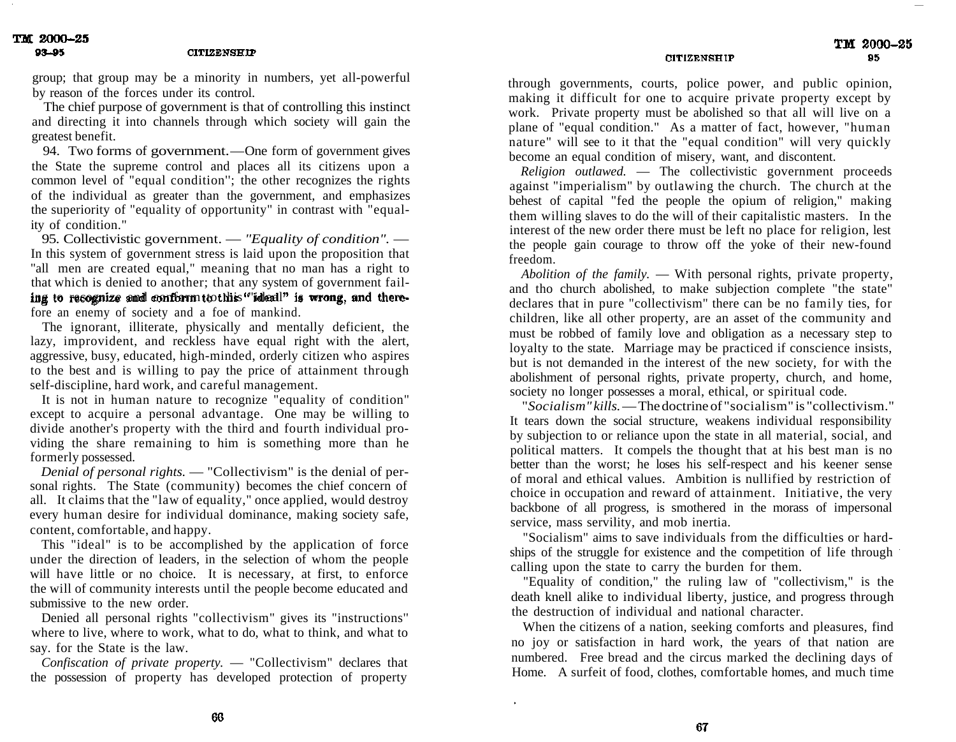group; that group may be a minority in numbers, yet all-powerful by reason of the forces under its control.

The chief purpose of government is that of controlling this instinct and directing it into channels through which society will gain the greatest benefit.

94. Two forms of government. — One form of government gives the State the supreme control and places all its citizens upon a common level of "equal condition''; the other recognizes the rights of the individual as greater than the government, and emphasizes the superiority of "equality of opportunity" in contrast with "equality of condition."

95. Collectivistic government. — *"Equality of condition".* — In this system of government stress is laid upon the proposition that "all men are created equal," meaning that no man has a right to that which is denied to another; that any system of government failing to recognize and conform to this "ideal" is wrong, and therefore an enemy of society and a foe of mankind.

The ignorant, illiterate, physically and mentally deficient, the lazy, improvident, and reckless have equal right with the alert, aggressive, busy, educated, high-minded, orderly citizen who aspires to the best and is willing to pay the price of attainment through self-discipline, hard work, and careful management.

It is not in human nature to recognize "equality of condition" except to acquire a personal advantage. One may be willing to divide another's property with the third and fourth individual providing the share remaining to him is something more than he formerly possessed.

*Denial of personal rights.* — "Collectivism" is the denial of personal rights. The State (community) becomes the chief concern of all. It claims that the "law of equality," once applied, would destroy every human desire for individual dominance, making society safe, content, comfortable, and happy.

This "ideal" is to be accomplished by the application of force under the direction of leaders, in the selection of whom the people will have little or no choice. It is necessary, at first, to enforce the will of community interests until the people become educated and submissive to the new order.

Denied all personal rights "collectivism" gives its "instructions'' where to live, where to work, what to do, what to think, and what to say. for the State is the law.

*Confiscation of private property.* — "Collectivism" declares that the possession of property has developed protection of property

through governments, courts, police power, and public opinion, making it difficult for one to acquire private property except by work. Private property must be abolished so that all will live on a plane of "equal condition." As a matter of fact, however, "human nature" will see to it that the "equal condition" will very quickly become an equal condition of misery, want, and discontent.

*Religion outlawed.* — The collectivistic government proceeds against "imperialism" by outlawing the church. The church at the behest of capital "fed the people the opium of religion," making them willing slaves to do the will of their capitalistic masters. In the interest of the new order there must be left no place for religion, lest the people gain courage to throw off the yoke of their new-found freedom.

*Abolition of the family.* — With personal rights, private property, and tho church abolished, to make subjection complete "the state" declares that in pure "collectivism" there can be no family ties, for children, like all other property, are an asset of the community and must be robbed of family love and obligation as a necessary step to loyalty to the state. Marriage may be practiced if conscience insists, but is not demanded in the interest of the new society, for with the abolishment of personal rights, private property, church, and home, society no longer possesses a moral, ethical, or spiritual code.

"*Socialism" kills.* — The doctrine of "socialism" is "collectivism." It tears down the social structure, weakens individual responsibility by subjection to or reliance upon the state in all material, social, and political matters. It compels the thought that at his best man is no better than the worst; he loses his self-respect and his keener sense of moral and ethical values. Ambition is nullified by restriction of choice in occupation and reward of attainment. Initiative, the very backbone of all progress, is smothered in the morass of impersonal service, mass servility, and mob inertia.

"Socialism" aims to save individuals from the difficulties or hardships of the struggle for existence and the competition of life through calling upon the state to carry the burden for them.

"Equality of condition," the ruling law of "collectivism," is the death knell alike to individual liberty, justice, and progress through the destruction of individual and national character.

When the citizens of a nation, seeking comforts and pleasures, find no joy or satisfaction in hard work, the years of that nation are numbered. Free bread and the circus marked the declining days of Home. A surfeit of food, clothes, comfortable homes, and much time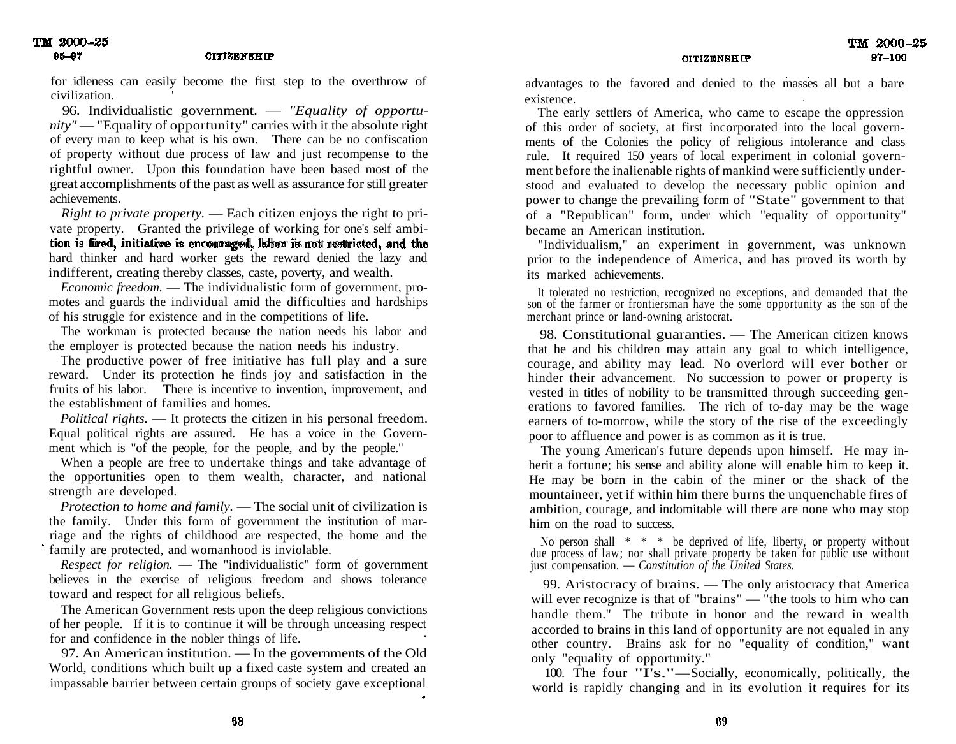for idleness can easily become the first step to the overthrow of civilization.

96. Individualistic government. — *"Equality of opportunity"* — "Equality of opportunity" carries with it the absolute right of every man to keep what is his own. There can be no confiscation of property without due process of law and just recompense to the rightful owner. Upon this foundation have been based most of the great accomplishments of the past as well as assurance for still greater achievements.

*Right to private property.* — Each citizen enjoys the right to private property. Granted the privilege of working for one's self ambition is fired, initiative is encouraged, labor is not restricted, and the hard thinker and hard worker gets the reward denied the lazy and indifferent, creating thereby classes, caste, poverty, and wealth.

*Economic freedom.* — The individualistic form of government, promotes and guards the individual amid the difficulties and hardships of his struggle for existence and in the competitions of life.

The workman is protected because the nation needs his labor and the employer is protected because the nation needs his industry.

The productive power of free initiative has full play and a sure reward. Under its protection he finds joy and satisfaction in the fruits of his labor. There is incentive to invention, improvement, and the establishment of families and homes.

*Political rights.* — It protects the citizen in his personal freedom. Equal political rights are assured. He has a voice in the Government which is "of the people, for the people, and by the people."

When a people are free to undertake things and take advantage of the opportunities open to them wealth, character, and national strength are developed.

*Protection to home and family.* — The social unit of civilization is the family. Under this form of government the institution of marriage and the rights of childhood are respected, the home and the family are protected, and womanhood is inviolable.

*Respect for religion.* — The "individualistic" form of government believes in the exercise of religious freedom and shows tolerance toward and respect for all religious beliefs.

The American Government rests upon the deep religious convictions of her people. If it is to continue it will be through unceasing respect for and confidence in the nobler things of life.

97. An American institution. — In the governments of the Old World, conditions which built up a fixed caste system and created an impassable barrier between certain groups of society gave exceptional

advantages to the favored and denied to the masses all but a bare existence.

The early settlers of America, who came to escape the oppression of this order of society, at first incorporated into the local governments of the Colonies the policy of religious intolerance and class rule. It required 150 years of local experiment in colonial government before the inalienable rights of mankind were sufficiently understood and evaluated to develop the necessary public opinion and power to change the prevailing form of "State" government to that of a "Republican" form, under which "equality of opportunity" became an American institution.

"Individualism," an experiment in government, was unknown prior to the independence of America, and has proved its worth by its marked achievements.

It tolerated no restriction, recognized no exceptions, and demanded that the son of the farmer or frontiersman have the some opportunity as the son of the merchant prince or land-owning aristocrat.

98. Constitutional guaranties. — The American citizen knows that he and his children may attain any goal to which intelligence, courage, and ability may lead. No overlord will ever bother or hinder their advancement. No succession to power or property is vested in titles of nobility to be transmitted through succeeding generations to favored families. The rich of to-day may be the wage earners of to-morrow, while the story of the rise of the exceedingly poor to affluence and power is as common as it is true.

The young American's future depends upon himself. He may inherit a fortune; his sense and ability alone will enable him to keep it. He may be born in the cabin of the miner or the shack of the mountaineer, yet if within him there burns the unquenchable fires of ambition, courage, and indomitable will there are none who may stop him on the road to success.

No person shall  $* * *$  be deprived of life, liberty, or property without due process of law; nor shall private property be taken for public use without just compensation. — *Constitution of the United States.*

99. Aristocracy of brains. — The only aristocracy that America will ever recognize is that of "brains" — "the tools to him who can handle them." The tribute in honor and the reward in wealth accorded to brains in this land of opportunity are not equaled in any other country. Brains ask for no "equality of condition," want only "equality of opportunity."

100. The four "I's." — Socially, economically, politically, the world is rapidly changing and in its evolution it requires for its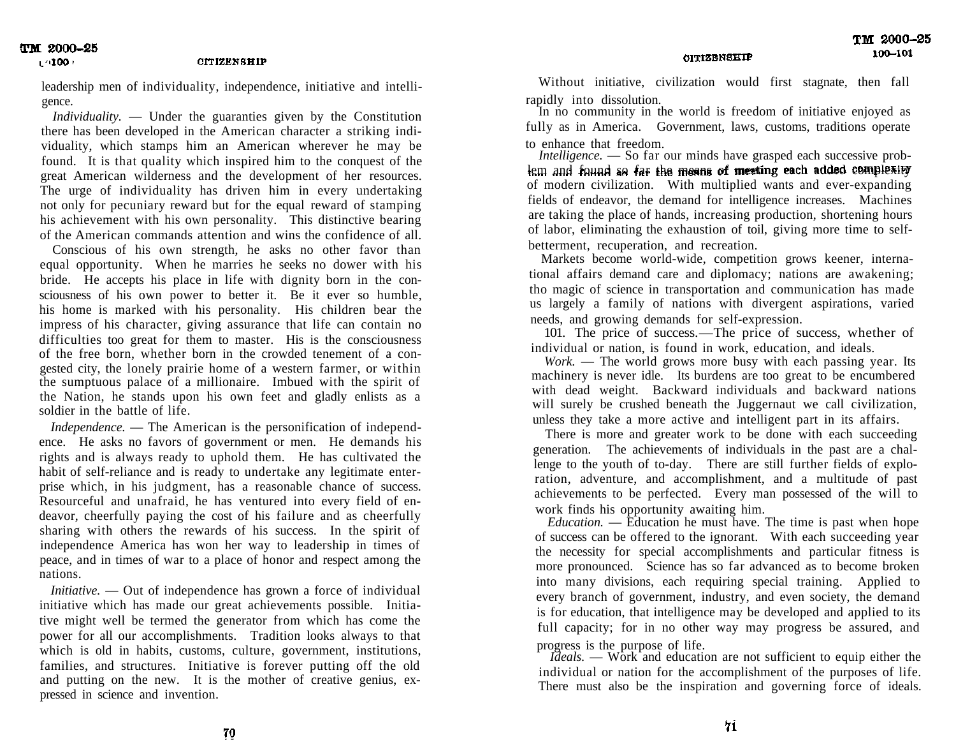## CITIZENSHIP

leadership men of individuality, independence, initiative and intelligence.

*Individuality.* — Under the guaranties given by the Constitution there has been developed in the American character a striking individuality, which stamps him an American wherever he may be found. It is that quality which inspired him to the conquest of the great American wilderness and the development of her resources. The urge of individuality has driven him in every undertaking not only for pecuniary reward but for the equal reward of stamping his achievement with his own personality. This distinctive bearing of the American commands attention and wins the confidence of all.

Conscious of his own strength, he asks no other favor than equal opportunity. When he marries he seeks no dower with his bride. He accepts his place in life with dignity born in the consciousness of his own power to better it. Be it ever so humble, his home is marked with his personality. His children bear the impress of his character, giving assurance that life can contain no difficulties too great for them to master. His is the consciousness of the free born, whether born in the crowded tenement of a congested city, the lonely prairie home of a western farmer, or within the sumptuous palace of a millionaire. Imbued with the spirit of the Nation, he stands upon his own feet and gladly enlists as a soldier in the battle of life.

*Independence.* — The American is the personification of independence. He asks no favors of government or men. He demands his rights and is always ready to uphold them. He has cultivated the habit of self-reliance and is ready to undertake any legitimate enterprise which, in his judgment, has a reasonable chance of success. Resourceful and unafraid, he has ventured into every field of endeavor, cheerfully paying the cost of his failure and as cheerfully sharing with others the rewards of his success. In the spirit of independence America has won her way to leadership in times of peace, and in times of war to a place of honor and respect among the nations.

*Initiative.* — Out of independence has grown a force of individual initiative which has made our great achievements possible. Initiative might well be termed the generator from which has come the power for all our accomplishments. Tradition looks always to that which is old in habits, customs, culture, government, institutions, families, and structures. Initiative is forever putting off the old and putting on the new. It is the mother of creative genius, expressed in science and invention.

Without initiative, civilization would first stagnate, then fall rapidly into dissolution.

In no community in the world is freedom of initiative enjoyed as fully as in America. Government, laws, customs, traditions operate to enhance that freedom.

*Intelligence.* — So far our minds have grasped each successive problem and found so far the means of meeting each added complexity of modern civilization. With multiplied wants and ever-expanding fields of endeavor, the demand for intelligence increases. Machines are taking the place of hands, increasing production, shortening hours of labor, eliminating the exhaustion of toil, giving more time to selfbetterment, recuperation, and recreation.

Markets become world-wide, competition grows keener, international affairs demand care and diplomacy; nations are awakening; tho magic of science in transportation and communication has made us largely a family of nations with divergent aspirations, varied needs, and growing demands for self-expression.

101. The price of success. — The price of success, whether of individual or nation, is found in work, education, and ideals.

*Work.* — The world grows more busy with each passing year. Its machinery is never idle. Its burdens are too great to be encumbered with dead weight. Backward individuals and backward nations will surely be crushed beneath the Juggernaut we call civilization, unless they take a more active and intelligent part in its affairs.

There is more and greater work to be done with each succeeding generation. The achievements of individuals in the past are a challenge to the youth of to-day. There are still further fields of exploration, adventure, and accomplishment, and a multitude of past achievements to be perfected. Every man possessed of the will to work finds his opportunity awaiting him.

*Education.* — Education he must have. The time is past when hope of success can be offered to the ignorant. With each succeeding year the necessity for special accomplishments and particular fitness is more pronounced. Science has so far advanced as to become broken into many divisions, each requiring special training. Applied to every branch of government, industry, and even society, the demand is for education, that intelligence may be developed and applied to its full capacity; for in no other way may progress be assured, and progress is the purpose of life.

*Ideals.* — Work and education are not sufficient to equip either the individual or nation for the accomplishment of the purposes of life. There must also be the inspiration and governing force of ideals.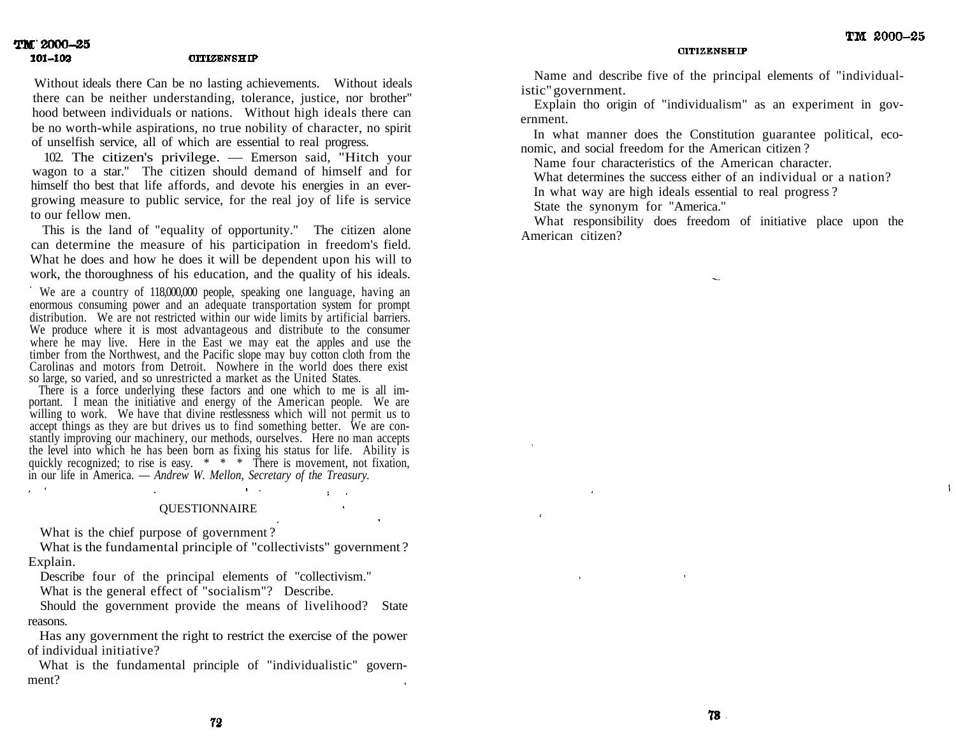## **CITIZENSHIP**

Without ideals there Can be no lasting achievements. Without ideals there can be neither understanding, tolerance, justice, nor brother" hood between individuals or nations. Without high ideals there can be no worth-while aspirations, no true nobility of character, no spirit of unselfish service, all of which are essential to real progress.

102. The citizen's privilege. — Emerson said, "Hitch your wagon to a star." The citizen should demand of himself and for himself tho best that life affords, and devote his energies in an evergrowing measure to public service, for the real joy of life is service to our fellow men.

This is the land of "equality of opportunity." The citizen alone can determine the measure of his participation in freedom's field. What he does and how he does it will be dependent upon his will to work, the thoroughness of his education, and the quality of his ideals.

We are a country of 118,000,000 people, speaking one language, having an enormous consuming power and an adequate transportation system for prompt distribution. We are not restricted within our wide limits by artificial barriers. We produce where it is most advantageous and distribute to the consumer where he may live. Here in the East we may eat the apples and use the timber from the Northwest, and the Pacific slope may buy cotton cloth from the Carolinas and motors from Detroit. Nowhere in the world does there exist so large, so varied, and so unrestricted a market as the United States.

There is a force underlying these factors and one which to me is all important. I mean the initiative and energy of the American people. We are willing to work. We have that divine restlessness which will not permit us to accept things as they are but drives us to find something better. We are constantly improving our machinery, our methods, ourselves. Here no man accepts the level into which he has been born as fixing his status for life. Ability is quickly recognized; to rise is easy.  $* * * \mathbb{Z}$  There is movement, not fixation, in our life in America. — *Andrew W. Mellon, Secretary of the Treasury.*

 $\mathbf{u} = \mathbf{v}$  .

 $\mathbf{r} = \mathbf{r}$  $\mathbf{v}$ 

# **OUESTIONNAIRE**

What is the chief purpose of government?

What is the fundamental principle of "collectivists" government ? Explain.

Describe four of the principal elements of "collectivism."

What is the general effect of "socialism"? Describe.

Should the government provide the means of livelihood? State reasons.

Has any government the right to restrict the exercise of the power of individual initiative?

What is the fundamental principle of "individualistic" government?

Name and describe five of the principal elements of "individualistic" government.

Explain tho origin of "individualism" as an experiment in government.

In what manner does the Constitution guarantee political, economic, and social freedom for the American citizen ?

Name four characteristics of the American character.

What determines the success either of an individual or a nation?

In what way are high ideals essential to real progress ?

State the synonym for "America."

What responsibility does freedom of initiative place upon the American citizen?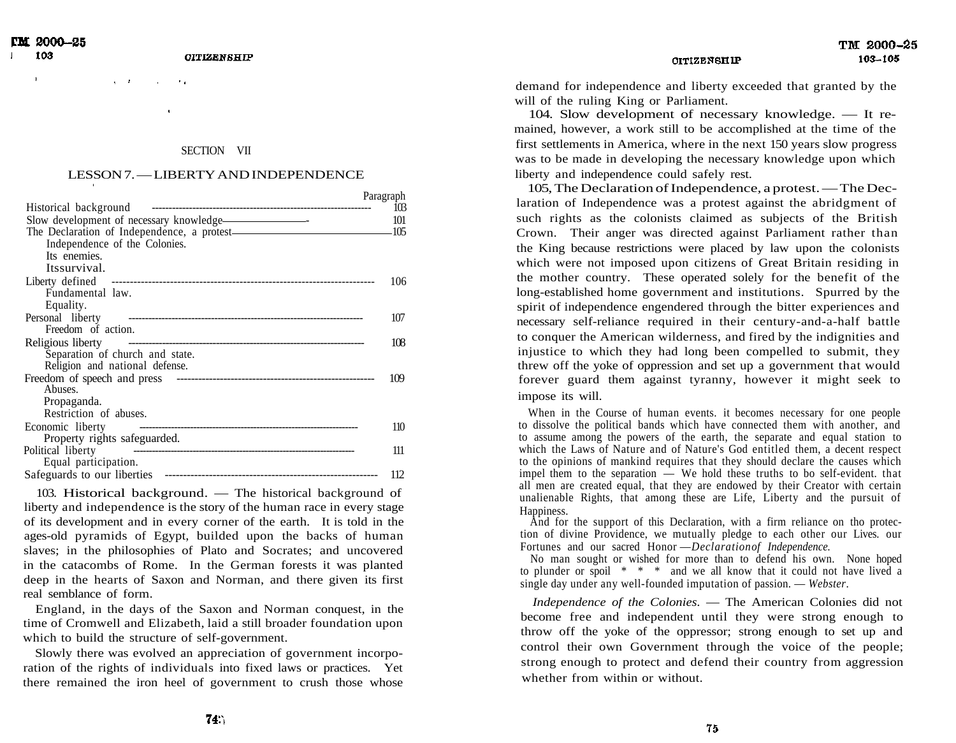#### SECTION VII

## LESSON 7. — LIBERTY AND INDEPENDENCE

|                                             | Paragraph |
|---------------------------------------------|-----------|
| Historical background                       | 103       |
|                                             | 101       |
| The Declaration of Independence, a protest- | 105       |
| Independence of the Colonies.               |           |
| Its enemies.                                |           |
| Itssurvival.                                |           |
|                                             | 106       |
| Fundamental law.                            |           |
| Equality.                                   |           |
| Personal liberty                            | 107       |
| Freedom of action.                          |           |
| Religious liberty                           | 108       |
| Separation of church and state.             |           |
| Religion and national defense.              |           |
|                                             | 109       |
| Abuses.                                     |           |
| Propaganda.                                 |           |
| Restriction of abuses.                      |           |
| Economic liberty                            | 110       |
| Property rights safeguarded.                |           |
| Political liberty                           | 111       |
| Equal participation.                        |           |
|                                             | 112       |

103. Historical background. — The historical background of liberty and independence is the story of the human race in every stage of its development and in every corner of the earth. It is told in the ages-old pyramids of Egypt, builded upon the backs of human slaves; in the philosophies of Plato and Socrates; and uncovered in the catacombs of Rome. In the German forests it was planted deep in the hearts of Saxon and Norman, and there given its first real semblance of form.

England, in the days of the Saxon and Norman conquest, in the time of Cromwell and Elizabeth, laid a still broader foundation upon which to build the structure of self-government.

Slowly there was evolved an appreciation of government incorporation of the rights of individuals into fixed laws or practices. Yet there remained the iron heel of government to crush those whose

demand for independence and liberty exceeded that granted by the will of the ruling King or Parliament.

**CITIZENSHIP** 

104. Slow development of necessary knowledge. — It remained, however, a work still to be accomplished at the time of the first settlements in America, where in the next 150 years slow progress was to be made in developing the necessary knowledge upon which liberty and independence could safely rest.

105, The Declaration of Independence, a protest. — The Declaration of Independence was a protest against the abridgment of such rights as the colonists claimed as subjects of the British Crown. Their anger was directed against Parliament rather than the King because restrictions were placed by law upon the colonists which were not imposed upon citizens of Great Britain residing in the mother country. These operated solely for the benefit of the long-established home government and institutions. Spurred by the spirit of independence engendered through the bitter experiences and necessary self-reliance required in their century-and-a-half battle to conquer the American wilderness, and fired by the indignities and injustice to which they had long been compelled to submit, they threw off the yoke of oppression and set up a government that would forever guard them against tyranny, however it might seek to impose its will.

When in the Course of human events. it becomes necessary for one people to dissolve the political bands which have connected them with another, and to assume among the powers of the earth, the separate and equal station to which the Laws of Nature and of Nature's God entitled them, a decent respect to the opinions of mankind requires that they should declare the causes which impel them to the separation — We hold these truths to bo self-evident. that all men are created equal, that they are endowed by their Creator with certain unalienable Rights, that among these are Life, Liberty and the pursuit of Happiness.

And for the support of this Declaration, with a firm reliance on tho protection of divine Providence, we mutually pledge to each other our Lives. our Fortunes and our sacred Honor *— Declaration of Independence*.

No man sought or wished for more than to defend his own. None hoped to plunder or spoil \* \* \* and we all know that it could not have lived a single day under any well-founded imputation of passion. — *Webster*.

*Independence of the Colonies.* — The American Colonies did not become free and independent until they were strong enough to throw off the yoke of the oppressor; strong enough to set up and control their own Government through the voice of the people; strong enough to protect and defend their country from aggression whether from within or without.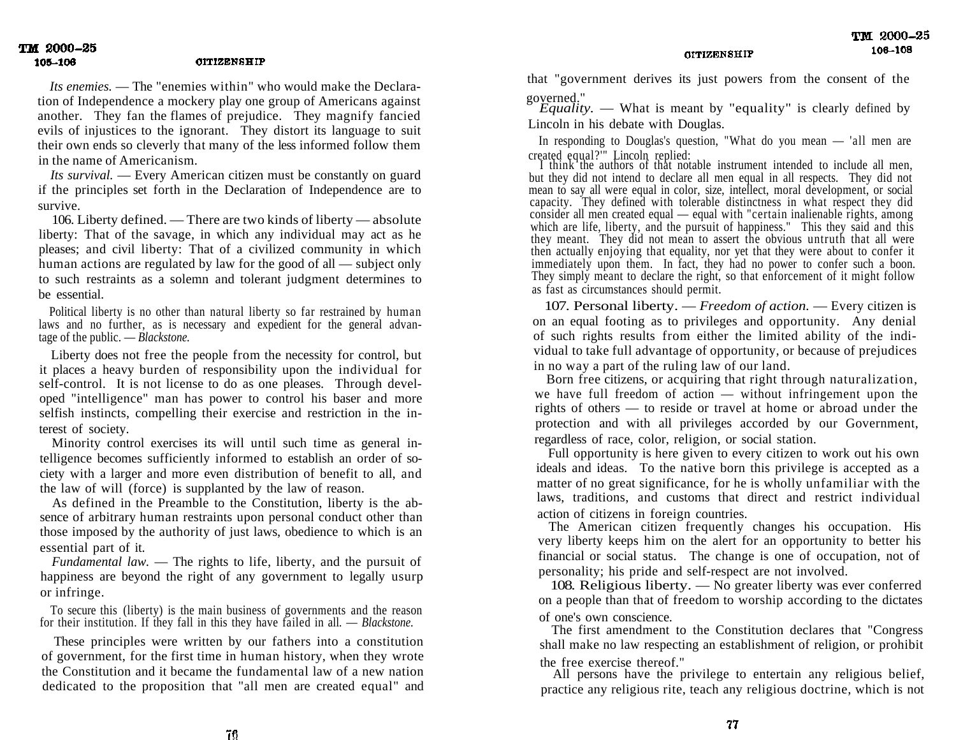## TM 2000-25 105-106

## **CITIZENSHIP**

*Its enemies.* — The "enemies within" who would make the Declaration of Independence a mockery play one group of Americans against another. They fan the flames of prejudice. They magnify fancied evils of injustices to the ignorant. They distort its language to suit their own ends so cleverly that many of the less informed follow them in the name of Americanism.

*Its survival.* — Every American citizen must be constantly on guard if the principles set forth in the Declaration of Independence are to survive.

106. Liberty defined. — There are two kinds of liberty — absolute liberty: That of the savage, in which any individual may act as he pleases; and civil liberty: That of a civilized community in which human actions are regulated by law for the good of all — subject only to such restraints as a solemn and tolerant judgment determines to be essential.

Political liberty is no other than natural liberty so far restrained by human laws and no further, as is necessary and expedient for the general advantage of the public. — *Blackstone.*

Liberty does not free the people from the necessity for control, but it places a heavy burden of responsibility upon the individual for self-control. It is not license to do as one pleases. Through developed "intelligence" man has power to control his baser and more selfish instincts, compelling their exercise and restriction in the interest of society.

Minority control exercises its will until such time as general intelligence becomes sufficiently informed to establish an order of society with a larger and more even distribution of benefit to all, and the law of will (force) is supplanted by the law of reason.

As defined in the Preamble to the Constitution, liberty is the absence of arbitrary human restraints upon personal conduct other than those imposed by the authority of just laws, obedience to which is an essential part of it.

*Fundamental law.* — The rights to life, liberty, and the pursuit of happiness are beyond the right of any government to legally usurp or infringe.

To secure this (liberty) is the main business of governments and the reason for their institution. If they fall in this they have failed in all. — *Blackstone.*

These principles were written by our fathers into a constitution of government, for the first time in human history, when they wrote the Constitution and it became the fundamental law of a new nation dedicated to the proposition that "all men are created equal" and

that "government derives its just powers from the consent of the governed."

*Equality.* — What is meant by "equality" is clearly defined by Lincoln in his debate with Douglas.

In responding to Douglas's question, "What do you mean — 'all men are created equal?'" Lincoln replied:

I think the authors of that notable instrument intended to include all men, but they did not intend to declare all men equal in all respects. They did not mean to say all were equal in color, size, intellect, moral development, or social capacity. They defined with tolerable distinctness in what respect they did consider all men created equal — equal with "certain inalienable rights, among which are life, liberty, and the pursuit of happiness." This they said and this they meant. They did not mean to assert the obvious untruth that all were then actually enjoying that equality, nor yet that they were about to confer it immediately upon them. In fact, they had no power to confer such a boon. They simply meant to declare the right, so that enforcement of it might follow as fast as circumstances should permit.

107. Personal liberty. — *Freedom of action.* — Every citizen is on an equal footing as to privileges and opportunity. Any denial of such rights results from either the limited ability of the individual to take full advantage of opportunity, or because of prejudices in no way a part of the ruling law of our land.

Born free citizens, or acquiring that right through naturalization, we have full freedom of action — without infringement upon the rights of others — to reside or travel at home or abroad under the protection and with all privileges accorded by our Government, regardless of race, color, religion, or social station.

Full opportunity is here given to every citizen to work out his own ideals and ideas. To the native born this privilege is accepted as a matter of no great significance, for he is wholly unfamiliar with the laws, traditions, and customs that direct and restrict individual action of citizens in foreign countries.

The American citizen frequently changes his occupation. His very liberty keeps him on the alert for an opportunity to better his financial or social status. The change is one of occupation, not of personality; his pride and self-respect are not involved.

108. Religious liberty. — No greater liberty was ever conferred on a people than that of freedom to worship according to the dictates of one's own conscience.

The first amendment to the Constitution declares that "Congress shall make no law respecting an establishment of religion, or prohibit the free exercise thereof."

All persons have the privilege to entertain any religious belief, practice any religious rite, teach any religious doctrine, which is not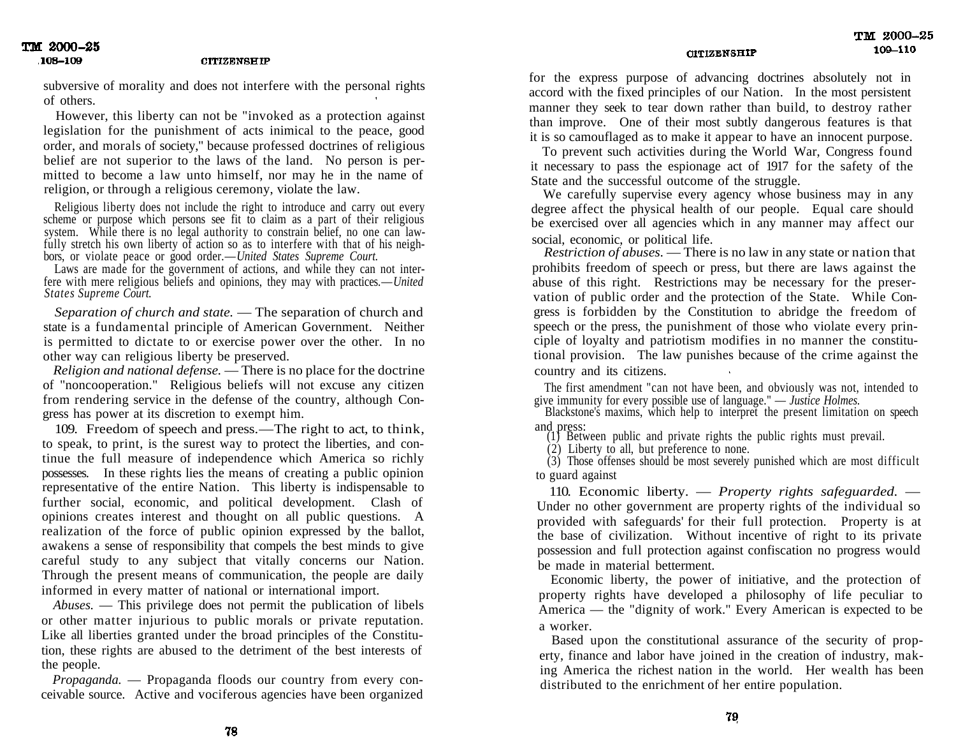#### **CITIZENSHIP**

subversive of morality and does not interfere with the personal rights of others.

However, this liberty can not be "invoked as a protection against legislation for the punishment of acts inimical to the peace, good order, and morals of society," because professed doctrines of religious belief are not superior to the laws of the land. No person is permitted to become a law unto himself, nor may he in the name of religion, or through a religious ceremony, violate the law.

Religious liberty does not include the right to introduce and carry out every scheme or purpose which persons see fit to claim as a part of their religious system. While there is no legal authority to constrain belief, no one can lawfully stretch his own liberty of action so as to interfere with that of his neighbors, or violate peace or good order.—*United States Supreme Court*.

Laws are made for the government of actions, and while they can not interfere with mere religious beliefs and opinions, they may with practices. — *United States Supreme Court.*

*Separation of church and state.* — The separation of church and state is a fundamental principle of American Government. Neither is permitted to dictate to or exercise power over the other. In no other way can religious liberty be preserved.

*Religion and national defense.* — There is no place for the doctrine of "noncooperation." Religious beliefs will not excuse any citizen from rendering service in the defense of the country, although Congress has power at its discretion to exempt him.

109. Freedom of speech and press. — The right to act, to think, to speak, to print, is the surest way to protect the liberties, and continue the full measure of independence which America so richly possesses. In these rights lies the means of creating a public opinion representative of the entire Nation. This liberty is indispensable to further social, economic, and political development. Clash of opinions creates interest and thought on all public questions. A realization of the force of public opinion expressed by the ballot, awakens a sense of responsibility that compels the best minds to give careful study to any subject that vitally concerns our Nation. Through the present means of communication, the people are daily informed in every matter of national or international import.

*Abuses.* — This privilege does not permit the publication of libels or other matter injurious to public morals or private reputation. Like all liberties granted under the broad principles of the Constitution, these rights are abused to the detriment of the best interests of the people.

*Propaganda.* — Propaganda floods our country from every conceivable source. Active and vociferous agencies have been organized

for the express purpose of advancing doctrines absolutely not in accord with the fixed principles of our Nation. In the most persistent manner they seek to tear down rather than build, to destroy rather than improve. One of their most subtly dangerous features is that it is so camouflaged as to make it appear to have an innocent purpose.

To prevent such activities during the World War, Congress found it necessary to pass the espionage act of 1917 for the safety of the State and the successful outcome of the struggle.

We carefully supervise every agency whose business may in any degree affect the physical health of our people. Equal care should be exercised over all agencies which in any manner may affect our social, economic, or political life.

*Restriction of abuses.* — There is no law in any state or nation that prohibits freedom of speech or press, but there are laws against the abuse of this right. Restrictions may be necessary for the preservation of public order and the protection of the State. While Congress is forbidden by the Constitution to abridge the freedom of speech or the press, the punishment of those who violate every principle of loyalty and patriotism modifies in no manner the constitutional provision. The law punishes because of the crime against the country and its citizens.

The first amendment "can not have been, and obviously was not, intended to give immunity for every possible use of language." — *Justice Holmes.*

Blackstone's maxims, which help to interpret the present limitation on speech and press:

(1) Between public and private rights the public rights must prevail.

 $(2)$  Liberty to all, but preference to none.

(3) Those offenses should be most severely punished which are most difficult to guard against

110. Economic liberty. — *Property rights safeguarded.* — Under no other government are property rights of the individual so provided with safeguards' for their full protection. Property is at the base of civilization. Without incentive of right to its private possession and full protection against confiscation no progress would be made in material betterment.

Economic liberty, the power of initiative, and the protection of property rights have developed a philosophy of life peculiar to America — the "dignity of work." Every American is expected to be a worker.

Based upon the constitutional assurance of the security of property, finance and labor have joined in the creation of industry, making America the richest nation in the world. Her wealth has been distributed to the enrichment of her entire population.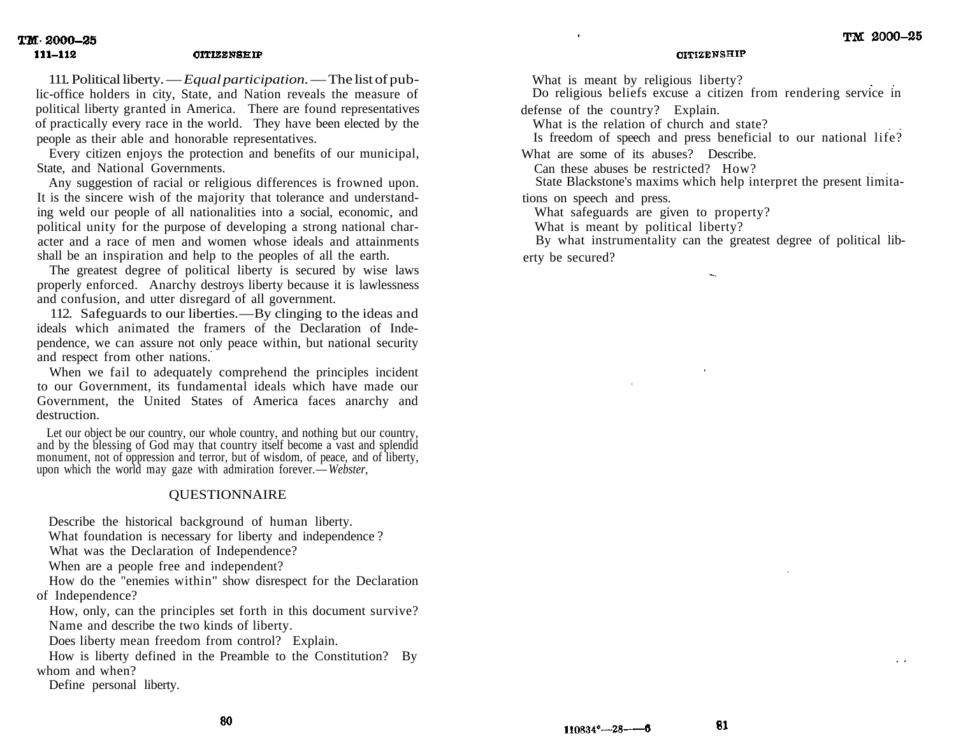## $TM - 2000 - 25$ 111-112

# **CITIZENSHIP**

111. Political liberty. — *Equal participation.* — The list of public-office holders in city, State, and Nation reveals the measure of political liberty granted in America. There are found representatives of practically every race in the world. They have been elected by the people as their able and honorable representatives.

Every citizen enjoys the protection and benefits of our municipal, State, and National Governments.

Any suggestion of racial or religious differences is frowned upon. It is the sincere wish of the majority that tolerance and understanding weld our people of all nationalities into a social, economic, and political unity for the purpose of developing a strong national character and a race of men and women whose ideals and attainments shall be an inspiration and help to the peoples of all the earth.

The greatest degree of political liberty is secured by wise laws properly enforced. Anarchy destroys liberty because it is lawlessness and confusion, and utter disregard of all government.

112. Safeguards to our liberties. — By clinging to the ideas and ideals which animated the framers of the Declaration of Independence, we can assure not only peace within, but national security and respect from other nations.

When we fail to adequately comprehend the principles incident to our Government, its fundamental ideals which have made our Government, the United States of America faces anarchy and destruction.

Let our object be our country, our whole country, and nothing but our country, and by the blessing of God may that country itself become a vast and splendid monument, not of oppression and terror, but of wisdom, of peace, and of liberty, upon which the world may gaze with admiration forever. — *Webster,*

# QUESTIONNAIRE

Describe the historical background of human liberty.

What foundation is necessary for liberty and independence ?

What was the Declaration of Independence?

When are a people free and independent?

How do the "enemies within" show disrespect for the Declaration of Independence?

How, only, can the principles set forth in this document survive? Name and describe the two kinds of liberty.

Does liberty mean freedom from control? Explain.

How is liberty defined in the Preamble to the Constitution? By whom and when?

Define personal liberty.

## **OITIZENSHIP**

What is meant by religious liberty?

Do religious beliefs excuse a citizen from rendering service in defense of the country? Explain.

What is the relation of church and state?

Is freedom of speech and press beneficial to our national life?

What are some of its abuses? Describe.

Can these abuses be restricted? How?

State Blackstone's maxims which help interpret the present limita-

tions on speech and press.

What safeguards are given to property?

What is meant by political liberty?

By what instrumentality can the greatest degree of political liberty be secured?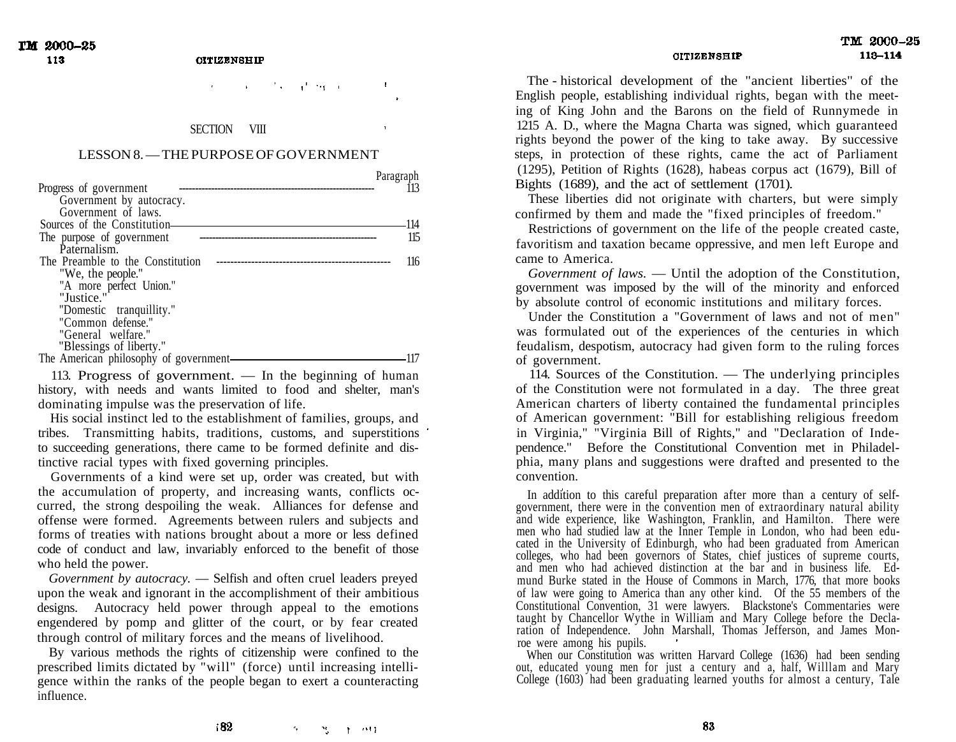and the control of the property of the

### SECTION VIII

# LESSON 8. — THE PURPOSE OF GOVERNMENT

|                                        | Paragraph |
|----------------------------------------|-----------|
| Progress of government                 |           |
| Government by autocracy.               |           |
| Government of laws.                    |           |
| Sources of the Constitution            |           |
| The purpose of government              | 115       |
| Paternalism.                           |           |
| The Preamble to the Constitution       | 116       |
| "We, the people."                      |           |
| "A more perfect Union."                |           |
| "Justice."                             |           |
| "Domestic tranquillity."               |           |
| "Common defense."                      |           |
| "General welfare."                     |           |
| "Blessings of liberty."                |           |
| The American philosophy of government- |           |
|                                        |           |

113. Progress of government. — In the beginning of human history, with needs and wants limited to food and shelter, man's dominating impulse was the preservation of life.

His social instinct led to the establishment of families, groups, and tribes. Transmitting habits, traditions, customs, and superstitions to succeeding generations, there came to be formed definite and distinctive racial types with fixed governing principles.

Governments of a kind were set up, order was created, but with the accumulation of property, and increasing wants, conflicts occurred, the strong despoiling the weak. Alliances for defense and offense were formed. Agreements between rulers and subjects and forms of treaties with nations brought about a more or less defined code of conduct and law, invariably enforced to the benefit of those who held the power.

*Government by autocracy.* — Selfish and often cruel leaders preyed upon the weak and ignorant in the accomplishment of their ambitious designs. Autocracy held power through appeal to the emotions engendered by pomp and glitter of the court, or by fear created through control of military forces and the means of livelihood.

By various methods the rights of citizenship were confined to the prescribed limits dictated by "will" (force) until increasing intelligence within the ranks of the people began to exert a counteracting influence.

The - historical development of the "ancient liberties" of the English people, establishing individual rights, began with the meeting of King John and the Barons on the field of Runnymede in 1215 A. D., where the Magna Charta was signed, which guaranteed rights beyond the power of the king to take away. By successive steps, in protection of these rights, came the act of Parliament (1295), Petition of Rights (1628), habeas corpus act (1679), Bill of Bights (1689), and the act of settlement (1701).

**CITIZENSHIP** 

These liberties did not originate with charters, but were simply confirmed by them and made the "fixed principles of freedom."

Restrictions of government on the life of the people created caste, favoritism and taxation became oppressive, and men left Europe and came to America.

*Government of laws.* — Until the adoption of the Constitution, government was imposed by the will of the minority and enforced by absolute control of economic institutions and military forces.

Under the Constitution a "Government of laws and not of men" was formulated out of the experiences of the centuries in which feudalism, despotism, autocracy had given form to the ruling forces of government.

114. Sources of the Constitution. — The underlying principles of the Constitution were not formulated in a day. The three great American charters of liberty contained the fundamental principles of American government: "Bill for establishing religious freedom in Virginia," "Virginia Bill of Rights," and "Declaration of Independence." Before the Constitutional Convention met in Philadelphia, many plans and suggestions were drafted and presented to the convention.

In addition to this careful preparation after more than a century of selfgovernment, there were in the convention men of extraordinary natural ability and wide experience, like Washington, Franklin, and Hamilton. There were men who had studied law at the Inner Temple in London, who had been educated in the University of Edinburgh, who had been graduated from American colleges, who had been governors of States, chief justices of supreme courts, and men who had achieved distinction at the bar and in business life. Edmund Burke stated in the House of Commons in March, 1776, that more books of law were going to America than any other kind. Of the 55 members of the Constitutional Convention, 31 were lawyers. Blackstone's Commentaries were taught by Chancellor Wythe in William and Mary College before the Declaration of Independence. John Marshall, Thomas Jefferson, and James Monroe were among his pupils.

When our Constitution was written Harvard College (1636) had been sending out, educated young men for just a century and a, half, Willlam and Mary College (1603) had been graduating learned youths for almost a century, Tale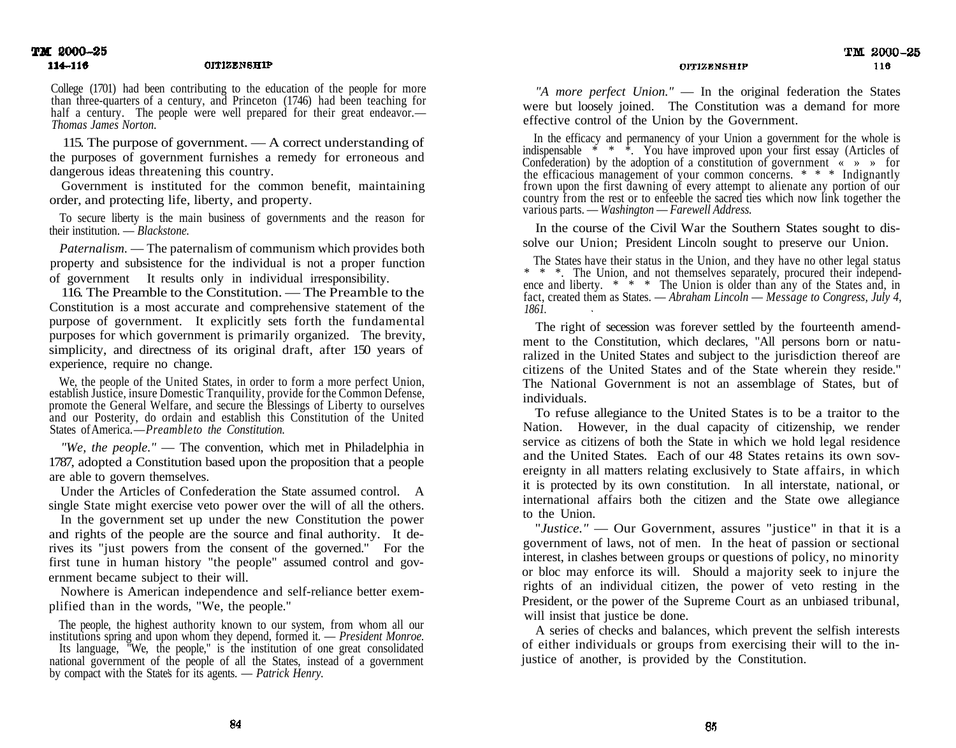College (1701) had been contributing to the education of the people for more than three-quarters of a century, and Princeton (1746) had been teaching for half a century. The people were well prepared for their great endeavor.— *Thomas James Norton.*

115. The purpose of government. — A correct understanding of the purposes of government furnishes a remedy for erroneous and dangerous ideas threatening this country.

Government is instituted for the common benefit, maintaining order, and protecting life, liberty, and property.

To secure liberty is the main business of governments and the reason for their institution. — *Blackstone.*

*Paternalism.* — The paternalism of communism which provides both property and subsistence for the individual is not a proper function of government It results only in individual irresponsibility.

116. The Preamble to the Constitution. — The Preamble to the Constitution is a most accurate and comprehensive statement of the purpose of government. It explicitly sets forth the fundamental purposes for which government is primarily organized. The brevity, simplicity, and directness of its original draft, after 150 years of experience, require no change.

We, the people of the United States, in order to form a more perfect Union, establish Justice, insure Domestic Tranquility, provide for the Common Defense, promote the General Welfare, and secure the Blessings of Liberty to ourselves and our Posterity, do ordain and establish this Constitution of the United States of America.—*Preamble to the Constitution*.

*"We, the people."* — The convention, which met in Philadelphia in 1787, adopted a Constitution based upon the proposition that a people are able to govern themselves.

Under the Articles of Confederation the State assumed control. A single State might exercise veto power over the will of all the others.

In the government set up under the new Constitution the power and rights of the people are the source and final authority. It derives its "just powers from the consent of the governed." For the first tune in human history "the people" assumed control and government became subject to their will.

Nowhere is American independence and self-reliance better exemplified than in the words, "We, the people."

The people, the highest authority known to our system, from whom all our institutions spring and upon whom they depend, formed it. — *President Monroe.*

Its language, "We, the people," is the institution of one great consolidated national government of the people of all the States, instead of a government by compact with the States for its agents. — *Patrick Henry.*

*"A more perfect Union."* — In the original federation the States were but loosely joined. The Constitution was a demand for more effective control of the Union by the Government.

In the efficacy and permanency of your Union a government for the whole is indispensable \* \* \*. You have improved upon your first essay (Articles of Confederation) by the adoption of a constitution of government « » » for the efficacious management of your common concerns. \* \* \* Indignantly frown upon the first dawning of every attempt to alienate any portion of our country from the rest or to enfeeble the sacred ties which now link together the various parts. — *Washington* — *Farewell Address.*

In the course of the Civil War the Southern States sought to dissolve our Union; President Lincoln sought to preserve our Union.

The States have their status in the Union, and they have no other legal status \* \* \*. The Union, and not themselves separately, procured their independence and liberty. \* \* \* The Union is older than any of the States and, in fact, created them as States. — *Abraham Lincoln* — *Message to Congress, July 4, 1861.*

The right of secession was forever settled by the fourteenth amendment to the Constitution, which declares, "All persons born or naturalized in the United States and subject to the jurisdiction thereof are citizens of the United States and of the State wherein they reside." The National Government is not an assemblage of States, but of individuals.

To refuse allegiance to the United States is to be a traitor to the Nation. However, in the dual capacity of citizenship, we render service as citizens of both the State in which we hold legal residence and the United States. Each of our 48 States retains its own sovereignty in all matters relating exclusively to State affairs, in which it is protected by its own constitution. In all interstate, national, or international affairs both the citizen and the State owe allegiance to the Union.

"*Justice."* — Our Government, assures "justice" in that it is a government of laws, not of men. In the heat of passion or sectional interest, in clashes between groups or questions of policy, no minority or bloc may enforce its will. Should a majority seek to injure the rights of an individual citizen, the power of veto resting in the President, or the power of the Supreme Court as an unbiased tribunal, will insist that justice be done.

A series of checks and balances, which prevent the selfish interests of either individuals or groups from exercising their will to the injustice of another, is provided by the Constitution.

85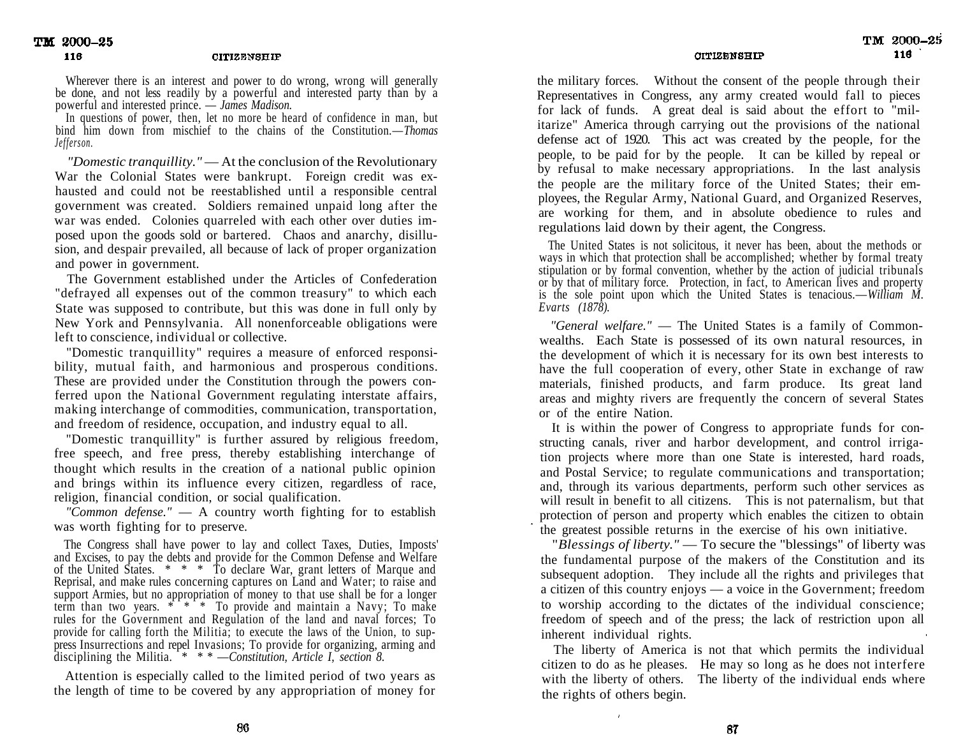Wherever there is an interest and power to do wrong, wrong will generally be done, and not less readily by a powerful and interested party than by a powerful and interested prince. — *James Madison.*

In questions of power, then, let no more be heard of confidence in man, but bind him down from mischief to the chains of the Constitution. — *Thomas Jefferson.*

*"Domestic tranquillity."* — At the conclusion of the Revolutionary War the Colonial States were bankrupt. Foreign credit was exhausted and could not be reestablished until a responsible central government was created. Soldiers remained unpaid long after the war was ended. Colonies quarreled with each other over duties imposed upon the goods sold or bartered. Chaos and anarchy, disillusion, and despair prevailed, all because of lack of proper organization and power in government.

The Government established under the Articles of Confederation "defrayed all expenses out of the common treasury" to which each State was supposed to contribute, but this was done in full only by New York and Pennsylvania. All nonenforceable obligations were left to conscience, individual or collective.

"Domestic tranquillity" requires a measure of enforced responsibility, mutual faith, and harmonious and prosperous conditions. These are provided under the Constitution through the powers conferred upon the National Government regulating interstate affairs, making interchange of commodities, communication, transportation, and freedom of residence, occupation, and industry equal to all.

"Domestic tranquillity" is further assured by religious freedom, free speech, and free press, thereby establishing interchange of thought which results in the creation of a national public opinion and brings within its influence every citizen, regardless of race, religion, financial condition, or social qualification.

*"Common defense."* — A country worth fighting for to establish was worth fighting for to preserve.

The Congress shall have power to lay and collect Taxes, Duties, Imposts' and Excises, to pay the debts and provide for the Common Defense and Welfare of the United States. \* \* \* To declare War, grant letters of Marque and Reprisal, and make rules concerning captures on Land and Water; to raise and support Armies, but no appropriation of money to that use shall be for a longer term than two years.  $*^{\prime}$  \*  $*^{\prime}$  To provide and maintain a Navy; To make rules for the Government and Regulation of the land and naval forces; To provide for calling forth the Militia; to execute the laws of the Union, to suppress Insurrections and repel Invasions; To provide for organizing, arming and disciplining the Militia. \* \* \* — *Constitution, Article I, section 8.*

Attention is especially called to the limited period of two years as the length of time to be covered by any appropriation of money for

the military forces. Without the consent of the people through their Representatives in Congress, any army created would fall to pieces for lack of funds. A great deal is said about the effort to "militarize" America through carrying out the provisions of the national defense act of 1920. This act was created by the people, for the people, to be paid for by the people. It can be killed by repeal or by refusal to make necessary appropriations. In the last analysis the people are the military force of the United States; their employees, the Regular Army, National Guard, and Organized Reserves, are working for them, and in absolute obedience to rules and regulations laid down by their agent, the Congress.

**CITIZENSHIP** 

The United States is not solicitous, it never has been, about the methods or ways in which that protection shall be accomplished; whether by formal treaty stipulation or by formal convention, whether by the action of judicial tribunals or by that of military force. Protection, in fact, to American lives and property is the sole point upon which the United States is tenacious. — *William M*. *Evarts (1878).*

*"General welfare."* — The United States is a family of Commonwealths. Each State is possessed of its own natural resources, in the development of which it is necessary for its own best interests to have the full cooperation of every, other State in exchange of raw materials, finished products, and farm produce. Its great land areas and mighty rivers are frequently the concern of several States or of the entire Nation.

It is within the power of Congress to appropriate funds for constructing canals, river and harbor development, and control irrigation projects where more than one State is interested, hard roads, and Postal Service; to regulate communications and transportation; and, through its various departments, perform such other services as will result in benefit to all citizens. This is not paternalism, but that protection of person and property which enables the citizen to obtain the greatest possible returns in the exercise of his own initiative.

"*Blessings of liberty."* — To secure the "blessings" of liberty was the fundamental purpose of the makers of the Constitution and its subsequent adoption. They include all the rights and privileges that a citizen of this country enjoys — a voice in the Government; freedom to worship according to the dictates of the individual conscience; freedom of speech and of the press; the lack of restriction upon all inherent individual rights.

The liberty of America is not that which permits the individual citizen to do as he pleases. He may so long as he does not interfere with the liberty of others. The liberty of the individual ends where the rights of others begin.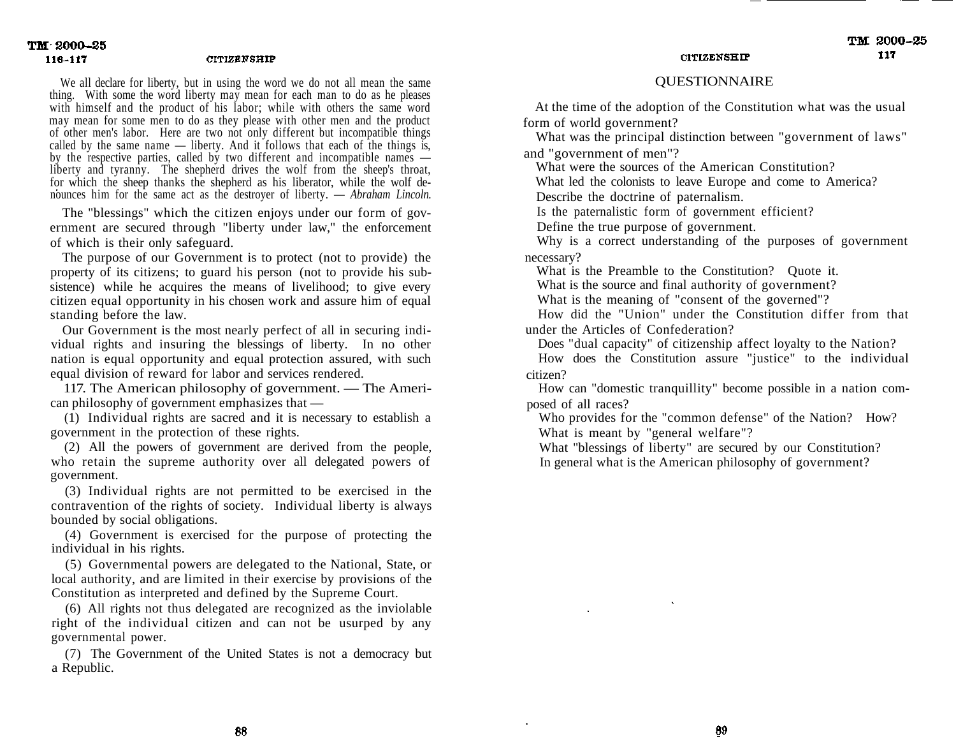# **CITIZENSHIP**

TM 2000-25

 $116 - 117$ 

We all declare for liberty, but in using the word we do not all mean the same thing. With some the word liberty may mean for each man to do as he pleases with himself and the product of his labor; while with others the same word may mean for some men to do as they please with other men and the product of other men's labor. Here are two not only different but incompatible things called by the same name  $-$  liberty. And it follows that each of the things is, by the respective parties, called by two different and incompatible names liberty and tyranny. The shepherd drives the wolf from the sheep's throat, for which the sheep thanks the shepherd as his liberator, while the wolf denounces him for the same act as the destroyer of liberty. — *Abraham Lincoln.*

The "blessings" which the citizen enjoys under our form of government are secured through "liberty under law," the enforcement of which is their only safeguard.

The purpose of our Government is to protect (not to provide) the property of its citizens; to guard his person (not to provide his subsistence) while he acquires the means of livelihood; to give every citizen equal opportunity in his chosen work and assure him of equal standing before the law.

Our Government is the most nearly perfect of all in securing individual rights and insuring the blessings of liberty. In no other nation is equal opportunity and equal protection assured, with such equal division of reward for labor and services rendered.

117. The American philosophy of government. — The American philosophy of government emphasizes that —

(1) Individual rights are sacred and it is necessary to establish a government in the protection of these rights.

(2) All the powers of government are derived from the people, who retain the supreme authority over all delegated powers of government.

(3) Individual rights are not permitted to be exercised in the contravention of the rights of society. Individual liberty is always bounded by social obligations.

(4) Government is exercised for the purpose of protecting the individual in his rights.

(5) Governmental powers are delegated to the National, State, or local authority, and are limited in their exercise by provisions of the Constitution as interpreted and defined by the Supreme Court.

(6) All rights not thus delegated are recognized as the inviolable right of the individual citizen and can not be usurped by any governmental power.

(7) The Government of the United States is not a democracy but a Republic.

# **OUESTIONNAIRE**

At the time of the adoption of the Constitution what was the usual form of world government?

What was the principal distinction between "government of laws" and "government of men"?

What were the sources of the American Constitution?

What led the colonists to leave Europe and come to America?

Describe the doctrine of paternalism.

Is the paternalistic form of government efficient?

Define the true purpose of government.

Why is a correct understanding of the purposes of government necessary?

What is the Preamble to the Constitution? Ouote it.

What is the source and final authority of government?

What is the meaning of "consent of the governed"?

How did the "Union" under the Constitution differ from that under the Articles of Confederation?

Does "dual capacity" of citizenship affect loyalty to the Nation?

How does the Constitution assure "justice" to the individual citizen?

How can "domestic tranquillity" become possible in a nation composed of all races?

Who provides for the "common defense" of the Nation? How? What is meant by "general welfare"?

What "blessings of liberty" are secured by our Constitution? In general what is the American philosophy of government?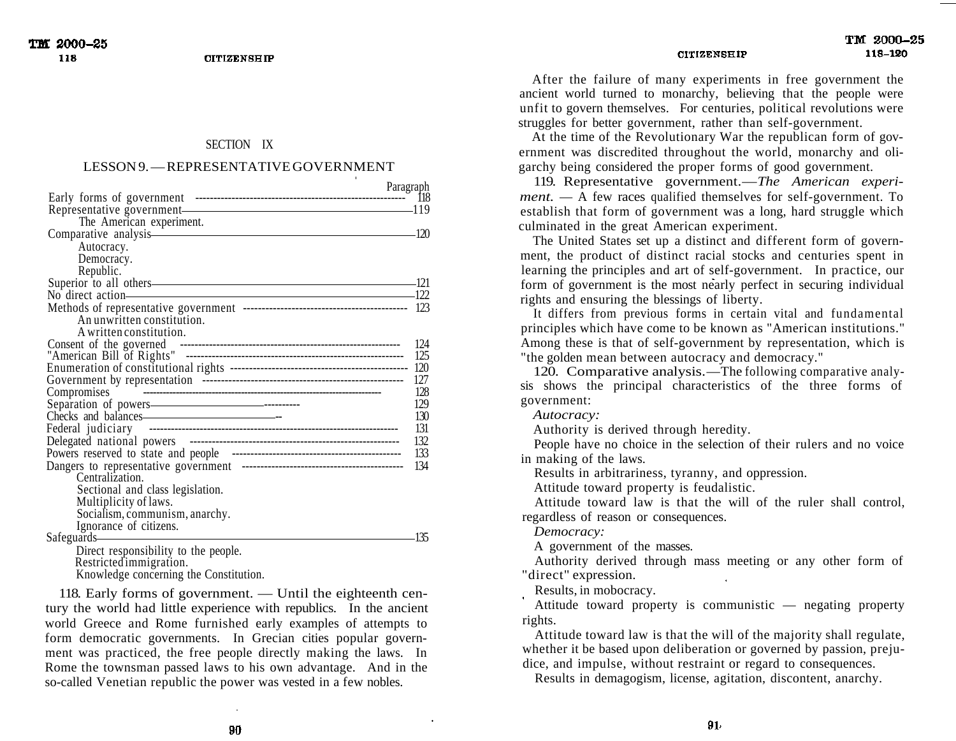## SECTION IX

#### LESSON 9. — REPRESENTATIVE GOVERNMENT

|                                      | Paragraph |
|--------------------------------------|-----------|
|                                      |           |
| Representative government-           |           |
| The American experiment.             |           |
| Comparative analysis-                | 120       |
| Autocracy.                           |           |
| Democracy.                           |           |
| Republic.                            |           |
|                                      | -121      |
|                                      | -122      |
|                                      | 123       |
| An unwritten constitution.           |           |
| A written constitution.              |           |
|                                      | 124       |
|                                      |           |
|                                      |           |
|                                      | 127       |
| Compromises                          | 128       |
| Separation of powers-                | 129       |
|                                      | 130       |
|                                      | 131       |
|                                      | 132       |
|                                      | 133       |
|                                      | 134       |
| Centralization.                      |           |
| Sectional and class legislation.     |           |
| Multiplicity of laws.                |           |
| Socialism, communism, anarchy.       |           |
| Ignorance of citizens.               |           |
| Safeguards————————————————————       | 135       |
| Direct responsibility to the people. |           |
| Restricted immigration.              |           |
|                                      |           |

Knowledge concerning the Constitution.

118. Early forms of government. — Until the eighteenth century the world had little experience with republics. In the ancient world Greece and Rome furnished early examples of attempts to form democratic governments. In Grecian cities popular government was practiced, the free people directly making the laws. In Rome the townsman passed laws to his own advantage. And in the so-called Venetian republic the power was vested in a few nobles.

After the failure of many experiments in free government the ancient world turned to monarchy, believing that the people were unfit to govern themselves. For centuries, political revolutions were struggles for better government, rather than self-government.

At the time of the Revolutionary War the republican form of government was discredited throughout the world, monarchy and oligarchy being considered the proper forms of good government.

119. Representative government.—*The American experiment.* — A few races qualified themselves for self-government. To establish that form of government was a long, hard struggle which culminated in the great American experiment.

The United States set up a distinct and different form of government, the product of distinct racial stocks and centuries spent in learning the principles and art of self-government. In practice, our form of government is the most nearly perfect in securing individual rights and ensuring the blessings of liberty.

It differs from previous forms in certain vital and fundamental principles which have come to be known as "American institutions." Among these is that of self-government by representation, which is "the golden mean between autocracy and democracy."

120. Comparative analysis.—The following comparative analysis shows the principal characteristics of the three forms of government:

*Autocracy:*

Authority is derived through heredity.

People have no choice in the selection of their rulers and no voice in making of the laws.

Results in arbitrariness, tyranny, and oppression.

Attitude toward property is feudalistic.

Attitude toward law is that the will of the ruler shall control, regardless of reason or consequences.

*Democracy:*

A government of the masses.

Authority derived through mass meeting or any other form of "direct" expression.

Results, in mobocracy.

Attitude toward property is communistic — negating property rights.

Attitude toward law is that the will of the majority shall regulate, whether it be based upon deliberation or governed by passion, prejudice, and impulse, without restraint or regard to consequences.

Results in demagogism, license, agitation, discontent, anarchy.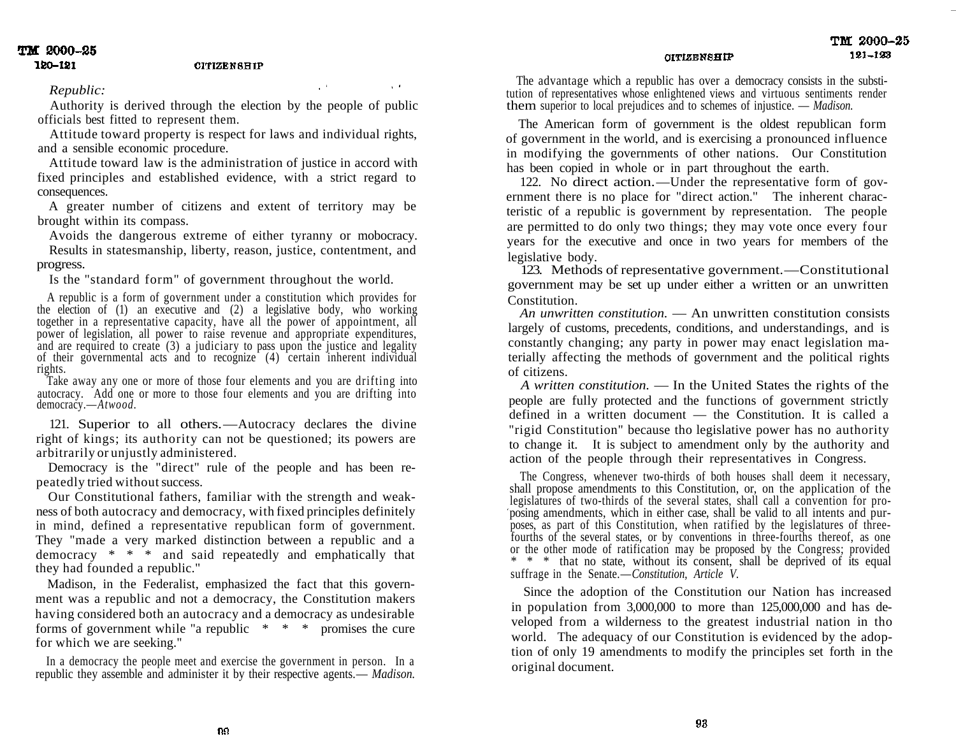*Republic:*

Authority is derived through the election by the people of public officials best fitted to represent them.

 $\chi$  .  $\chi$ 

Attitude toward property is respect for laws and individual rights, and a sensible economic procedure.

Attitude toward law is the administration of justice in accord with fixed principles and established evidence, with a strict regard to consequences.

A greater number of citizens and extent of territory may be brought within its compass.

Avoids the dangerous extreme of either tyranny or mobocracy. Results in statesmanship, liberty, reason, justice, contentment, and progress.

Is the "standard form" of government throughout the world.

A republic is a form of government under a constitution which provides for the election of (1) an executive and (2) a legislative body, who working together in a representative capacity, have all the power of appointment, all power of legislation, all power to raise revenue and appropriate expenditures, and are required to create  $(3)$  a judiciary to pass upon the justice and legality of their governmental acts and to recognize (4) certain inherent individual rights.

Take away any one or more of those four elements and you are drifting into autocracy. Add one or more to those four elements and you are drifting into democracy. — *Atwood.*

121. Superior to all others. — Autocracy declares the divine right of kings; its authority can not be questioned; its powers are arbitrarily or unjustly administered.

Democracy is the "direct" rule of the people and has been repeatedly tried without success.

Our Constitutional fathers, familiar with the strength and weakness of both autocracy and democracy, with fixed principles definitely in mind, defined a representative republican form of government. They "made a very marked distinction between a republic and a democracy \* \* \* and said repeatedly and emphatically that they had founded a republic."

Madison, in the Federalist, emphasized the fact that this government was a republic and not a democracy, the Constitution makers having considered both an autocracy and a democracy as undesirable forms of government while "a republic  $* * *$  promises the cure for which we are seeking."

In a democracy the people meet and exercise the government in person. In a republic they assemble and administer it by their respective agents. — *Madison.*

The advantage which a republic has over a democracy consists in the substitution of representatives whose enlightened views and virtuous sentiments render them superior to local prejudices and to schemes of injustice. — *Madison.*

**CITIZENSHIP** 

The American form of government is the oldest republican form of government in the world, and is exercising a pronounced influence in modifying the governments of other nations. Our Constitution has been copied in whole or in part throughout the earth.

122. No direct action.—Under the representative form of government there is no place for "direct action." The inherent characteristic of a republic is government by representation. The people are permitted to do only two things; they may vote once every four years for the executive and once in two years for members of the legislative body.

123. Methods of representative government. — Constitutional government may be set up under either a written or an unwritten Constitution.

*An unwritten constitution.* — An unwritten constitution consists largely of customs, precedents, conditions, and understandings, and is constantly changing; any party in power may enact legislation materially affecting the methods of government and the political rights of citizens.

*A written constitution.* — In the United States the rights of the people are fully protected and the functions of government strictly defined in a written document — the Constitution. It is called a "rigid Constitution" because tho legislative power has no authority to change it. It is subject to amendment only by the authority and action of the people through their representatives in Congress.

The Congress, whenever two-thirds of both houses shall deem it necessary, shall propose amendments to this Constitution, or, on the application of the legislatures of two-thirds of the several states, shall call a convention for proposing amendments, which in either case, shall be valid to all intents and purposes, as part of this Constitution, when ratified by the legislatures of threefourths of the several states, or by conventions in three-fourths thereof, as one or the other mode of ratification may be proposed by the Congress; provided \* \* \* that no state, without its consent, shall be deprived of its equal suffrage in the Senate.—*Constitution*, Article V.

Since the adoption of the Constitution our Nation has increased in population from 3,000,000 to more than 125,000,000 and has developed from a wilderness to the greatest industrial nation in tho world. The adequacy of our Constitution is evidenced by the adoption of only 19 amendments to modify the principles set forth in the original document.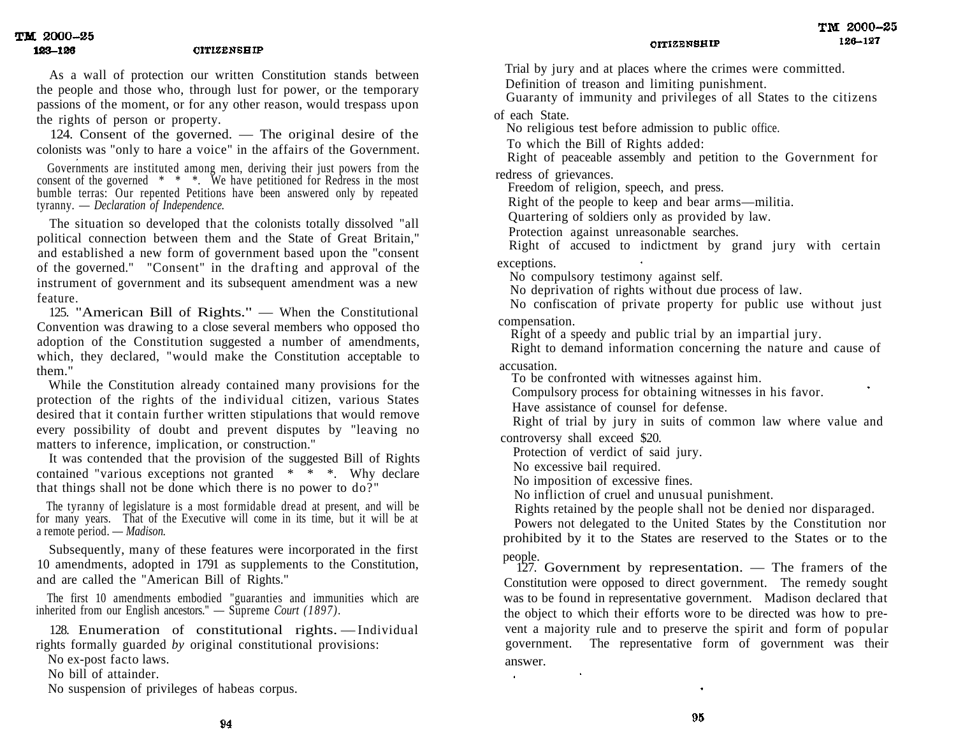As a wall of protection our written Constitution stands between the people and those who, through lust for power, or the temporary passions of the moment, or for any other reason, would trespass upon the rights of person or property.

124. Consent of the governed. — The original desire of the colonists was "only to hare a voice" in the affairs of the Government.

Governments are instituted among men, deriving their just powers from the consent of the governed  $* * *$ . We have petitioned for Redress in the most bumble terras: Our repented Petitions have been answered only by repeated tyranny. — *Declaration of Independence.*

The situation so developed that the colonists totally dissolved "all political connection between them and the State of Great Britain," and established a new form of government based upon the "consent of the governed." "Consent" in the drafting and approval of the instrument of government and its subsequent amendment was a new feature.

125. "American Bill of Rights." — When the Constitutional Convention was drawing to a close several members who opposed tho adoption of the Constitution suggested a number of amendments, which, they declared, "would make the Constitution acceptable to them."

While the Constitution already contained many provisions for the protection of the rights of the individual citizen, various States desired that it contain further written stipulations that would remove every possibility of doubt and prevent disputes by "leaving no matters to inference, implication, or construction."

It was contended that the provision of the suggested Bill of Rights contained "various exceptions not granted \* \* \*. Why declare that things shall not be done which there is no power to do?"

The tyranny of legislature is a most formidable dread at present, and will be for many years. That of the Executive will come in its time, but it will be at a remote period. — *Madison.*

Subsequently, many of these features were incorporated in the first 10 amendments, adopted in 1791 as supplements to the Constitution, and are called the "American Bill of Rights."

The first 10 amendments embodied "guaranties and immunities which are inherited from our English ancestors." — Supreme *Court (1897).*

128. Enumeration of constitutional rights. — Individual rights formally guarded *by* original constitutional provisions:

No ex-post facto laws.

No bill of attainder.

No suspension of privileges of habeas corpus.

Trial by jury and at places where the crimes were committed.

**CITIZENSHIP** 

Definition of treason and limiting punishment.

Guaranty of immunity and privileges of all States to the citizens of each State.

No religious test before admission to public office.

To which the Bill of Rights added:

Right of peaceable assembly and petition to the Government for redress of grievances.

Freedom of religion, speech, and press.

Right of the people to keep and bear arms—militia.

Quartering of soldiers only as provided by law.

Protection against unreasonable searches.

Right of accused to indictment by grand jury with certain exceptions.

No compulsory testimony against self.

No deprivation of rights without due process of law.

No confiscation of private property for public use without just compensation.

Right of a speedy and public trial by an impartial jury.

Right to demand information concerning the nature and cause of accusation.

To be confronted with witnesses against him.

Compulsory process for obtaining witnesses in his favor.

Have assistance of counsel for defense.

Right of trial by jury in suits of common law where value and controversy shall exceed \$20.

Protection of verdict of said jury.

No excessive bail required.

 $\mathbf{r}$ 

No imposition of excessive fines.

No infliction of cruel and unusual punishment.

Rights retained by the people shall not be denied nor disparaged.

Powers not delegated to the United States by the Constitution nor prohibited by it to the States are reserved to the States or to the people.

127. Government by representation. — The framers of the Constitution were opposed to direct government. The remedy sought was to be found in representative government. Madison declared that the object to which their efforts wore to be directed was how to prevent a majority rule and to preserve the spirit and form of popular government. The representative form of government was their answer.

TM 2000-25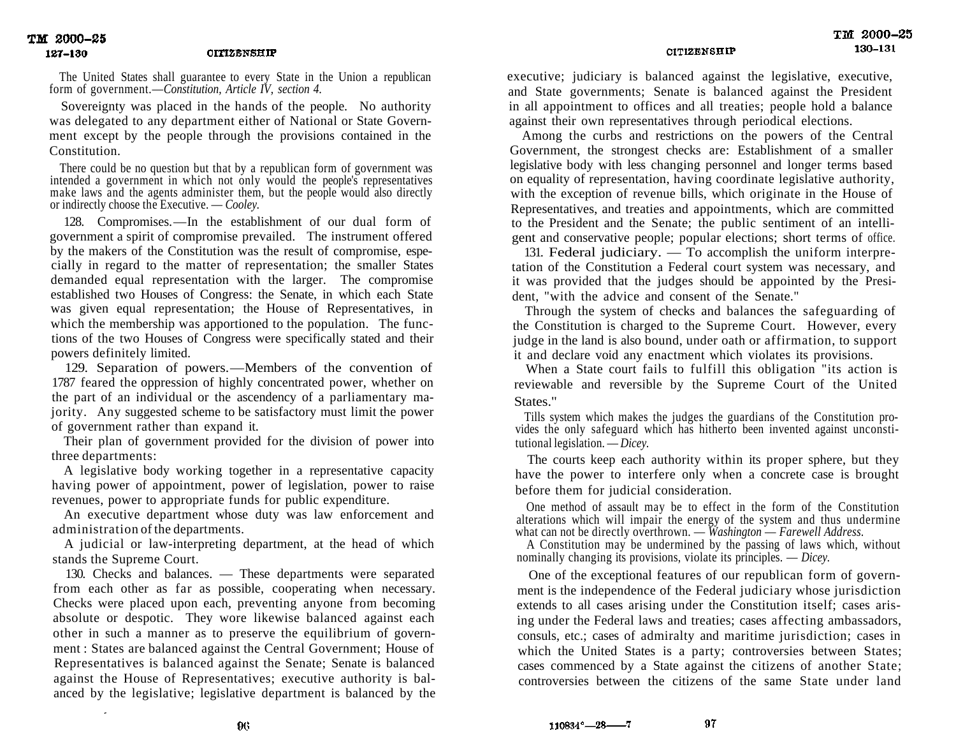The United States shall guarantee to every State in the Union a republican form of government.—*Constitution, Article IV, section 4.* 

Sovereignty was placed in the hands of the people. No authority was delegated to any department either of National or State Government except by the people through the provisions contained in the Constitution.

There could be no question but that by a republican form of government was intended a government in which not only would the people's representatives make laws and the agents administer them, but the people would also directly or indirectly choose the Executive. — *Cooley.*

128. Compromises. — In the establishment of our dual form of government a spirit of compromise prevailed. The instrument offered by the makers of the Constitution was the result of compromise, especially in regard to the matter of representation; the smaller States demanded equal representation with the larger. The compromise established two Houses of Congress: the Senate, in which each State was given equal representation; the House of Representatives, in which the membership was apportioned to the population. The functions of the two Houses of Congress were specifically stated and their powers definitely limited.

129. Separation of powers. — Members of the convention of 1787 feared the oppression of highly concentrated power, whether on the part of an individual or the ascendency of a parliamentary majority. Any suggested scheme to be satisfactory must limit the power of government rather than expand it.

Their plan of government provided for the division of power into three departments:

A legislative body working together in a representative capacity having power of appointment, power of legislation, power to raise revenues, power to appropriate funds for public expenditure.

An executive department whose duty was law enforcement and administration of the departments.

A judicial or law-interpreting department, at the head of which stands the Supreme Court.

130. Checks and balances. — These departments were separated from each other as far as possible, cooperating when necessary. Checks were placed upon each, preventing anyone from becoming absolute or despotic. They wore likewise balanced against each other in such a manner as to preserve the equilibrium of government : States are balanced against the Central Government; House of Representatives is balanced against the Senate; Senate is balanced against the House of Representatives; executive authority is balanced by the legislative; legislative department is balanced by the

executive; judiciary is balanced against the legislative, executive, and State governments; Senate is balanced against the President in all appointment to offices and all treaties; people hold a balance against their own representatives through periodical elections.

Among the curbs and restrictions on the powers of the Central Government, the strongest checks are: Establishment of a smaller legislative body with less changing personnel and longer terms based on equality of representation, having coordinate legislative authority, with the exception of revenue bills, which originate in the House of Representatives, and treaties and appointments, which are committed to the President and the Senate; the public sentiment of an intelligent and conservative people; popular elections; short terms of office.

131. Federal judiciary. — To accomplish the uniform interpretation of the Constitution a Federal court system was necessary, and it was provided that the judges should be appointed by the President, "with the advice and consent of the Senate."

Through the system of checks and balances the safeguarding of the Constitution is charged to the Supreme Court. However, every judge in the land is also bound, under oath or affirmation, to support it and declare void any enactment which violates its provisions.

When a State court fails to fulfill this obligation "its action is reviewable and reversible by the Supreme Court of the United States."

Tills system which makes the judges the guardians of the Constitution provides the only safeguard which has hitherto been invented against unconstitutional legislation. — *Dicey.*

The courts keep each authority within its proper sphere, but they have the power to interfere only when a concrete case is brought before them for judicial consideration.

One method of assault may be to effect in the form of the Constitution alterations which will impair the energy of the system and thus undermine what can not be directly overthrown. — *Washington* — *Farewell Address.*

A Constitution may be undermined by the passing of laws which, without nominally changing its provisions, violate its principles. — *Dicey.*

One of the exceptional features of our republican form of government is the independence of the Federal judiciary whose jurisdiction extends to all cases arising under the Constitution itself; cases arising under the Federal laws and treaties; cases affecting ambassadors, consuls, etc.; cases of admiralty and maritime jurisdiction; cases in which the United States is a party; controversies between States; cases commenced by a State against the citizens of another State; controversies between the citizens of the same State under land

97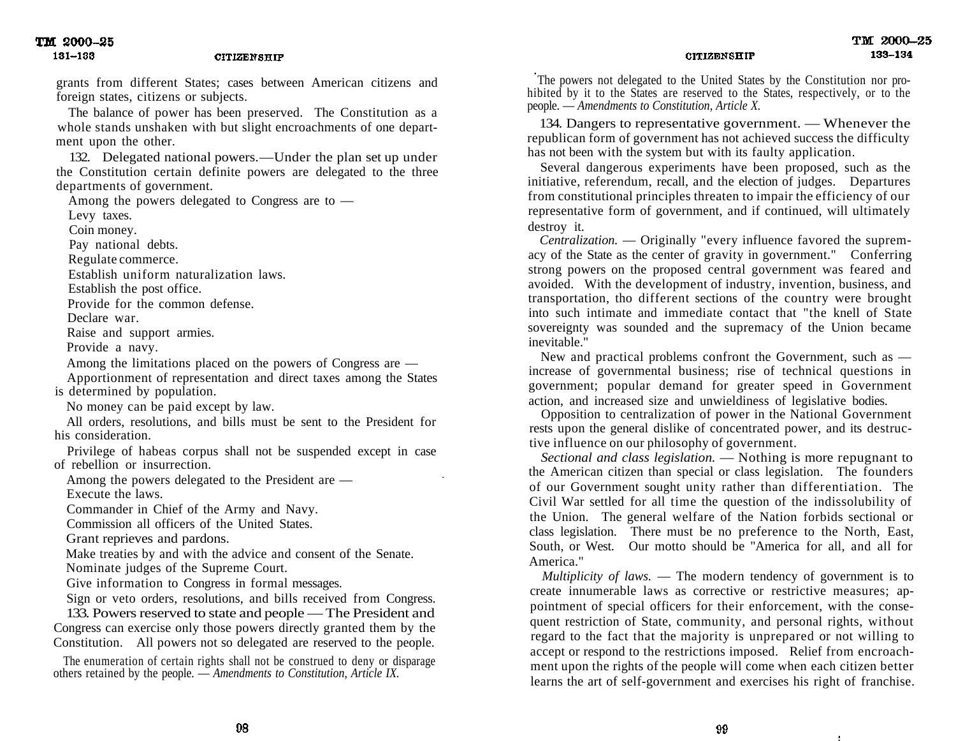TM 2000-25 131-133

#### **CITIZENSHIP**

grants from different States; cases between American citizens and foreign states, citizens or subjects.

The balance of power has been preserved. The Constitution as a whole stands unshaken with but slight encroachments of one department upon the other.

132. Delegated national powers. — Under the plan set up under the Constitution certain definite powers are delegated to the three departments of government.

Among the powers delegated to Congress are to —

Levy taxes.

Coin money.

Pay national debts.

Regulate commerce.

Establish uniform naturalization laws.

Establish the post office.

Provide for the common defense.

Declare war.

Raise and support armies.

Provide a navy.

Among the limitations placed on the powers of Congress are — Apportionment of representation and direct taxes among the States is determined by population.

No money can be paid except by law.

All orders, resolutions, and bills must be sent to the President for his consideration.

Privilege of habeas corpus shall not be suspended except in case of rebellion or insurrection.

Among the powers delegated to the President are — Execute the laws.

Commander in Chief of the Army and Navy.

Commission all officers of the United States.

Grant reprieves and pardons.

Make treaties by and with the advice and consent of the Senate.

Nominate judges of the Supreme Court.

Give information to Congress in formal messages.

Sign or veto orders, resolutions, and bills received from Congress.

133. Powers reserved to state and people — The President and Congress can exercise only those powers directly granted them by the Constitution. All powers not so delegated are reserved to the people.

The enumeration of certain rights shall not be construed to deny or disparage others retained by the people. — *Amendments to Constitution, Article IX.*

The powers not delegated to the United States by the Constitution nor prohibited by it to the States are reserved to the States, respectively, or to the people. — *Amendments to Constitution, Article X.*

134. Dangers to representative government. — Whenever the republican form of government has not achieved success the difficulty has not been with the system but with its faulty application.

Several dangerous experiments have been proposed, such as the initiative, referendum, recall, and the election of judges. Departures from constitutional principles threaten to impair the efficiency of our representative form of government, and if continued, will ultimately destroy it.

*Centralization.* — Originally "every influence favored the supremacy of the State as the center of gravity in government." Conferring strong powers on the proposed central government was feared and avoided. With the development of industry, invention, business, and transportation, tho different sections of the country were brought into such intimate and immediate contact that "the knell of State sovereignty was sounded and the supremacy of the Union became inevitable."

New and practical problems confront the Government, such as increase of governmental business; rise of technical questions in government; popular demand for greater speed in Government action, and increased size and unwieldiness of legislative bodies.

Opposition to centralization of power in the National Government rests upon the general dislike of concentrated power, and its destructive influence on our philosophy of government.

*Sectional and class legislation.* — Nothing is more repugnant to the American citizen than special or class legislation. The founders of our Government sought unity rather than differentiation. The Civil War settled for all time the question of the indissolubility of the Union. The general welfare of the Nation forbids sectional or class legislation. There must be no preference to the North, East, South, or West. Our motto should be "America for all, and all for America."

*Multiplicity of laws.* — The modern tendency of government is to create innumerable laws as corrective or restrictive measures; appointment of special officers for their enforcement, with the consequent restriction of State, community, and personal rights, without regard to the fact that the majority is unprepared or not willing to accept or respond to the restrictions imposed. Relief from encroachment upon the rights of the people will come when each citizen better learns the art of self-government and exercises his right of franchise.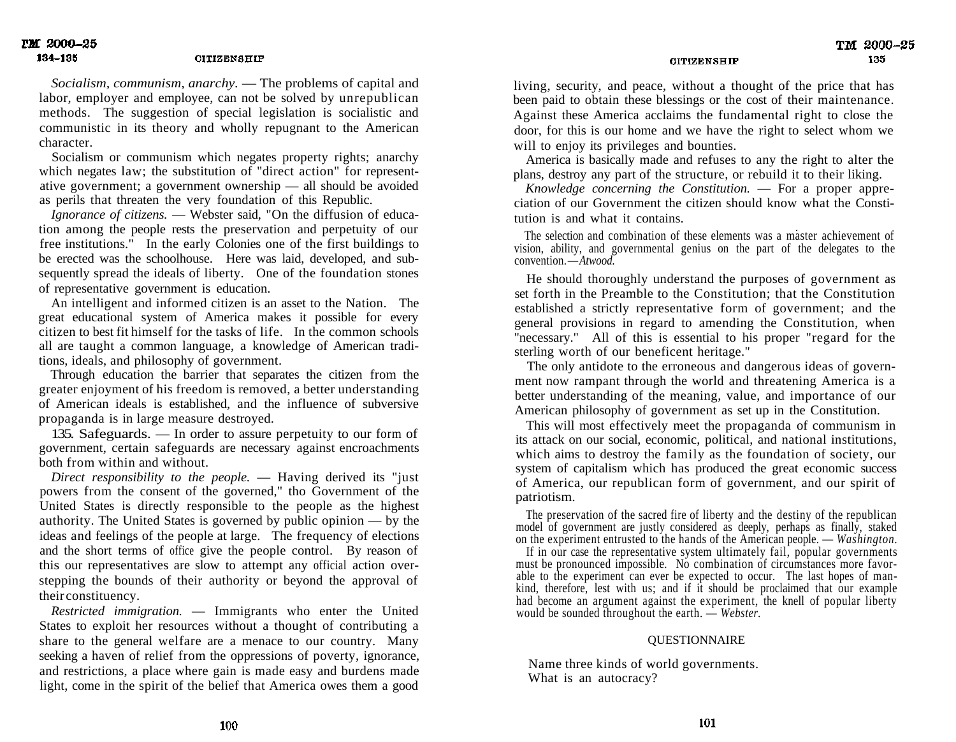## **CITIZENSHIP**

*Socialism, communism, anarchy.* — The problems of capital and labor, employer and employee, can not be solved by unrepublican methods. The suggestion of special legislation is socialistic and communistic in its theory and wholly repugnant to the American character.

Socialism or communism which negates property rights; anarchy which negates law; the substitution of "direct action" for representative government; a government ownership — all should be avoided as perils that threaten the very foundation of this Republic.

*Ignorance of citizens.* — Webster said, "On the diffusion of education among the people rests the preservation and perpetuity of our free institutions." In the early Colonies one of the first buildings to be erected was the schoolhouse. Here was laid, developed, and subsequently spread the ideals of liberty. One of the foundation stones of representative government is education.

An intelligent and informed citizen is an asset to the Nation. The great educational system of America makes it possible for every citizen to best fit himself for the tasks of life. In the common schools all are taught a common language, a knowledge of American traditions, ideals, and philosophy of government.

Through education the barrier that separates the citizen from the greater enjoyment of his freedom is removed, a better understanding of American ideals is established, and the influence of subversive propaganda is in large measure destroyed.

135. Safeguards. — In order to assure perpetuity to our form of government, certain safeguards are necessary against encroachments both from within and without.

*Direct responsibility to the people.* — Having derived its "just powers from the consent of the governed," tho Government of the United States is directly responsible to the people as the highest authority. The United States is governed by public opinion — by the ideas and feelings of the people at large. The frequency of elections and the short terms of office give the people control. By reason of this our representatives are slow to attempt any official action overstepping the bounds of their authority or beyond the approval of their constituency.

*Restricted immigration.* — Immigrants who enter the United States to exploit her resources without a thought of contributing a share to the general welfare are a menace to our country. Many seeking a haven of relief from the oppressions of poverty, ignorance, and restrictions, a place where gain is made easy and burdens made light, come in the spirit of the belief that America owes them a good

living, security, and peace, without a thought of the price that has been paid to obtain these blessings or the cost of their maintenance. Against these America acclaims the fundamental right to close the door, for this is our home and we have the right to select whom we will to enjoy its privileges and bounties.

America is basically made and refuses to any the right to alter the plans, destroy any part of the structure, or rebuild it to their liking.

*Knowledge concerning the Constitution.* — For a proper appreciation of our Government the citizen should know what the Constitution is and what it contains.

The selection and combination of these elements was a master achievement of vision, ability, and governmental genius on the part of the delegates to the convention. — *Atwood.*

He should thoroughly understand the purposes of government as set forth in the Preamble to the Constitution; that the Constitution established a strictly representative form of government; and the general provisions in regard to amending the Constitution, when "necessary." All of this is essential to his proper "regard for the sterling worth of our beneficent heritage."

The only antidote to the erroneous and dangerous ideas of government now rampant through the world and threatening America is a better understanding of the meaning, value, and importance of our American philosophy of government as set up in the Constitution.

This will most effectively meet the propaganda of communism in its attack on our social, economic, political, and national institutions, which aims to destroy the family as the foundation of society, our system of capitalism which has produced the great economic success of America, our republican form of government, and our spirit of patriotism.

The preservation of the sacred fire of liberty and the destiny of the republican model of government are justly considered as deeply, perhaps as finally, staked on the experiment entrusted to the hands of the American people. — *Washington.*

If in our case the representative system ultimately fail, popular governments must be pronounced impossible. No combination of circumstances more favorable to the experiment can ever be expected to occur. The last hopes of mankind, therefore, lest with us; and if it should be proclaimed that our example had become an argument against the experiment, the knell of popular liberty would be sounded throughout the earth. — *Webster.*

# **OUESTIONNAIRE**

Name three kinds of world governments. What is an autocracy?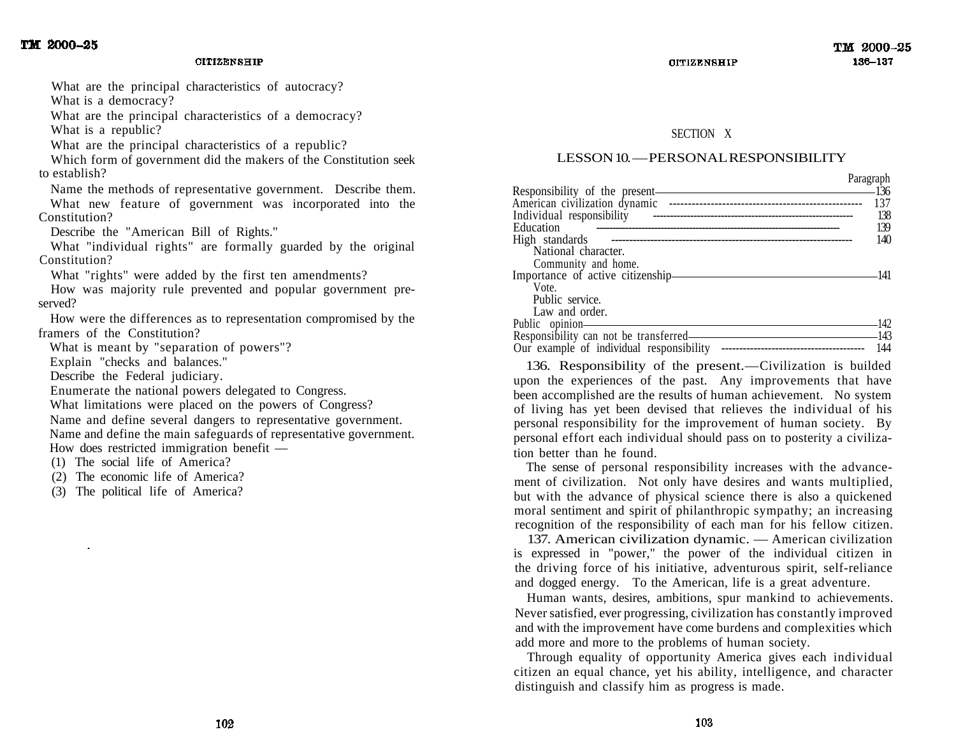What are the principal characteristics of autocracy? What is a democracy?

What are the principal characteristics of a democracy? What is a republic?

What are the principal characteristics of a republic?

Which form of government did the makers of the Constitution seek to establish?

Name the methods of representative government. Describe them. What new feature of government was incorporated into the Constitution?

Describe the "American Bill of Rights."

What "individual rights" are formally guarded by the original Constitution?

What "rights" were added by the first ten amendments?

How was majority rule prevented and popular government preserved?

How were the differences as to representation compromised by the framers of the Constitution?

What is meant by "separation of powers"?

Explain "checks and balances."

Describe the Federal judiciary.

Enumerate the national powers delegated to Congress.

What limitations were placed on the powers of Congress?

Name and define several dangers to representative government.

Name and define the main safeguards of representative government.

How does restricted immigration benefit —

(1) The social life of America?

(2) The economic life of America?

(3) The political life of America?

D<sub>oro</sub>graph

## SECTION X

## LESSON 10. — PERSONAL RESPONSIBILITY

|                                          | т агадгарн |
|------------------------------------------|------------|
| Responsibility of the present-           | 136        |
| American civilization dynamic            | 137        |
| Individual responsibility                | 138        |
| Education                                | 139        |
| High standards                           | 140        |
| National character.                      |            |
| Community and home.                      |            |
| Importance of active citizenship-        |            |
| Vote.                                    |            |
| Public service.                          |            |
| Law and order.                           |            |
| Public opinion-                          | 142        |
| Responsibility can not be transferred-   | 143        |
| Our example of individual responsibility | 144        |

136. Responsibility of the present. — Civilization is builded upon the experiences of the past. Any improvements that have been accomplished are the results of human achievement. No system of living has yet been devised that relieves the individual of his personal responsibility for the improvement of human society. By personal effort each individual should pass on to posterity a civilization better than he found.

The sense of personal responsibility increases with the advancement of civilization. Not only have desires and wants multiplied, but with the advance of physical science there is also a quickened moral sentiment and spirit of philanthropic sympathy; an increasing recognition of the responsibility of each man for his fellow citizen.

137. American civilization dynamic. — American civilization is expressed in "power," the power of the individual citizen in the driving force of his initiative, adventurous spirit, self-reliance and dogged energy. To the American, life is a great adventure.

Human wants, desires, ambitions, spur mankind to achievements. Never satisfied, ever progressing, civilization has constantly improved and with the improvement have come burdens and complexities which add more and more to the problems of human society.

Through equality of opportunity America gives each individual citizen an equal chance, yet his ability, intelligence, and character distinguish and classify him as progress is made.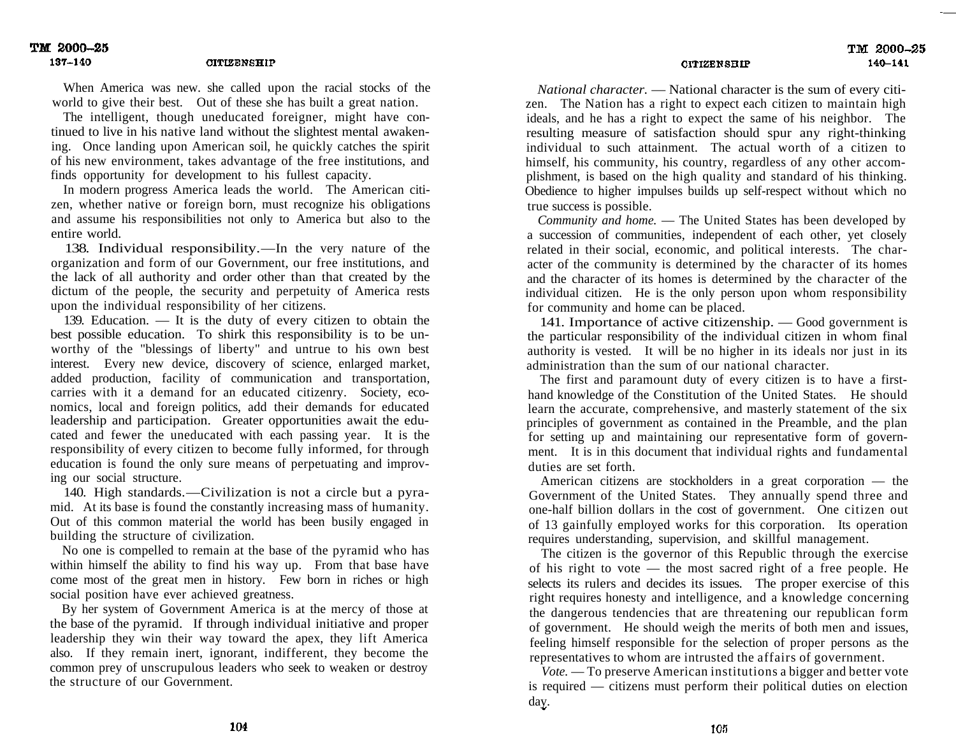When America was new. she called upon the racial stocks of the world to give their best. Out of these she has built a great nation.

The intelligent, though uneducated foreigner, might have continued to live in his native land without the slightest mental awakening. Once landing upon American soil, he quickly catches the spirit of his new environment, takes advantage of the free institutions, and finds opportunity for development to his fullest capacity.

In modern progress America leads the world. The American citizen, whether native or foreign born, must recognize his obligations and assume his responsibilities not only to America but also to the entire world.

138. Individual responsibility. — In the very nature of the organization and form of our Government, our free institutions, and the lack of all authority and order other than that created by the dictum of the people, the security and perpetuity of America rests upon the individual responsibility of her citizens.

139. Education. — It is the duty of every citizen to obtain the best possible education. To shirk this responsibility is to be unworthy of the "blessings of liberty" and untrue to his own best interest. Every new device, discovery of science, enlarged market, added production, facility of communication and transportation, carries with it a demand for an educated citizenry. Society, economics, local and foreign politics, add their demands for educated leadership and participation. Greater opportunities await the educated and fewer the uneducated with each passing year. It is the responsibility of every citizen to become fully informed, for through education is found the only sure means of perpetuating and improving our social structure.

140. High standards. — Civilization is not a circle but a pyramid. At its base is found the constantly increasing mass of humanity. Out of this common material the world has been busily engaged in building the structure of civilization.

No one is compelled to remain at the base of the pyramid who has within himself the ability to find his way up. From that base have come most of the great men in history. Few born in riches or high social position have ever achieved greatness.

By her system of Government America is at the mercy of those at the base of the pyramid. If through individual initiative and proper leadership they win their way toward the apex, they lift America also. If they remain inert, ignorant, indifferent, they become the common prey of unscrupulous leaders who seek to weaken or destroy the structure of our Government.

*National character.* — National character is the sum of every citizen. The Nation has a right to expect each citizen to maintain high ideals, and he has a right to expect the same of his neighbor. The resulting measure of satisfaction should spur any right-thinking individual to such attainment. The actual worth of a citizen to himself, his community, his country, regardless of any other accomplishment, is based on the high quality and standard of his thinking. Obedience to higher impulses builds up self-respect without which no true success is possible.

*Community and home.* — The United States has been developed by a succession of communities, independent of each other, yet closely related in their social, economic, and political interests. The character of the community is determined by the character of its homes and the character of its homes is determined by the character of the individual citizen. He is the only person upon whom responsibility for community and home can be placed.

141. Importance of active citizenship. — Good government is the particular responsibility of the individual citizen in whom final authority is vested. It will be no higher in its ideals nor just in its administration than the sum of our national character.

The first and paramount duty of every citizen is to have a firsthand knowledge of the Constitution of the United States. He should learn the accurate, comprehensive, and masterly statement of the six principles of government as contained in the Preamble, and the plan for setting up and maintaining our representative form of government. It is in this document that individual rights and fundamental duties are set forth.

American citizens are stockholders in a great corporation — the Government of the United States. They annually spend three and one-half billion dollars in the cost of government. One citizen out of 13 gainfully employed works for this corporation. Its operation requires understanding, supervision, and skillful management.

The citizen is the governor of this Republic through the exercise of his right to vote — the most sacred right of a free people. He selects its rulers and decides its issues. The proper exercise of this right requires honesty and intelligence, and a knowledge concerning the dangerous tendencies that are threatening our republican form of government. He should weigh the merits of both men and issues, feeling himself responsible for the selection of proper persons as the representatives to whom are intrusted the affairs of government.

*Vote.* — To preserve American institutions a bigger and better vote is required — citizens must perform their political duties on election day.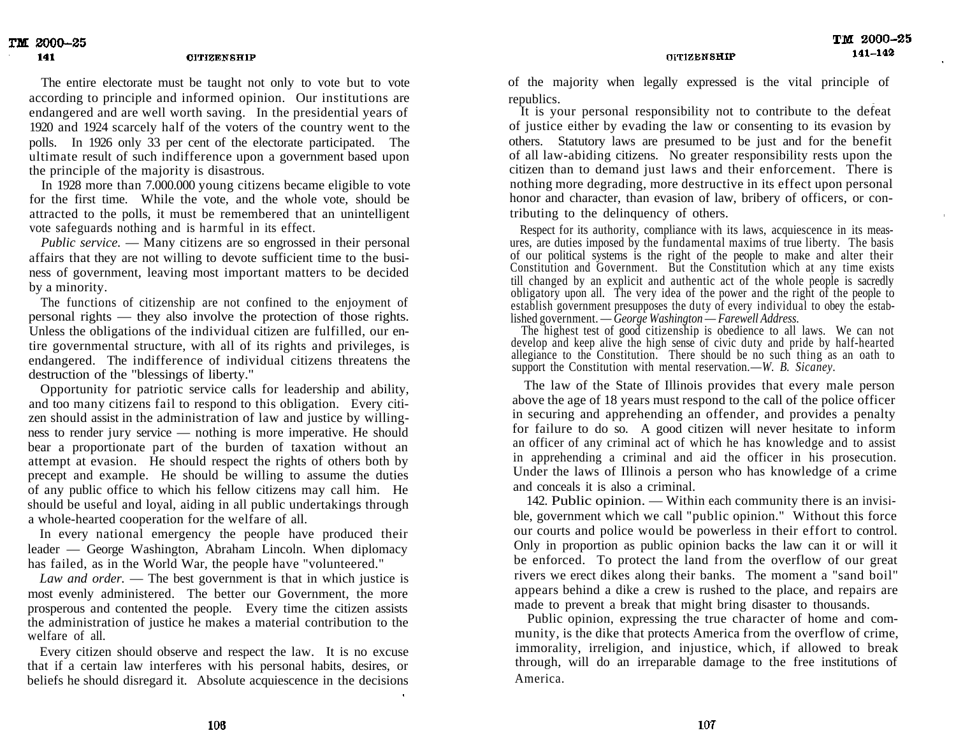#### **CITIZENSHIP**

The entire electorate must be taught not only to vote but to vote according to principle and informed opinion. Our institutions are endangered and are well worth saving. In the presidential years of 1920 and 1924 scarcely half of the voters of the country went to the polls. In 1926 only 33 per cent of the electorate participated. The ultimate result of such indifference upon a government based upon the principle of the majority is disastrous.

In 1928 more than 7.000.000 young citizens became eligible to vote for the first time. While the vote, and the whole vote, should be attracted to the polls, it must be remembered that an unintelligent vote safeguards nothing and is harmful in its effect.

*Public service.* — Many citizens are so engrossed in their personal affairs that they are not willing to devote sufficient time to the business of government, leaving most important matters to be decided by a minority.

The functions of citizenship are not confined to the enjoyment of personal rights — they also involve the protection of those rights. Unless the obligations of the individual citizen are fulfilled, our entire governmental structure, with all of its rights and privileges, is endangered. The indifference of individual citizens threatens the destruction of the "blessings of liberty."

Opportunity for patriotic service calls for leadership and ability, and too many citizens fail to respond to this obligation. Every citizen should assist in the administration of law and justice by willingness to render jury service — nothing is more imperative. He should bear a proportionate part of the burden of taxation without an attempt at evasion. He should respect the rights of others both by precept and example. He should be willing to assume the duties of any public office to which his fellow citizens may call him. He should be useful and loyal, aiding in all public undertakings through a whole-hearted cooperation for the welfare of all.

In every national emergency the people have produced their leader — George Washington, Abraham Lincoln. When diplomacy has failed, as in the World War, the people have "volunteered."

*Law and order.* — The best government is that in which justice is most evenly administered. The better our Government, the more prosperous and contented the people. Every time the citizen assists the administration of justice he makes a material contribution to the welfare of all.

Every citizen should observe and respect the law. It is no excuse that if a certain law interferes with his personal habits, desires, or beliefs he should disregard it. Absolute acquiescence in the decisions

of the majority when legally expressed is the vital principle of republics.

It is your personal responsibility not to contribute to the defeat of justice either by evading the law or consenting to its evasion by others. Statutory laws are presumed to be just and for the benefit of all law-abiding citizens. No greater responsibility rests upon the citizen than to demand just laws and their enforcement. There is nothing more degrading, more destructive in its effect upon personal honor and character, than evasion of law, bribery of officers, or contributing to the delinquency of others.

Respect for its authority, compliance with its laws, acquiescence in its measures, are duties imposed by the fundamental maxims of true liberty. The basis of our political systems is the right of the people to make and alter their Constitution and Government. But the Constitution which at any time exists till changed by an explicit and authentic act of the whole people is sacredly obligatory upon all. The very idea of the power and the right of the people to establish government presupposes the duty of every individual to obey the established government. — *George Washington* — *Farewell Address.*

The highest test of good citizenship is obedience to all laws. We can not develop and keep alive the high sense of civic duty and pride by half-hearted allegiance to the Constitution. There should be no such thing as an oath to support the Constitution with mental reservation.—*W. B. Sicaney.* 

The law of the State of Illinois provides that every male person above the age of 18 years must respond to the call of the police officer in securing and apprehending an offender, and provides a penalty for failure to do so. A good citizen will never hesitate to inform an officer of any criminal act of which he has knowledge and to assist in apprehending a criminal and aid the officer in his prosecution. Under the laws of Illinois a person who has knowledge of a crime and conceals it is also a criminal.

142. Public opinion. — Within each community there is an invisible, government which we call "public opinion." Without this force our courts and police would be powerless in their effort to control. Only in proportion as public opinion backs the law can it or will it be enforced. To protect the land from the overflow of our great rivers we erect dikes along their banks. The moment a "sand boil" appears behind a dike a crew is rushed to the place, and repairs are made to prevent a break that might bring disaster to thousands.

Public opinion, expressing the true character of home and community, is the dike that protects America from the overflow of crime, immorality, irreligion, and injustice, which, if allowed to break through, will do an irreparable damage to the free institutions of America.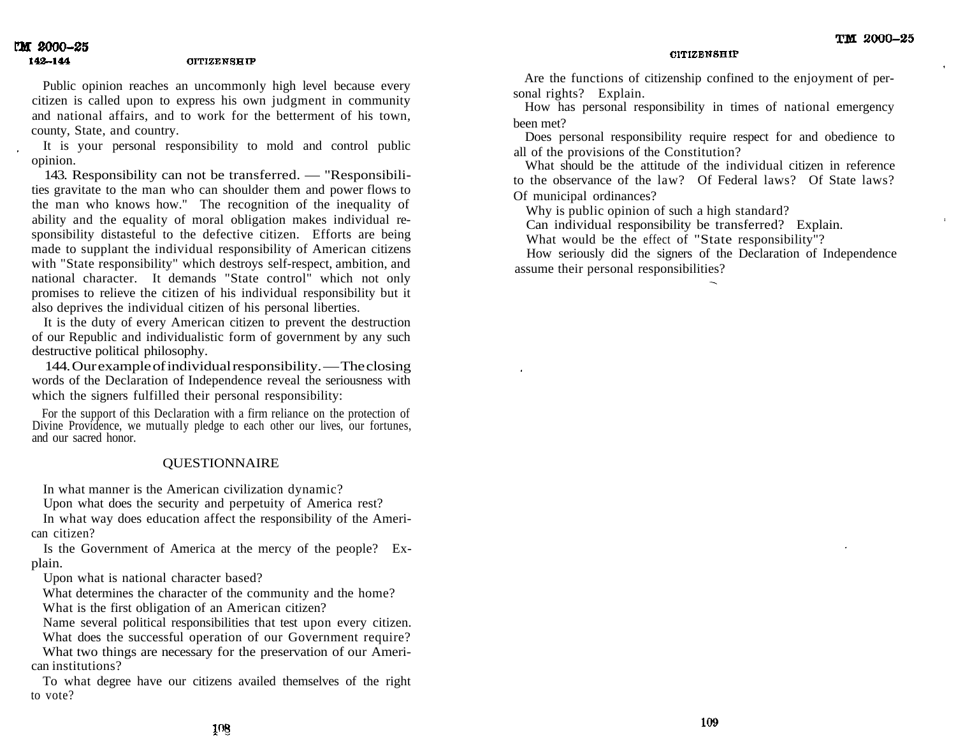$TM$  2000-25 142-144

## **OITIZENSHIP**

Public opinion reaches an uncommonly high level because every citizen is called upon to express his own judgment in community and national affairs, and to work for the betterment of his town, county, State, and country.

It is your personal responsibility to mold and control public opinion.

143. Responsibility can not be transferred. — "Responsibilities gravitate to the man who can shoulder them and power flows to the man who knows how." The recognition of the inequality of ability and the equality of moral obligation makes individual responsibility distasteful to the defective citizen. Efforts are being made to supplant the individual responsibility of American citizens with "State responsibility" which destroys self-respect, ambition, and national character. It demands "State control" which not only promises to relieve the citizen of his individual responsibility but it also deprives the individual citizen of his personal liberties.

It is the duty of every American citizen to prevent the destruction of our Republic and individualistic form of government by any such destructive political philosophy.

144. Our example of individual responsibility. — The closing words of the Declaration of Independence reveal the seriousness with which the signers fulfilled their personal responsibility:

For the support of this Declaration with a firm reliance on the protection of Divine Providence, we mutually pledge to each other our lives, our fortunes, and our sacred honor.

# **OUESTIONNAIRE**

In what manner is the American civilization dynamic?

Upon what does the security and perpetuity of America rest?

In what way does education affect the responsibility of the American citizen?

Is the Government of America at the mercy of the people? Explain.

Upon what is national character based?

What determines the character of the community and the home? What is the first obligation of an American citizen?

Name several political responsibilities that test upon every citizen.

What does the successful operation of our Government require? What two things are necessary for the preservation of our American institutions?

To what degree have our citizens availed themselves of the right to vote?

Are the functions of citizenship confined to the enjoyment of personal rights? Explain.

How has personal responsibility in times of national emergency been met?

Does personal responsibility require respect for and obedience to all of the provisions of the Constitution?

What should be the attitude of the individual citizen in reference to the observance of the law? Of Federal laws? Of State laws? Of municipal ordinances?

Why is public opinion of such a high standard?

Can individual responsibility be transferred? Explain.

What would be the effect of "State responsibility"?

How seriously did the signers of the Declaration of Independence assume their personal responsibilities?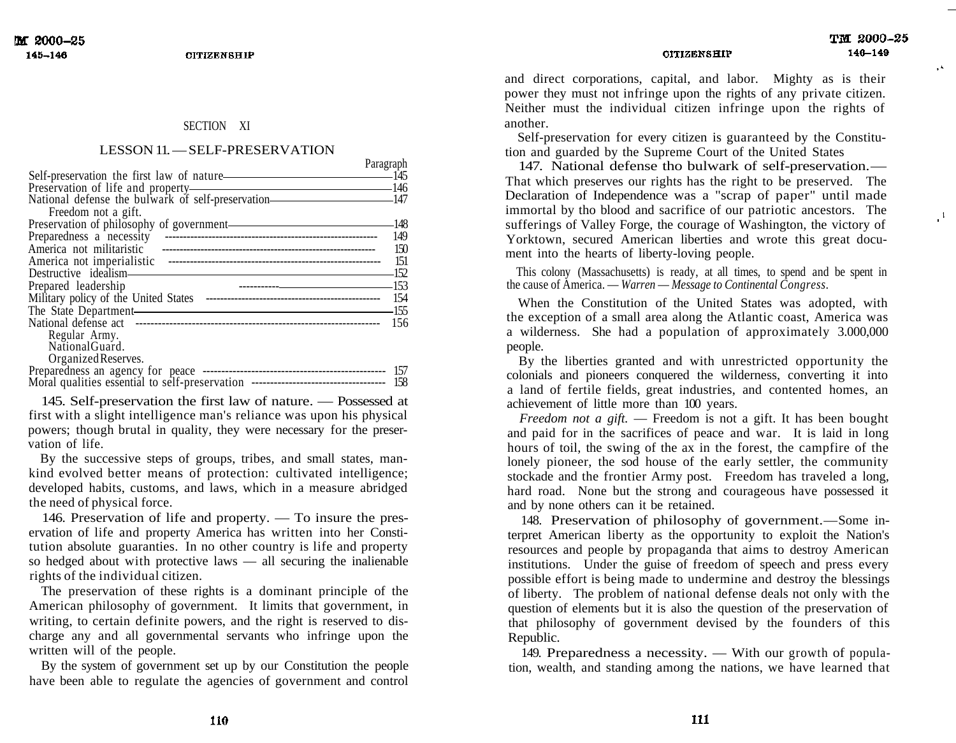$\ddot{\phantom{a}}$ 

 $\cdot^{\mathrm{t}}$ 

#### CITIZENSHIP

# SECTION XI

# LESSON 11. — SELF-PRESERVATION

| Paragraph                                                        |      |
|------------------------------------------------------------------|------|
| Self-preservation the first law of nature————————————————————145 |      |
| Preservation of life and property-                               | -146 |
| National defense the bulwark of self-preservation-               | 147  |
| Freedom not a gift.                                              |      |
| Preservation of philosophy of government————————————————————     | -148 |
| Preparedness a necessity                                         | 149  |
| America not militaristic                                         | 150  |
| America not imperialistic                                        | 151  |
|                                                                  | 152  |
| Prepared leadership                                              | 153  |
| Military policy of the United States                             | 154  |
| The State Department——                                           | 155  |
|                                                                  | 156  |
| Regular Army.                                                    |      |
| NationalGuard.                                                   |      |
| Organized Reserves.                                              |      |
|                                                                  | 157  |
|                                                                  | 158  |

145. Self-preservation the first law of nature. — Possessed at first with a slight intelligence man's reliance was upon his physical powers; though brutal in quality, they were necessary for the preservation of life.

By the successive steps of groups, tribes, and small states, mankind evolved better means of protection: cultivated intelligence; developed habits, customs, and laws, which in a measure abridged the need of physical force.

146. Preservation of life and property. — To insure the preservation of life and property America has written into her Constitution absolute guaranties. In no other country is life and property so hedged about with protective laws — all securing the inalienable rights of the individual citizen.

The preservation of these rights is a dominant principle of the American philosophy of government. It limits that government, in writing, to certain definite powers, and the right is reserved to discharge any and all governmental servants who infringe upon the written will of the people.

By the system of government set up by our Constitution the people have been able to regulate the agencies of government and control

and direct corporations, capital, and labor. Mighty as is their power they must not infringe upon the rights of any private citizen. Neither must the individual citizen infringe upon the rights of another.

Self-preservation for every citizen is guaranteed by the Constitution and guarded by the Supreme Court of the United States

147. National defense tho bulwark of self-preservation. — That which preserves our rights has the right to be preserved. The Declaration of Independence was a "scrap of paper" until made immortal by tho blood and sacrifice of our patriotic ancestors. The sufferings of Valley Forge, the courage of Washington, the victory of Yorktown, secured American liberties and wrote this great document into the hearts of liberty-loving people.

This colony (Massachusetts) is ready, at all times, to spend and be spent in the cause of America. — *Warren* — *Message to Continental Congress.*

When the Constitution of the United States was adopted, with the exception of a small area along the Atlantic coast, America was a wilderness. She had a population of approximately 3.000,000 people.

By the liberties granted and with unrestricted opportunity the colonials and pioneers conquered the wilderness, converting it into a land of fertile fields, great industries, and contented homes, an achievement of little more than 100 years.

*Freedom not a gift.* — Freedom is not a gift. It has been bought and paid for in the sacrifices of peace and war. It is laid in long hours of toil, the swing of the ax in the forest, the campfire of the lonely pioneer, the sod house of the early settler, the community stockade and the frontier Army post. Freedom has traveled a long, hard road. None but the strong and courageous have possessed it and by none others can it be retained.

148. Preservation of philosophy of government. — Some interpret American liberty as the opportunity to exploit the Nation's resources and people by propaganda that aims to destroy American institutions. Under the guise of freedom of speech and press every possible effort is being made to undermine and destroy the blessings of liberty. The problem of national defense deals not only with the question of elements but it is also the question of the preservation of that philosophy of government devised by the founders of this Republic.

149. Preparedness a necessity. — With our growth of population, wealth, and standing among the nations, we have learned that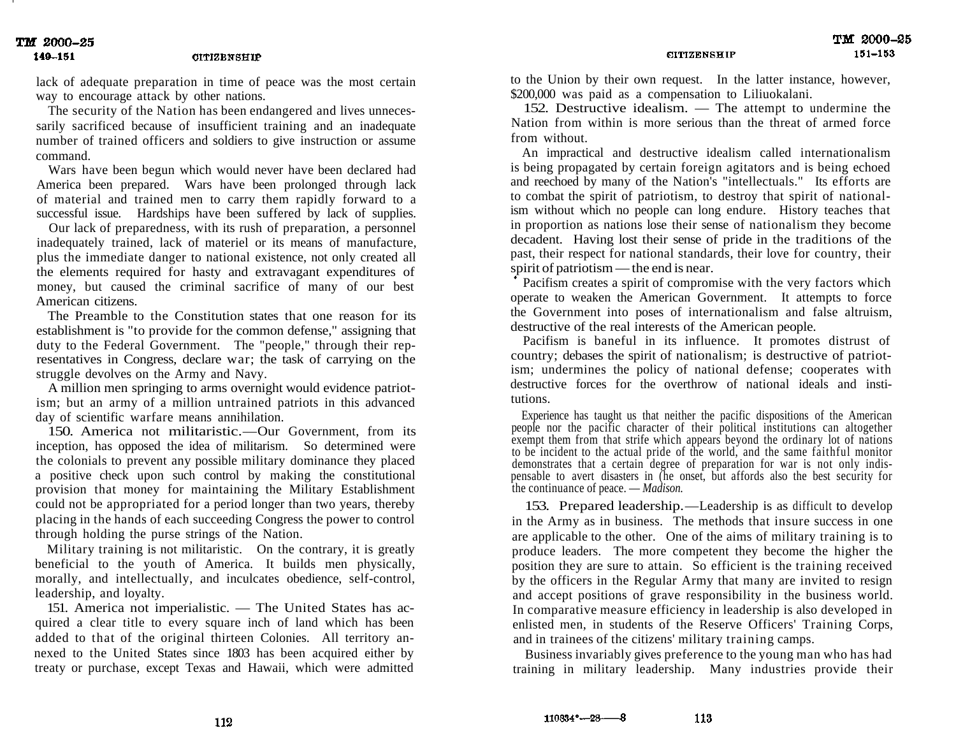#### **CITIZENSHIP**

lack of adequate preparation in time of peace was the most certain way to encourage attack by other nations.

The security of the Nation has been endangered and lives unnecessarily sacrificed because of insufficient training and an inadequate number of trained officers and soldiers to give instruction or assume command.

Wars have been begun which would never have been declared had America been prepared. Wars have been prolonged through lack of material and trained men to carry them rapidly forward to a successful issue. Hardships have been suffered by lack of supplies.

Our lack of preparedness, with its rush of preparation, a personnel inadequately trained, lack of materiel or its means of manufacture, plus the immediate danger to national existence, not only created all the elements required for hasty and extravagant expenditures of money, but caused the criminal sacrifice of many of our best American citizens.

The Preamble to the Constitution states that one reason for its establishment is "to provide for the common defense," assigning that duty to the Federal Government. The "people," through their representatives in Congress, declare war; the task of carrying on the struggle devolves on the Army and Navy.

A million men springing to arms overnight would evidence patriotism; but an army of a million untrained patriots in this advanced day of scientific warfare means annihilation.

150. America not militaristic. — Our Government, from its inception, has opposed the idea of militarism. So determined were the colonials to prevent any possible military dominance they placed a positive check upon such control by making the constitutional provision that money for maintaining the Military Establishment could not be appropriated for a period longer than two years, thereby placing in the hands of each succeeding Congress the power to control through holding the purse strings of the Nation.

Military training is not militaristic. On the contrary, it is greatly beneficial to the youth of America. It builds men physically, morally, and intellectually, and inculcates obedience, self-control, leadership, and loyalty.

151. America not imperialistic. — The United States has acquired a clear title to every square inch of land which has been added to that of the original thirteen Colonies. All territory annexed to the United States since 1803 has been acquired either by treaty or purchase, except Texas and Hawaii, which were admitted

to the Union by their own request. In the latter instance, however, \$200,000 was paid as a compensation to Liliuokalani.

152. Destructive idealism. — The attempt to undermine the Nation from within is more serious than the threat of armed force from without.

An impractical and destructive idealism called internationalism is being propagated by certain foreign agitators and is being echoed and reechoed by many of the Nation's "intellectuals." Its efforts are to combat the spirit of patriotism, to destroy that spirit of nationalism without which no people can long endure. History teaches that in proportion as nations lose their sense of nationalism they become decadent. Having lost their sense of pride in the traditions of the past, their respect for national standards, their love for country, their spirit of patriotism — the end is near.

Pacifism creates a spirit of compromise with the very factors which operate to weaken the American Government. It attempts to force the Government into poses of internationalism and false altruism, destructive of the real interests of the American people.

Pacifism is baneful in its influence. It promotes distrust of country; debases the spirit of nationalism; is destructive of patriotism; undermines the policy of national defense; cooperates with destructive forces for the overthrow of national ideals and institutions.

Experience has taught us that neither the pacific dispositions of the American people nor the pacific character of their political institutions can altogether exempt them from that strife which appears beyond the ordinary lot of nations to be incident to the actual pride of the world, and the same faithful monitor demonstrates that a certain degree of preparation for war is not only indispensable to avert disasters in (he onset, but affords also the best security for the continuance of peace. — *Madison.*

153. Prepared leadership. — Leadership is as difficult to develop in the Army as in business. The methods that insure success in one are applicable to the other. One of the aims of military training is to produce leaders. The more competent they become the higher the position they are sure to attain. So efficient is the training received by the officers in the Regular Army that many are invited to resign and accept positions of grave responsibility in the business world. In comparative measure efficiency in leadership is also developed in enlisted men, in students of the Reserve Officers' Training Corps, and in trainees of the citizens' military training camps.

Business invariably gives preference to the young man who has had training in military leadership. Many industries provide their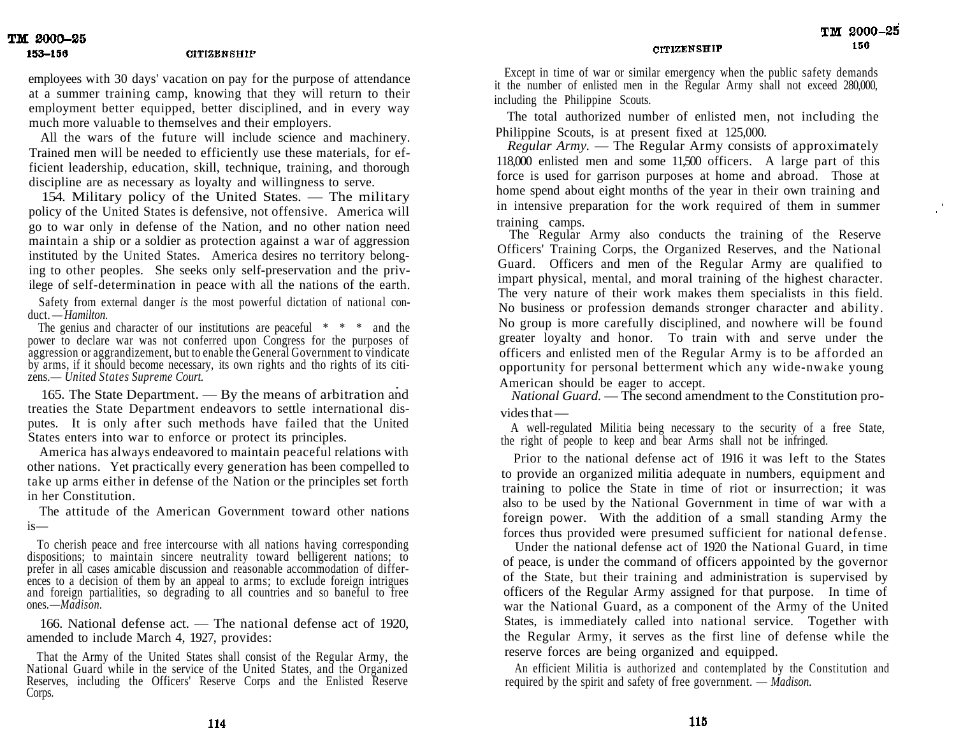### **CITIZENSHIP**

employees with 30 days' vacation on pay for the purpose of attendance at a summer training camp, knowing that they will return to their employment better equipped, better disciplined, and in every way much more valuable to themselves and their employers.

All the wars of the future will include science and machinery. Trained men will be needed to efficiently use these materials, for efficient leadership, education, skill, technique, training, and thorough discipline are as necessary as loyalty and willingness to serve.

154. Military policy of the United States. — The military policy of the United States is defensive, not offensive. America will go to war only in defense of the Nation, and no other nation need maintain a ship or a soldier as protection against a war of aggression instituted by the United States. America desires no territory belonging to other peoples. She seeks only self-preservation and the privilege of self-determination in peace with all the nations of the earth.

Safety from external danger *is* the most powerful dictation of national conduct. — *Hamilton.*

The genius and character of our institutions are peaceful \* \* \* and the power to declare war was not conferred upon Congress for the purposes of aggression or aggrandizement, but to enable the General Government to vindicate by arms, if it should become necessary, its own rights and tho rights of its citizens. — *United States Supreme Court.*

165. The State Department. — By the means of arbitration and treaties the State Department endeavors to settle international disputes. It is only after such methods have failed that the United States enters into war to enforce or protect its principles.

America has always endeavored to maintain peaceful relations with other nations. Yet practically every generation has been compelled to take up arms either in defense of the Nation or the principles set forth in her Constitution.

The attitude of the American Government toward other nations  $i<sub>s</sub>$ 

To cherish peace and free intercourse with all nations having corresponding dispositions; to maintain sincere neutrality toward belligerent nations; to prefer in all cases amicable discussion and reasonable accommodation of differences to a decision of them by an appeal to arms; to exclude foreign intrigues and foreign partialities, so degrading to all countries and so baneful to free ones.—*Madison*.

166. National defense act. — The national defense act of 1920, amended to include March 4, 1927, provides:

That the Army of the United States shall consist of the Regular Army, the National Guard while in the service of the United States, and the Organized Reserves, including the Officers' Reserve Corps and the Enlisted Reserve Corps.

Except in time of war or similar emergency when the public safety demands it the number of enlisted men in the Regular Army shall not exceed 280,000, including the Philippine Scouts.

The total authorized number of enlisted men, not including the Philippine Scouts, is at present fixed at 125,000.

*Regular Army.* — The Regular Army consists of approximately 118,000 enlisted men and some 11,500 officers. A large part of this force is used for garrison purposes at home and abroad. Those at home spend about eight months of the year in their own training and in intensive preparation for the work required of them in summer training camps.

The Regular Army also conducts the training of the Reserve Officers' Training Corps, the Organized Reserves, and the National Guard. Officers and men of the Regular Army are qualified to impart physical, mental, and moral training of the highest character. The very nature of their work makes them specialists in this field. No business or profession demands stronger character and ability. No group is more carefully disciplined, and nowhere will be found greater loyalty and honor. To train with and serve under the officers and enlisted men of the Regular Army is to be afforded an opportunity for personal betterment which any wide-nwake young American should be eager to accept.

*National Guard.* — The second amendment to the Constitution provides that —

A well-regulated Militia being necessary to the security of a free State, the right of people to keep and bear Arms shall not be infringed.

Prior to the national defense act of 1916 it was left to the States to provide an organized militia adequate in numbers, equipment and training to police the State in time of riot or insurrection; it was also to be used by the National Government in time of war with a foreign power. With the addition of a small standing Army the forces thus provided were presumed sufficient for national defense.

Under the national defense act of 1920 the National Guard, in time of peace, is under the command of officers appointed by the governor of the State, but their training and administration is supervised by officers of the Regular Army assigned for that purpose. In time of war the National Guard, as a component of the Army of the United States, is immediately called into national service. Together with the Regular Army, it serves as the first line of defense while the reserve forces are being organized and equipped.

An efficient Militia is authorized and contemplated by the Constitution and required by the spirit and safety of free government. — *Madison.*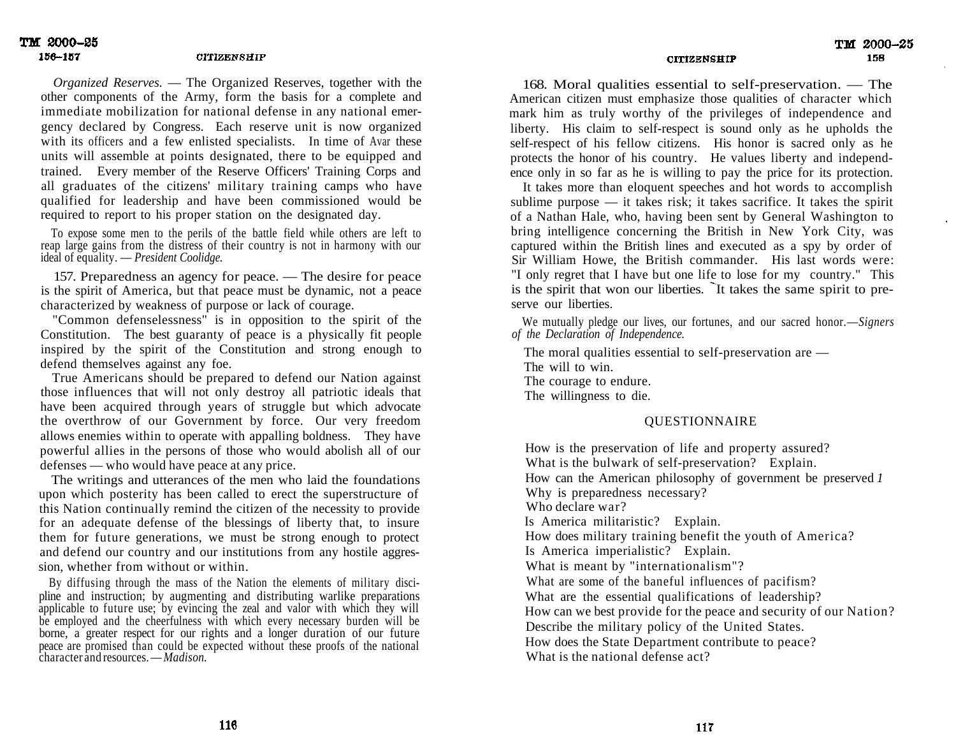*Organized Reserves.* — The Organized Reserves, together with the other components of the Army, form the basis for a complete and immediate mobilization for national defense in any national emergency declared by Congress. Each reserve unit is now organized with its officers and a few enlisted specialists. In time of Avar these units will assemble at points designated, there to be equipped and trained. Every member of the Reserve Officers' Training Corps and all graduates of the citizens' military training camps who have qualified for leadership and have been commissioned would be required to report to his proper station on the designated day.

To expose some men to the perils of the battle field while others are left to reap large gains from the distress of their country is not in harmony with our ideal of equality. — *President Coolidge.*

157. Preparedness an agency for peace. — The desire for peace is the spirit of America, but that peace must be dynamic, not a peace characterized by weakness of purpose or lack of courage.

"Common defenselessness" is in opposition to the spirit of the Constitution. The best guaranty of peace is a physically fit people inspired by the spirit of the Constitution and strong enough to defend themselves against any foe.

True Americans should be prepared to defend our Nation against those influences that will not only destroy all patriotic ideals that have been acquired through years of struggle but which advocate the overthrow of our Government by force. Our very freedom allows enemies within to operate with appalling boldness. They have powerful allies in the persons of those who would abolish all of our defenses — who would have peace at any price.

The writings and utterances of the men who laid the foundations upon which posterity has been called to erect the superstructure of this Nation continually remind the citizen of the necessity to provide for an adequate defense of the blessings of liberty that, to insure them for future generations, we must be strong enough to protect and defend our country and our institutions from any hostile aggression, whether from without or within.

By diffusing through the mass of the Nation the elements of military discipline and instruction; by augmenting and distributing warlike preparations applicable to future use; by evincing the zeal and valor with which they will be employed and the cheerfulness with which every necessary burden will be borne, a greater respect for our rights and a longer duration of our future peace are promised than could be expected without these proofs of the national character and resources. — *Madison.*

#### **CITIZENSHIP**

168. Moral qualities essential to self-preservation. — The American citizen must emphasize those qualities of character which mark him as truly worthy of the privileges of independence and liberty. His claim to self-respect is sound only as he upholds the self-respect of his fellow citizens. His honor is sacred only as he protects the honor of his country. He values liberty and independence only in so far as he is willing to pay the price for its protection.

It takes more than eloquent speeches and hot words to accomplish sublime purpose — it takes risk; it takes sacrifice. It takes the spirit of a Nathan Hale, who, having been sent by General Washington to bring intelligence concerning the British in New York City, was captured within the British lines and executed as a spy by order of Sir William Howe, the British commander. His last words were: "I only regret that I have but one life to lose for my country." This is the spirit that won our liberties. It takes the same spirit to preserve our liberties.

We mutually pledge our lives, our fortunes, and our sacred honor.—*Signers of the Declaration of Independence.*

The moral qualities essential to self-preservation are — The will to win.

The courage to endure.

The willingness to die.

# **OUESTIONNAIRE**

How is the preservation of life and property assured? What is the bulwark of self-preservation? Explain. How can the American philosophy of government be preserved *1* Why is preparedness necessary? Who declare war? Is America militaristic? Explain. How does military training benefit the youth of America? Is America imperialistic? Explain. What is meant by "internationalism"? What are some of the baneful influences of pacifism? What are the essential qualifications of leadership? How can we best provide for the peace and security of our Nation? Describe the military policy of the United States. How does the State Department contribute to peace? What is the national defense act?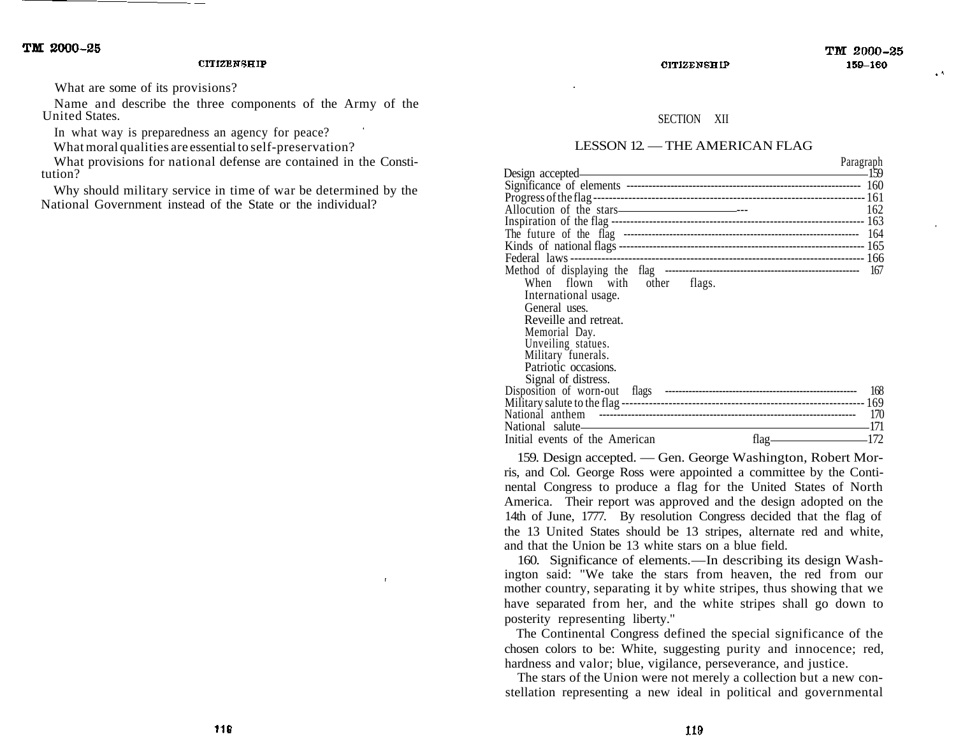What are some of its provisions?

Name and describe the three components of the Army of the United States.

In what way is preparedness an agency for peace?

What moral qualities are essential to self-preservation?

What provisions for national defense are contained in the Constitution?

Why should military service in time of war be determined by the National Government instead of the State or the individual?

TM 2000-25 159-160

 $\mathbf{A}$ 

Paragraph

# SECTION XII

# LESSON 12. — THE AMERICAN FLAG

|                                                                                                                                          | ralagiapil               |
|------------------------------------------------------------------------------------------------------------------------------------------|--------------------------|
|                                                                                                                                          | ——159                    |
|                                                                                                                                          |                          |
|                                                                                                                                          |                          |
|                                                                                                                                          | 162                      |
|                                                                                                                                          |                          |
|                                                                                                                                          |                          |
|                                                                                                                                          |                          |
|                                                                                                                                          |                          |
|                                                                                                                                          | 167                      |
| When flown with other flags.                                                                                                             |                          |
| International usage.                                                                                                                     |                          |
| General uses.                                                                                                                            |                          |
| Reveille and retreat.                                                                                                                    |                          |
| Memorial Day.                                                                                                                            |                          |
| Unveiling statues.                                                                                                                       |                          |
| Military funerals.                                                                                                                       |                          |
| Patriotic occasions.                                                                                                                     |                          |
| Signal of distress.                                                                                                                      |                          |
|                                                                                                                                          |                          |
|                                                                                                                                          |                          |
|                                                                                                                                          |                          |
| <u> 1989 - Johann Barbara, martin amerikan basar dan basa dan basar dalam basa dalam basa dalam basa dalam basa </u><br>National salute- | 171                      |
| Initial events of the American                                                                                                           | $-172$<br>$flag$ and $I$ |

159. Design accepted. — Gen. George Washington, Robert Morris, and Col. George Ross were appointed a committee by the Continental Congress to produce a flag for the United States of North America. Their report was approved and the design adopted on the 14th of June, 1777. By resolution Congress decided that the flag of the 13 United States should be 13 stripes, alternate red and white, and that the Union be 13 white stars on a blue field.

160. Significance of elements. — In describing its design Washington said: "We take the stars from heaven, the red from our mother country, separating it by white stripes, thus showing that we have separated from her, and the white stripes shall go down to posterity representing liberty."

The Continental Congress defined the special significance of the chosen colors to be: White, suggesting purity and innocence; red, hardness and valor; blue, vigilance, perseverance, and justice.

The stars of the Union were not merely a collection but a new constellation representing a new ideal in political and governmental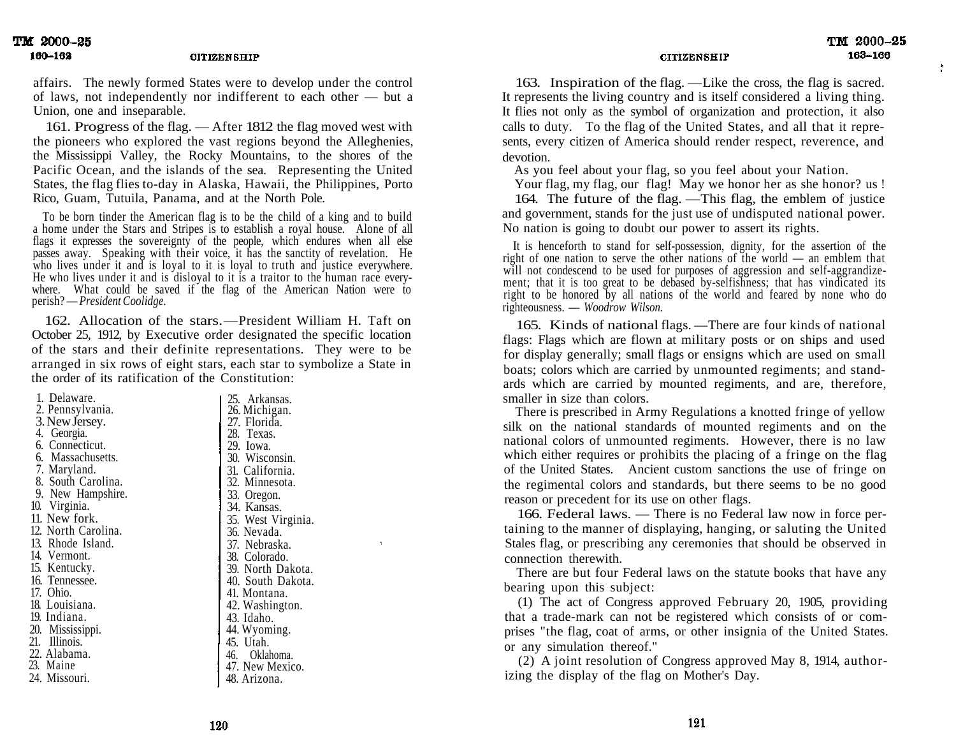A

## **CITIZENSHIP**

#### **CITIZENSHIP**

affairs. The newly formed States were to develop under the control of laws, not independently nor indifferent to each other — but a Union, one and inseparable.

161. Progress of the flag. — After 1812 the flag moved west with the pioneers who explored the vast regions beyond the Alleghenies, the Mississippi Valley, the Rocky Mountains, to the shores of the Pacific Ocean, and the islands of the sea. Representing the United States, the flag flies to-day in Alaska, Hawaii, the Philippines, Porto Rico, Guam, Tutuila, Panama, and at the North Pole.

To be born tinder the American flag is to be the child of a king and to build a home under the Stars and Stripes is to establish a royal house. Alone of all flags it expresses the sovereignty of the people, which endures when all else passes away. Speaking with their voice, it has the sanctity of revelation. He who lives under it and is loyal to it is loyal to truth and justice everywhere. He who lives under it and is disloyal to it is a traitor to the human race everywhere. What could be saved if the flag of the American Nation were to perish? — *President Coolidge.*

162. Allocation of the stars. — President William H. Taft on October 25, 1912, by Executive order designated the specific location of the stars and their definite representations. They were to be arranged in six rows of eight stars, each star to symbolize a State in the order of its ratification of the Constitution:

| 1. Delaware.        | 25. Arkansas.      |
|---------------------|--------------------|
| 2. Pennsylvania.    | 26. Michigan.      |
| 3. New Jersey.      | 27. Florida.       |
| 4. Georgia.         | 28. Texas.         |
| 6. Connecticut.     | 29. Iowa.          |
| 6. Massachusetts.   | 30. Wisconsin.     |
| 7. Maryland.        | 31. California.    |
| 8. South Carolina.  | 32. Minnesota.     |
| 9. New Hampshire.   | 33. Oregon.        |
| 10. Virginia.       | 34. Kansas.        |
| 11. New fork.       | 35. West Virginia. |
| 12. North Carolina. | 36. Nevada.        |
| 13. Rhode Island.   | 37. Nebraska.      |
| 14. Vermont.        | 38. Colorado.      |
| 15. Kentucky.       | 39. North Dakota.  |
| 16. Tennessee.      | 40. South Dakota.  |
| 17. Ohio.           | 41. Montana.       |
| 18. Louisiana.      | 42. Washington.    |
| 19. Indiana.        | 43. Idaho.         |
| 20. Mississippi.    | 44. Wyoming.       |
| 21. Illinois.       | 45. Utah.          |
| 22. Alabama.        | 46. Oklahoma.      |
|                     |                    |
| 23. Maine           | 47. New Mexico.    |
| 24. Missouri.       | 48. Arizona.       |
|                     |                    |

163. Inspiration of the flag. — Like the cross, the flag is sacred. It represents the living country and is itself considered a living thing. It flies not only as the symbol of organization and protection, it also calls to duty. To the flag of the United States, and all that it represents, every citizen of America should render respect, reverence, and devotion.

As you feel about your flag, so you feel about your Nation.

Your flag, my flag, our flag! May we honor her as she honor? us !

164. The future of the flag. — This flag, the emblem of justice and government, stands for the just use of undisputed national power. No nation is going to doubt our power to assert its rights.

It is henceforth to stand for self-possession, dignity, for the assertion of the right of one nation to serve the other nations of the world — an emblem that will not condescend to be used for purposes of aggression and self-aggrandizement; that it is too great to be debased by-selfishness; that has vindicated its right to be honored by all nations of the world and feared by none who do righteousness. — *Woodrow Wilson.*

165. Kinds of national flags. — There are four kinds of national flags: Flags which are flown at military posts or on ships and used for display generally; small flags or ensigns which are used on small boats; colors which are carried by unmounted regiments; and standards which are carried by mounted regiments, and are, therefore, smaller in size than colors.

There is prescribed in Army Regulations a knotted fringe of yellow silk on the national standards of mounted regiments and on the national colors of unmounted regiments. However, there is no law which either requires or prohibits the placing of a fringe on the flag of the United States. Ancient custom sanctions the use of fringe on the regimental colors and standards, but there seems to be no good reason or precedent for its use on other flags.

166. Federal laws. — There is no Federal law now in force pertaining to the manner of displaying, hanging, or saluting the United Stales flag, or prescribing any ceremonies that should be observed in connection therewith.

There are but four Federal laws on the statute books that have any bearing upon this subject:

(1) The act of Congress approved February 20, 1905, providing that a trade-mark can not be registered which consists of or comprises "the flag, coat of arms, or other insignia of the United States. or any simulation thereof."

(2) A joint resolution of Congress approved May 8, 1914, authorizing the display of the flag on Mother's Day.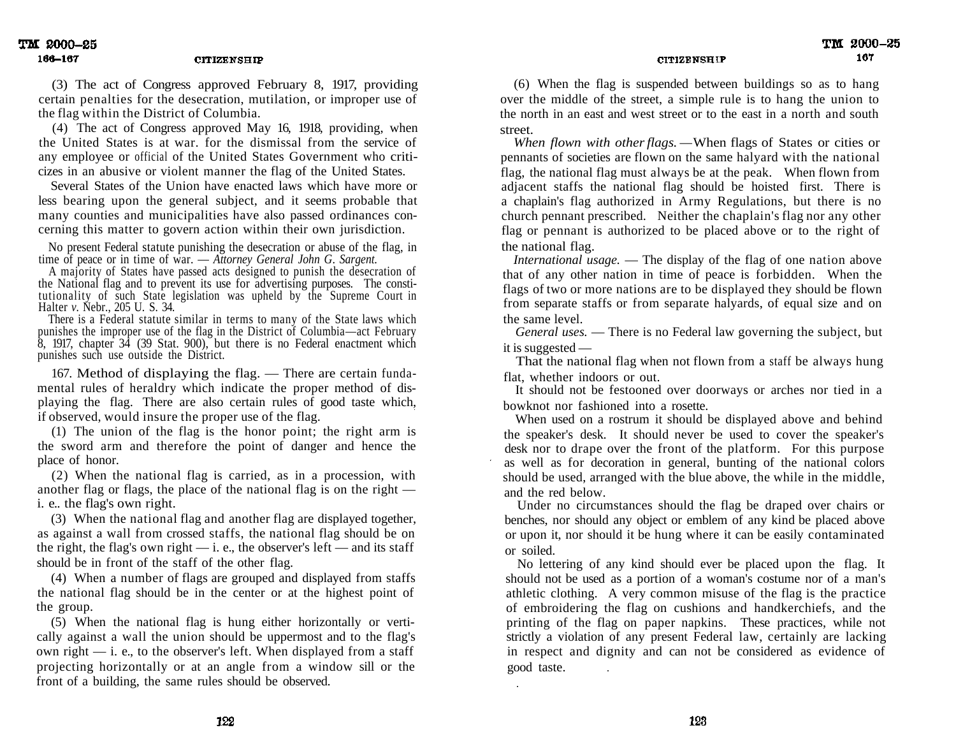# TM 2000-25 166-167

## **CITIZENSHIP**

(3) The act of Congress approved February 8, 1917, providing certain penalties for the desecration, mutilation, or improper use of the flag within the District of Columbia.

(4) The act of Congress approved May 16, 1918, providing, when the United States is at war. for the dismissal from the service of any employee or official of the United States Government who criticizes in an abusive or violent manner the flag of the United States.

Several States of the Union have enacted laws which have more or less bearing upon the general subject, and it seems probable that many counties and municipalities have also passed ordinances concerning this matter to govern action within their own jurisdiction.

No present Federal statute punishing the desecration or abuse of the flag, in time of peace or in time of war. — *Attorney General John G*. *Sargent.*

A majority of States have passed acts designed to punish the desecration of the National flag and to prevent its use for advertising purposes. The constitutionality of such State legislation was upheld by the Supreme Court in Halter *v*. Nebr., 205 U. S. 34.

There is a Federal statute similar in terms to many of the State laws which punishes the improper use of the flag in the District of Columbia — act February 8, 1917, chapter 34 (39 Stat. 900), but there is no Federal enactment which punishes such use outside the District.

167. Method of displaying the flag. — There are certain fundamental rules of heraldry which indicate the proper method of displaying the flag. There are also certain rules of good taste which, if observed, would insure the proper use of the flag.

(1) The union of the flag is the honor point; the right arm is the sword arm and therefore the point of danger and hence the place of honor.

(2) When the national flag is carried, as in a procession, with another flag or flags, the place of the national flag is on the right i. e.. the flag's own right.

(3) When the national flag and another flag are displayed together, as against a wall from crossed staffs, the national flag should be on the right, the flag's own right  $-$  i. e., the observer's left  $-$  and its staff should be in front of the staff of the other flag.

(4) When a number of flags are grouped and displayed from staffs the national flag should be in the center or at the highest point of the group.

(5) When the national flag is hung either horizontally or vertically against a wall the union should be uppermost and to the flag's own right  $-$  i. e., to the observer's left. When displayed from a staff projecting horizontally or at an angle from a window sill or the front of a building, the same rules should be observed.

122

(6) When the flag is suspended between buildings so as to hang over the middle of the street, a simple rule is to hang the union to the north in an east and west street or to the east in a north and south street.

**CITIZENSHIP** 

*When flown with other flags. —* When flags of States or cities or pennants of societies are flown on the same halyard with the national flag, the national flag must always be at the peak. When flown from adjacent staffs the national flag should be hoisted first. There is a chaplain's flag authorized in Army Regulations, but there is no church pennant prescribed. Neither the chaplain's flag nor any other flag or pennant is authorized to be placed above or to the right of the national flag.

*International usage.* — The display of the flag of one nation above that of any other nation in time of peace is forbidden. When the flags of two or more nations are to be displayed they should be flown from separate staffs or from separate halyards, of equal size and on the same level.

*General uses.* — There is no Federal law governing the subject, but it is suggested —

That the national flag when not flown from a staff be always hung flat, whether indoors or out.

It should not be festooned over doorways or arches nor tied in a bowknot nor fashioned into a rosette.

When used on a rostrum it should be displayed above and behind the speaker's desk. It should never be used to cover the speaker's desk nor to drape over the front of the platform. For this purpose as well as for decoration in general, bunting of the national colors should be used, arranged with the blue above, the while in the middle, and the red below.

Under no circumstances should the flag be draped over chairs or benches, nor should any object or emblem of any kind be placed above or upon it, nor should it be hung where it can be easily contaminated or soiled.

No lettering of any kind should ever be placed upon the flag. It should not be used as a portion of a woman's costume nor of a man's athletic clothing. A very common misuse of the flag is the practice of embroidering the flag on cushions and handkerchiefs, and the printing of the flag on paper napkins. These practices, while not strictly a violation of any present Federal law, certainly are lacking in respect and dignity and can not be considered as evidence of good taste.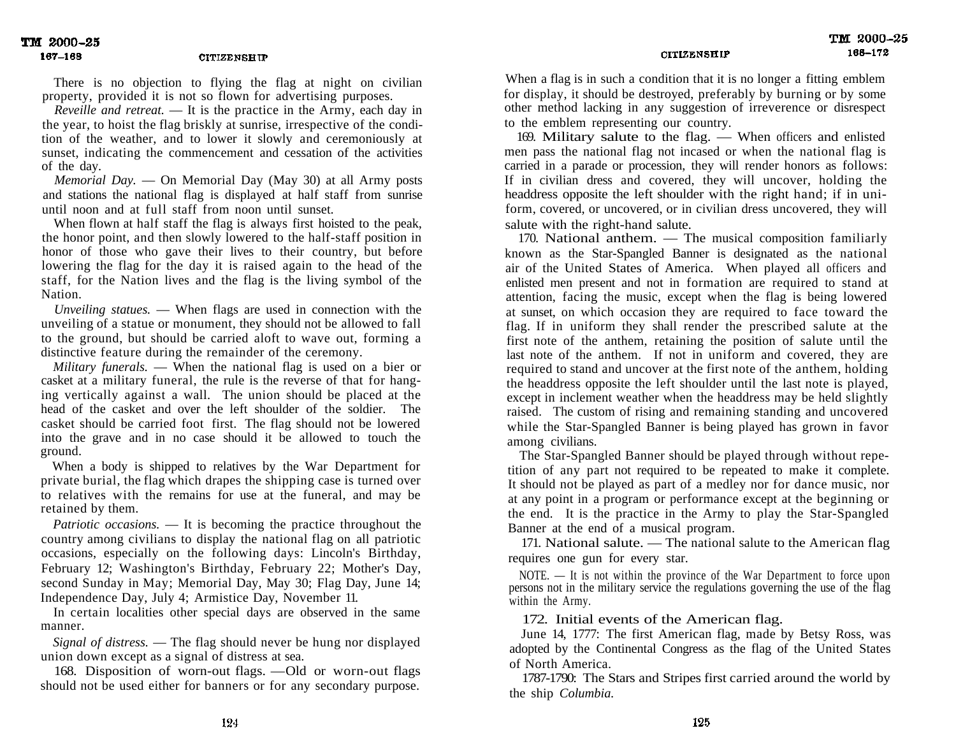There is no objection to flying the flag at night on civilian property, provided it is not so flown for advertising purposes.

*Reveille and retreat.* — It is the practice in the Army, each day in the year, to hoist the flag briskly at sunrise, irrespective of the condition of the weather, and to lower it slowly and ceremoniously at sunset, indicating the commencement and cessation of the activities of the day.

*Memorial Day.* — On Memorial Day (May 30) at all Army posts and stations the national flag is displayed at half staff from sunrise until noon and at full staff from noon until sunset.

When flown at half staff the flag is always first hoisted to the peak, the honor point, and then slowly lowered to the half-staff position in honor of those who gave their lives to their country, but before lowering the flag for the day it is raised again to the head of the staff, for the Nation lives and the flag is the living symbol of the Nation.

*Unveiling statues.* — When flags are used in connection with the unveiling of a statue or monument, they should not be allowed to fall to the ground, but should be carried aloft to wave out, forming a distinctive feature during the remainder of the ceremony.

*Military funerals.* — When the national flag is used on a bier or casket at a military funeral, the rule is the reverse of that for hanging vertically against a wall. The union should be placed at the head of the casket and over the left shoulder of the soldier. The casket should be carried foot first. The flag should not be lowered into the grave and in no case should it be allowed to touch the ground.

When a body is shipped to relatives by the War Department for private burial, the flag which drapes the shipping case is turned over to relatives with the remains for use at the funeral, and may be retained by them.

*Patriotic occasions.* — It is becoming the practice throughout the country among civilians to display the national flag on all patriotic occasions, especially on the following days: Lincoln's Birthday, February 12; Washington's Birthday, February 22; Mother's Day, second Sunday in May; Memorial Day, May 30; Flag Day, June 14; Independence Day, July 4; Armistice Day, November 11.

In certain localities other special days are observed in the same manner.

*Signal of distress.* — The flag should never be hung nor displayed union down except as a signal of distress at sea.

168. Disposition of worn-out flags. — Old or worn-out flags should not be used either for banners or for any secondary purpose.

When a flag is in such a condition that it is no longer a fitting emblem for display, it should be destroyed, preferably by burning or by some other method lacking in any suggestion of irreverence or disrespect to the emblem representing our country.

169. Military salute to the flag. — When officers and enlisted men pass the national flag not incased or when the national flag is carried in a parade or procession, they will render honors as follows: If in civilian dress and covered, they will uncover, holding the headdress opposite the left shoulder with the right hand; if in uniform, covered, or uncovered, or in civilian dress uncovered, they will salute with the right-hand salute.

170. National anthem. — The musical composition familiarly known as the Star-Spangled Banner is designated as the national air of the United States of America. When played all officers and enlisted men present and not in formation are required to stand at attention, facing the music, except when the flag is being lowered at sunset, on which occasion they are required to face toward the flag. If in uniform they shall render the prescribed salute at the first note of the anthem, retaining the position of salute until the last note of the anthem. If not in uniform and covered, they are required to stand and uncover at the first note of the anthem, holding the headdress opposite the left shoulder until the last note is played, except in inclement weather when the headdress may be held slightly raised. The custom of rising and remaining standing and uncovered while the Star-Spangled Banner is being played has grown in favor among civilians.

The Star-Spangled Banner should be played through without repetition of any part not required to be repeated to make it complete. It should not be played as part of a medley nor for dance music, nor at any point in a program or performance except at the beginning or the end. It is the practice in the Army to play the Star-Spangled Banner at the end of a musical program.

171. National salute. — The national salute to the American flag requires one gun for every star.

NOTE. — It is not within the province of the War Department to force upon persons not in the military service the regulations governing the use of the flag within the Army.

172. Initial events of the American flag.

June 14, 1777: The first American flag, made by Betsy Ross, was adopted by the Continental Congress as the flag of the United States of North America.

1787-1790: The Stars and Stripes first carried around the world by the ship *Columbia.*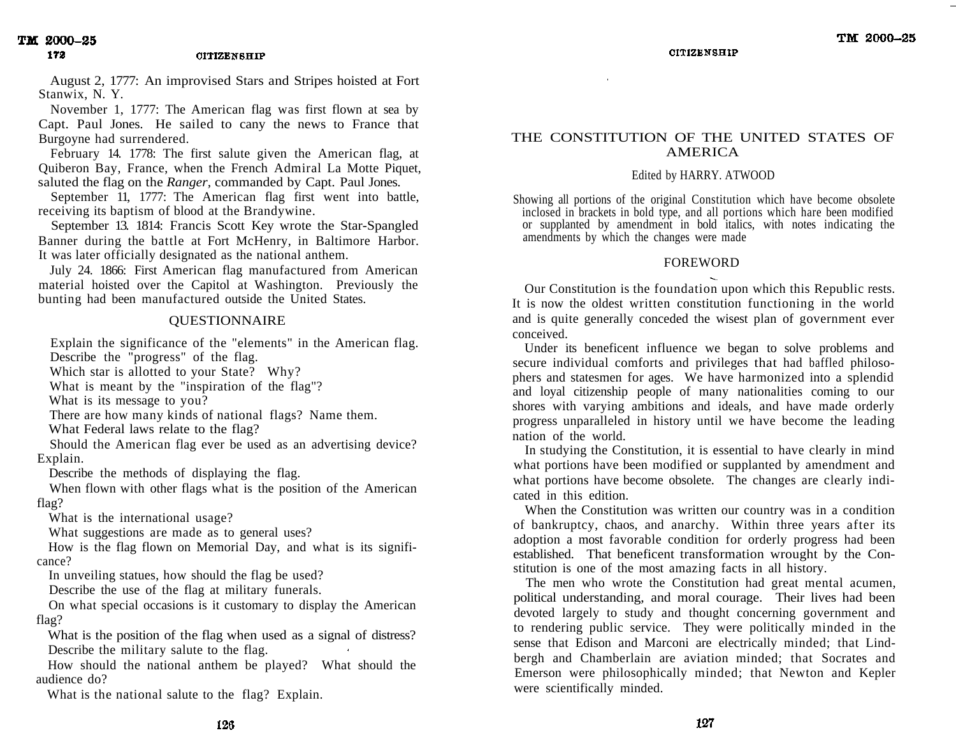August 2, 1777: An improvised Stars and Stripes hoisted at Fort Stanwix, N. Y.

November 1, 1777: The American flag was first flown at sea by Capt. Paul Jones. He sailed to cany the news to France that Burgoyne had surrendered.

February 14. 1778: The first salute given the American flag, at Quiberon Bay, France, when the French Admiral La Motte Piquet, saluted the flag on the *Ranger,* commanded by Capt. Paul Jones.

September 11, 1777: The American flag first went into battle, receiving its baptism of blood at the Brandywine.

September 13. 1814: Francis Scott Key wrote the Star-Spangled Banner during the battle at Fort McHenry, in Baltimore Harbor. It was later officially designated as the national anthem.

July 24. 1866: First American flag manufactured from American material hoisted over the Capitol at Washington. Previously the bunting had been manufactured outside the United States.

# **QUESTIONNAIRE**

Explain the significance of the "elements" in the American flag.

Describe the "progress" of the flag.

Which star is allotted to your State? Why?

What is meant by the "inspiration of the flag"?

What is its message to you?

There are how many kinds of national flags? Name them.

What Federal laws relate to the flag?

Should the American flag ever be used as an advertising device? Explain.

Describe the methods of displaying the flag.

When flown with other flags what is the position of the American flag?

What is the international usage?

What suggestions are made as to general uses?

How is the flag flown on Memorial Day, and what is its significance?

In unveiling statues, how should the flag be used?

Describe the use of the flag at military funerals.

On what special occasions is it customary to display the American flag?

What is the position of the flag when used as a signal of distress? Describe the military salute to the flag.

How should the national anthem be played? What should the audience do?

What is the national salute to the flag? Explain.

# THE CONSTITUTION OF THE UNITED STATES OF AMERICA

# Edited by HARRY. ATWOOD

Showing all portions of the original Constitution which have become obsolete inclosed in brackets in bold type, and all portions which hare been modified or supplanted by amendment in bold italics, with notes indicating the amendments by which the changes were made

## FOREWORD

Our Constitution is the foundation upon which this Republic rests. It is now the oldest written constitution functioning in the world and is quite generally conceded the wisest plan of government ever conceived.

Under its beneficent influence we began to solve problems and secure individual comforts and privileges that had baffled philosophers and statesmen for ages. We have harmonized into a splendid and loyal citizenship people of many nationalities coming to our shores with varying ambitions and ideals, and have made orderly progress unparalleled in history until we have become the leading nation of the world.

In studying the Constitution, it is essential to have clearly in mind what portions have been modified or supplanted by amendment and what portions have become obsolete. The changes are clearly indicated in this edition.

When the Constitution was written our country was in a condition of bankruptcy, chaos, and anarchy. Within three years after its adoption a most favorable condition for orderly progress had been established. That beneficent transformation wrought by the Constitution is one of the most amazing facts in all history.

The men who wrote the Constitution had great mental acumen, political understanding, and moral courage. Their lives had been devoted largely to study and thought concerning government and to rendering public service. They were politically minded in the sense that Edison and Marconi are electrically minded; that Lindbergh and Chamberlain are aviation minded; that Socrates and Emerson were philosophically minded; that Newton and Kepler were scientifically minded.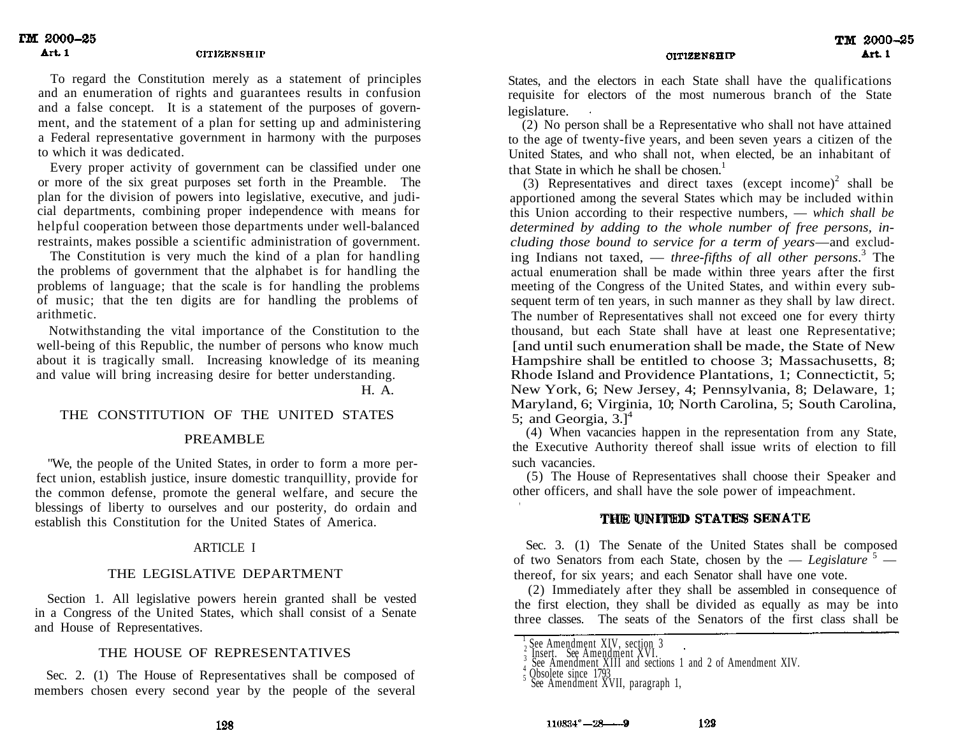## **CITIZENSHIP**

To regard the Constitution merely as a statement of principles and an enumeration of rights and guarantees results in confusion and a false concept. It is a statement of the purposes of government, and the statement of a plan for setting up and administering a Federal representative government in harmony with the purposes to which it was dedicated.

Every proper activity of government can be classified under one or more of the six great purposes set forth in the Preamble. The plan for the division of powers into legislative, executive, and judicial departments, combining proper independence with means for helpful cooperation between those departments under well-balanced restraints, makes possible a scientific administration of government.

The Constitution is very much the kind of a plan for handling the problems of government that the alphabet is for handling the problems of language; that the scale is for handling the problems of music; that the ten digits are for handling the problems of arithmetic.

Notwithstanding the vital importance of the Constitution to the well-being of this Republic, the number of persons who know much about it is tragically small. Increasing knowledge of its meaning and value will bring increasing desire for better understanding.

H. A.

# THE CONSTITUTION OF THE UNITED STATES

## PREAMBLE

"We, the people of the United States, in order to form a more perfect union, establish justice, insure domestic tranquillity, provide for the common defense, promote the general welfare, and secure the blessings of liberty to ourselves and our posterity, do ordain and establish this Constitution for the United States of America.

# **ARTICLE I**

# THE LEGISLATIVE DEPARTMENT

Section 1. All legislative powers herein granted shall be vested in a Congress of the United States, which shall consist of a Senate and House of Representatives.

# THE HOUSE OF REPRESENTATIVES

Sec. 2. (1) The House of Representatives shall be composed of members chosen every second year by the people of the several States, and the electors in each State shall have the qualifications requisite for electors of the most numerous branch of the State legislature.

 $(2)$  No person shall be a Representative who shall not have attained to the age of twenty-five years, and been seven years a citizen of the United States, and who shall not, when elected, be an inhabitant of that State in which he shall be chosen.<sup>1</sup>

(3) Representatives and direct taxes (except income)<sup>2</sup> shall be apportioned among the several States which may be included within this Union according to their respective numbers, — *which shall be determined by adding to the whole number of free persons, including those bound to service for a term of years* — and excluding Indians not taxed, — *three-fifths of all other persons*. 3 The actual enumeration shall be made within three years after the first meeting of the Congress of the United States, and within every subsequent term of ten years, in such manner as they shall by law direct. The number of Representatives shall not exceed one for every thirty thousand, but each State shall have at least one Representative; [and until such enumeration shall be made, the State of New Hampshire shall be entitled to choose 3; Massachusetts, 8; Rhode Island and Providence Plantations, 1; Connectictit, 5; New York, 6; New Jersey, 4; Pennsylvania, 8; Delaware, 1; Maryland, 6; Virginia, 10; North Carolina, 5; South Carolina, 5; and Georgia,  $3.<sup>14</sup>$ 

(4) When vacancies happen in the representation from any State, the Executive Authority thereof shall issue writs of election to fill such vacancies.

(5) The House of Representatives shall choose their Speaker and other officers, and shall have the sole power of impeachment.

## THE UNITED STATES SENATE

Sec. 3. (1) The Senate of the United States shall be composed of two Senators from each State, chosen by the — Legislature<sup>5</sup> thereof, for six years; and each Senator shall have one vote.

(2) Immediately after they shall be assembled in consequence of the first election, they shall be divided as equally as may be into three classes. The seats of the Senators of the first class shall be

129

<sup>&</sup>lt;sup>1</sup> See Amendment XIV, section 3

 $\frac{1}{3}$  Insert. See Amendment XVI.<br> $\frac{1}{3}$  See Amendment XIII and sections 1 and 2 of Amendment XIV.

<sup>4</sup>

<sup>&</sup>lt;sub>5</sub> Obsolete since 1793<br>See Amendment XVII, paragraph 1,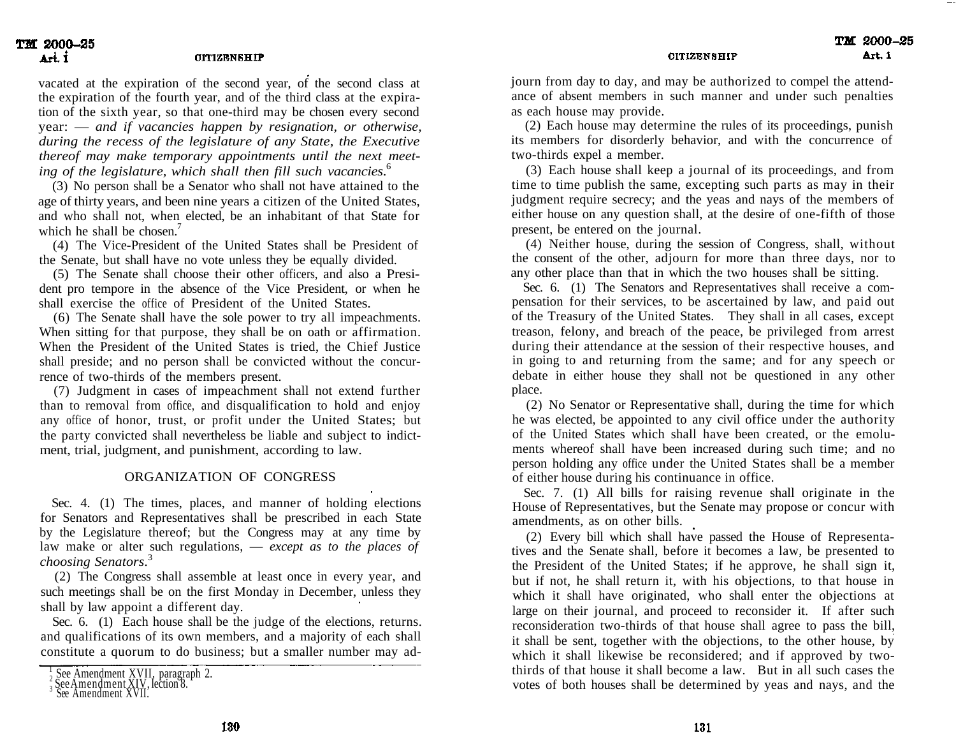TM 2000-25 Ari. İ

#### **CITIZENSHIP**

vacated at the expiration of the second year, of the second class at the expiration of the fourth year, and of the third class at the expiration of the sixth year, so that one-third may be chosen every second year: — *and if vacancies happen by resignation, or otherwise, during the recess of the legislature of any State, the Executive thereof may make temporary appointments until the next meeting of the legislature, which shall then fill such vacancies*. 6

(3) No person shall be a Senator who shall not have attained to the age of thirty years, and been nine years a citizen of the United States, and who shall not, when elected, be an inhabitant of that State for which he shall be chosen.<sup>7</sup>

(4) The Vice-President of the United States shall be President of the Senate, but shall have no vote unless they be equally divided.

(5) The Senate shall choose their other officers, and also a President pro tempore in the absence of the Vice President, or when he shall exercise the office of President of the United States.

(6) The Senate shall have the sole power to try all impeachments. When sitting for that purpose, they shall be on oath or affirmation. When the President of the United States is tried, the Chief Justice shall preside; and no person shall be convicted without the concurrence of two-thirds of the members present.

(7) Judgment in cases of impeachment shall not extend further than to removal from office, and disqualification to hold and enjoy any office of honor, trust, or profit under the United States; but the party convicted shall nevertheless be liable and subject to indictment, trial, judgment, and punishment, according to law.

# ORGANIZATION OF CONGRESS

Sec. 4. (1) The times, places, and manner of holding elections for Senators and Representatives shall be prescribed in each State by the Legislature thereof; but the Congress may at any time by law make or alter such regulations, — *except as to the places of choosing Senators*. 3

(2) The Congress shall assemble at least once in every year, and such meetings shall be on the first Monday in December, unless they shall by law appoint a different day.

Sec. 6. (1) Each house shall be the judge of the elections, returns. and qualifications of its own members, and a majority of each shall constitute a quorum to do business; but a smaller number may adjourn from day to day, and may be authorized to compel the attendance of absent members in such manner and under such penalties as each house may provide.

(2) Each house may determine the rules of its proceedings, punish its members for disorderly behavior, and with the concurrence of two-thirds expel a member.

(3) Each house shall keep a journal of its proceedings, and from time to time publish the same, excepting such parts as may in their judgment require secrecy; and the yeas and nays of the members of either house on any question shall, at the desire of one-fifth of those present, be entered on the journal.

(4) Neither house, during the session of Congress, shall, without the consent of the other, adjourn for more than three days, nor to any other place than that in which the two houses shall be sitting.

Sec. 6. (1) The Senators and Representatives shall receive a compensation for their services, to be ascertained by law, and paid out of the Treasury of the United States. They shall in all cases, except treason, felony, and breach of the peace, be privileged from arrest during their attendance at the session of their respective houses, and in going to and returning from the same; and for any speech or debate in either house they shall not be questioned in any other place.

(2) No Senator or Representative shall, during the time for which he was elected, be appointed to any civil office under the authority of the United States which shall have been created, or the emoluments whereof shall have been increased during such time; and no person holding any office under the United States shall be a member of either house during his continuance in office.

Sec. 7. (1) All bills for raising revenue shall originate in the House of Representatives, but the Senate may propose or concur with amendments, as on other bills.

(2) Every bill which shall have passed the House of Representatives and the Senate shall, before it becomes a law, be presented to the President of the United States; if he approve, he shall sign it, but if not, he shall return it, with his objections, to that house in which it shall have originated, who shall enter the objections at large on their journal, and proceed to reconsider it. If after such reconsideration two-thirds of that house shall agree to pass the bill, it shall be sent, together with the objections, to the other house, by which it shall likewise be reconsidered; and if approved by twothirds of that house it shall become a law. But in all such cases the votes of both houses shall be determined by yeas and nays, and the

<sup>&</sup>lt;sup>1</sup> See Amendment XVII, paragraph 2.<br><sup>3</sup> See Amendment XIV, lection 8.<br>3 See Amendment XVII.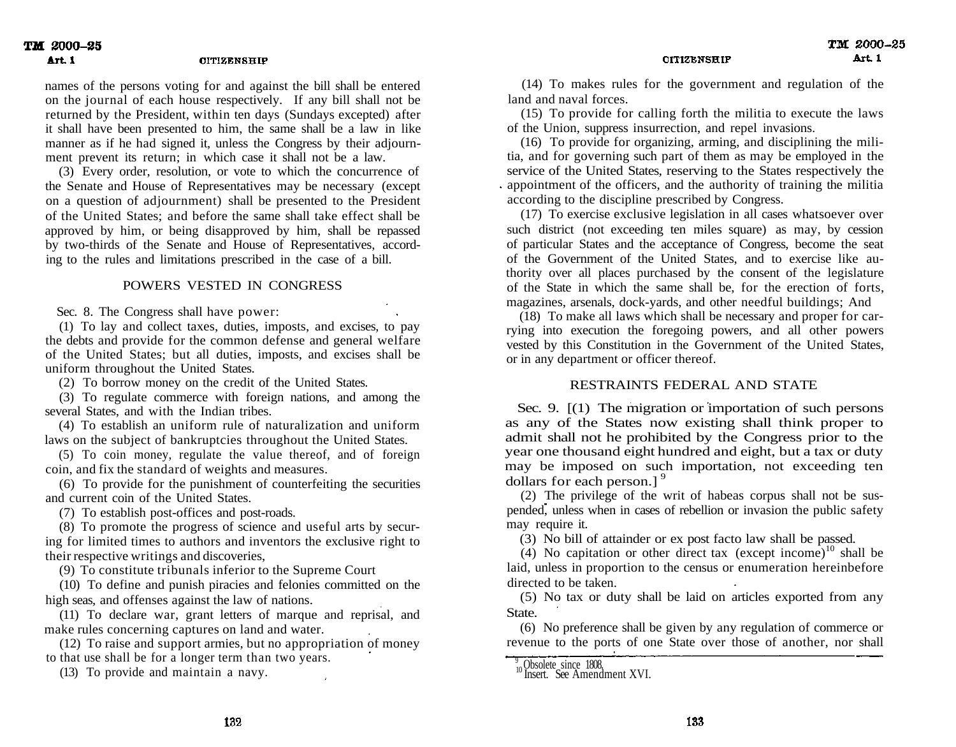names of the persons voting for and against the bill shall be entered on the journal of each house respectively. If any bill shall not be returned by the President, within ten days (Sundays excepted) after it shall have been presented to him, the same shall be a law in like manner as if he had signed it, unless the Congress by their adjournment prevent its return; in which case it shall not be a law.

(3) Every order, resolution, or vote to which the concurrence of the Senate and House of Representatives may be necessary (except on a question of adjournment) shall be presented to the President of the United States; and before the same shall take effect shall be approved by him, or being disapproved by him, shall be repassed by two-thirds of the Senate and House of Representatives, according to the rules and limitations prescribed in the case of a bill.

## POWERS VESTED IN CONGRESS

Sec. 8. The Congress shall have power:

(1) To lay and collect taxes, duties, imposts, and excises, to pay the debts and provide for the common defense and general welfare of the United States; but all duties, imposts, and excises shall be uniform throughout the United States.

(2) To borrow money on the credit of the United States.

(3) To regulate commerce with foreign nations, and among the several States, and with the Indian tribes.

(4) To establish an uniform rule of naturalization and uniform laws on the subject of bankruptcies throughout the United States.

(5) To coin money, regulate the value thereof, and of foreign coin, and fix the standard of weights and measures.

(6) To provide for the punishment of counterfeiting the securities and current coin of the United States.

(7) To establish post-offices and post-roads.

(8) To promote the progress of science and useful arts by securing for limited times to authors and inventors the exclusive right to their respective writings and discoveries,

(9) To constitute tribunals inferior to the Supreme Court

(10) To define and punish piracies and felonies committed on the high seas, and offenses against the law of nations.

(11) To declare war, grant letters of marque and reprisal, and make rules concerning captures on land and water.

(12) To raise and support armies, but no appropriation of money to that use shall be for a longer term than two years.

 $\mathbf{r}$ 

(13) To provide and maintain a navy.

(14) To makes rules for the government and regulation of the land and naval forces.

(15) To provide for calling forth the militia to execute the laws of the Union, suppress insurrection, and repel invasions.

(16) To provide for organizing, arming, and disciplining the militia, and for governing such part of them as may be employed in the service of the United States, reserving to the States respectively the appointment of the officers, and the authority of training the militia according to the discipline prescribed by Congress.

(17) To exercise exclusive legislation in all cases whatsoever over such district (not exceeding ten miles square) as may, by cession of particular States and the acceptance of Congress, become the seat of the Government of the United States, and to exercise like authority over all places purchased by the consent of the legislature of the State in which the same shall be, for the erection of forts, magazines, arsenals, dock-yards, and other needful buildings; And

(18) To make all laws which shall be necessary and proper for carrying into execution the foregoing powers, and all other powers vested by this Constitution in the Government of the United States, or in any department or officer thereof.

# RESTRAINTS FEDERAL AND STATE

Sec. 9.  $[(1)$  The migration or importation of such persons as any of the States now existing shall think proper to admit shall not he prohibited by the Congress prior to the year one thousand eight hundred and eight, but a tax or duty may be imposed on such importation, not exceeding ten dollars for each person.]<sup>9</sup>

(2) The privilege of the writ of habeas corpus shall not be suspended, unless when in cases of rebellion or invasion the public safety may require it.

(3) No bill of attainder or ex post facto law shall be passed.

 $(4)$  No capitation or other direct tax (except income)<sup>10</sup> shall be laid, unless in proportion to the census or enumeration hereinbefore directed to be taken.

(5) No tax or duty shall be laid on articles exported from any State.

(6) No preference shall be given by any regulation of commerce or revenue to the ports of one State over those of another, nor shall

<sup>&</sup>lt;sup>9</sup> Obsolete since 1808.<br><sup>10</sup> Insert. See Amendment XVI.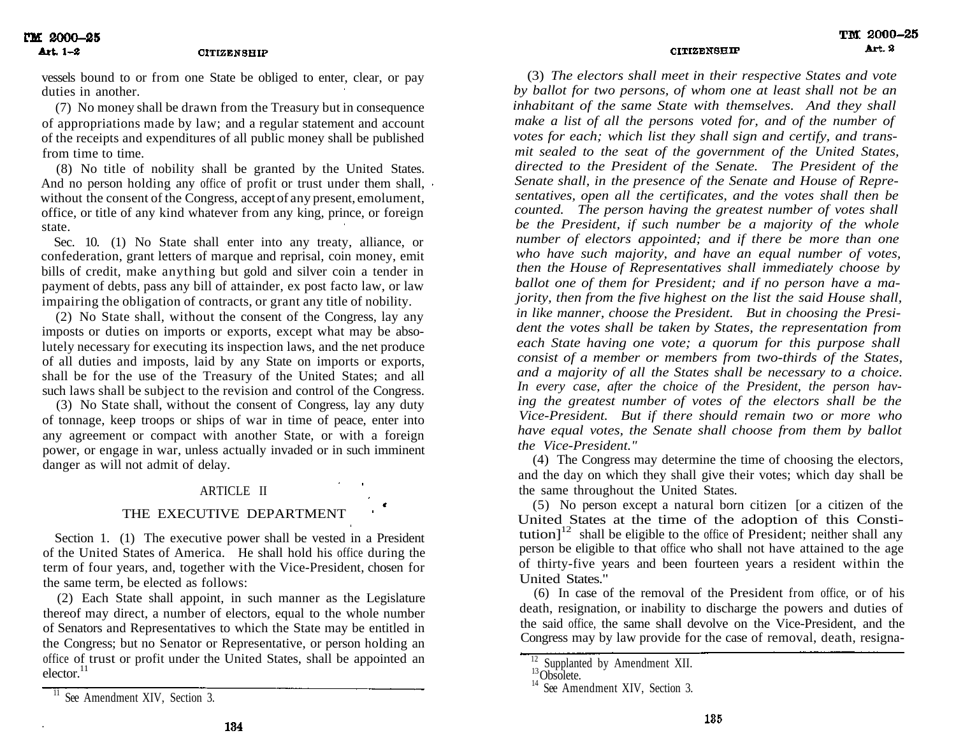vessels bound to or from one State be obliged to enter, clear, or pay duties in another.

(7) No money shall be drawn from the Treasury but in consequence of appropriations made by law; and a regular statement and account of the receipts and expenditures of all public money shall be published from time to time.

(8) No title of nobility shall be granted by the United States. And no person holding any office of profit or trust under them shall, without the consent of the Congress, accept of any present, emolument, office, or title of any kind whatever from any king, prince, or foreign state.

Sec. 10. (1) No State shall enter into any treaty, alliance, or confederation, grant letters of marque and reprisal, coin money, emit bills of credit, make anything but gold and silver coin a tender in payment of debts, pass any bill of attainder, ex post facto law, or law impairing the obligation of contracts, or grant any title of nobility.

(2) No State shall, without the consent of the Congress, lay any imposts or duties on imports or exports, except what may be absolutely necessary for executing its inspection laws, and the net produce of all duties and imposts, laid by any State on imports or exports, shall be for the use of the Treasury of the United States; and all such laws shall be subject to the revision and control of the Congress.

(3) No State shall, without the consent of Congress, lay any duty of tonnage, keep troops or ships of war in time of peace, enter into any agreement or compact with another State, or with a foreign power, or engage in war, unless actually invaded or in such imminent danger as will not admit of delay.

# ARTICLE II

# THE EXECUTIVE DEPARTMENT

Section 1. (1) The executive power shall be vested in a President of the United States of America. He shall hold his office during the term of four years, and, together with the Vice-President, chosen for the same term, be elected as follows:

(2) Each State shall appoint, in such manner as the Legislature thereof may direct, a number of electors, equal to the whole number of Senators and Representatives to which the State may be entitled in the Congress; but no Senator or Representative, or person holding an office of trust or profit under the United States, shall be appointed an elector.<sup>11</sup>

(3) *The electors shall meet in their respective States and vote by ballot for two persons, of whom one at least shall not be an inhabitant of the same State with themselves. And they shall make a list of all the persons voted for, and of the number of votes for each; which list they shall sign and certify, and transmit sealed to the seat of the government of the United States, directed to the President of the Senate. The President of the Senate shall, in the presence of the Senate and House of Representatives, open all the certificates, and the votes shall then be counted. The person having the greatest number of votes shall be the President, if such number be a majority of the whole number of electors appointed; and if there be more than one who have such majority, and have an equal number of votes, then the House of Representatives shall immediately choose by ballot one of them for President; and if no person have a majority, then from the five highest on the list the said House shall, in like manner, choose the President. But in choosing the President the votes shall be taken by States, the representation from each State having one vote; a quorum for this purpose shall consist of a member or members from two-thirds of the States, and a majority of all the States shall be necessary to a choice. In every case, after the choice of the President, the person having the greatest number of votes of the electors shall be the Vice-President. But if there should remain two or more who have equal votes, the Senate shall choose from them by ballot the Vice-President."*

**CITIZENSHIP** 

(4) The Congress may determine the time of choosing the electors, and the day on which they shall give their votes; which day shall be the same throughout the United States.

(5) No person except a natural born citizen [or a citizen of the United States at the time of the adoption of this Constitution] $12$  shall be eligible to the office of President; neither shall any person be eligible to that office who shall not have attained to the age of thirty-five years and been fourteen years a resident within the United States."

(6) In case of the removal of the President from office, or of his death, resignation, or inability to discharge the powers and duties of the said office, the same shall devolve on the Vice-President, and the Congress may by law provide for the case of removal, death, resigna-

<sup>&</sup>lt;sup>11</sup> See Amendment XIV, Section 3.

<sup>12</sup> Supplanted by Amendment XII.

 $^{13}_{14}$ Obsolete.

<sup>&</sup>lt;sup>14</sup> See Amendment XIV, Section 3.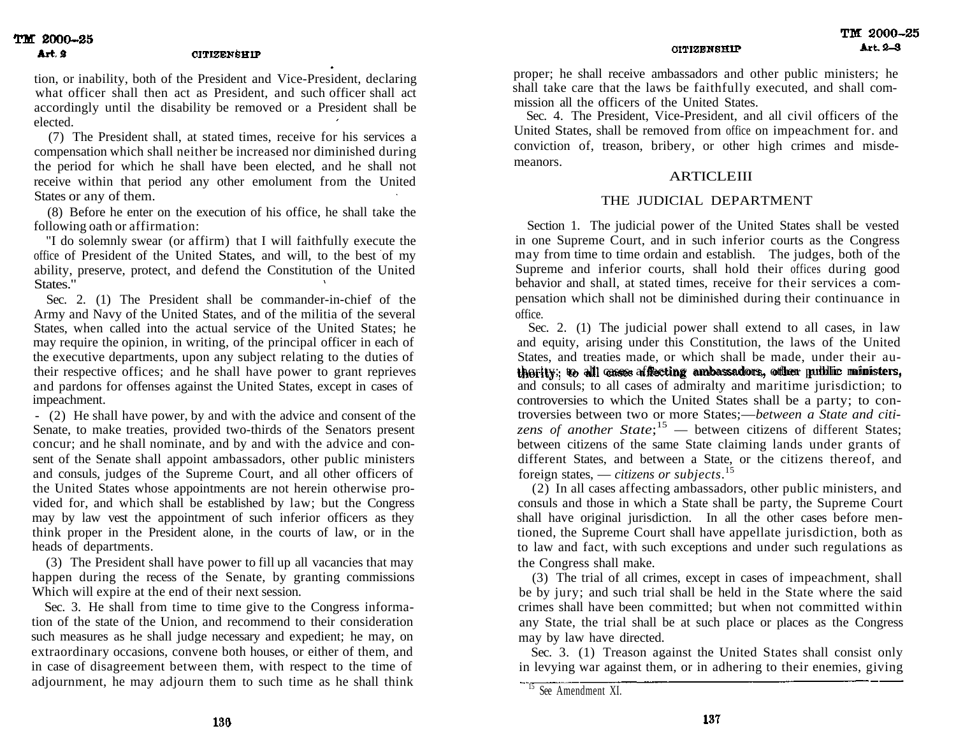# TM 2000-25  $Art.9$

## **CITIZENSHIP**

tion, or inability, both of the President and Vice-President, declaring what officer shall then act as President, and such officer shall act accordingly until the disability be removed or a President shall be elected.

(7) The President shall, at stated times, receive for his services a compensation which shall neither be increased nor diminished during the period for which he shall have been elected, and he shall not receive within that period any other emolument from the United States or any of them.

(8) Before he enter on the execution of his office, he shall take the following oath or affirmation:

"I do solemnly swear (or affirm) that I will faithfully execute the office of President of the United States, and will, to the best of my ability, preserve, protect, and defend the Constitution of the United States."

Sec. 2. (1) The President shall be commander-in-chief of the Army and Navy of the United States, and of the militia of the several States, when called into the actual service of the United States; he may require the opinion, in writing, of the principal officer in each of the executive departments, upon any subject relating to the duties of their respective offices; and he shall have power to grant reprieves and pardons for offenses against the United States, except in cases of impeachment.

- (2) He shall have power, by and with the advice and consent of the Senate, to make treaties, provided two-thirds of the Senators present concur; and he shall nominate, and by and with the advice and consent of the Senate shall appoint ambassadors, other public ministers and consuls, judges of the Supreme Court, and all other officers of the United States whose appointments are not herein otherwise provided for, and which shall be established by law; but the Congress may by law vest the appointment of such inferior officers as they think proper in the President alone, in the courts of law, or in the heads of departments.

(3) The President shall have power to fill up all vacancies that may happen during the recess of the Senate, by granting commissions Which will expire at the end of their next session.

Sec. 3. He shall from time to time give to the Congress information of the state of the Union, and recommend to their consideration such measures as he shall judge necessary and expedient; he may, on extraordinary occasions, convene both houses, or either of them, and in case of disagreement between them, with respect to the time of adjournment, he may adjourn them to such time as he shall think proper; he shall receive ambassadors and other public ministers; he shall take care that the laws be faithfully executed, and shall commission all the officers of the United States.

Sec. 4. The President, Vice-President, and all civil officers of the United States, shall be removed from office on impeachment for. and conviction of, treason, bribery, or other high crimes and misdemeanors.

# **ARTICLEIII**

# THE JUDICIAL DEPARTMENT

Section 1. The judicial power of the United States shall be vested in one Supreme Court, and in such inferior courts as the Congress may from time to time ordain and establish. The judges, both of the Supreme and inferior courts, shall hold their offices during good behavior and shall, at stated times, receive for their services a compensation which shall not be diminished during their continuance in office.

Sec. 2. (1) The judicial power shall extend to all cases, in law and equity, arising under this Constitution, the laws of the United States, and treaties made, or which shall be made, under their authority; to all cases affecting ambassadors, other public ministers, and consuls; to all cases of admiralty and maritime jurisdiction; to controversies to which the United States shall be a party; to controversies between two or more States; — *between a State and citi*zens of another State;<sup>15</sup> — between citizens of different States; between citizens of the same State claiming lands under grants of different States, and between a State, or the citizens thereof, and foreign states, — *citizens or subjects*. 15

(2) In all cases affecting ambassadors, other public ministers, and consuls and those in which a State shall be party, the Supreme Court shall have original jurisdiction. In all the other cases before mentioned, the Supreme Court shall have appellate jurisdiction, both as to law and fact, with such exceptions and under such regulations as the Congress shall make.

(3) The trial of all crimes, except in cases of impeachment, shall be by jury; and such trial shall be held in the State where the said crimes shall have been committed; but when not committed within any State, the trial shall be at such place or places as the Congress may by law have directed.

Sec. 3. (1) Treason against the United States shall consist only in levying war against them, or in adhering to their enemies, giving

<sup>&</sup>lt;sup>15</sup> See Amendment XI.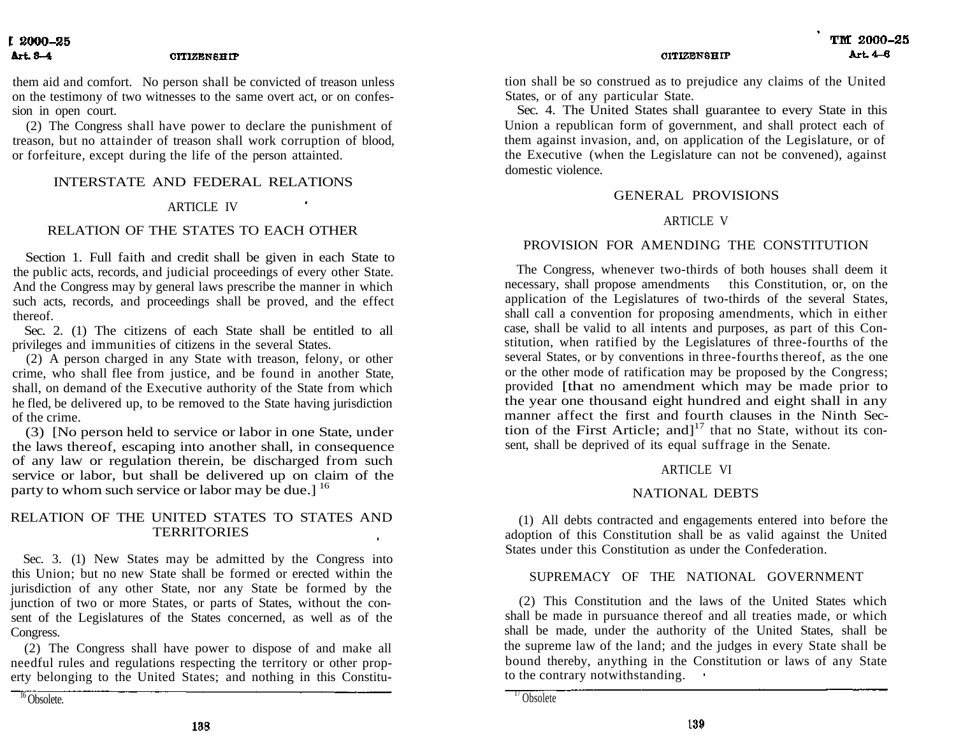TM 2000-25 Art.  $4-6$ 

**CITIZENSHIP** 

them aid and comfort. No person shall be convicted of treason unless on the testimony of two witnesses to the same overt act, or on confession in open court.

(2) The Congress shall have power to declare the punishment of treason, but no attainder of treason shall work corruption of blood, or forfeiture, except during the life of the person attainted.

# INTERSTATE AND FEDERAL RELATIONS

# ARTICLE IV

# RELATION OF THE STATES TO EACH OTHER

Section 1. Full faith and credit shall be given in each State to the public acts, records, and judicial proceedings of every other State. And the Congress may by general laws prescribe the manner in which such acts, records, and proceedings shall be proved, and the effect thereof.

Sec. 2. (1) The citizens of each State shall be entitled to all privileges and immunities of citizens in the several States.

(2) A person charged in any State with treason, felony, or other crime, who shall flee from justice, and be found in another State, shall, on demand of the Executive authority of the State from which he fled, be delivered up, to be removed to the State having jurisdiction of the crime.

(3) [No person held to service or labor in one State, under the laws thereof, escaping into another shall, in consequence of any law or regulation therein, be discharged from such service or labor, but shall be delivered up on claim of the party to whom such service or labor may be due.] <sup>16</sup>

# RELATION OF THE UNITED STATES TO STATES AND **TERRITORIES**

Sec. 3. (1) New States may be admitted by the Congress into this Union; but no new State shall be formed or erected within the jurisdiction of any other State, nor any State be formed by the junction of two or more States, or parts of States, without the consent of the Legislatures of the States concerned, as well as of the Congress.

(2) The Congress shall have power to dispose of and make all needful rules and regulations respecting the territory or other property belonging to the United States; and nothing in this Constitu-

<sup>16</sup> Obsolete.

tion shall be so construed as to prejudice any claims of the United States, or of any particular State.

**CUTIZENSHIP** 

Sec. 4. The United States shall guarantee to every State in this Union a republican form of government, and shall protect each of them against invasion, and, on application of the Legislature, or of the Executive (when the Legislature can not be convened), against domestic violence.

## GENERAL PROVISIONS

# ARTICLE V

# PROVISION FOR AMENDING THE CONSTITUTION

The Congress, whenever two-thirds of both houses shall deem it necessary, shall propose amendments this Constitution, or, on the application of the Legislatures of two-thirds of the several States, shall call a convention for proposing amendments, which in either case, shall be valid to all intents and purposes, as part of this Constitution, when ratified by the Legislatures of three-fourths of the several States, or by conventions in three-fourths thereof, as the one or the other mode of ratification may be proposed by the Congress; provided [that no amendment which may be made prior to the year one thousand eight hundred and eight shall in any manner affect the first and fourth clauses in the Ninth Section of the First Article; and  $]^{17}$  that no State, without its consent, shall be deprived of its equal suffrage in the Senate.

# ARTICLE VI

## NATIONAL DEBTS

(1) All debts contracted and engagements entered into before the adoption of this Constitution shall be as valid against the United States under this Constitution as under the Confederation.

# SUPREMACY OF THE NATIONAL GOVERNMENT

(2) This Constitution and the laws of the United States which shall be made in pursuance thereof and all treaties made, or which shall be made, under the authority of the United States, shall be the supreme law of the land; and the judges in every State shall be bound thereby, anything in the Constitution or laws of any State to the contrary notwithstanding.  $\sim$ 

<sup>&</sup>lt;sup>17</sup> Obsolete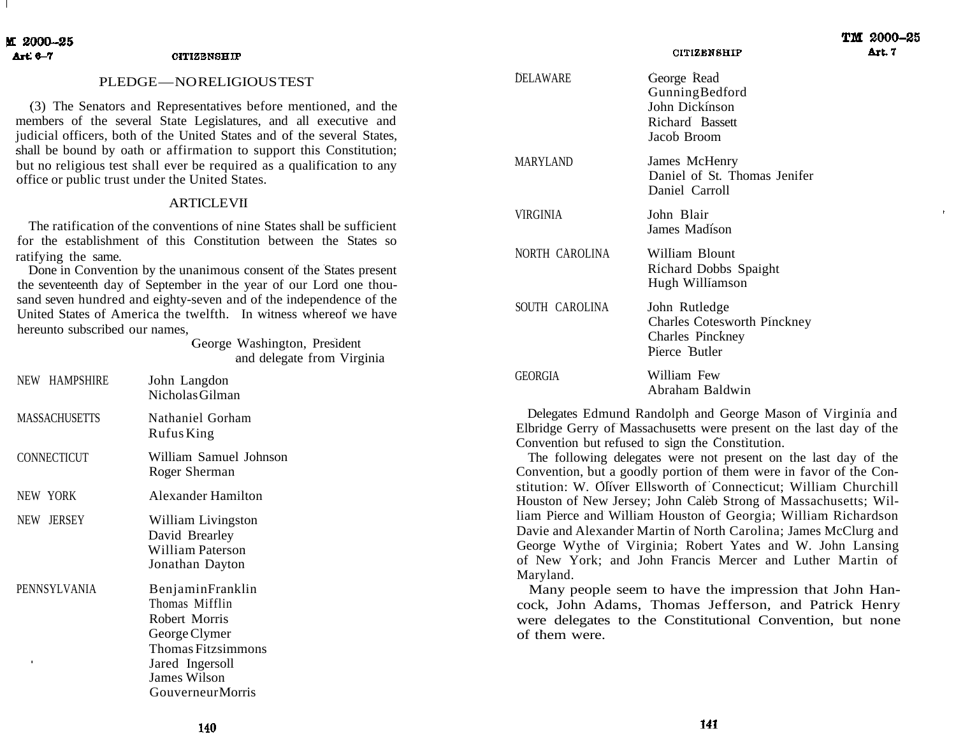# PLEDGE — NO RELIGIOUS TEST

(3) The Senators and Representatives before mentioned, and the members of the several State Legislatures, and all executive and judicial officers, both of the United States and of the several States, shall be bound by oath or affirmation to support this Constitution; but no religious test shall ever be required as a qualification to any office or public trust under the United States.

## **ARTICLEVII**

The ratification of the conventions of nine States shall be sufficient for the establishment of this Constitution between the States so ratifying the same.

Done in Convention by the unanimous consent of the States present the seventeenth day of September in the year of our Lord one thousand seven hundred and eighty-seven and of the independence of the United States of America the twelfth. In witness whereof we have hereunto subscribed our names,

# George Washington, President and delegate from Virginia

| NEW HAMPSHIRE        | John Langdon<br>Nicholas Gilman                                                                                                                                 |
|----------------------|-----------------------------------------------------------------------------------------------------------------------------------------------------------------|
| <b>MASSACHUSETTS</b> | Nathaniel Gorham<br>Rufus King                                                                                                                                  |
| <b>CONNECTICUT</b>   | William Samuel Johnson<br>Roger Sherman                                                                                                                         |
| NEW YORK             | Alexander Hamilton                                                                                                                                              |
| NEW JERSEY           | William Livingston<br>David Brearley<br>William Paterson<br>Jonathan Dayton                                                                                     |
| PENNSYLVANIA<br>٠    | BenjaminFranklin<br>Thomas Mifflin<br>Robert Morris<br>George Clymer<br><b>Thomas Fitzsimmons</b><br>Jared Ingersoll<br><b>James Wilson</b><br>GouverneurMorris |

| DELAWARE        | George Read<br>GunningBedford<br>John Dickinson<br>Richard Bassett<br>Jacob Broom |
|-----------------|-----------------------------------------------------------------------------------|
| <b>MARYLAND</b> | James McHenry<br>Daniel of St. Thomas Jenifer<br>Daniel Carroll                   |
| <b>VIRGINIA</b> | John Blair<br>James Madison                                                       |
| NORTH CAROLINA  | William Blount<br>Richard Dobbs Spaight                                           |

**CITIZENSHIP** 

|                | Hugh Williamson                                                                          |
|----------------|------------------------------------------------------------------------------------------|
| SOUTH CAROLINA | John Rutledge<br><b>Charles Cotesworth Pinckney</b><br>Charles Pinckney<br>Pierce Butler |
| <b>GEORGIA</b> | William Few<br>Abraham Baldwin                                                           |

Delegates Edmund Randolph and George Mason of Virginia and Elbridge Gerry of Massachusetts were present on the last day of the Convention but refused to sign the Constitution.

The following delegates were not present on the last day of the Convention, but a goodly portion of them were in favor of the Constitution: W. Oliver Ellsworth of Connecticut; William Churchill Houston of New Jersey; John Caleb Strong of Massachusetts; William Pierce and William Houston of Georgia; William Richardson Davie and Alexander Martin of North Carolina; James McClurg and George Wythe of Virginia; Robert Yates and W. John Lansing of New York; and John Francis Mercer and Luther Martin of Maryland.

Many people seem to have the impression that John Hancock, John Adams, Thomas Jefferson, and Patrick Henry were delegates to the Constitutional Convention, but none of them were.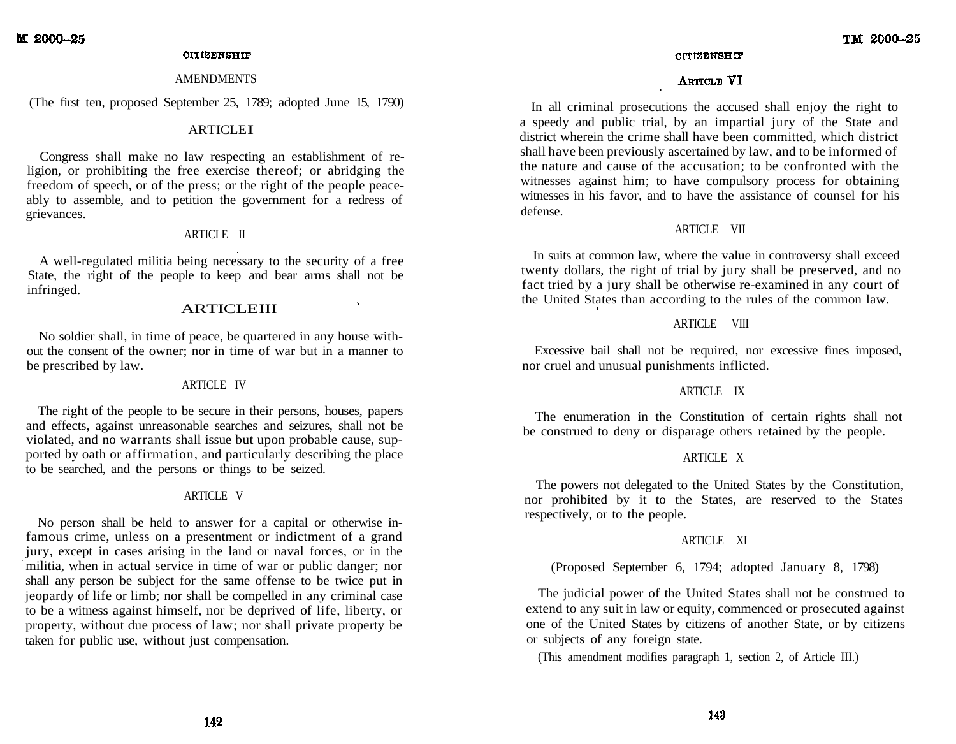### AMENDMENTS

(The first ten, proposed September 25, 1789; adopted June 15, 1790)

# **ARTICLEI**

Congress shall make no law respecting an establishment of religion, or prohibiting the free exercise thereof; or abridging the freedom of speech, or of the press; or the right of the people peaceably to assemble, and to petition the government for a redress of grievances.

# ARTICLE II

A well-regulated militia being necessary to the security of a free State, the right of the people to keep and bear arms shall not be infringed.

# **ARTICLEIII**

 $\mathbf{v}$ 

No soldier shall, in time of peace, be quartered in any house without the consent of the owner; nor in time of war but in a manner to be prescribed by law.

## ARTICLE IV

The right of the people to be secure in their persons, houses, papers and effects, against unreasonable searches and seizures, shall not be violated, and no warrants shall issue but upon probable cause, supported by oath or affirmation, and particularly describing the place to be searched, and the persons or things to be seized.

## ARTICLE V

No person shall be held to answer for a capital or otherwise infamous crime, unless on a presentment or indictment of a grand jury, except in cases arising in the land or naval forces, or in the militia, when in actual service in time of war or public danger; nor shall any person be subject for the same offense to be twice put in jeopardy of life or limb; nor shall be compelled in any criminal case to be a witness against himself, nor be deprived of life, liberty, or property, without due process of law; nor shall private property be taken for public use, without just compensation.

#### **OFFIZENSHIP**

# ARTICLE VI

In all criminal prosecutions the accused shall enjoy the right to a speedy and public trial, by an impartial jury of the State and district wherein the crime shall have been committed, which district shall have been previously ascertained by law, and to be informed of the nature and cause of the accusation; to be confronted with the witnesses against him; to have compulsory process for obtaining witnesses in his favor, and to have the assistance of counsel for his defense.

# ARTICLE VII

In suits at common law, where the value in controversy shall exceed twenty dollars, the right of trial by jury shall be preserved, and no fact tried by a jury shall be otherwise re-examined in any court of the United States than according to the rules of the common law.

# ARTICLE VIII

Excessive bail shall not be required, nor excessive fines imposed, nor cruel and unusual punishments inflicted.

## ARTICLE IX

The enumeration in the Constitution of certain rights shall not be construed to deny or disparage others retained by the people.

# ARTICLE X

The powers not delegated to the United States by the Constitution, nor prohibited by it to the States, are reserved to the States respectively, or to the people.

# ARTICLE XI

(Proposed September 6, 1794; adopted January 8, 1798)

The judicial power of the United States shall not be construed to extend to any suit in law or equity, commenced or prosecuted against one of the United States by citizens of another State, or by citizens or subjects of any foreign state.

(This amendment modifies paragraph 1, section 2, of Article III.)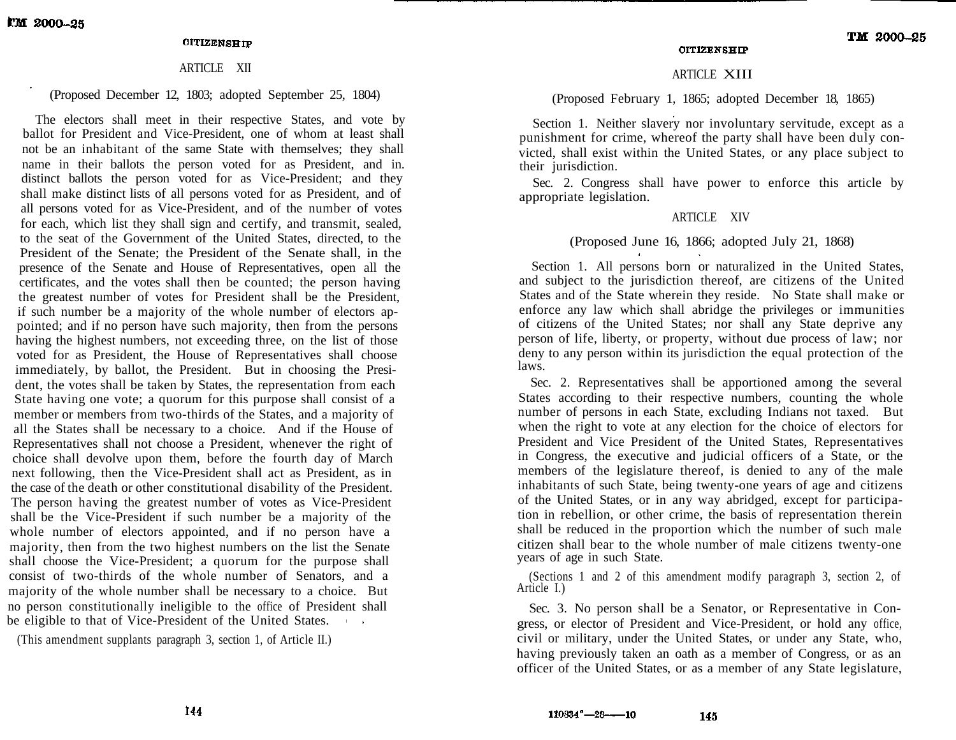### **CITIZENSHIP**

ARTICLE XII

(Proposed December 12, 1803; adopted September 25, 1804)

The electors shall meet in their respective States, and vote by ballot for President and Vice-President, one of whom at least shall not be an inhabitant of the same State with themselves; they shall name in their ballots the person voted for as President, and in. distinct ballots the person voted for as Vice-President; and they shall make distinct lists of all persons voted for as President, and of all persons voted for as Vice-President, and of the number of votes for each, which list they shall sign and certify, and transmit, sealed, to the seat of the Government of the United States, directed, to the President of the Senate; the President of the Senate shall, in the presence of the Senate and House of Representatives, open all the certificates, and the votes shall then be counted; the person having the greatest number of votes for President shall be the President, if such number be a majority of the whole number of electors appointed; and if no person have such majority, then from the persons having the highest numbers, not exceeding three, on the list of those voted for as President, the House of Representatives shall choose immediately, by ballot, the President. But in choosing the President, the votes shall be taken by States, the representation from each State having one vote; a quorum for this purpose shall consist of a member or members from two-thirds of the States, and a majority of all the States shall be necessary to a choice. And if the House of Representatives shall not choose a President, whenever the right of choice shall devolve upon them, before the fourth day of March next following, then the Vice-President shall act as President, as in the case of the death or other constitutional disability of the President. The person having the greatest number of votes as Vice-President shall be the Vice-President if such number be a majority of the whole number of electors appointed, and if no person have a majority, then from the two highest numbers on the list the Senate shall choose the Vice-President; a quorum for the purpose shall consist of two-thirds of the whole number of Senators, and a majority of the whole number shall be necessary to a choice. But no person constitutionally ineligible to the office of President shall be eligible to that of Vice-President of the United States.

(This amendment supplants paragraph 3, section 1, of Article II.)

### **OITIZENSHIP**

## ARTICLE XIII

(Proposed February 1, 1865; adopted December 18, 1865)

Section 1. Neither slavery nor involuntary servitude, except as a punishment for crime, whereof the party shall have been duly convicted, shall exist within the United States, or any place subject to their jurisdiction.

Sec. 2. Congress shall have power to enforce this article by appropriate legislation.

## ARTICLE XIV

## (Proposed June 16, 1866; adopted July 21, 1868)

Section 1. All persons born or naturalized in the United States, and subject to the jurisdiction thereof, are citizens of the United States and of the State wherein they reside. No State shall make or enforce any law which shall abridge the privileges or immunities of citizens of the United States; nor shall any State deprive any person of life, liberty, or property, without due process of law; nor deny to any person within its jurisdiction the equal protection of the laws.

Sec. 2. Representatives shall be apportioned among the several States according to their respective numbers, counting the whole number of persons in each State, excluding Indians not taxed. But when the right to vote at any election for the choice of electors for President and Vice President of the United States, Representatives in Congress, the executive and judicial officers of a State, or the members of the legislature thereof, is denied to any of the male inhabitants of such State, being twenty-one years of age and citizens of the United States, or in any way abridged, except for participation in rebellion, or other crime, the basis of representation therein shall be reduced in the proportion which the number of such male citizen shall bear to the whole number of male citizens twenty-one years of age in such State.

(Sections 1 and 2 of this amendment modify paragraph 3, section 2, of Article I.)

Sec. 3. No person shall be a Senator, or Representative in Congress, or elector of President and Vice-President, or hold any office, civil or military, under the United States, or under any State, who, having previously taken an oath as a member of Congress, or as an officer of the United States, or as a member of any State legislature,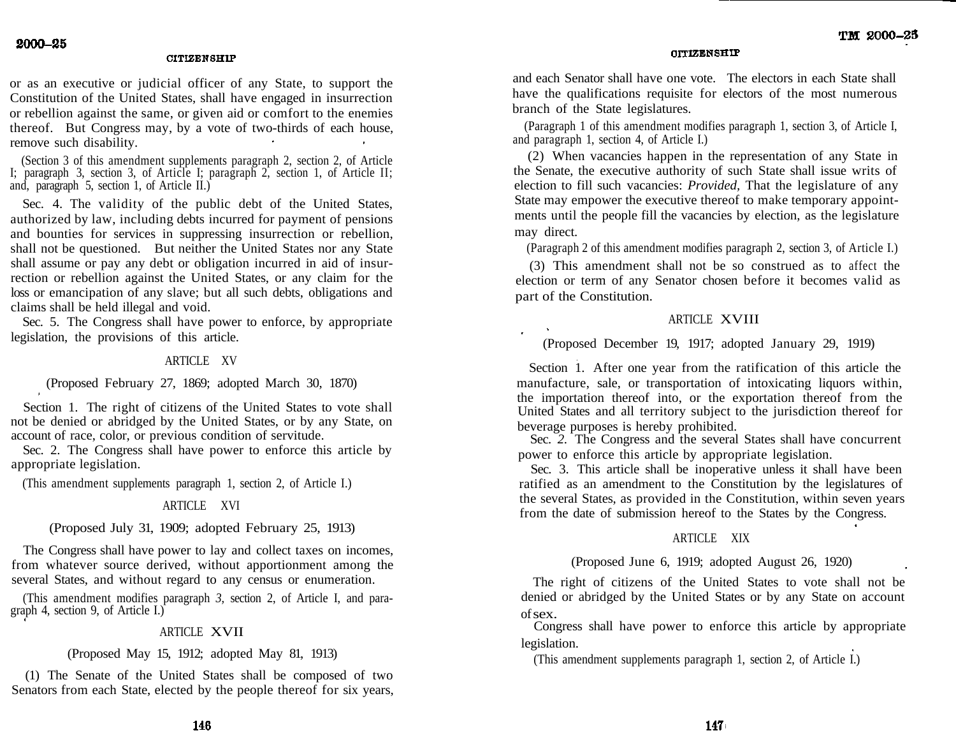### **OITIZENSHIP**

### **CITIZENSHIP**

or as an executive or judicial officer of any State, to support the Constitution of the United States, shall have engaged in insurrection or rebellion against the same, or given aid or comfort to the enemies thereof. But Congress may, by a vote of two-thirds of each house, remove such disability.

(Section 3 of this amendment supplements paragraph 2, section 2, of Article I; paragraph 3, section 3, of Article I; paragraph 2, section 1, of Article II; and, paragraph 5, section 1, of Article II.)

Sec. 4. The validity of the public debt of the United States, authorized by law, including debts incurred for payment of pensions and bounties for services in suppressing insurrection or rebellion, shall not be questioned. But neither the United States nor any State shall assume or pay any debt or obligation incurred in aid of insurrection or rebellion against the United States, or any claim for the loss or emancipation of any slave; but all such debts, obligations and claims shall be held illegal and void.

Sec. 5. The Congress shall have power to enforce, by appropriate legislation, the provisions of this article.

## ARTICLE XV

(Proposed February 27, 1869; adopted March 30, 1870)

Section 1. The right of citizens of the United States to vote shall not be denied or abridged by the United States, or by any State, on account of race, color, or previous condition of servitude.

Sec. 2. The Congress shall have power to enforce this article by appropriate legislation.

(This amendment supplements paragraph 1, section 2, of Article I.)

## ARTICLE XVI

(Proposed July 31, 1909; adopted February 25, 1913)

The Congress shall have power to lay and collect taxes on incomes, from whatever source derived, without apportionment among the several States, and without regard to any census or enumeration.

(This amendment modifies paragraph *3,* section 2, of Article I, and paragraph 4, section 9, of Article I.)

## ARTICLE XVII

(Proposed May 15, 1912; adopted May 81, 1913)

(1) The Senate of the United States shall be composed of two Senators from each State, elected by the people thereof for six years,

and each Senator shall have one vote. The electors in each State shall have the qualifications requisite for electors of the most numerous branch of the State legislatures.

(Paragraph 1 of this amendment modifies paragraph 1, section 3, of Article I, and paragraph 1, section 4, of Article I.)

(2) When vacancies happen in the representation of any State in the Senate, the executive authority of such State shall issue writs of election to fill such vacancies: *Provided,* That the legislature of any State may empower the executive thereof to make temporary appointments until the people fill the vacancies by election, as the legislature may direct.

(Paragraph 2 of this amendment modifies paragraph 2, section 3, of Article I.)

(3) This amendment shall not be so construed as to affect the election or term of any Senator chosen before it becomes valid as part of the Constitution.

## ARTICLE XVIII

(Proposed December 19, 1917; adopted January 29, 1919)

Section 1. After one year from the ratification of this article the manufacture, sale, or transportation of intoxicating liquors within, the importation thereof into, or the exportation thereof from the United States and all territory subject to the jurisdiction thereof for beverage purposes is hereby prohibited.

Sec. *2.* The Congress and the several States shall have concurrent power to enforce this article by appropriate legislation.

Sec. 3. This article shall be inoperative unless it shall have been ratified as an amendment to the Constitution by the legislatures of the several States, as provided in the Constitution, within seven years from the date of submission hereof to the States by the Congress.

## ARTICLE XIX

(Proposed June 6, 1919; adopted August 26, 1920)

The right of citizens of the United States to vote shall not be denied or abridged by the United States or by any State on account of sex.

Congress shall have power to enforce this article by appropriate legislation.

(This amendment supplements paragraph 1, section 2, of Article I.)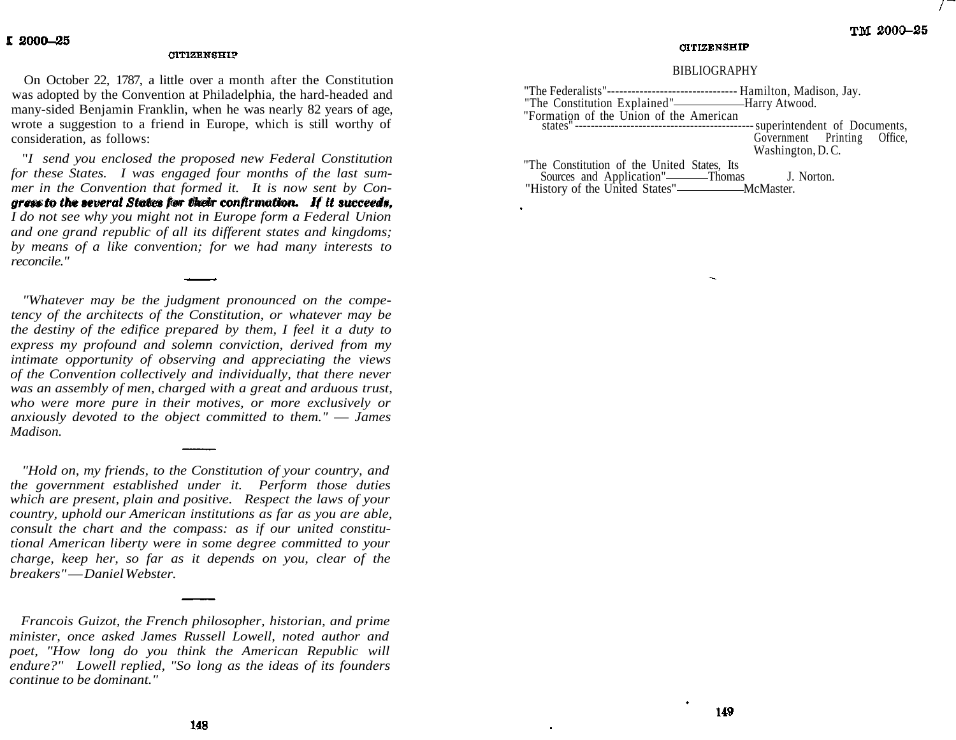### **CITIZENSHIP**

On October 22, 1787, a little over a month after the Constitution was adopted by the Convention at Philadelphia, the hard-headed and many-sided Benjamin Franklin, when he was nearly 82 years of age, wrote a suggestion to a friend in Europe, which is still worthy of consideration, as follows:

"*I send you enclosed the proposed new Federal Constitution for these States. I was engaged four months of the last summer in the Convention that formed it. It is now sent by Congress to the several States for their confirmation. If it succeeds, I do not see why you might not in Europe form a Federal Union and one grand republic of all its different states and kingdoms; by means of a like convention; for we had many interests to reconcile."*

*"Whatever may be the judgment pronounced on the competency of the architects of the Constitution, or whatever may be the destiny of the edifice prepared by them, I feel it a duty to express my profound and solemn conviction, derived from my intimate opportunity of observing and appreciating the views of the Convention collectively and individually, that there never was an assembly of men, charged with a great and arduous trust, who were more pure in their motives, or more exclusively or anxiously devoted to the object committed to them."* — *James Madison.*

*"Hold on, my friends, to the Constitution of your country, and the government established under it. Perform those duties which are present, plain and positive. Respect the laws of your country, uphold our American institutions as far as you are able, consult the chart and the compass: as if our united constitutional American liberty were in some degree committed to your charge, keep her, so far as it depends on you, clear of the breakers"* — *Daniel Webster.*

### **CUTIZENSHIP**

### BIBLIOGRAPHY

"The Federalists"-------------------------------- Hamilton, Madison, Jay. "The Constitution Explained" — "Formation of the Union of the American -- superintendent of Documents, Government Printing Office, Washington, D. C. "The Constitution of the United States, Its Sources and Application"-Thomas J. Norton. "History of the United States"-McMaster.

*Francois Guizot, the French philosopher, historian, and prime minister, once asked James Russell Lowell, noted author and poet, "How long do you think the American Republic will endure?" Lowell replied, "So long as the ideas of its founders continue to be dominant."*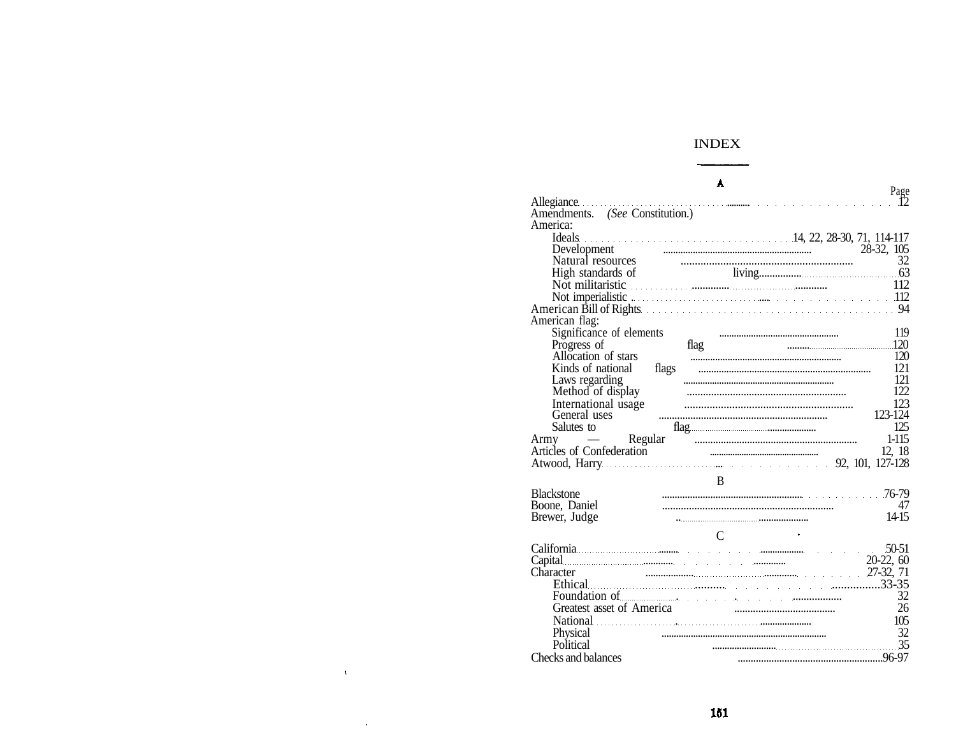|                                    | Allegiance 12                                                                                                                                                                                                                                                                                                                                                                                                                                                                                                                                    | Page        |
|------------------------------------|--------------------------------------------------------------------------------------------------------------------------------------------------------------------------------------------------------------------------------------------------------------------------------------------------------------------------------------------------------------------------------------------------------------------------------------------------------------------------------------------------------------------------------------------------|-------------|
| Amendments. (See Constitution.)    |                                                                                                                                                                                                                                                                                                                                                                                                                                                                                                                                                  |             |
| America:                           |                                                                                                                                                                                                                                                                                                                                                                                                                                                                                                                                                  |             |
|                                    |                                                                                                                                                                                                                                                                                                                                                                                                                                                                                                                                                  |             |
| Development                        |                                                                                                                                                                                                                                                                                                                                                                                                                                                                                                                                                  | 28-32, 105  |
|                                    |                                                                                                                                                                                                                                                                                                                                                                                                                                                                                                                                                  | 32          |
|                                    |                                                                                                                                                                                                                                                                                                                                                                                                                                                                                                                                                  |             |
|                                    |                                                                                                                                                                                                                                                                                                                                                                                                                                                                                                                                                  | 112         |
|                                    |                                                                                                                                                                                                                                                                                                                                                                                                                                                                                                                                                  |             |
|                                    |                                                                                                                                                                                                                                                                                                                                                                                                                                                                                                                                                  |             |
| American flag:                     |                                                                                                                                                                                                                                                                                                                                                                                                                                                                                                                                                  |             |
| Significance of elements           |                                                                                                                                                                                                                                                                                                                                                                                                                                                                                                                                                  | 119         |
| Progress of                        | flag                                                                                                                                                                                                                                                                                                                                                                                                                                                                                                                                             |             |
| Progress of<br>Allocation of stars |                                                                                                                                                                                                                                                                                                                                                                                                                                                                                                                                                  | 120         |
| Kinds of national                  | $\begin{minipage}{0.9\linewidth} \textbf{flags} \end{minipage} \begin{minipage}{0.9\linewidth} \textbf{flags} \end{minipage} \begin{minipage}{0.9\linewidth} \textbf{flags} \end{minipage} \begin{minipage}{0.9\linewidth} \textbf{flags} \end{minipage} \begin{minipage}{0.9\linewidth} \textbf{flags} \end{minipage} \begin{minipage}{0.9\linewidth} \textbf{flags} \end{minipage} \begin{minipage}{0.9\linewidth} \textbf{flags} \end{minipage} \begin{minipage}{0.9\linewidth} \textbf{flags} \end{minipage} \begin{minipage}{0.9\linewidth$ | 121         |
| Laws regarding                     |                                                                                                                                                                                                                                                                                                                                                                                                                                                                                                                                                  | 121         |
| Method of display                  |                                                                                                                                                                                                                                                                                                                                                                                                                                                                                                                                                  | 122         |
|                                    |                                                                                                                                                                                                                                                                                                                                                                                                                                                                                                                                                  | 123         |
|                                    |                                                                                                                                                                                                                                                                                                                                                                                                                                                                                                                                                  | 123-124     |
|                                    | International usage<br>General uses<br>Salutes to flag                                                                                                                                                                                                                                                                                                                                                                                                                                                                                           | 125         |
| Army                               |                                                                                                                                                                                                                                                                                                                                                                                                                                                                                                                                                  | $1 - 115$   |
| Articles of Confederation          |                                                                                                                                                                                                                                                                                                                                                                                                                                                                                                                                                  | 12, 18      |
|                                    |                                                                                                                                                                                                                                                                                                                                                                                                                                                                                                                                                  |             |
|                                    |                                                                                                                                                                                                                                                                                                                                                                                                                                                                                                                                                  |             |
|                                    | R                                                                                                                                                                                                                                                                                                                                                                                                                                                                                                                                                |             |
| <b>Blackstone</b>                  |                                                                                                                                                                                                                                                                                                                                                                                                                                                                                                                                                  |             |
| Boone, Daniel                      |                                                                                                                                                                                                                                                                                                                                                                                                                                                                                                                                                  | 47          |
| Brewer, Judge                      |                                                                                                                                                                                                                                                                                                                                                                                                                                                                                                                                                  | 14-15       |
|                                    |                                                                                                                                                                                                                                                                                                                                                                                                                                                                                                                                                  |             |
|                                    |                                                                                                                                                                                                                                                                                                                                                                                                                                                                                                                                                  |             |
|                                    |                                                                                                                                                                                                                                                                                                                                                                                                                                                                                                                                                  | 50-51       |
|                                    | Capital 20-22, 60<br>Character 27-32, 71                                                                                                                                                                                                                                                                                                                                                                                                                                                                                                         | $20-22, 60$ |
|                                    |                                                                                                                                                                                                                                                                                                                                                                                                                                                                                                                                                  |             |
|                                    |                                                                                                                                                                                                                                                                                                                                                                                                                                                                                                                                                  |             |
|                                    | Foundation of <u>Communication</u> and the contract of the series of the series of the series of the series of the series of the series of the series of the series of the series of the series of the series of the series of the                                                                                                                                                                                                                                                                                                               | 32          |
| Greatest asset of America          |                                                                                                                                                                                                                                                                                                                                                                                                                                                                                                                                                  | 26          |
|                                    | National Commission and Commission and Commission and Commission and Commission and Commission and Commission                                                                                                                                                                                                                                                                                                                                                                                                                                    | 105         |
| Physical                           |                                                                                                                                                                                                                                                                                                                                                                                                                                                                                                                                                  | 32          |
| Political                          |                                                                                                                                                                                                                                                                                                                                                                                                                                                                                                                                                  |             |
| Checks and balances                |                                                                                                                                                                                                                                                                                                                                                                                                                                                                                                                                                  |             |

 $\mathcal{A}^{\text{max}}$  and  $\mathcal{A}^{\text{max}}$ 

 $\sim 100$  km s  $^{-1}$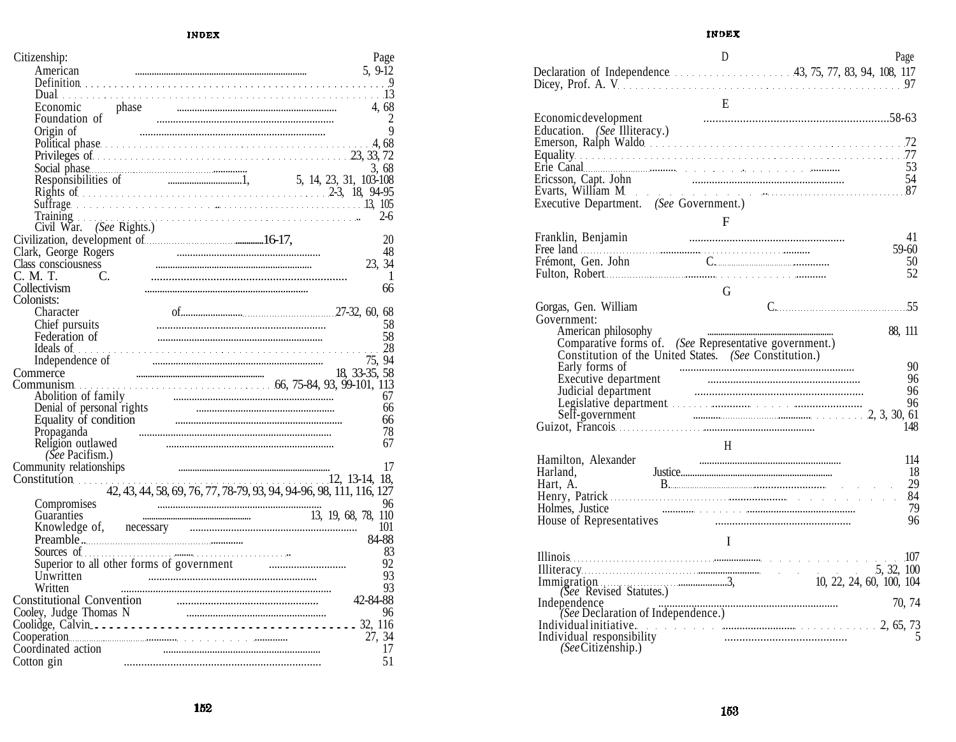| Citizenship:       |                                                                                                                                                                                                                                                                                                                                       | Page    |
|--------------------|---------------------------------------------------------------------------------------------------------------------------------------------------------------------------------------------------------------------------------------------------------------------------------------------------------------------------------------|---------|
| American           |                                                                                                                                                                                                                                                                                                                                       | 5, 9-12 |
|                    |                                                                                                                                                                                                                                                                                                                                       |         |
|                    |                                                                                                                                                                                                                                                                                                                                       |         |
|                    |                                                                                                                                                                                                                                                                                                                                       |         |
|                    |                                                                                                                                                                                                                                                                                                                                       |         |
|                    |                                                                                                                                                                                                                                                                                                                                       |         |
|                    |                                                                                                                                                                                                                                                                                                                                       |         |
|                    | Privileges of $\ldots$ $\ldots$ $\ldots$ $\ldots$ $\ldots$ $\ldots$ $\ldots$ $\ldots$ $\ldots$ $\ldots$ $\ldots$ $\ldots$ $\ldots$ $\ldots$ $\ldots$ $\ldots$ $\ldots$ $\ldots$ $\ldots$ $\ldots$ $\ldots$ $\ldots$ $\ldots$ $\ldots$ $\ldots$ $\ldots$ $\ldots$ $\ldots$ $\ldots$ $\ldots$ $\ldots$ $\ldots$ $\ldots$ $\ldots$ $\ld$ |         |
|                    |                                                                                                                                                                                                                                                                                                                                       |         |
|                    |                                                                                                                                                                                                                                                                                                                                       |         |
|                    | Social phase 3, 68<br>Responsibilities of 3, 14, 23, 31, 103-108<br>Rights of 2-3, 18, 94-95                                                                                                                                                                                                                                          |         |
|                    |                                                                                                                                                                                                                                                                                                                                       |         |
|                    |                                                                                                                                                                                                                                                                                                                                       | $2-6$   |
|                    | Training<br>Civil War. (See Rights.)                                                                                                                                                                                                                                                                                                  |         |
|                    |                                                                                                                                                                                                                                                                                                                                       | 20      |
|                    |                                                                                                                                                                                                                                                                                                                                       | 48      |
|                    |                                                                                                                                                                                                                                                                                                                                       | 23, 34  |
|                    |                                                                                                                                                                                                                                                                                                                                       | -1      |
|                    |                                                                                                                                                                                                                                                                                                                                       | 66      |
| Colonists:         |                                                                                                                                                                                                                                                                                                                                       |         |
|                    | Character<br>Character<br>Chief pursuits<br>Federation of<br>Ideals of The Character<br>Character<br>Character<br>Character<br>Sa 25<br>Case of The Character<br>Case 28<br>Case 28<br>Case 28<br>Case 28<br>Case 28<br>Case 28<br>Case 28<br>Case 28<br>Case 28<br>                                                                  |         |
|                    |                                                                                                                                                                                                                                                                                                                                       |         |
|                    |                                                                                                                                                                                                                                                                                                                                       |         |
|                    |                                                                                                                                                                                                                                                                                                                                       |         |
|                    |                                                                                                                                                                                                                                                                                                                                       |         |
|                    |                                                                                                                                                                                                                                                                                                                                       |         |
|                    |                                                                                                                                                                                                                                                                                                                                       |         |
|                    |                                                                                                                                                                                                                                                                                                                                       |         |
|                    |                                                                                                                                                                                                                                                                                                                                       |         |
|                    |                                                                                                                                                                                                                                                                                                                                       |         |
|                    |                                                                                                                                                                                                                                                                                                                                       |         |
|                    | The Understandence of<br>Commerce<br>Communism<br>Communism<br>Communism<br>Abolition of family<br>Denial of personal rights<br>Equality of condition<br>Propaganda<br>Religion outlawed<br>(See Bacifism)<br>Communism<br>Communism<br>Communism<br>Commu                                                                            |         |
|                    |                                                                                                                                                                                                                                                                                                                                       |         |
|                    |                                                                                                                                                                                                                                                                                                                                       |         |
|                    |                                                                                                                                                                                                                                                                                                                                       |         |
|                    | ( <i>See</i> Pacifism.)<br>Community relationships<br>$42, 43, 44, 58, 69, 76, 77, 78-79, 93, 94, 94-96, 98, 111, 116, 127$<br>$42, 43, 44, 58, 69, 76, 77, 78-79, 93, 94, 94-96, 98, 111, 116, 127$                                                                                                                                  |         |
| Compromises        |                                                                                                                                                                                                                                                                                                                                       | 96      |
|                    | Compromises<br>Guaranties – Communication and the Communication and the Communication<br>Enowhedge of, necessary (101)                                                                                                                                                                                                                |         |
|                    |                                                                                                                                                                                                                                                                                                                                       |         |
|                    |                                                                                                                                                                                                                                                                                                                                       | 84-88   |
|                    |                                                                                                                                                                                                                                                                                                                                       | 83      |
|                    |                                                                                                                                                                                                                                                                                                                                       | 92      |
| Unwritten          |                                                                                                                                                                                                                                                                                                                                       | 93      |
| Written            |                                                                                                                                                                                                                                                                                                                                       | 93      |
|                    |                                                                                                                                                                                                                                                                                                                                       |         |
|                    |                                                                                                                                                                                                                                                                                                                                       |         |
|                    | Constitutional Convention<br>Cooley, Judge Thomas N<br>Coolidge, Calvin <b>Coolidge</b> , Calvin <b>Coolidge</b> , Calvin <b>Coolidge</b> , Calvin <b>Coolidge</b> , Calvin <b>Coolidge</b> , Calvin <b>Coolidge</b> , Calvin <b>Coolidge</b> , Calvin <b>Coolidge</b> , Calvin <b>Coo</b>                                            |         |
|                    |                                                                                                                                                                                                                                                                                                                                       | 27, 34  |
| Coordinated action |                                                                                                                                                                                                                                                                                                                                       | 17      |
| Cotton gin         |                                                                                                                                                                                                                                                                                                                                       | 51      |
|                    |                                                                                                                                                                                                                                                                                                                                       |         |

|                                                                                                                                                                                                                                                                                                                                                                                                                                               | D              | Page            |
|-----------------------------------------------------------------------------------------------------------------------------------------------------------------------------------------------------------------------------------------------------------------------------------------------------------------------------------------------------------------------------------------------------------------------------------------------|----------------|-----------------|
| Declaration of Independence (2008) 23, 73, 75, 77, 83, 94, 108, 117<br>Dicey, Prof. A. V.                                                                                                                                                                                                                                                                                                                                                     |                |                 |
|                                                                                                                                                                                                                                                                                                                                                                                                                                               | $\overline{E}$ |                 |
|                                                                                                                                                                                                                                                                                                                                                                                                                                               |                |                 |
|                                                                                                                                                                                                                                                                                                                                                                                                                                               |                |                 |
| Equality 77                                                                                                                                                                                                                                                                                                                                                                                                                                   |                |                 |
|                                                                                                                                                                                                                                                                                                                                                                                                                                               |                | $\frac{53}{54}$ |
| Ericsson, Capt. John 54<br>Evarts, William M. 54<br>Executive Department. (See Government.) 57                                                                                                                                                                                                                                                                                                                                                |                |                 |
|                                                                                                                                                                                                                                                                                                                                                                                                                                               |                |                 |
|                                                                                                                                                                                                                                                                                                                                                                                                                                               |                |                 |
|                                                                                                                                                                                                                                                                                                                                                                                                                                               |                | 41              |
|                                                                                                                                                                                                                                                                                                                                                                                                                                               |                | 59-60           |
|                                                                                                                                                                                                                                                                                                                                                                                                                                               |                | 50<br>52        |
|                                                                                                                                                                                                                                                                                                                                                                                                                                               |                |                 |
|                                                                                                                                                                                                                                                                                                                                                                                                                                               | $\overline{G}$ |                 |
| Gorgas, Gen. William                                                                                                                                                                                                                                                                                                                                                                                                                          |                |                 |
| Government:<br>American philosophy<br>Comparative forms of. (See Representative government.)                                                                                                                                                                                                                                                                                                                                                  |                | 88, 111         |
| Constitution of the United States. (See Constitution.)                                                                                                                                                                                                                                                                                                                                                                                        |                |                 |
|                                                                                                                                                                                                                                                                                                                                                                                                                                               |                | -90             |
|                                                                                                                                                                                                                                                                                                                                                                                                                                               |                | $-96$           |
|                                                                                                                                                                                                                                                                                                                                                                                                                                               |                | 96<br>96        |
| Early forms of<br>Executive department<br>Judicial department<br>Legislative department                                                                                                                                                                                                                                                                                                                                                       |                |                 |
| Self-government<br>Guizot, Francois (148)<br>148                                                                                                                                                                                                                                                                                                                                                                                              |                |                 |
|                                                                                                                                                                                                                                                                                                                                                                                                                                               |                |                 |
|                                                                                                                                                                                                                                                                                                                                                                                                                                               | H              |                 |
|                                                                                                                                                                                                                                                                                                                                                                                                                                               |                |                 |
| Hamilton, Alexander<br>Harland, Islamic Institute in the Branch of the Contract of the Contract of the Contract of the Contract of the Contract of the Contract of the Contract of Contract of Contract of Contract of Contract                                                                                                                                                                                                               |                |                 |
|                                                                                                                                                                                                                                                                                                                                                                                                                                               |                |                 |
| Holmes, Justice <b>contract of the contract of the contract of the contract of the contract of the contract of the contract of the contract of the contract of the contract of the contract of the contract of the contract of t</b>                                                                                                                                                                                                          |                | - 79            |
| House of Representatives <b>Example 20</b> and the contract of Representatives                                                                                                                                                                                                                                                                                                                                                                |                | 96              |
|                                                                                                                                                                                                                                                                                                                                                                                                                                               |                |                 |
|                                                                                                                                                                                                                                                                                                                                                                                                                                               | $\blacksquare$ |                 |
| Illinois $107$                                                                                                                                                                                                                                                                                                                                                                                                                                |                |                 |
|                                                                                                                                                                                                                                                                                                                                                                                                                                               |                |                 |
|                                                                                                                                                                                                                                                                                                                                                                                                                                               |                |                 |
|                                                                                                                                                                                                                                                                                                                                                                                                                                               |                |                 |
|                                                                                                                                                                                                                                                                                                                                                                                                                                               |                |                 |
| Illiteracy<br>Immigration<br>Immigration<br>(See Revised Statutes.)<br>Individual initiative.<br>The Cole Declaration of Independence.)<br>$(See \text{ Declaration of Independence.})$<br>$(See \text{Declaration of Independence.})$<br>$(See \text{Declaration of Independence.})$<br>$(See \text{Declaration of Independence.})$<br>$(See \text{non-singular representation of the structure of the image})$<br>$(See \text{non-singular$ |                | 5               |
| Individual responsibility (See Citizenship.)                                                                                                                                                                                                                                                                                                                                                                                                  |                |                 |

152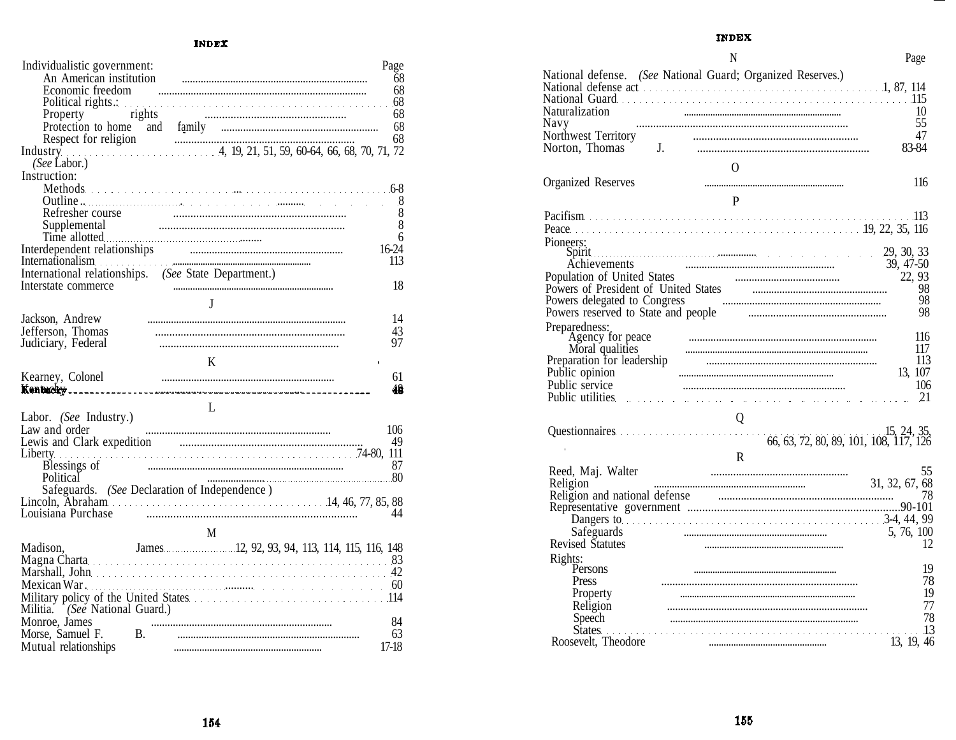| Individualistic government:                          |                                                                                                                                                                                                                                                                                                                                                                                                                                                                              | Page           |
|------------------------------------------------------|------------------------------------------------------------------------------------------------------------------------------------------------------------------------------------------------------------------------------------------------------------------------------------------------------------------------------------------------------------------------------------------------------------------------------------------------------------------------------|----------------|
|                                                      |                                                                                                                                                                                                                                                                                                                                                                                                                                                                              | 68             |
|                                                      |                                                                                                                                                                                                                                                                                                                                                                                                                                                                              | 68             |
|                                                      |                                                                                                                                                                                                                                                                                                                                                                                                                                                                              |                |
|                                                      |                                                                                                                                                                                                                                                                                                                                                                                                                                                                              |                |
|                                                      |                                                                                                                                                                                                                                                                                                                                                                                                                                                                              |                |
|                                                      |                                                                                                                                                                                                                                                                                                                                                                                                                                                                              |                |
|                                                      |                                                                                                                                                                                                                                                                                                                                                                                                                                                                              |                |
| (See Labor.)                                         |                                                                                                                                                                                                                                                                                                                                                                                                                                                                              |                |
| Instruction:                                         |                                                                                                                                                                                                                                                                                                                                                                                                                                                                              |                |
|                                                      |                                                                                                                                                                                                                                                                                                                                                                                                                                                                              |                |
|                                                      |                                                                                                                                                                                                                                                                                                                                                                                                                                                                              |                |
| Refresher course                                     |                                                                                                                                                                                                                                                                                                                                                                                                                                                                              | 8              |
|                                                      |                                                                                                                                                                                                                                                                                                                                                                                                                                                                              | $\overline{8}$ |
|                                                      |                                                                                                                                                                                                                                                                                                                                                                                                                                                                              | 6              |
|                                                      |                                                                                                                                                                                                                                                                                                                                                                                                                                                                              | 16-24          |
|                                                      |                                                                                                                                                                                                                                                                                                                                                                                                                                                                              | 113            |
| International relationships. (See State Department.) |                                                                                                                                                                                                                                                                                                                                                                                                                                                                              |                |
| Interstate commerce                                  |                                                                                                                                                                                                                                                                                                                                                                                                                                                                              | 18             |
|                                                      |                                                                                                                                                                                                                                                                                                                                                                                                                                                                              |                |
|                                                      | $\mathbf{I}$                                                                                                                                                                                                                                                                                                                                                                                                                                                                 |                |
| Jackson, Andrew                                      |                                                                                                                                                                                                                                                                                                                                                                                                                                                                              | 14             |
| Jefferson, Thomas                                    |                                                                                                                                                                                                                                                                                                                                                                                                                                                                              | 43             |
| Judiciary, Federal                                   |                                                                                                                                                                                                                                                                                                                                                                                                                                                                              | 97             |
|                                                      |                                                                                                                                                                                                                                                                                                                                                                                                                                                                              |                |
|                                                      | K                                                                                                                                                                                                                                                                                                                                                                                                                                                                            |                |
|                                                      |                                                                                                                                                                                                                                                                                                                                                                                                                                                                              | 61             |
|                                                      |                                                                                                                                                                                                                                                                                                                                                                                                                                                                              | 48             |
|                                                      | $\mathbf{L}$                                                                                                                                                                                                                                                                                                                                                                                                                                                                 |                |
|                                                      |                                                                                                                                                                                                                                                                                                                                                                                                                                                                              |                |
|                                                      | $\begin{minipage}{0.9\linewidth} \textbf{Labor. (See Industry.)} \\ \textbf{Law and order} \end{minipage}$                                                                                                                                                                                                                                                                                                                                                                   | 106            |
|                                                      |                                                                                                                                                                                                                                                                                                                                                                                                                                                                              | 49             |
|                                                      |                                                                                                                                                                                                                                                                                                                                                                                                                                                                              |                |
|                                                      |                                                                                                                                                                                                                                                                                                                                                                                                                                                                              |                |
| Political                                            | $\begin{minipage}{0.9\linewidth} \begin{tabular}{ c c c } \hline \multicolumn{3}{ c }{0.9\linewidth} \end{tabular} & \begin{tabular}{ c c c } \hline \multicolumn{3}{ c }{0.9\linewidth} \end{tabular} & \begin{tabular}{ c c c } \hline \multicolumn{3}{ c }{0.9\linewidth} \end{tabular} & \begin{tabular}{ c c c } \hline \multicolumn{3}{ c }{0.9\linewidth} \end{tabular} & \begin{tabular}{ c c c } \hline \multicolumn{3}{ c }{0.9\linewidth} \end{tabular} & \begin$ |                |
| Safeguards. (See Declaration of Independence)        |                                                                                                                                                                                                                                                                                                                                                                                                                                                                              |                |
|                                                      |                                                                                                                                                                                                                                                                                                                                                                                                                                                                              |                |
|                                                      | Louisiana Purchase <b>contracts</b> and the contract of the contract of the contract of the contract of the contract of the contract of the contract of the contract of the contract of the contract of the contract of the contrac                                                                                                                                                                                                                                          |                |
|                                                      |                                                                                                                                                                                                                                                                                                                                                                                                                                                                              |                |
|                                                      | M                                                                                                                                                                                                                                                                                                                                                                                                                                                                            |                |
| Madison,                                             |                                                                                                                                                                                                                                                                                                                                                                                                                                                                              |                |
|                                                      | Magna Charta (1993) 83                                                                                                                                                                                                                                                                                                                                                                                                                                                       |                |
|                                                      | Marshall, John (2008) Marshall, Marshall, Marshall, Marshall, Marshall, Marshall, Marshall, Marshall, Marshall, Marshall, Marshall, Marshall, Marshall, Marshall, Marshall, Marshall, Marshall, Marshall, Marshall, Marshall,                                                                                                                                                                                                                                                |                |
|                                                      | Mexican War. $60$                                                                                                                                                                                                                                                                                                                                                                                                                                                            |                |
|                                                      |                                                                                                                                                                                                                                                                                                                                                                                                                                                                              |                |
| Militia. (See National Guard.)                       |                                                                                                                                                                                                                                                                                                                                                                                                                                                                              |                |
| Monroe, James                                        |                                                                                                                                                                                                                                                                                                                                                                                                                                                                              | 84             |
|                                                      | Morse, Samuel F. B. E. All and Primerican and Princess and Princess and Princess and Princess and Princess and Princess and Princess and Princess and Princess and Princess and Princess and Princess and Princess and Princes                                                                                                                                                                                                                                               | 63             |
| Mutual relationships                                 |                                                                                                                                                                                                                                                                                                                                                                                                                                                                              | $17-18$        |
|                                                      |                                                                                                                                                                                                                                                                                                                                                                                                                                                                              |                |

INDEX

 $\overline{\phantom{0}}$ 

| N                                                                                                                                                                                                                                    | Page                     |
|--------------------------------------------------------------------------------------------------------------------------------------------------------------------------------------------------------------------------------------|--------------------------|
| National defense. (See National Guard; Organized Reserves.)                                                                                                                                                                          |                          |
|                                                                                                                                                                                                                                      |                          |
|                                                                                                                                                                                                                                      |                          |
| Naturalization                                                                                                                                                                                                                       | -10                      |
| Navy                                                                                                                                                                                                                                 | 55                       |
|                                                                                                                                                                                                                                      | 47                       |
| Northwest Territory<br>Norton, Thomas J. J. J. Allen Martin Morton, Thomas J. J. J. J. Milledge Martin Martin Martin Martin Martin M<br>Martin Martin Martin Martin Martin Martin Martin Martin Martin Martin Martin Martin Martin M | 83-84                    |
|                                                                                                                                                                                                                                      |                          |
| $\overline{0}$                                                                                                                                                                                                                       |                          |
| Organized Reserves                                                                                                                                                                                                                   | 116                      |
| $\mathbf{P}$                                                                                                                                                                                                                         |                          |
|                                                                                                                                                                                                                                      |                          |
| Pacifism 113                                                                                                                                                                                                                         |                          |
|                                                                                                                                                                                                                                      |                          |
| Pioneers:<br>Spirit 29, 30, 33                                                                                                                                                                                                       |                          |
|                                                                                                                                                                                                                                      |                          |
| Achievements<br>Population of United States<br>Powers of President of United States<br>Powers delegated to Congress<br>Powers reserved to State and people                                                                           | $\frac{39,47-50}{22,93}$ |
|                                                                                                                                                                                                                                      | 98                       |
|                                                                                                                                                                                                                                      | -98                      |
|                                                                                                                                                                                                                                      | -98                      |
|                                                                                                                                                                                                                                      |                          |
| Preparedness:                                                                                                                                                                                                                        |                          |
|                                                                                                                                                                                                                                      |                          |
|                                                                                                                                                                                                                                      |                          |
|                                                                                                                                                                                                                                      |                          |
|                                                                                                                                                                                                                                      |                          |
| Preparedness:<br>Agency for peace<br>Moral qualities<br>Preparation for leadership<br>Public opinion<br>Public service<br>Public utilities<br>Public utilities<br>21                                                                 |                          |
|                                                                                                                                                                                                                                      |                          |
| Q                                                                                                                                                                                                                                    |                          |
|                                                                                                                                                                                                                                      |                          |
| Questionnaires<br>66, 63, 72, 80, 89, 101, 108, 117, 126                                                                                                                                                                             |                          |
| R                                                                                                                                                                                                                                    |                          |
|                                                                                                                                                                                                                                      |                          |
|                                                                                                                                                                                                                                      |                          |
|                                                                                                                                                                                                                                      |                          |
|                                                                                                                                                                                                                                      |                          |
|                                                                                                                                                                                                                                      |                          |
|                                                                                                                                                                                                                                      |                          |
| Revised Statutes                                                                                                                                                                                                                     |                          |
| Rights:                                                                                                                                                                                                                              |                          |
| Persons                                                                                                                                                                                                                              | 19                       |
| Press                                                                                                                                                                                                                                | 78                       |
| Press<br>Property<br>Religion<br>Speech<br>States                                                                                                                                                                                    | 19                       |
|                                                                                                                                                                                                                                      | 77                       |
|                                                                                                                                                                                                                                      | 78                       |
|                                                                                                                                                                                                                                      | 13                       |
| Roosevelt, Theodore                                                                                                                                                                                                                  | 13, 19, 46               |